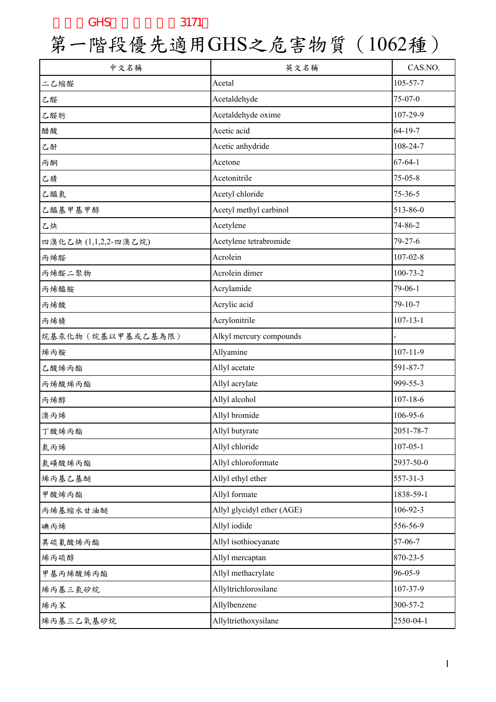| 中文名稱                 | 英文名稱                       | CAS.NO.        |
|----------------------|----------------------------|----------------|
| 二乙缩醛                 | Acetal                     | 105-57-7       |
| 乙醛                   | Acetaldehyde               | 75-07-0        |
| 乙醛肟                  | Acetaldehyde oxime         | 107-29-9       |
| 醋酸                   | Acetic acid                | 64-19-7        |
| 乙酐                   | Acetic anhydride           | 108-24-7       |
| 丙酮                   | Acetone                    | $67 - 64 - 1$  |
| 乙腈                   | Acetonitrile               | $75 - 05 - 8$  |
| 乙醯氯                  | Acetyl chloride            | $75 - 36 - 5$  |
| 乙醯基甲基甲醇              | Acetyl methyl carbinol     | 513-86-0       |
| 乙炔                   | Acetylene                  | 74-86-2        |
| 四溴化乙炔 (1,1,2,2-四溴乙烷) | Acetylene tetrabromide     | $79 - 27 - 6$  |
| 丙烯醛                  | Acrolein                   | $107 - 02 - 8$ |
| 丙烯醛二聚物               | Acrolein dimer             | $100 - 73 - 2$ |
| 丙烯醯胺                 | Acrylamide                 | 79-06-1        |
| 丙烯酸                  | Acrylic acid               | 79-10-7        |
| 丙烯腈                  | Acrylonitrile              | $107 - 13 - 1$ |
| 烷基汞化物 (烷基以甲基或乙基為限)   | Alkyl mercury compounds    |                |
| 烯丙胺                  | Allyamine                  | $107 - 11 - 9$ |
| 乙酸烯丙酯                | Allyl acetate              | 591-87-7       |
| 丙烯酸烯丙酯               | Allyl acrylate             | 999-55-3       |
| 丙烯醇                  | Allyl alcohol              | $107 - 18 - 6$ |
| 溴丙烯                  | Allyl bromide              | 106-95-6       |
| 丁酸烯丙酯                | Allyl butyrate             | 2051-78-7      |
| 氯丙烯                  | Allyl chloride             | $107 - 05 - 1$ |
| 氯磺酸烯丙酯               | Allyl chloroformate        | 2937-50-0      |
| 烯丙基乙基醚               | Allyl ethyl ether          | 557-31-3       |
| 甲酸烯丙酯                | Allyl formate              | 1838-59-1      |
| 丙烯基缩水甘油醚             | Allyl glycidyl ether (AGE) | 106-92-3       |
| 碘丙烯                  | Allyl iodide               | 556-56-9       |
| 異硫氰酸烯丙酯              | Allyl isothiocyanate       | 57-06-7        |
| 烯丙硫醇                 | Allyl mercaptan            | 870-23-5       |
| 甲基丙烯酸烯丙酯             | Allyl methacrylate         | 96-05-9        |
| 烯丙基三氯矽烷              | Allyltrichlorosilane       | 107-37-9       |
| 烯丙苯                  | Allylbenzene               | 300-57-2       |
| 烯丙基三乙氧基矽烷            | Allyltriethoxysilane       | 2550-04-1      |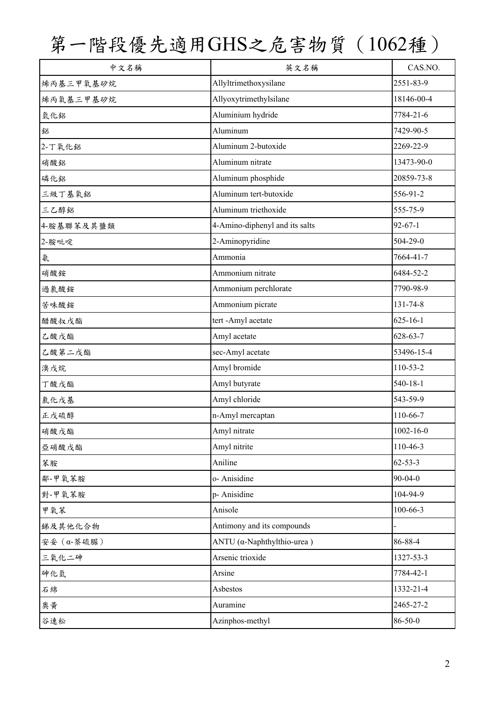| 中文名稱       | 英文名稱                               | CAS.NO.         |
|------------|------------------------------------|-----------------|
| 烯丙基三甲氧基矽烷  | Allyltrimethoxysilane              | 2551-83-9       |
| 烯丙氧基三甲基矽烷  | Allyoxytrimethylsilane             | 18146-00-4      |
| 氫化鋁        | Aluminium hydride                  | 7784-21-6       |
| 鋁          | Aluminum                           | 7429-90-5       |
| 2-丁氧化鋁     | Aluminum 2-butoxide                | 2269-22-9       |
| 硝酸鋁        | Aluminum nitrate                   | 13473-90-0      |
| 磷化鋁        | Aluminum phosphide                 | 20859-73-8      |
| 三級丁基氧鋁     | Aluminum tert-butoxide             | 556-91-2        |
| 三乙醇鋁       | Aluminum triethoxide               | 555-75-9        |
| 4-胺基聯苯及其鹽類 | 4-Amino-diphenyl and its salts     | $92 - 67 - 1$   |
| 2-胺吡啶      | 2-Aminopyridine                    | $504 - 29 - 0$  |
| 氨          | Ammonia                            | 7664-41-7       |
| 硝酸銨        | Ammonium nitrate                   | 6484-52-2       |
| 過氯酸銨       | Ammonium perchlorate               | 7790-98-9       |
| 苦味酸銨       | Ammonium picrate                   | 131-74-8        |
| 醋酸叔戊酯      | tert-Amyl acetate                  | $625 - 16 - 1$  |
| 乙酸戊酯       | Amyl acetate                       | $628 - 63 - 7$  |
| 乙酸第二戊酯     | sec-Amyl acetate                   | 53496-15-4      |
| 溴戊烷        | Amyl bromide                       | 110-53-2        |
| 丁酸戊酯       | Amyl butyrate                      | $540 - 18 - 1$  |
| 氯化戊基       | Amyl chloride                      | 543-59-9        |
| 正戊硫醇       | n-Amyl mercaptan                   | 110-66-7        |
| 硝酸戊酯       | Amyl nitrate                       | $1002 - 16 - 0$ |
| 亞硝酸戊酯      | Amyl nitrite                       | 110-46-3        |
| 苯胺         | Aniline                            | $62 - 53 - 3$   |
| 鄰-甲氧苯胺     | o- Anisidine                       | $90 - 04 - 0$   |
| 對-甲氧苯胺     | p- Anisidine                       | 104-94-9        |
| 甲氧苯        | Anisole                            | $100 - 66 - 3$  |
| 銻及其他化合物    | Antimony and its compounds         |                 |
| 安妥 (α-萘硫脲) | ANTU $(\alpha$ -Naphthylthio-urea) | 86-88-4         |
| 三氧化二砷      | Arsenic trioxide                   | 1327-53-3       |
| 砷化氫        | Arsine                             | 7784-42-1       |
| 石綿         | Asbestos                           | 1332-21-4       |
| 奧黃         | Auramine                           | 2465-27-2       |
| 谷速松        | Azinphos-methyl                    | 86-50-0         |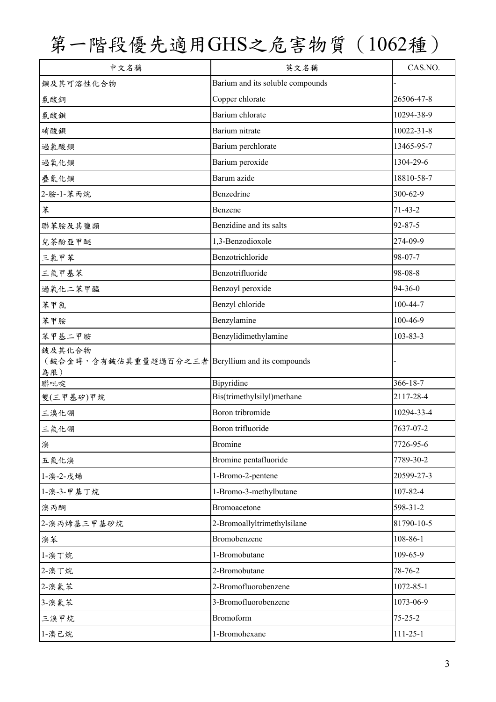| 中文名稱                                                       | 英文名稱                                            | CAS.NO.                     |
|------------------------------------------------------------|-------------------------------------------------|-----------------------------|
| 鋇及其可溶性化合物                                                  | Barium and its soluble compounds                |                             |
| 氯酸銅                                                        | Copper chlorate                                 | 26506-47-8                  |
| 氯酸鋇                                                        | Barium chlorate                                 | 10294-38-9                  |
| 硝酸鋇                                                        | Barium nitrate                                  | 10022-31-8                  |
| 過氣酸鋇                                                       | Barium perchlorate                              | 13465-95-7                  |
| 過氧化鋇                                                       | Barium peroxide                                 | 1304-29-6                   |
| 疊氮化鋇                                                       | Barum azide                                     | 18810-58-7                  |
| 2-胺-1-苯丙烷                                                  | Benzedrine                                      | 300-62-9                    |
| 苯                                                          | Benzene                                         | $71-43-2$                   |
| 聯苯胺及其鹽類                                                    | Benzidine and its salts                         | $92 - 87 - 5$               |
| 兒茶酚亞甲醚                                                     | 1,3-Benzodioxole                                | 274-09-9                    |
| 三氯甲苯                                                       | Benzotrichloride                                | 98-07-7                     |
| 三氟甲基苯                                                      | Benzotrifluoride                                | 98-08-8                     |
| 過氧化二苯甲醯                                                    | Benzoyl peroxide                                | 94-36-0                     |
| 苯甲氯                                                        | Benzyl chloride                                 | 100-44-7                    |
| 苯甲胺                                                        | Benzylamine                                     | 100-46-9                    |
| 苯甲基二甲胺                                                     | Benzylidimethylamine                            | 103-83-3                    |
| 鈹及其化合物<br>(鈹合金時,含有鈹佔其重量超過百分之三者 Beryllium and its compounds |                                                 |                             |
| 為限)                                                        |                                                 |                             |
| 聯吡啶<br>雙(三甲基矽)甲烷                                           | <b>Bipyridine</b><br>Bis(trimethylsilyl)methane | $366 - 18 - 7$<br>2117-28-4 |
| 三溴化硼                                                       | Boron tribromide                                | 10294-33-4                  |
| 三氟化硼                                                       | Boron trifluoride                               | 7637-07-2                   |
|                                                            | <b>Bromine</b>                                  | 7726-95-6                   |
| 溴                                                          |                                                 | 7789-30-2                   |
| 五氟化溴                                                       | Bromine pentafluoride                           | 20599-27-3                  |
| 1-溴-2-戊烯                                                   | 1-Bromo-2-pentene                               | 107-82-4                    |
| 1-溴-3-甲基丁烷                                                 | 1-Bromo-3-methylbutane                          |                             |
| 溴丙酮                                                        | Bromoacetone                                    | 598-31-2                    |
| 2-溴丙烯基三甲基矽烷                                                | 2-Bromoallyltrimethylsilane                     | 81790-10-5                  |
| 溴苯                                                         | Bromobenzene                                    | 108-86-1                    |
| 1-溴丁烷                                                      | 1-Bromobutane                                   | 109-65-9                    |
| 2-溴丁烷                                                      | 2-Bromobutane                                   | 78-76-2                     |
| 2-溴氟苯                                                      | 2-Bromofluorobenzene                            | 1072-85-1                   |
| 3-溴氟苯                                                      | 3-Bromofluorobenzene                            | 1073-06-9                   |
| 三溴甲烷                                                       | <b>Bromoform</b>                                | $75 - 25 - 2$               |
| 1-溴己烷                                                      | 1-Bromohexane                                   | $111 - 25 - 1$              |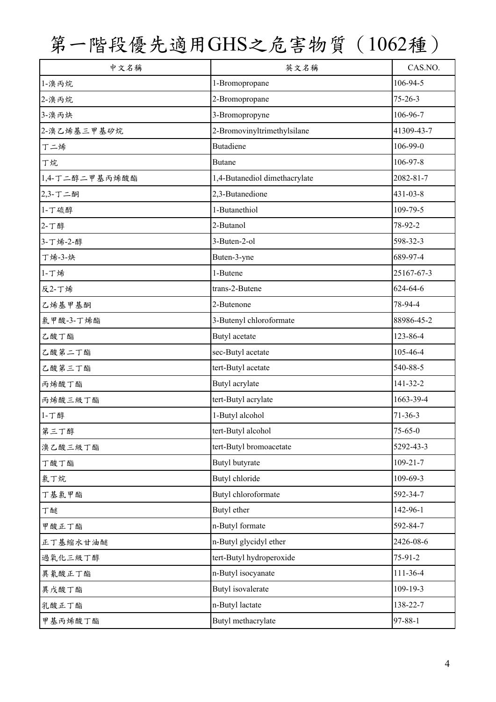| 中文名稱           | 英文名稱                          | CAS.NO.        |
|----------------|-------------------------------|----------------|
| 1-溴丙烷          | 1-Bromopropane                | 106-94-5       |
| 2-溴丙烷          | 2-Bromopropane                | $75 - 26 - 3$  |
| 3-溴丙炔          | 3-Bromopropyne                | 106-96-7       |
| 2-溴乙烯基三甲基矽烷    | 2-Bromovinyltrimethylsilane   | 41309-43-7     |
| 丁二烯            | <b>Butadiene</b>              | 106-99-0       |
| 丁烷             | <b>Butane</b>                 | 106-97-8       |
| 1,4-丁二醇二甲基丙烯酸酯 | 1,4-Butanediol dimethacrylate | 2082-81-7      |
| 2,3-丁二酮        | 2,3-Butanedione               | 431-03-8       |
| 1-丁硫醇          | 1-Butanethiol                 | 109-79-5       |
| 2-丁醇           | 2-Butanol                     | 78-92-2        |
| 3-丁烯-2-醇       | 3-Buten-2-ol                  | 598-32-3       |
| 丁烯-3-炔         | Buten-3-yne                   | 689-97-4       |
| 1-丁烯           | 1-Butene                      | 25167-67-3     |
| 反2-丁烯          | trans-2-Butene                | 624-64-6       |
| 乙烯基甲基酮         | 2-Butenone                    | 78-94-4        |
| 氯甲酸-3-丁烯酯      | 3-Butenyl chloroformate       | 88986-45-2     |
| 乙酸丁酯           | Butyl acetate                 | 123-86-4       |
| 乙酸第二丁酯         | sec-Butyl acetate             | 105-46-4       |
| 乙酸第三丁酯         | tert-Butyl acetate            | 540-88-5       |
| 丙烯酸丁酯          | Butyl acrylate                | $141 - 32 - 2$ |
| 丙烯酸三級丁酯        | tert-Butyl acrylate           | 1663-39-4      |
| 1-丁醇           | 1-Butyl alcohol               | $71-36-3$      |
| 第三丁醇           | tert-Butyl alcohol            | $75 - 65 - 0$  |
| 溴乙酸三級丁酯        | tert-Butyl bromoacetate       | 5292-43-3      |
| 丁酸丁酯           | Butyl butyrate                | $109 - 21 - 7$ |
| 氯丁烷            | Butyl chloride                | 109-69-3       |
| 丁基氯甲酯          | Butyl chloroformate           | 592-34-7       |
| 丁醚             | Butyl ether                   | 142-96-1       |
| 甲酸正丁酯          | n-Butyl formate               | 592-84-7       |
| 正丁基缩水甘油醚       | n-Butyl glycidyl ether        | 2426-08-6      |
| 過氧化三級丁醇        | tert-Butyl hydroperoxide      | 75-91-2        |
| 異氰酸正丁酯         | n-Butyl isocyanate            | 111-36-4       |
| 異戊酸丁酯          | Butyl isovalerate             | 109-19-3       |
| 乳酸正丁酯          | n-Butyl lactate               | 138-22-7       |
| 甲基丙烯酸丁酯        | Butyl methacrylate            | 97-88-1        |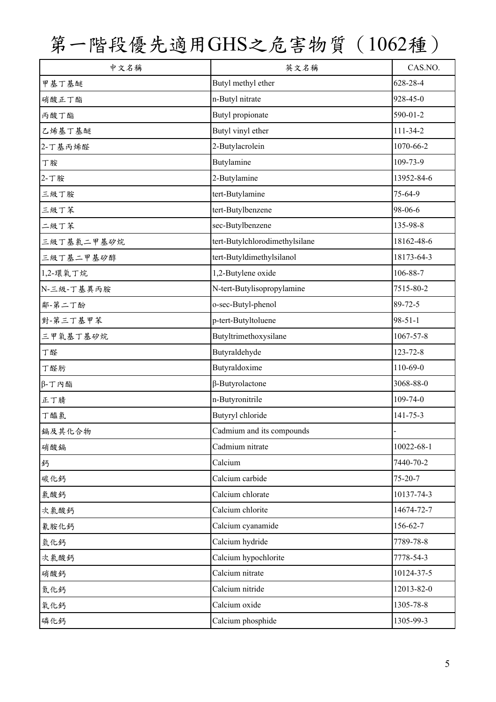| 中文名稱         | 英文名稱                           | CAS.NO.        |
|--------------|--------------------------------|----------------|
| 甲基丁基醚        | Butyl methyl ether             | 628-28-4       |
| 硝酸正丁酯        | n-Butyl nitrate                | 928-45-0       |
| 丙酸丁酯         | Butyl propionate               | 590-01-2       |
| 乙烯基丁基醚       | Butyl vinyl ether              | 111-34-2       |
| 2-丁基丙烯醛      | 2-Butylacrolein                | 1070-66-2      |
| 丁胺           | Butylamine                     | 109-73-9       |
| 2-丁胺         | 2-Butylamine                   | 13952-84-6     |
| 三級丁胺         | tert-Butylamine                | 75-64-9        |
| 三級丁苯         | tert-Butylbenzene              | 98-06-6        |
| 二級丁苯         | sec-Butylbenzene               | 135-98-8       |
| 三級丁基氯二甲基矽烷   | tert-Butylchlorodimethylsilane | 18162-48-6     |
| 三級丁基二甲基矽醇    | tert-Butyldimethylsilanol      | 18173-64-3     |
| 1,2-環氧丁烷     | 1,2-Butylene oxide             | 106-88-7       |
| N-三級-丁基異丙胺   | N-tert-Butylisopropylamine     | 7515-80-2      |
| 鄰-第二丁酚       | o-sec-Butyl-phenol             | 89-72-5        |
| 對-第三丁基甲苯     | p-tert-Butyltoluene            | $98 - 51 - 1$  |
| 三甲氧基丁基矽烷     | Butyltrimethoxysilane          | 1067-57-8      |
| 丁醛           | Butyraldehyde                  | $123 - 72 - 8$ |
| 丁醛肟          | Butyraldoxime                  | $110-69-0$     |
| $\beta$ -丁內酯 | $\beta$ -Butyrolactone         | 3068-88-0      |
| 正丁腈          | n-Butyronitrile                | $109 - 74 - 0$ |
| 丁醯氯          | Butyryl chloride               | 141-75-3       |
| 鎘及其化合物       | Cadmium and its compounds      |                |
| 硝酸鎘          | Cadmium nitrate                | 10022-68-1     |
| 鈣            | Calcium                        | 7440-70-2      |
| 碳化鈣          | Calcium carbide                | $75 - 20 - 7$  |
| 氯酸鈣          | Calcium chlorate               | 10137-74-3     |
| 次氯酸鈣         | Calcium chlorite               | 14674-72-7     |
| 氰胺化鈣         | Calcium cyanamide              | 156-62-7       |
| 氫化鈣          | Calcium hydride                | 7789-78-8      |
| 次氯酸鈣         | Calcium hypochlorite           | 7778-54-3      |
| 硝酸鈣          | Calcium nitrate                | 10124-37-5     |
| 氮化鈣          | Calcium nitride                | 12013-82-0     |
| 氧化鈣          | Calcium oxide                  | 1305-78-8      |
| 磷化鈣          | Calcium phosphide              | 1305-99-3      |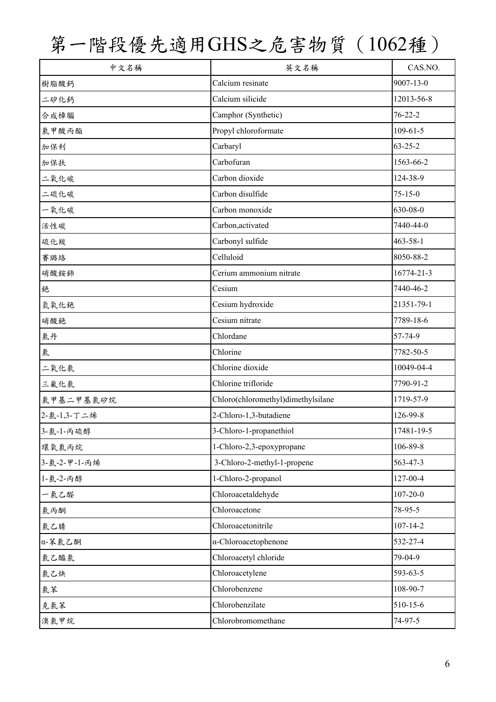| 中文名稱         | 英文名稱                               | CAS.NO.         |
|--------------|------------------------------------|-----------------|
| 樹脂酸鈣         | Calcium resinate                   | $9007 - 13 - 0$ |
| 二矽化鈣         | Calcium silicide                   | 12013-56-8      |
| 合成樟腦         | Camphor (Synthetic)                | $76 - 22 - 2$   |
| 氯甲酸丙酯        | Propyl chloroformate               | $109 - 61 - 5$  |
| 加保利          | Carbaryl                           | $63 - 25 - 2$   |
| 加保扶          | Carbofuran                         | 1563-66-2       |
| 二氧化碳         | Carbon dioxide                     | 124-38-9        |
| 二硫化碳         | Carbon disulfide                   | $75 - 15 - 0$   |
| 一氧化碳         | Carbon monoxide                    | 630-08-0        |
| 活性碳          | Carbon, activated                  | 7440-44-0       |
| 硫化羰          | Carbonyl sulfide                   | $463 - 58 - 1$  |
| 賽璐珞          | Celluloid                          | 8050-88-2       |
| 硝酸銨鈰         | Cerium ammonium nitrate            | 16774-21-3      |
| 銫            | Cesium                             | 7440-46-2       |
| 氫氧化銫         | Cesium hydroxide                   | 21351-79-1      |
| 硝酸銫          | Cesium nitrate                     | 7789-18-6       |
| 氯丹           | Chlordane                          | 57-74-9         |
| 氯            | Chlorine                           | 7782-50-5       |
| 二氧化氯         | Chlorine dioxide                   | 10049-04-4      |
| 三氟化氯         | Chlorine trifloride                | 7790-91-2       |
| 氯甲基二甲基氯矽烷    | Chloro(chloromethyl)dimethylsilane | 1719-57-9       |
| 2-氯-1,3-丁二烯  | 2-Chloro-1,3-butadiene             | 126-99-8        |
| 3-氯-1-丙硫醇    | 3-Chloro-1-propanethiol            | 17481-19-5      |
| 環氧氯丙烷        | 1-Chloro-2,3-epoxypropane          | 106-89-8        |
| 3-氯-2-甲-1-丙烯 | 3-Chloro-2-methyl-1-propene        | 563-47-3        |
| 1-氯-2-丙醇     | 1-Chloro-2-propanol                | 127-00-4        |
| 一氯乙醛         | Chloroacetaldehyde                 | $107 - 20 - 0$  |
| 氯丙酮          | Chloroacetone                      | 78-95-5         |
| 氯乙腈          | Chloroacetonitrile                 | $107 - 14 - 2$  |
| α-苯氯乙酮       | $\alpha$ -Chloroacetophenone       | 532-27-4        |
| 氣乙醯氯         | Chloroacetyl chloride              | 79-04-9         |
| 氯乙炔          | Chloroacetylene                    | 593-63-5        |
| 氯苯           | Chlorobenzene                      | 108-90-7        |
| 克氯苯          | Chlorobenzilate                    | 510-15-6        |
| 溴氯甲烷         | Chlorobromomethane                 | 74-97-5         |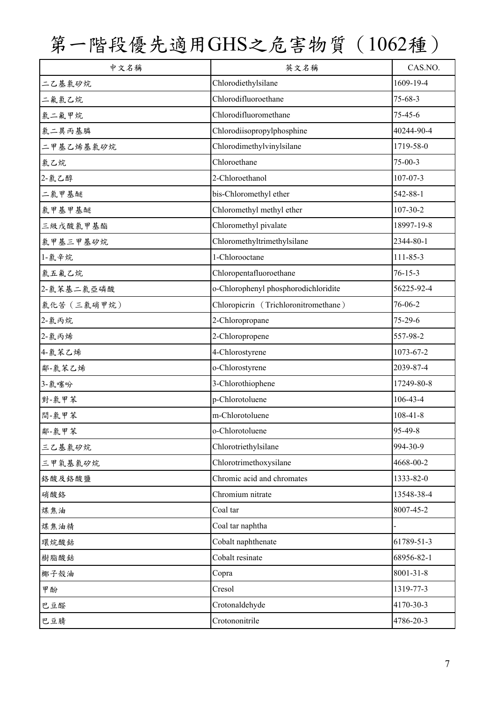| 中文名稱        | 英文名稱                                 | CAS.NO.         |
|-------------|--------------------------------------|-----------------|
| 二乙基氯矽烷      | Chlorodiethylsilane                  | 1609-19-4       |
| 二氟氯乙烷       | Chlorodifluoroethane                 | $75 - 68 - 3$   |
| 氯二氟甲烷       | Chlorodifluoromethane                | $75 - 45 - 6$   |
| 氯二異丙基膦      | Chlorodiisopropylphosphine           | 40244-90-4      |
| 二甲基乙烯基氯矽烷   | Chlorodimethylvinylsilane            | 1719-58-0       |
| 氯乙烷         | Chloroethane                         | $75 - 00 - 3$   |
| 2-氯乙醇       | 2-Chloroethanol                      | $107 - 07 - 3$  |
| 二氯甲基醚       | bis-Chloromethyl ether               | 542-88-1        |
| 氯甲基甲基醚      | Chloromethyl methyl ether            | $107 - 30 - 2$  |
| 三級戊酸氯甲基酯    | Chloromethyl pivalate                | 18997-19-8      |
| 氯甲基三甲基矽烷    | Chloromethyltrimethylsilane          | 2344-80-1       |
| 1-氯辛烷       | 1-Chlorooctane                       | 111-85-3        |
| 氯五氟乙烷       | Chloropentafluoroethane              | $76 - 15 - 3$   |
| 2-氯苯基二氯亞磷酸  | o-Chlorophenyl phosphorodichloridite | 56225-92-4      |
| 氯化苦 (三氯硝甲烷) | Chloropicrin (Trichloronitromethane) | 76-06-2         |
| 2-氯丙烷       | 2-Chloropropane                      | 75-29-6         |
| 2-氯丙烯       | 2-Chloropropene                      | 557-98-2        |
| 4-氯苯乙烯      | 4-Chlorostyrene                      | 1073-67-2       |
| 鄰-氣苯乙烯      | o-Chlorostyrene                      | 2039-87-4       |
| 3-氯噻吩       | 3-Chlorothiophene                    | 17249-80-8      |
| 對-氯甲苯       | p-Chlorotoluene                      | $106 - 43 - 4$  |
| 間-氯甲苯       | m-Chlorotoluene                      | $108 - 41 - 8$  |
| 鄰-氯甲苯       | o-Chlorotoluene                      | 95-49-8         |
| 三乙基氯矽烷      | Chlorotriethylsilane                 | 994-30-9        |
| 三甲氧基氯矽烷     | Chlorotrimethoxysilane               | 4668-00-2       |
| 络酸及络酸鹽      | Chromic acid and chromates           | 1333-82-0       |
| 硝酸鉻         | Chromium nitrate                     | 13548-38-4      |
| 煤焦油         | Coal tar                             | 8007-45-2       |
| 煤焦油精        | Coal tar naphtha                     |                 |
| 環烷酸鈷        | Cobalt naphthenate                   | 61789-51-3      |
| 樹脂酸鈷        | Cobalt resinate                      | 68956-82-1      |
| 椰子殼油        | Copra                                | $8001 - 31 - 8$ |
| 甲酚          | Cresol                               | 1319-77-3       |
| 巴豆醛         | Crotonaldehyde                       | 4170-30-3       |
| 巴豆腈         | Crotononitrile                       | 4786-20-3       |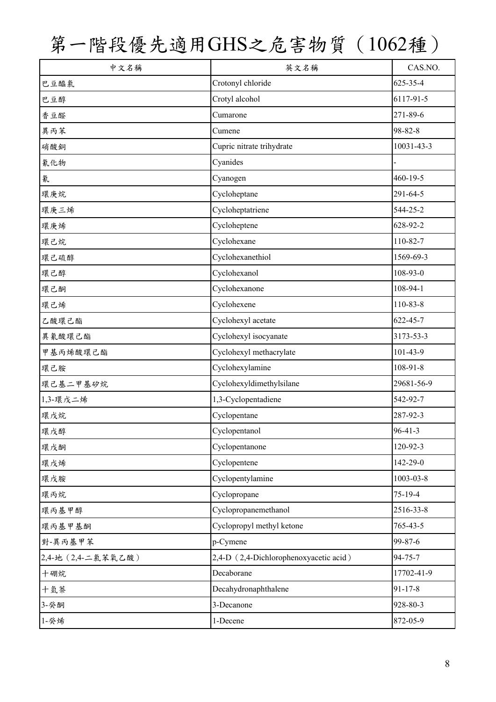| 中文名稱               | 英文名稱                                   | CAS.NO.         |
|--------------------|----------------------------------------|-----------------|
| 巴豆醯氯               | Crotonyl chloride                      | 625-35-4        |
| 巴豆醇                | Crotyl alcohol                         | 6117-91-5       |
| 香豆醛                | Cumarone                               | 271-89-6        |
| 異丙苯                | Cumene                                 | 98-82-8         |
| 硝酸銅                | Cupric nitrate trihydrate              | 10031-43-3      |
| 氰化物                | Cyanides                               |                 |
| 氰                  | Cyanogen                               | 460-19-5        |
| 環庚烷                | Cycloheptane                           | 291-64-5        |
| 環庚三烯               | Cycloheptatriene                       | 544-25-2        |
| 環庚烯                | Cycloheptene                           | 628-92-2        |
| 環己烷                | Cyclohexane                            | 110-82-7        |
| 環己硫醇               | Cyclohexanethiol                       | 1569-69-3       |
| 環己醇                | Cyclohexanol                           | 108-93-0        |
| 環己酮                | Cyclohexanone                          | 108-94-1        |
| 環己烯                | Cyclohexene                            | 110-83-8        |
| 乙酸環己酯              | Cyclohexyl acetate                     | 622-45-7        |
| 異氰酸環己酯             | Cyclohexyl isocyanate                  | 3173-53-3       |
| 甲基丙烯酸環己酯           | Cyclohexyl methacrylate                | 101-43-9        |
| 環己胺                | Cyclohexylamine                        | $108 - 91 - 8$  |
| 環己基二甲基矽烷           | Cyclohexyldimethylsilane               | 29681-56-9      |
| 1,3-環戊二烯           | 1,3-Cyclopentadiene                    | 542-92-7        |
| 環戊烷                | Cyclopentane                           | 287-92-3        |
| 環戊醇                | Cyclopentanol                          | $96 - 41 - 3$   |
| 環戊酮                | Cyclopentanone                         | 120-92-3        |
| 環戊烯                | Cyclopentene                           | 142-29-0        |
| 環戊胺                | Cyclopentylamine                       | $1003 - 03 - 8$ |
| 環丙烷                | Cyclopropane                           | 75-19-4         |
| 環丙基甲醇              | Cyclopropanemethanol                   | 2516-33-8       |
| 環丙基甲基酮             | Cyclopropyl methyl ketone              | 765-43-5        |
| 對-異丙基甲苯            | p-Cymene                               | 99-87-6         |
| 2,4-地 (2,4-二氯苯氧乙酸) | 2,4-D (2,4-Dichlorophenoxyacetic acid) | 94-75-7         |
| 十硼烷                | Decaborane                             | 17702-41-9      |
| 十氫萘                | Decahydronaphthalene                   | $91 - 17 - 8$   |
| 3-癸酮               | 3-Decanone                             | 928-80-3        |
| 1-癸烯               | 1-Decene                               | 872-05-9        |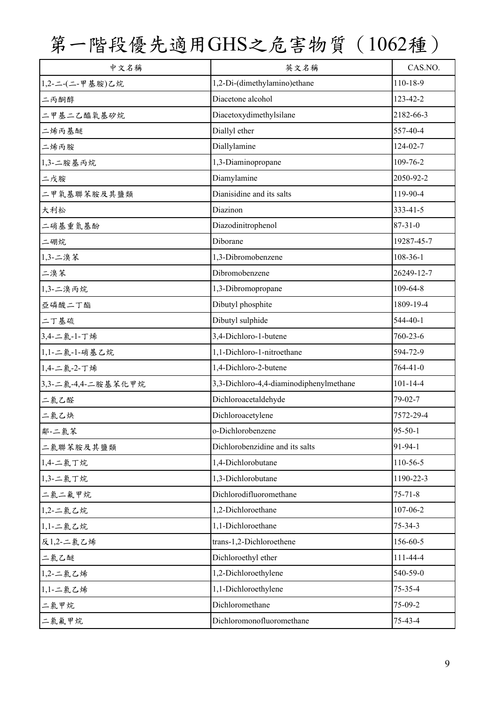| 中文名稱               | 英文名稱                                    | CAS.NO.        |
|--------------------|-----------------------------------------|----------------|
| 1,2-二-(二-甲基胺)乙烷    | 1,2-Di-(dimethylamino)ethane            | 110-18-9       |
| 二丙酮醇               | Diacetone alcohol                       | 123-42-2       |
| 二甲基二乙醯氧基矽烷         | Diacetoxydimethylsilane                 | 2182-66-3      |
| 二烯丙基醚              | Diallyl ether                           | 557-40-4       |
| 二烯丙胺               | Diallylamine                            | 124-02-7       |
| 1,3-二胺基丙烷          | 1,3-Diaminopropane                      | 109-76-2       |
| 二戊胺                | Diamylamine                             | 2050-92-2      |
| 二甲氧基聯苯胺及其鹽類        | Dianisidine and its salts               | 119-90-4       |
| 大利松                | Diazinon                                | 333-41-5       |
| 二硝基重氮基酚            | Diazodinitrophenol                      | $87 - 31 - 0$  |
| 二硼烷                | Diborane                                | 19287-45-7     |
| 1,3-二溴苯            | 1,3-Dibromobenzene                      | 108-36-1       |
| 二溴苯                | Dibromobenzene                          | 26249-12-7     |
| 1,3-二溴丙烷           | 1,3-Dibromopropane                      | 109-64-8       |
| 亞磷酸二丁酯             | Dibutyl phosphite                       | 1809-19-4      |
| 二丁基硫               | Dibutyl sulphide                        | 544-40-1       |
| 3,4-二氯-1-丁烯        | 3,4-Dichloro-1-butene                   | 760-23-6       |
| 1,1-二氯-1-硝基乙烷      | 1,1-Dichloro-1-nitroethane              | 594-72-9       |
| 1,4-二氯-2-丁烯        | 1,4-Dichloro-2-butene                   | $764 - 41 - 0$ |
| 3,3-二氯-4,4-二胺基苯化甲烷 | 3,3-Dichloro-4,4-diaminodiphenylmethane | $101 - 14 - 4$ |
| 二氯乙醛               | Dichloroacetaldehyde                    | 79-02-7        |
| 二氯乙炔               | Dichloroacetylene                       | 7572-29-4      |
| 鄰-二氯苯              | o-Dichlorobenzene                       | 95-50-1        |
| 二氯聯苯胺及其鹽類          | Dichlorobenzidine and its salts         | 91-94-1        |
| 1,4-二氯丁烷           | 1,4-Dichlorobutane                      | 110-56-5       |
| 1,3-二氯丁烷           | 1,3-Dichlorobutane                      | 1190-22-3      |
| 二氯二氟甲烷             | Dichlorodifluoromethane                 | $75 - 71 - 8$  |
| 1,2-二氯乙烷           | 1,2-Dichloroethane                      | 107-06-2       |
| 1,1-二氯乙烷           | 1,1-Dichloroethane                      | $75 - 34 - 3$  |
| 反1,2-二氯乙烯          | trans-1,2-Dichloroethene                | 156-60-5       |
| 二氯乙醚               | Dichloroethyl ether                     | 111-44-4       |
| 1,2-二氯乙烯           | 1,2-Dichloroethylene                    | 540-59-0       |
| 1,1-二氯乙烯           | 1,1-Dichloroethylene                    | 75-35-4        |
| 二氯甲烷               | Dichloromethane                         | 75-09-2        |
| 二氯氟甲烷              | Dichloromonofluoromethane               | 75-43-4        |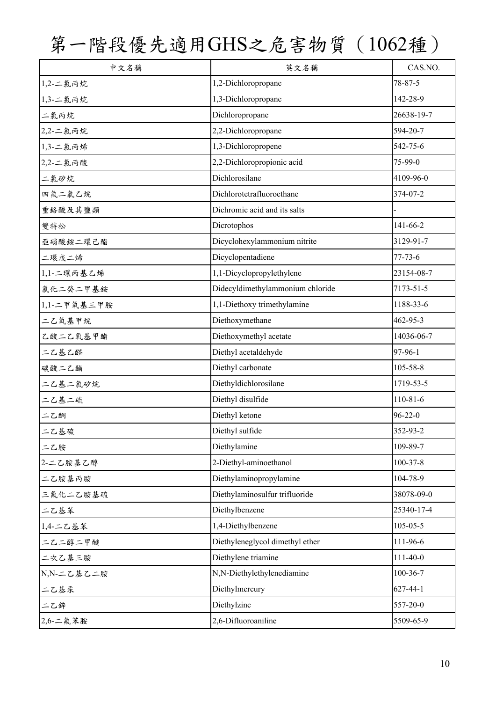| 中文名稱        | 英文名稱                             | CAS.NO.        |
|-------------|----------------------------------|----------------|
| 1,2-二氯丙烷    | 1,2-Dichloropropane              | 78-87-5        |
| 1,3-二氯丙烷    | 1,3-Dichloropropane              | 142-28-9       |
| 二氯丙烷        | Dichloropropane                  | 26638-19-7     |
| 2,2-二氯丙烷    | 2,2-Dichloropropane              | 594-20-7       |
| 1,3-二氯丙烯    | 1,3-Dichloropropene              | 542-75-6       |
| 2,2-二氯丙酸    | 2,2-Dichloropropionic acid       | 75-99-0        |
| 二氯矽烷        | Dichlorosilane                   | 4109-96-0      |
| 四氟二氯乙烷      | Dichlorotetrafluoroethane        | 374-07-2       |
| 重络酸及其鹽類     | Dichromic acid and its salts     |                |
| 雙特松         | Dicrotophos                      | 141-66-2       |
| 亞硝酸銨二環己酯    | Dicyclohexylammonium nitrite     | 3129-91-7      |
| 二環戊二烯       | Dicyclopentadiene                | $77 - 73 - 6$  |
| 1,1-二環丙基乙烯  | 1,1-Dicyclopropylethylene        | 23154-08-7     |
| 氯化二癸二甲基銨    | Didecyldimethylammonium chloride | 7173-51-5      |
| 1,1-二甲氧基三甲胺 | 1,1-Diethoxy trimethylamine      | 1188-33-6      |
| 二乙氧基甲烷      | Diethoxymethane                  | 462-95-3       |
| 乙酸二乙氧基甲酯    | Diethoxymethyl acetate           | 14036-06-7     |
| 二乙基乙醛       | Diethyl acetaldehyde             | 97-96-1        |
| 碳酸二乙酯       | Diethyl carbonate                | 105-58-8       |
| 二乙基二氯矽烷     | Diethyldichlorosilane            | 1719-53-5      |
| 二乙基二硫       | Diethyl disulfide                | $110 - 81 - 6$ |
| 二乙酮         | Diethyl ketone                   | $96 - 22 - 0$  |
| 二乙基硫        | Diethyl sulfide                  | 352-93-2       |
| 二乙胺         | Diethylamine                     | 109-89-7       |
| 2-二乙胺基乙醇    | 2-Diethyl-aminoethanol           | $100 - 37 - 8$ |
| 二乙胺基丙胺      | Diethylaminopropylamine          | 104-78-9       |
| 三氟化二乙胺基硫    | Diethylaminosulfur trifluoride   | 38078-09-0     |
| 二乙基苯        | Diethylbenzene                   | 25340-17-4     |
| 1,4-二乙基苯    | 1,4-Diethylbenzene               | $105 - 05 - 5$ |
| 二乙二醇二甲醚     | Diethyleneglycol dimethyl ether  | 111-96-6       |
| 二次乙基三胺      | Diethylene triamine              | $111-40-0$     |
| N,N-二乙基乙二胺  | N,N-Diethylethylenediamine       | 100-36-7       |
| 二乙基汞        | Diethylmercury                   | $627 - 44 - 1$ |
| 二乙鋅         | Diethylzinc                      | 557-20-0       |
| 2,6-二氟苯胺    | 2,6-Difluoroaniline              | 5509-65-9      |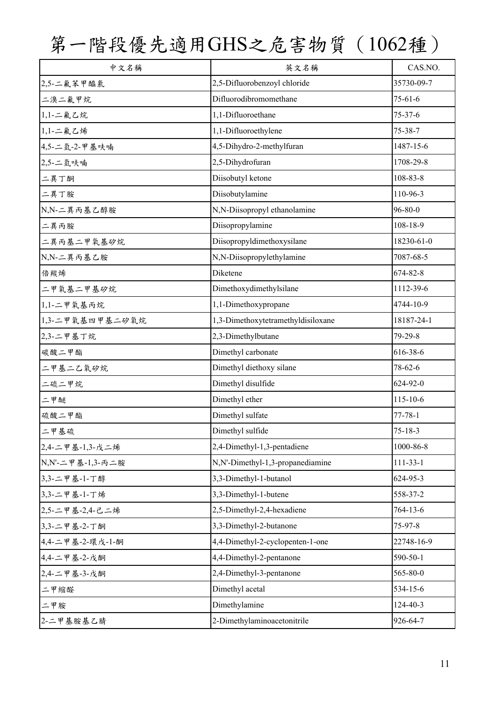| 中文名稱             | 英文名稱                               | CAS.NO.        |
|------------------|------------------------------------|----------------|
| 2,5-二氟苯甲醯氯       | 2,5-Difluorobenzoyl chloride       | 35730-09-7     |
| 二溴二氟甲烷           | Difluorodibromomethane             | $75 - 61 - 6$  |
| 1,1-二氟乙烷         | 1,1-Difluoroethane                 | $75 - 37 - 6$  |
| 1,1-二氟乙烯         | 1,1-Difluoroethylene               | $75 - 38 - 7$  |
| 4,5-二氫-2-甲基呋喃    | 4,5-Dihydro-2-methylfuran          | 1487-15-6      |
| 2,5-二氫呋喃         | 2,5-Dihydrofuran                   | 1708-29-8      |
| 二異丁酮             | Diisobutyl ketone                  | 108-83-8       |
| 二異丁胺             | Diisobutylamine                    | 110-96-3       |
| N,N-二異丙基乙醇胺      | N,N-Diisopropyl ethanolamine       | $96 - 80 - 0$  |
| 二異丙胺             | Diisopropylamine                   | 108-18-9       |
| 二異丙基二甲氧基矽烷       | Diisopropyldimethoxysilane         | 18230-61-0     |
| N,N-二異丙基乙胺       | N,N-Diisopropylethylamine          | 7087-68-5      |
| 倍羰烯              | Diketene                           | 674-82-8       |
| 二甲氧基二甲基矽烷        | Dimethoxydimethylsilane            | 1112-39-6      |
| 1,1-二甲氧基丙烷       | 1,1-Dimethoxypropane               | 4744-10-9      |
| 1,3-二甲氧基四甲基二矽氧烷  | 1,3-Dimethoxytetramethyldisiloxane | 18187-24-1     |
| 2,3-二甲基丁烷        | 2,3-Dimethylbutane                 | 79-29-8        |
| 碳酸二甲酯            | Dimethyl carbonate                 | 616-38-6       |
| 二甲基二乙氧矽烷         | Dimethyl diethoxy silane           | $78 - 62 - 6$  |
| 二硫二甲烷            | Dimethyl disulfide                 | 624-92-0       |
| 二甲醚              | Dimethyl ether                     | $115 - 10 - 6$ |
| 硫酸二甲酯            | Dimethyl sulfate                   | $77 - 78 - 1$  |
| 二甲基硫             | Dimethyl sulfide                   | $75 - 18 - 3$  |
| 2,4-二甲基-1,3-戊二烯  | 2,4-Dimethyl-1,3-pentadiene        | 1000-86-8      |
| N,N'-二甲基-1,3-丙二胺 | N,N'-Dimethyl-1,3-propanediamine   | $111-33-1$     |
| 3,3-二甲基-1-丁醇     | 3,3-Dimethyl-1-butanol             | 624-95-3       |
| 3,3-二甲基-1-丁烯     | 3,3-Dimethyl-1-butene              | 558-37-2       |
| 2,5-二甲基-2,4-己二烯  | 2,5-Dimethyl-2,4-hexadiene         | 764-13-6       |
| 3,3-二甲基-2-丁酮     | 3,3-Dimethyl-2-butanone            | 75-97-8        |
| 4,4-二甲基-2-環戊-1-酮 | 4,4-Dimethyl-2-cyclopenten-1-one   | 22748-16-9     |
| 4,4-二甲基-2-戊酮     | 4,4-Dimethyl-2-pentanone           | 590-50-1       |
| 2,4-二甲基-3-戊酮     | 2,4-Dimethyl-3-pentanone           | 565-80-0       |
| 二甲缩醛             | Dimethyl acetal                    | 534-15-6       |
| 二甲胺              | Dimethylamine                      | 124-40-3       |
| 2-二甲基胺基乙腈        | 2-Dimethylaminoacetonitrile        | 926-64-7       |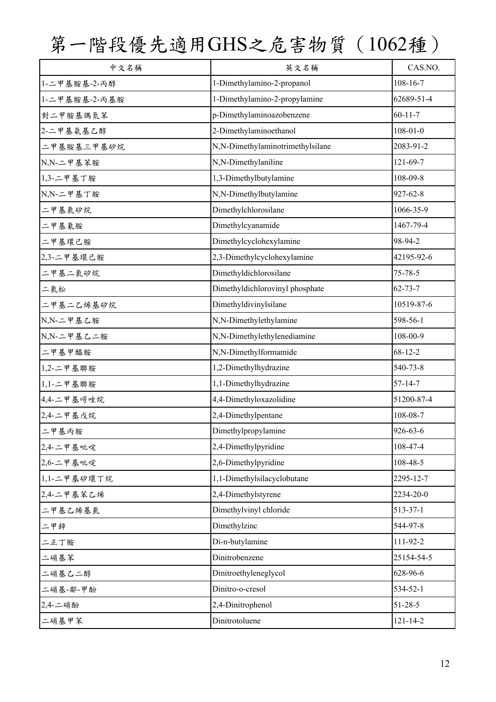| 中文名稱          | 英文名稱                             | CAS.NO.        |
|---------------|----------------------------------|----------------|
| 1-二甲基胺基-2-丙醇  | 1-Dimethylamino-2-propanol       | $108 - 16 - 7$ |
| 1-二甲基胺基-2-丙基胺 | 1-Dimethylamino-2-propylamine    | 62689-51-4     |
| 對二甲胺基偶氮苯      | p-Dimethylaminoazobenzene        | $60 - 11 - 7$  |
| 2-二甲基氨基乙醇     | 2-Dimethylaminoethanol           | $108 - 01 - 0$ |
| 二甲基胺基三甲基矽烷    | N,N-Dimethylaminotrimethylsilane | 2083-91-2      |
| N,N-二甲基苯胺     | N,N-Dimethylaniline              | 121-69-7       |
| 1,3-二甲基丁胺     | 1,3-Dimethylbutylamine           | 108-09-8       |
| N,N-二甲基丁胺     | N,N-Dimethylbutylamine           | 927-62-8       |
| 二甲基氯矽烷        | Dimethylchlorosilane             | 1066-35-9      |
| 二甲基氰胺         | Dimethylcyanamide                | 1467-79-4      |
| 二甲基環己胺        | Dimethylcyclohexylamine          | 98-94-2        |
| 2,3-二甲基環己胺    | 2,3-Dimethylcyclohexylamine      | 42195-92-6     |
| 二甲基二氯矽烷       | Dimethyldichlorosilane           | $75 - 78 - 5$  |
| 二氯松           | Dimethyldichlorovinyl phosphate  | $62 - 73 - 7$  |
| 二甲基二乙烯基矽烷     | Dimethyldivinylsilane            | 10519-87-6     |
| N,N-二甲基乙胺     | N,N-Dimethylethylamine           | 598-56-1       |
| N,N-二甲基乙二胺    | N,N-Dimethylethylenediamine      | 108-00-9       |
| 二甲基甲醯胺        | N,N-Dimethylformamide            | $68 - 12 - 2$  |
| 1,2-二甲基聯胺     | 1,2-Dimethylhydrazine            | 540-73-8       |
| $1,1 -$ 工甲基聯胺 | 1,1-Dimethylhydrazine            | $57 - 14 - 7$  |
| 4,4-二甲基啰唑烷    | 4,4-Dimethyloxazolidine          | 51200-87-4     |
| 2,4-二甲基戊烷     | 2,4-Dimethylpentane              | 108-08-7       |
| 二甲基丙胺         | Dimethylpropylamine              | 926-63-6       |
| 2,4-二甲基吡啶     | 2,4-Dimethylpyridine             | 108-47-4       |
| 2,6-二甲基吡啶     | 2,6-Dimethylpyridine             | 108-48-5       |
| 1,1-二甲基矽環丁烷   | 1,1-Dimethylsilacyclobutane      | 2295-12-7      |
| 2,4-二甲基苯乙烯    | 2,4-Dimethylstyrene              | 2234-20-0      |
| 二甲基乙烯基氯       | Dimethylvinyl chloride           | 513-37-1       |
| 二甲鋅           | Dimethylzinc                     | 544-97-8       |
| 二正丁胺          | Di-n-butylamine                  | 111-92-2       |
| 二硝基苯          | Dinitrobenzene                   | 25154-54-5     |
| 二硝基乙二醇        | Dinitroethyleneglycol            | 628-96-6       |
| 二硝基-鄰-甲酚      | Dinitro-o-cresol                 | 534-52-1       |
| 2,4-二硝酚       | 2,4-Dinitrophenol                | $51 - 28 - 5$  |
| 二硝基甲苯         | Dinitrotoluene                   | $121 - 14 - 2$ |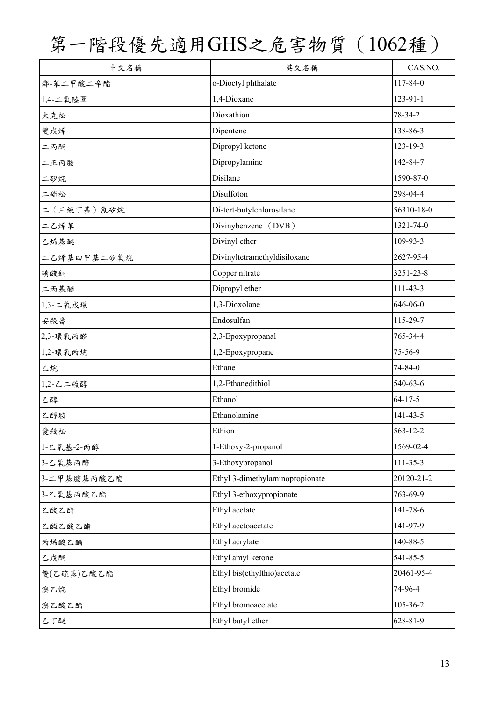| 中文名稱        | 英文名稱                            | CAS.NO.        |
|-------------|---------------------------------|----------------|
| 鄰-苯二甲酸二辛酯   | o-Dioctyl phthalate             | 117-84-0       |
| 1,4-二氧陸圜    | 1,4-Dioxane                     | 123-91-1       |
| 大克松         | Dioxathion                      | 78-34-2        |
| 雙戊烯         | Dipentene                       | 138-86-3       |
| 二丙酮         | Dipropyl ketone                 | $123 - 19 - 3$ |
| 二正丙胺        | Dipropylamine                   | 142-84-7       |
| 二矽烷         | Disilane                        | 1590-87-0      |
| 二硫松         | Disulfoton                      | 298-04-4       |
| 二(三級丁基)氯矽烷  | Di-tert-butylchlorosilane       | 56310-18-0     |
| 二乙烯苯        | Divinybenzene (DVB)             | 1321-74-0      |
| 乙烯基醚        | Divinyl ether                   | 109-93-3       |
| 二乙烯基四甲基二矽氧烷 | Divinyltetramethyldisiloxane    | 2627-95-4      |
| 硝酸銅         | Copper nitrate                  | 3251-23-8      |
| 二丙基醚        | Dipropyl ether                  | 111-43-3       |
| 1,3-二氧戊環    | 1,3-Dioxolane                   | 646-06-0       |
| 安殺番         | Endosulfan                      | 115-29-7       |
| 2,3-環氧丙醛    | 2,3-Epoxypropanal               | 765-34-4       |
| 1,2-環氧丙烷    | 1,2-Epoxypropane                | 75-56-9        |
| 乙烷          | Ethane                          | 74-84-0        |
| 1,2-乙二硫醇    | 1,2-Ethanedithiol               | 540-63-6       |
| 乙醇          | Ethanol                         | $64 - 17 - 5$  |
| 乙醇胺         | Ethanolamine                    | 141-43-5       |
| 愛殺松         | Ethion                          | 563-12-2       |
| 1-乙氧基-2-丙醇  | 1-Ethoxy-2-propanol             | 1569-02-4      |
| 3-乙氧基丙醇     | 3-Ethoxypropanol                | 111-35-3       |
| 3-二甲基胺基丙酸乙酯 | Ethyl 3-dimethylaminopropionate | 20120-21-2     |
| 3-乙氧基丙酸乙酯   | Ethyl 3-ethoxypropionate        | 763-69-9       |
| 乙酸乙酯        | Ethyl acetate                   | 141-78-6       |
| 乙醯乙酸乙酯      | Ethyl acetoacetate              | 141-97-9       |
| 丙烯酸乙酯       | Ethyl acrylate                  | 140-88-5       |
| 乙戊酮         | Ethyl amyl ketone               | 541-85-5       |
| 雙(乙硫基)乙酸乙酯  | Ethyl bis(ethylthio)acetate     | 20461-95-4     |
| 溴乙烷         | Ethyl bromide                   | 74-96-4        |
| 溴乙酸乙酯       | Ethyl bromoacetate              | 105-36-2       |
| 乙丁醚         | Ethyl butyl ether               | 628-81-9       |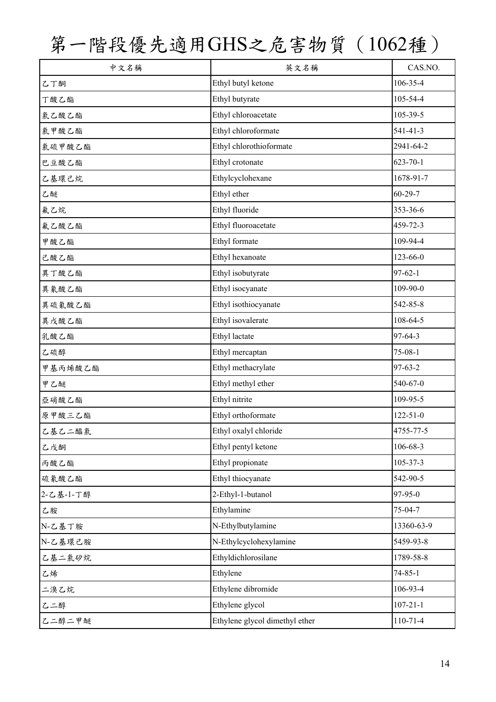| 中文名稱      | 英文名稱                           | CAS.NO.        |
|-----------|--------------------------------|----------------|
| 乙丁酮       | Ethyl butyl ketone             | 106-35-4       |
| 丁酸乙酯      | Ethyl butyrate                 | 105-54-4       |
| 氣乙酸乙酯     | Ethyl chloroacetate            | 105-39-5       |
| 氯甲酸乙酯     | Ethyl chloroformate            | $541 - 41 - 3$ |
| 氯硫甲酸乙酯    | Ethyl chlorothioformate        | 2941-64-2      |
| 巴豆酸乙酯     | Ethyl crotonate                | $623 - 70 - 1$ |
| 乙基環己烷     | Ethylcyclohexane               | 1678-91-7      |
| 乙醚        | Ethyl ether                    | $60 - 29 - 7$  |
| 氟乙烷       | Ethyl fluoride                 | 353-36-6       |
| 氟乙酸乙酯     | Ethyl fluoroacetate            | 459-72-3       |
| 甲酸乙酯      | Ethyl formate                  | 109-94-4       |
| 己酸乙酯      | Ethyl hexanoate                | $123 - 66 - 0$ |
| 異丁酸乙酯     | Ethyl isobutyrate              | $97 - 62 - 1$  |
| 異氰酸乙酯     | Ethyl isocyanate               | $109 - 90 - 0$ |
| 異硫氰酸乙酯    | Ethyl isothiocyanate           | 542-85-8       |
| 異戊酸乙酯     | Ethyl isovalerate              | 108-64-5       |
| 乳酸乙酯      | Ethyl lactate                  | 97-64-3        |
| 乙硫醇       | Ethyl mercaptan                | $75 - 08 - 1$  |
| 甲基丙烯酸乙酯   | Ethyl methacrylate             | 97-63-2        |
| 甲乙醚       | Ethyl methyl ether             | 540-67-0       |
| 亞硝酸乙酯     | Ethyl nitrite                  | 109-95-5       |
| 原甲酸三乙酯    | Ethyl orthoformate             | $122 - 51 - 0$ |
| 乙基乙二醯氯    | Ethyl oxalyl chloride          | 4755-77-5      |
| 乙戊酮       | Ethyl pentyl ketone            | 106-68-3       |
| 丙酸乙酯      | Ethyl propionate               | 105-37-3       |
| 硫氰酸乙酯     | Ethyl thiocyanate              | 542-90-5       |
| 2-乙基-1-丁醇 | 2-Ethyl-1-butanol              | 97-95-0        |
| 乙胺        | Ethylamine                     | $75 - 04 - 7$  |
| N-乙基丁胺    | N-Ethylbutylamine              | 13360-63-9     |
| N-乙基環己胺   | N-Ethylcyclohexylamine         | 5459-93-8      |
| 乙基二氯矽烷    | Ethyldichlorosilane            | 1789-58-8      |
| 乙烯        | Ethylene                       | $74 - 85 - 1$  |
| 二溴乙烷      | Ethylene dibromide             | 106-93-4       |
| 乙二醇       | Ethylene glycol                | $107 - 21 - 1$ |
| 乙二醇二甲醚    | Ethylene glycol dimethyl ether | 110-71-4       |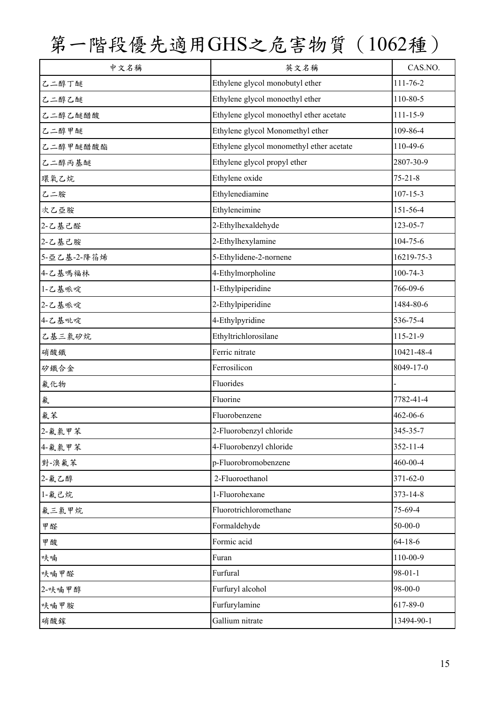| 中文名稱        | 英文名稱                                     | CAS.NO.        |
|-------------|------------------------------------------|----------------|
| 乙二醇丁醚       | Ethylene glycol monobutyl ether          | 111-76-2       |
| 乙二醇乙醚       | Ethylene glycol monoethyl ether          | 110-80-5       |
| 乙二醇乙醚醋酸     | Ethylene glycol monoethyl ether acetate  | 111-15-9       |
| 乙二醇甲醚       | Ethylene glycol Monomethyl ether         | 109-86-4       |
| 乙二醇甲醚醋酸酯    | Ethylene glycol monomethyl ether acetate | 110-49-6       |
| 乙二醇丙基醚      | Ethylene glycol propyl ether             | 2807-30-9      |
| 環氧乙烷        | Ethylene oxide                           | $75 - 21 - 8$  |
| 乙二胺         | Ethylenediamine                          | $107 - 15 - 3$ |
| 次乙亞胺        | Ethyleneimine                            | 151-56-4       |
| 2-乙基己醛      | 2-Ethylhexaldehyde                       | 123-05-7       |
| 2-乙基己胺      | 2-Ethylhexylamine                        | $104 - 75 - 6$ |
| 5-亞乙基-2-降花烯 | 5-Ethylidene-2-nornene                   | 16219-75-3     |
| 4-乙基嗎福林     | 4-Ethylmorpholine                        | $100 - 74 - 3$ |
| 1-乙基哌啶      | 1-Ethylpiperidine                        | 766-09-6       |
| 2-乙基哌啶      | 2-Ethylpiperidine                        | 1484-80-6      |
| 4-乙基吡啶      | 4-Ethylpyridine                          | 536-75-4       |
| 乙基三氯矽烷      | Ethyltrichlorosilane                     | 115-21-9       |
| 硝酸鐵         | Ferric nitrate                           | 10421-48-4     |
| 矽鐵合金        | Ferrosilicon                             | 8049-17-0      |
| 氟化物         | Fluorides                                |                |
| 氟           | Fluorine                                 | 7782-41-4      |
| 氟苯          | Fluorobenzene                            | 462-06-6       |
| 2-氟氯甲苯      | 2-Fluorobenzyl chloride                  | 345-35-7       |
| 4-氟氯甲苯      | 4-Fluorobenzyl chloride                  | $352 - 11 - 4$ |
| 對-溴氟苯       | p-Fluorobromobenzene                     | 460-00-4       |
| 2-氟乙醇       | 2-Fluoroethanol                          | 371-62-0       |
| 1-氟己烷       | 1-Fluorohexane                           | 373-14-8       |
| 氟三氯甲烷       | Fluorotrichloromethane                   | 75-69-4        |
| 甲醛          | Formaldehyde                             | $50 - 00 - 0$  |
| 甲酸          | Formic acid                              | $64 - 18 - 6$  |
| 呋喃          | Furan                                    | 110-00-9       |
| 呋喃甲醛        | Furfural                                 | $98 - 01 - 1$  |
| 2-呋喃甲醇      | Furfuryl alcohol                         | 98-00-0        |
| 呋喃甲胺        | Furfurylamine                            | 617-89-0       |
| 硝酸鎵         | Gallium nitrate                          | 13494-90-1     |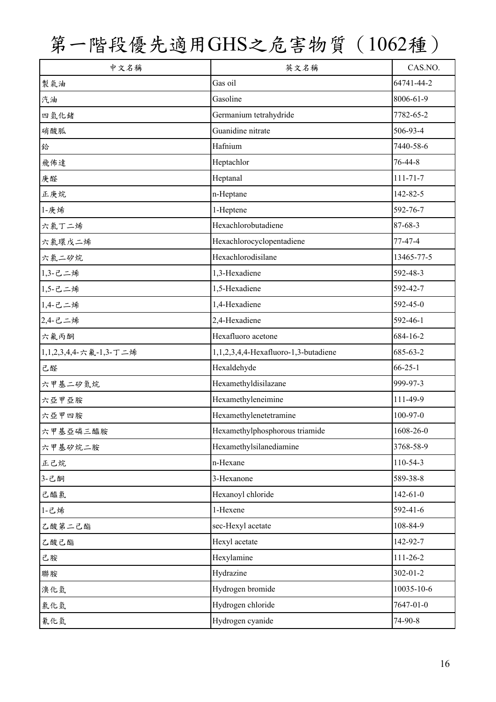| 中文名稱                   | 英文名稱                                 | CAS.NO.        |
|------------------------|--------------------------------------|----------------|
| 製氣油                    | Gas oil                              | 64741-44-2     |
| 汽油                     | Gasoline                             | 8006-61-9      |
| 四氫化鍺                   | Germanium tetrahydride               | 7782-65-2      |
| 硝酸胍                    | Guanidine nitrate                    | 506-93-4       |
| 鉿                      | Hafnium                              | 7440-58-6      |
| 飛佈達                    | Heptachlor                           | 76-44-8        |
| 庚醛                     | Heptanal                             | $111 - 71 - 7$ |
| 正庚烷                    | n-Heptane                            | 142-82-5       |
| 1-庚烯                   | 1-Heptene                            | 592-76-7       |
| 六氯丁二烯                  | Hexachlorobutadiene                  | $87 - 68 - 3$  |
| 六氯環戊二烯                 | Hexachlorocyclopentadiene            | 77-47-4        |
| 六氯二矽烷                  | Hexachlorodisilane                   | 13465-77-5     |
| 1,3-己二烯                | 1,3-Hexadiene                        | 592-48-3       |
| 1,5-己二烯                | 1,5-Hexadiene                        | 592-42-7       |
| 1,4-己二烯                | 1,4-Hexadiene                        | 592-45-0       |
| 2,4-己二烯                | 2,4-Hexadiene                        | 592-46-1       |
| 六氟丙酮                   | Hexafluoro acetone                   | 684-16-2       |
| 1,1,2,3,4,4 六氟-1,3-丁二烯 | 1,1,2,3,4,4-Hexafluoro-1,3-butadiene | 685-63-2       |
| 己醛                     | Hexaldehyde                          | $66 - 25 - 1$  |
| 六甲基二矽氮烷                | Hexamethyldisilazane                 | 999-97-3       |
| 六亞甲亞胺                  | Hexamethyleneimine                   | 111-49-9       |
| 六亞甲四胺                  | Hexamethylenetetramine               | 100-97-0       |
| 六甲基亞磷三醯胺               | Hexamethylphosphorous triamide       | 1608-26-0      |
| 六甲基矽烷二胺                | Hexamethylsilanediamine              | 3768-58-9      |
| 正己烷                    | n-Hexane                             | 110-54-3       |
| 3-己酮                   | 3-Hexanone                           | 589-38-8       |
| 己醯氯                    | Hexanoyl chloride                    | $142 - 61 - 0$ |
| 1-己烯                   | 1-Hexene                             | 592-41-6       |
| 乙酸第二己酯                 | sec-Hexyl acetate                    | 108-84-9       |
| 乙酸己酯                   | Hexyl acetate                        | 142-92-7       |
| 己胺                     | Hexylamine                           | 111-26-2       |
| 聯胺                     | Hydrazine                            | 302-01-2       |
| 溴化氫                    | Hydrogen bromide                     | 10035-10-6     |
| 氯化氫                    | Hydrogen chloride                    | 7647-01-0      |
| 氰化氫                    | Hydrogen cyanide                     | 74-90-8        |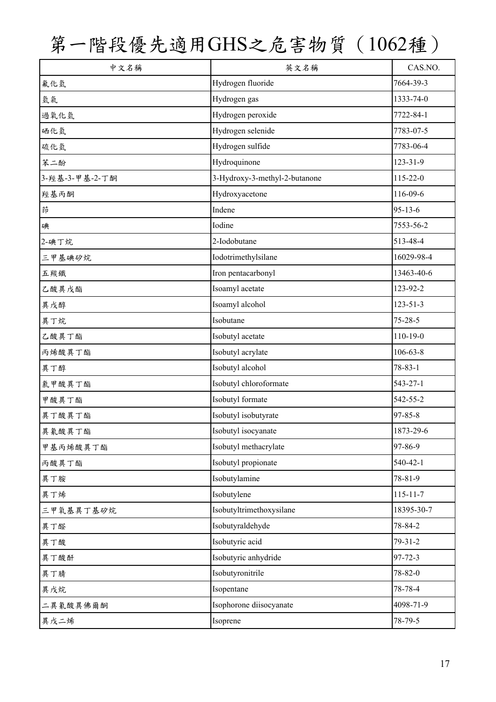| 中文名稱            | 英文名稱                          | CAS.NO.        |
|-----------------|-------------------------------|----------------|
| 氟化氫             | Hydrogen fluoride             | 7664-39-3      |
| 氫氣              | Hydrogen gas                  | 1333-74-0      |
| 過氧化氫            | Hydrogen peroxide             | 7722-84-1      |
| 硒化氫             | Hydrogen selenide             | 7783-07-5      |
| 硫化氫             | Hydrogen sulfide              | 7783-06-4      |
| 苯二酚             | Hydroquinone                  | $123 - 31 - 9$ |
| 3- 羥基-3-甲基-2-丁酮 | 3-Hydroxy-3-methyl-2-butanone | 115-22-0       |
| 經基丙酮            | Hydroxyacetone                | 116-09-6       |
| 茚               | Indene                        | $95 - 13 - 6$  |
| 碘               | Iodine                        | 7553-56-2      |
| 2-碘丁烷           | 2-Iodobutane                  | 513-48-4       |
| 三甲基碘矽烷          | Iodotrimethylsilane           | 16029-98-4     |
| 五羰鐵             | Iron pentacarbonyl            | 13463-40-6     |
| 乙酸異戊酯           | Isoamyl acetate               | 123-92-2       |
| 異戊醇             | Isoamyl alcohol               | $123 - 51 - 3$ |
| 異丁烷             | Isobutane                     | $75 - 28 - 5$  |
| 乙酸異丁酯           | Isobutyl acetate              | $110 - 19 - 0$ |
| 丙烯酸異丁酯          | Isobutyl acrylate             | $106 - 63 - 8$ |
| 異丁醇             | Isobutyl alcohol              | $78 - 83 - 1$  |
| 氯甲酸異丁酯          | Isobutyl chloroformate        | 543-27-1       |
| 甲酸異丁酯           | Isobutyl formate              | 542-55-2       |
| 異丁酸異丁酯          | Isobutyl isobutyrate          | $97 - 85 - 8$  |
| 異氰酸異丁酯          | Isobutyl isocyanate           | 1873-29-6      |
| 甲基丙烯酸異丁酯        | Isobutyl methacrylate         | 97-86-9        |
| 丙酸異丁酯           | Isobutyl propionate           | 540-42-1       |
| 異丁胺             | Isobutylamine                 | 78-81-9        |
| 異丁烯             | Isobutylene                   | $115 - 11 - 7$ |
| 三甲氧基異丁基矽烷       | Isobutyltrimethoxysilane      | 18395-30-7     |
| 異丁醛             | Isobutyraldehyde              | 78-84-2        |
| 異丁酸             | Isobutyric acid               | $79 - 31 - 2$  |
| 異丁酸酐            | Isobutyric anhydride          | $97 - 72 - 3$  |
| 異丁腈             | Isobutyronitrile              | 78-82-0        |
| 異戊烷             | Isopentane                    | 78-78-4        |
| 二異氰酸異佛爾酮        | Isophorone diisocyanate       | 4098-71-9      |
| 異戊二烯            | Isoprene                      | 78-79-5        |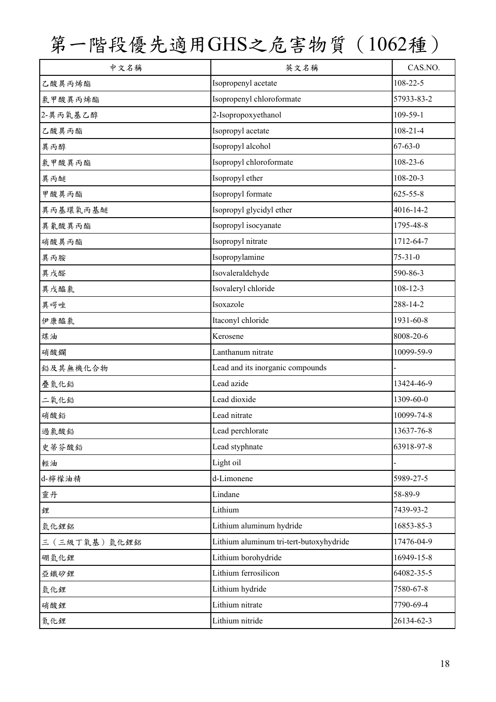| 中文名稱         | 英文名稱                                    | CAS.NO.        |
|--------------|-----------------------------------------|----------------|
| 乙酸異丙烯酯       | Isopropenyl acetate                     | 108-22-5       |
| 氯甲酸異丙烯酯      | Isopropenyl chloroformate               | 57933-83-2     |
| 2-異丙氧基乙醇     | 2-Isopropoxyethanol                     | 109-59-1       |
| 乙酸異丙酯        | Isopropyl acetate                       | $108 - 21 - 4$ |
| 異丙醇          | Isopropyl alcohol                       | $67 - 63 - 0$  |
| 氯甲酸異丙酯       | Isopropyl chloroformate                 | $108 - 23 - 6$ |
| 異丙醚          | Isopropyl ether                         | $108 - 20 - 3$ |
| 甲酸異丙酯        | Isopropyl formate                       | $625 - 55 - 8$ |
| 異丙基環氧丙基醚     | Isopropyl glycidyl ether                | 4016-14-2      |
| 異氰酸異丙酯       | Isopropyl isocyanate                    | 1795-48-8      |
| 硝酸異丙酯        | Isopropyl nitrate                       | 1712-64-7      |
| 異丙胺          | Isopropylamine                          | $75 - 31 - 0$  |
| 異戊醛          | Isovaleraldehyde                        | 590-86-3       |
| 異戊醯氯         | Isovaleryl chloride                     | $108 - 12 - 3$ |
| 異喟唑          | Isoxazole                               | 288-14-2       |
| 伊康醯氯         | Itaconyl chloride                       | 1931-60-8      |
| 煤油           | Kerosene                                | 8008-20-6      |
| 硝酸鑭          | Lanthanum nitrate                       | 10099-59-9     |
| 鉛及其無機化合物     | Lead and its inorganic compounds        |                |
| 疊氮化鉛         | Lead azide                              | 13424-46-9     |
| 二氧化鉛         | Lead dioxide                            | 1309-60-0      |
| 硝酸鉛          | Lead nitrate                            | 10099-74-8     |
| 過氯酸鉛         | Lead perchlorate                        | 13637-76-8     |
| 史蒂芬酸鉛        | Lead styphnate                          | 63918-97-8     |
| 輕油           | Light oil                               |                |
| d-檸檬油精       | d-Limonene                              | 5989-27-5      |
| 靈丹           | Lindane                                 | 58-89-9        |
| 鋰            | Lithium                                 | 7439-93-2      |
| 氫化鋰鋁         | Lithium aluminum hydride                | 16853-85-3     |
| 三(三級丁氧基)氫化鋰鋁 | Lithium aluminum tri-tert-butoxyhydride | 17476-04-9     |
| 硼氫化鋰         | Lithium borohydride                     | 16949-15-8     |
| 亞鐵矽鋰         | Lithium ferrosilicon                    | 64082-35-5     |
| 氫化鋰          | Lithium hydride                         | 7580-67-8      |
| 硝酸鋰          | Lithium nitrate                         | 7790-69-4      |
| 氮化鋰          | Lithium nitride                         | 26134-62-3     |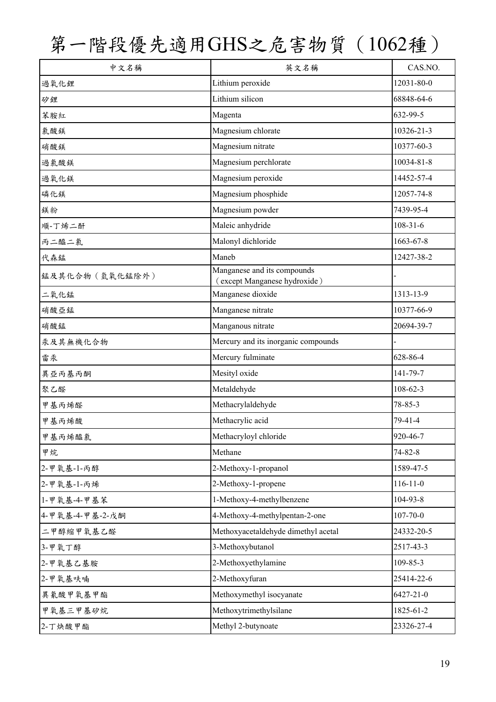| 中文名稱            | 英文名稱                                                        | CAS.NO.         |
|-----------------|-------------------------------------------------------------|-----------------|
| 過氧化鋰            | Lithium peroxide                                            | 12031-80-0      |
| 矽鋰              | Lithium silicon                                             | 68848-64-6      |
| 苯胺紅             | Magenta                                                     | 632-99-5        |
| 氯酸鎂             | Magnesium chlorate                                          | 10326-21-3      |
| 硝酸鎂             | Magnesium nitrate                                           | 10377-60-3      |
| 過氯酸鎂            | Magnesium perchlorate                                       | 10034-81-8      |
| 過氧化鎂            | Magnesium peroxide                                          | 14452-57-4      |
| 磷化鎂             | Magnesium phosphide                                         | 12057-74-8      |
| 鎂粉              | Magnesium powder                                            | 7439-95-4       |
| 順-丁烯二酐          | Maleic anhydride                                            | $108 - 31 - 6$  |
| 丙二醯二氯           | Malonyl dichloride                                          | 1663-67-8       |
| 代森錳             | Maneb                                                       | 12427-38-2      |
| 錳及其化合物(氫氧化錳除外)  | Manganese and its compounds<br>(except Manganese hydroxide) |                 |
| 二氧化錳            | Manganese dioxide                                           | 1313-13-9       |
| 硝酸亞錳            | Manganese nitrate                                           | 10377-66-9      |
| 硝酸錳             | Manganous nitrate                                           | 20694-39-7      |
| 汞及其無機化合物        | Mercury and its inorganic compounds                         |                 |
| 雷汞              | Mercury fulminate                                           | 628-86-4        |
| 異亞丙基丙酮          | Mesityl oxide                                               | 141-79-7        |
| 聚乙醛             | Metaldehyde                                                 | $108 - 62 - 3$  |
| 甲基丙烯醛           | Methacrylaldehyde                                           | 78-85-3         |
| 甲基丙烯酸           | Methacrylic acid                                            | 79-41-4         |
| 甲基丙烯醯氯          | Methacryloyl chloride                                       | 920-46-7        |
| 甲烷              | Methane                                                     | $74 - 82 - 8$   |
| 2-甲氧基-1-丙醇      | 2-Methoxy-1-propanol                                        | 1589-47-5       |
| 2-甲氧基-1-丙烯      | 2-Methoxy-1-propene                                         | $116 - 11 - 0$  |
| 1-甲氧基-4-甲基苯     | 1-Methoxy-4-methylbenzene                                   | 104-93-8        |
| 4-甲氧基-4-甲基-2-戊酮 | 4-Methoxy-4-methylpentan-2-one                              | $107 - 70 - 0$  |
| 二甲醇缩甲氧基乙醛       | Methoxyacetaldehyde dimethyl acetal                         | 24332-20-5      |
| 3-甲氧丁醇          | 3-Methoxybutanol                                            | 2517-43-3       |
| 2-甲氧基乙基胺        | 2-Methoxyethylamine                                         | 109-85-3        |
| 2-甲氧基呋喃         | 2-Methoxyfuran                                              | 25414-22-6      |
| 異氰酸甲氧基甲酯        | Methoxymethyl isocyanate                                    | $6427 - 21 - 0$ |
| 甲氧基三甲基矽烷        | Methoxytrimethylsilane                                      | 1825-61-2       |
| 2-丁炔酸甲酯         | Methyl 2-butynoate                                          | 23326-27-4      |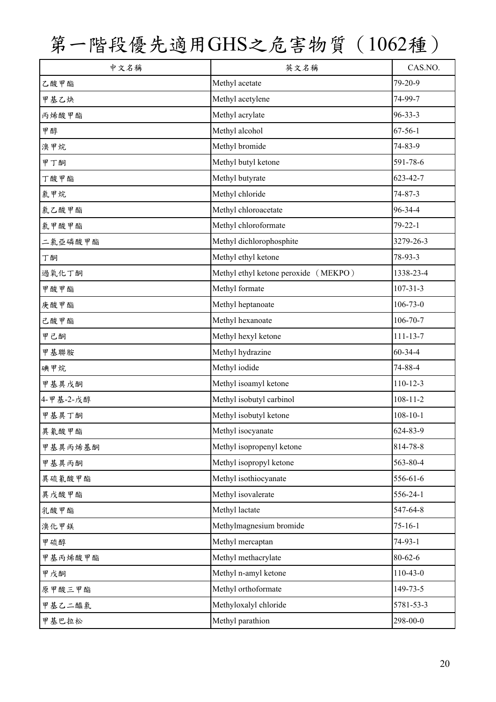| 中文名稱      | 英文名稱                                 | CAS.NO.        |
|-----------|--------------------------------------|----------------|
| 乙酸甲酯      | Methyl acetate                       | 79-20-9        |
| 甲基乙炔      | Methyl acetylene                     | 74-99-7        |
| 丙烯酸甲酯     | Methyl acrylate                      | $96 - 33 - 3$  |
| 甲醇        | Methyl alcohol                       | $67 - 56 - 1$  |
| 溴甲烷       | Methyl bromide                       | 74-83-9        |
| 甲丁酮       | Methyl butyl ketone                  | 591-78-6       |
| 丁酸甲酯      | Methyl butyrate                      | 623-42-7       |
| 氯甲烷       | Methyl chloride                      | 74-87-3        |
| 氯乙酸甲酯     | Methyl chloroacetate                 | 96-34-4        |
| 氯甲酸甲酯     | Methyl chloroformate                 | $79 - 22 - 1$  |
| 二氯亞磷酸甲酯   | Methyl dichlorophosphite             | 3279-26-3      |
| 丁酮        | Methyl ethyl ketone                  | 78-93-3        |
| 過氧化丁酮     | Methyl ethyl ketone peroxide (MEKPO) | 1338-23-4      |
| 甲酸甲酯      | Methyl formate                       | $107 - 31 - 3$ |
| 庚酸甲酯      | Methyl heptanoate                    | $106 - 73 - 0$ |
| 己酸甲酯      | Methyl hexanoate                     | $106 - 70 - 7$ |
| 甲己酮       | Methyl hexyl ketone                  | $111 - 13 - 7$ |
| 甲基聯胺      | Methyl hydrazine                     | 60-34-4        |
| 碘甲烷       | Methyl iodide                        | 74-88-4        |
| 甲基異戊酮     | Methyl isoamyl ketone                | $110 - 12 - 3$ |
| 4-甲基-2-戊醇 | Methyl isobutyl carbinol             | $108 - 11 - 2$ |
| 甲基異丁酮     | Methyl isobutyl ketone               | $108 - 10 - 1$ |
| 異氰酸甲酯     | Methyl isocyanate                    | 624-83-9       |
| 甲基異丙烯基酮   | Methyl isopropenyl ketone            | 814-78-8       |
| 甲基異丙酮     | Methyl isopropyl ketone              | 563-80-4       |
| 異硫氰酸甲酯    | Methyl isothiocyanate                | 556-61-6       |
| 異戊酸甲酯     | Methyl isovalerate                   | 556-24-1       |
| 乳酸甲酯      | Methyl lactate                       | 547-64-8       |
| 溴化甲鎂      | Methylmagnesium bromide              | $75 - 16 - 1$  |
| 甲硫醇       | Methyl mercaptan                     | $74-93-1$      |
| 甲基丙烯酸甲酯   | Methyl methacrylate                  | $80 - 62 - 6$  |
| 甲戊酮       | Methyl n-amyl ketone                 | $110-43-0$     |
| 原甲酸三甲酯    | Methyl orthoformate                  | 149-73-5       |
| 甲基乙二醯氯    | Methyloxalyl chloride                | 5781-53-3      |
| 甲基巴拉松     | Methyl parathion                     | 298-00-0       |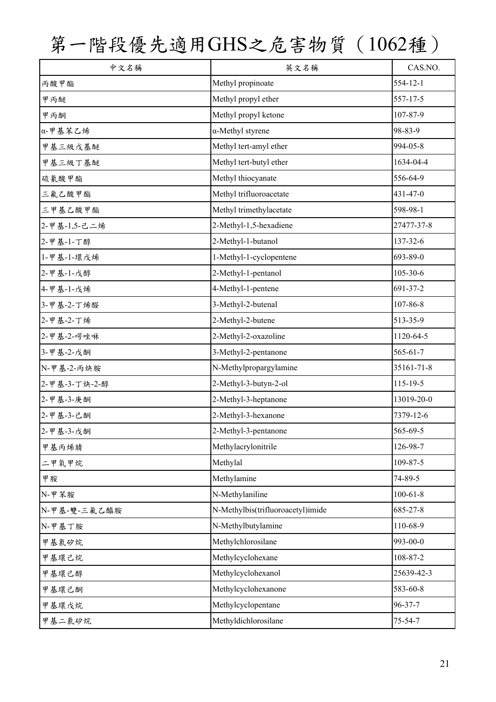| 中文名稱          | 英文名稱                              | CAS.NO.        |
|---------------|-----------------------------------|----------------|
| 丙酸甲酯          | Methyl propinoate                 | 554-12-1       |
| 甲丙醚           | Methyl propyl ether               | 557-17-5       |
| 甲丙酮           | Methyl propyl ketone              | 107-87-9       |
| α-甲基苯乙烯       | $\alpha$ -Methyl styrene          | 98-83-9        |
| 甲基三級戊基醚       | Methyl tert-amyl ether            | 994-05-8       |
| 甲基三級丁基醚       | Methyl tert-butyl ether           | 1634-04-4      |
| 硫氰酸甲酯         | Methyl thiocyanate                | 556-64-9       |
| 三氟乙酸甲酯        | Methyl trifluoroacetate           | 431-47-0       |
| 三甲基乙酸甲酯       | Methyl trimethylacetate           | 598-98-1       |
| 2-甲基-1,5-己二烯  | 2-Methyl-1,5-hexadiene            | 27477-37-8     |
| 2-甲基-1-丁醇     | 2-Methyl-1-butanol                | 137-32-6       |
| 1-甲基-1-環戊烯    | 1-Methyl-1-cyclopentene           | 693-89-0       |
| 2-甲基-1-戊醇     | 2-Methyl-1-pentanol               | 105-30-6       |
| 4-甲基-1-戊烯     | 4-Methyl-1-pentene                | 691-37-2       |
| 3-甲基-2-丁烯醛    | 3-Methyl-2-butenal                | 107-86-8       |
| 2-甲基-2-丁烯     | 2-Methyl-2-butene                 | 513-35-9       |
| 2-甲基-2-啰唑啉    | 2-Methyl-2-oxazoline              | 1120-64-5      |
| 3-甲基-2-戊酮     | 3-Methyl-2-pentanone              | $565 - 61 - 7$ |
| N-甲基-2-丙炔胺    | N-Methylpropargylamine            | 35161-71-8     |
| 2-甲基-3-丁炔-2-醇 | 2-Methyl-3-butyn-2-ol             | $115 - 19 - 5$ |
| 2-甲基-3-庚酮     | 2-Methyl-3-heptanone              | 13019-20-0     |
| 2-甲基-3-己酮     | 2-Methyl-3-hexanone               | 7379-12-6      |
| 2-甲基-3-戊酮     | 2-Methyl-3-pentanone              | 565-69-5       |
| 甲基丙烯腈         | Methylacrylonitrile               | 126-98-7       |
| 二甲氧甲烷         | Methylal                          | 109-87-5       |
| 甲胺            | Methylamine                       | 74-89-5        |
| N-甲苯胺         | N-Methylaniline                   | $100 - 61 - 8$ |
| N-甲基-雙-三氟乙醯胺  | N-Methylbis(trifluoroacetyl)imide | 685-27-8       |
| N-甲基丁胺        | N-Methylbutylamine                | 110-68-9       |
| 甲基氯矽烷         | Methylchlorosilane                | 993-00-0       |
| 甲基環己烷         | Methylcyclohexane                 | 108-87-2       |
| 甲基環己醇         | Methylcyclohexanol                | 25639-42-3     |
| 甲基環己酮         | Methylcyclohexanone               | 583-60-8       |
| 甲基環戊烷         | Methylcyclopentane                | 96-37-7        |
| 甲基二氯矽烷        | Methyldichlorosilane              | 75-54-7        |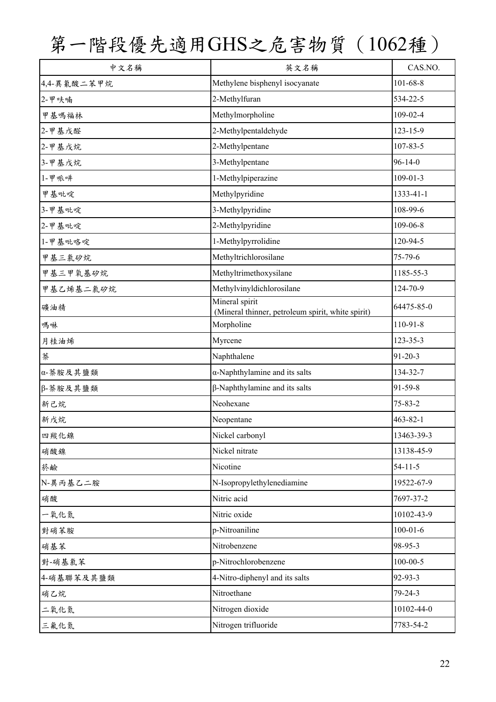| 中文名稱        | 英文名稱                                                                | CAS.NO.        |
|-------------|---------------------------------------------------------------------|----------------|
| 4,4-異氰酸二苯甲烷 | Methylene bisphenyl isocyanate                                      | $101 - 68 - 8$ |
| 2-甲呋喃       | 2-Methylfuran                                                       | 534-22-5       |
| 甲基嗎福林       | Methylmorpholine                                                    | 109-02-4       |
| 2-甲基戊醛      | 2-Methylpentaldehyde                                                | $123 - 15 - 9$ |
| 2-甲基戊烷      | 2-Methylpentane                                                     | 107-83-5       |
| 3-甲基戊烷      | 3-Methylpentane                                                     | $96 - 14 - 0$  |
| 1-甲哌啡       | 1-Methylpiperazine                                                  | $109 - 01 - 3$ |
| 甲基吡啶        | Methylpyridine                                                      | 1333-41-1      |
| 3-甲基吡啶      | 3-Methylpyridine                                                    | 108-99-6       |
| 2-甲基吡啶      | 2-Methylpyridine                                                    | $109 - 06 - 8$ |
| 1-甲基吡咯啶     | 1-Methylpyrrolidine                                                 | 120-94-5       |
| 甲基三氯矽烷      | Methyltrichlorosilane                                               | $75 - 79 - 6$  |
| 甲基三甲氧基矽烷    | Methyltrimethoxysilane                                              | 1185-55-3      |
| 甲基乙烯基二氯矽烷   | Methylvinyldichlorosilane                                           | 124-70-9       |
| 礦油精         | Mineral spirit<br>(Mineral thinner, petroleum spirit, white spirit) | 64475-85-0     |
| 嗎啉          | Morpholine                                                          | 110-91-8       |
| 月桂油烯        | Myrcene                                                             | 123-35-3       |
| 萘           | Naphthalene                                                         | $91 - 20 - 3$  |
| α-萘胺及其鹽類    | $\alpha$ -Naphthylamine and its salts                               | 134-32-7       |
| β-萘胺及其鹽類    | $\beta$ -Naphthylamine and its salts                                | 91-59-8        |
| 新己烷         | Neohexane                                                           | $75 - 83 - 2$  |
| 新戊烷         | Neopentane                                                          | $463 - 82 - 1$ |
| 四羰化镍        | Nickel carbonyl                                                     | 13463-39-3     |
| 硝酸鎳         | Nickel nitrate                                                      | 13138-45-9     |
| 菸鹼          | Nicotine                                                            | $54 - 11 - 5$  |
| N-異丙基乙二胺    | N-Isopropylethylenediamine                                          | 19522-67-9     |
| 硝酸          | Nitric acid                                                         | 7697-37-2      |
| 一氧化氮        | Nitric oxide                                                        | 10102-43-9     |
| 對硝苯胺        | p-Nitroaniline                                                      | $100 - 01 - 6$ |
| 硝基苯         | Nitrobenzene                                                        | 98-95-3        |
| 對-硝基氯苯      | p-Nitrochlorobenzene                                                | $100 - 00 - 5$ |
| 4-硝基聯苯及其鹽類  | 4-Nitro-diphenyl and its salts                                      | 92-93-3        |
| 硝乙烷         | Nitroethane                                                         | $79 - 24 - 3$  |
| 二氧化氮        | Nitrogen dioxide                                                    | 10102-44-0     |
| 三氟化氮        | Nitrogen trifluoride                                                | 7783-54-2      |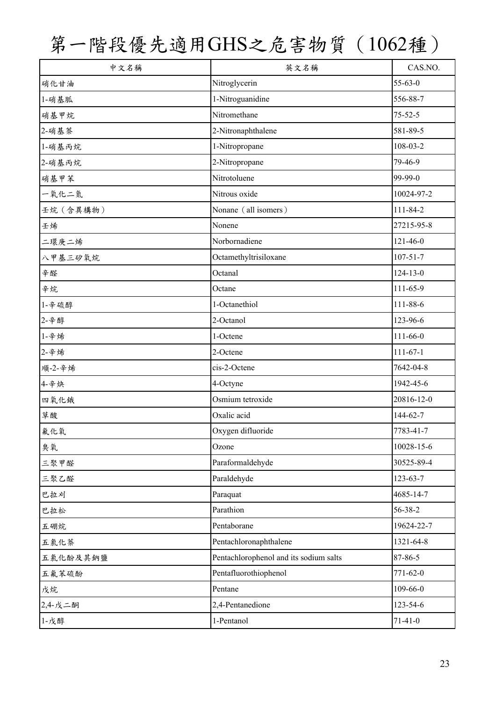| 中文名稱      | 英文名稱                                   | CAS.NO.        |
|-----------|----------------------------------------|----------------|
| 硝化甘油      | Nitroglycerin                          | $55 - 63 - 0$  |
| 1-硝基胍     | 1-Nitroguanidine                       | 556-88-7       |
| 硝基甲烷      | Nitromethane                           | $75 - 52 - 5$  |
| 2-硝基萘     | 2-Nitronaphthalene                     | 581-89-5       |
| 1-硝基丙烷    | 1-Nitropropane                         | 108-03-2       |
| 2-硝基丙烷    | 2-Nitropropane                         | 79-46-9        |
| 硝基甲苯      | Nitrotoluene                           | 99-99-0        |
| 一氧化二氮     | Nitrous oxide                          | 10024-97-2     |
| 壬烷 (含異構物) | Nonane (all isomers)                   | 111-84-2       |
| 壬烯        | Nonene                                 | 27215-95-8     |
| 二環庚二烯     | Norbornadiene                          | $121 - 46 - 0$ |
| 八甲基三矽氧烷   | Octamethyltrisiloxane                  | $107 - 51 - 7$ |
| 辛醛        | Octanal                                | $124 - 13 - 0$ |
| 辛烷        | Octane                                 | $111 - 65 - 9$ |
| 1-辛硫醇     | 1-Octanethiol                          | 111-88-6       |
| 2-辛醇      | 2-Octanol                              | 123-96-6       |
| 1-辛烯      | 1-Octene                               | $111 - 66 - 0$ |
| 2-辛烯      | 2-Octene                               | $111-67-1$     |
| 順-2-辛烯    | cis-2-Octene                           | 7642-04-8      |
| 4-辛炔      | 4-Octyne                               | 1942-45-6      |
| 四氧化绒      | Osmium tetroxide                       | 20816-12-0     |
| 草酸        | Oxalic acid                            | 144-62-7       |
| 氟化氧       | Oxygen difluoride                      | 7783-41-7      |
| 臭氧        | Ozone                                  | 10028-15-6     |
| 三聚甲醛      | Paraformaldehyde                       | 30525-89-4     |
| 三聚乙醛      | Paraldehyde                            | $123 - 63 - 7$ |
| 巴拉刈       | Paraquat                               | 4685-14-7      |
| 巴拉松       | Parathion                              | 56-38-2        |
| 五硼烷       | Pentaborane                            | 19624-22-7     |
| 五氯化萘      | Pentachloronaphthalene                 | 1321-64-8      |
| 五氯化酚及其鈉鹽  | Pentachlorophenol and its sodium salts | 87-86-5        |
| 五氟苯硫酚     | Pentafluorothiophenol                  | $771 - 62 - 0$ |
| 戊烷        | Pentane                                | $109 - 66 - 0$ |
| 2,4-戊二酮   | 2,4-Pentanedione                       | 123-54-6       |
| 1-戊醇      | 1-Pentanol                             | $71-41-0$      |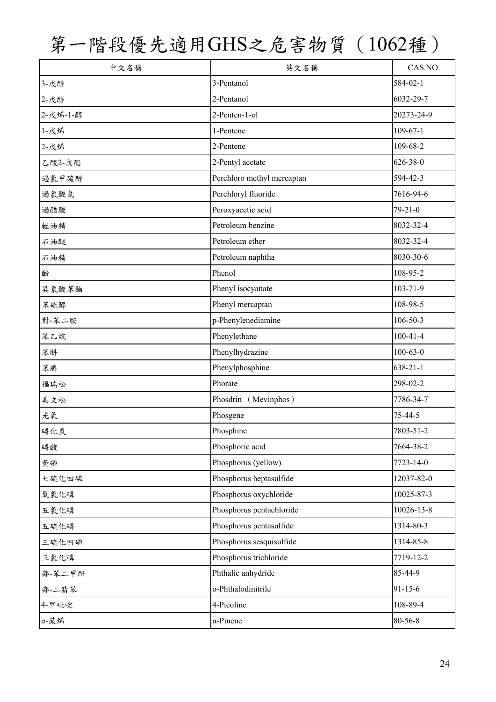| 中文名稱     | 英文名稱                       | CAS.NO.        |
|----------|----------------------------|----------------|
| 3-戊醇     | 3-Pentanol                 | 584-02-1       |
| 2-戊醇     | 2-Pentanol                 | 6032-29-7      |
| 2-戊烯-1-醇 | 2-Penten-1-ol              | 20273-24-9     |
| 1-戊烯     | 1-Pentene                  | $109 - 67 - 1$ |
| 2-戊烯     | 2-Pentene                  | 109-68-2       |
| 乙酸2-戊酯   | 2-Pentyl acetate           | 626-38-0       |
| 過氯甲硫醇    | Perchloro methyl mercaptan | 594-42-3       |
| 過氣酸氟     | Perchloryl fluoride        | 7616-94-6      |
| 過醋酸      | Peroxyacetic acid          | $79 - 21 - 0$  |
| 輕油精      | Petroleum benzine          | 8032-32-4      |
| 石油醚      | Petroleum ether            | 8032-32-4      |
| 石油精      | Petroleum naphtha          | 8030-30-6      |
| 酚        | Phenol                     | 108-95-2       |
| 異氰酸苯酯    | Phenyl isocyanate          | 103-71-9       |
| 苯硫醇      | Phenyl mercaptan           | 108-98-5       |
| 對-苯二胺    | p-Phenylenediamine         | $106 - 50 - 3$ |
| 苯乙烷      | Phenylethane               | $100 - 41 - 4$ |
| 苯肼       | Phenylhydrazine            | $100 - 63 - 0$ |
| 苯膦       | Phenylphosphine            | $638 - 21 - 1$ |
| 福瑞松      | Phorate                    | 298-02-2       |
| 美文松      | Phosdrin (Mevinphos)       | 7786-34-7      |
| 光氣       | Phosgene                   | 75-44-5        |
| 磷化氫      | Phosphine                  | 7803-51-2      |
| 磷酸       | Phosphoric acid            | 7664-38-2      |
| 黄磷       | Phosphorus (yellow)        | 7723-14-0      |
| 七硫化四磷    | Phosphorus heptasulfide    | 12037-82-0     |
| 氧氯化磷     | Phosphorus oxychloride     | 10025-87-3     |
| 五氯化磷     | Phosphorus pentachloride   | 10026-13-8     |
| 五硫化磷     | Phosphorus pentasulfide    | 1314-80-3      |
| 三硫化四磷    | Phosphorus sesquisulfide   | 1314-85-8      |
| 三氯化磷     | Phosphorus trichloride     | 7719-12-2      |
| 鄰-苯二甲酐   | Phthalic anhydride         | 85-44-9        |
| 鄰-二腈苯    | o-Phthalodinitrile         | $91 - 15 - 6$  |
| 4-甲吡啶    | 4-Picoline                 | 108-89-4       |
| α-蒎烯     | $\alpha$ -Pinene           | 80-56-8        |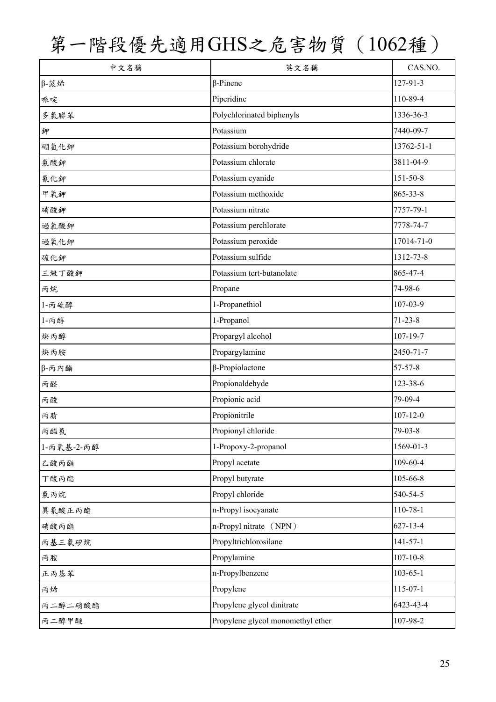| 中文名稱        | 英文名稱                              | CAS.NO.        |
|-------------|-----------------------------------|----------------|
| $\beta$ -蒎烯 | $\beta$ -Pinene                   | 127-91-3       |
| 哌啶          | Piperidine                        | 110-89-4       |
| 多氯聯苯        | Polychlorinated biphenyls         | 1336-36-3      |
| 鉀           | Potassium                         | 7440-09-7      |
| 硼氫化鉀        | Potassium borohydride             | 13762-51-1     |
| 氣酸鉀         | Potassium chlorate                | 3811-04-9      |
| 氰化鉀         | Potassium cyanide                 | 151-50-8       |
| 甲氧鉀         | Potassium methoxide               | 865-33-8       |
| 硝酸鉀         | Potassium nitrate                 | 7757-79-1      |
| 過氣酸鉀        | Potassium perchlorate             | 7778-74-7      |
| 過氧化鉀        | Potassium peroxide                | 17014-71-0     |
| 硫化鉀         | Potassium sulfide                 | 1312-73-8      |
| 三級丁酸鉀       | Potassium tert-butanolate         | 865-47-4       |
| 丙烷          | Propane                           | 74-98-6        |
| 1-丙硫醇       | 1-Propanethiol                    | 107-03-9       |
| 1-丙醇        | 1-Propanol                        | $71 - 23 - 8$  |
| 炔丙醇         | Propargyl alcohol                 | $107 - 19 - 7$ |
| 炔丙胺         | Propargylamine                    | 2450-71-7      |
| β-丙內酯       | $\beta$ -Propiolactone            | 57-57-8        |
| 丙醛          | Propionaldehyde                   | 123-38-6       |
| 丙酸          | Propionic acid                    | 79-09-4        |
| 丙腈          | Propionitrile                     | $107 - 12 - 0$ |
| 丙醯氯         | Propionyl chloride                | $79 - 03 - 8$  |
| 1-丙氧基-2-丙醇  | 1-Propoxy-2-propanol              | 1569-01-3      |
| 乙酸丙酯        | Propyl acetate                    | 109-60-4       |
| 丁酸丙酯        | Propyl butyrate                   | 105-66-8       |
| 氯丙烷         | Propyl chloride                   | 540-54-5       |
| 異氰酸正丙酯      | n-Propyl isocyanate               | 110-78-1       |
| 硝酸丙酯        | n-Propyl nitrate (NPN)            | $627 - 13 - 4$ |
| 丙基三氯矽烷      | Propyltrichlorosilane             | $141 - 57 - 1$ |
| 丙胺          | Propylamine                       | $107 - 10 - 8$ |
| 正丙基苯        | n-Propylbenzene                   | $103 - 65 - 1$ |
| 丙烯          | Propylene                         | 115-07-1       |
| 丙二醇二硝酸酯     | Propylene glycol dinitrate        | 6423-43-4      |
| 丙二醇甲醚       | Propylene glycol monomethyl ether | 107-98-2       |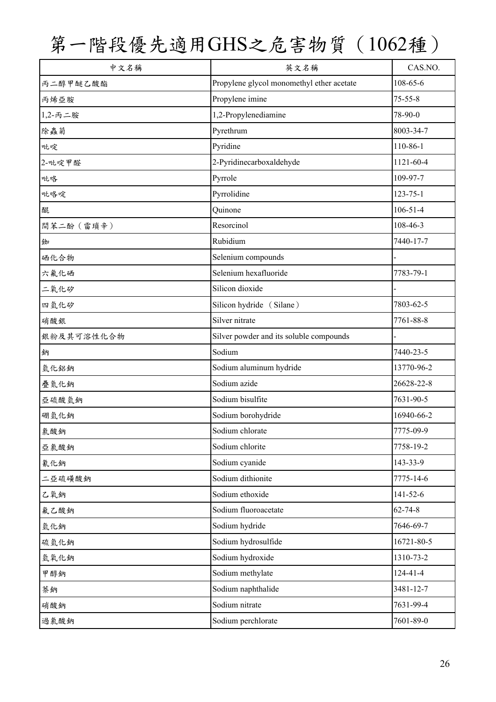| 中文名稱       | 英文名稱                                      | CAS.NO.        |
|------------|-------------------------------------------|----------------|
| 丙二醇甲醚乙酸酯   | Propylene glycol monomethyl ether acetate | 108-65-6       |
| 丙烯亞胺       | Propylene imine                           | $75 - 55 - 8$  |
| 1,2-丙二胺    | 1,2-Propylenediamine                      | 78-90-0        |
| 除蟲菊        | Pyrethrum                                 | 8003-34-7      |
| 吡啶         | Pyridine                                  | 110-86-1       |
| 2-吡啶甲醛     | 2-Pyridinecarboxaldehyde                  | 1121-60-4      |
| 吡咯         | Pyrrole                                   | 109-97-7       |
| 吡咯啶        | Pyrrolidine                               | $123 - 75 - 1$ |
| 醌          | Quinone                                   | $106 - 51 - 4$ |
| 間苯二酚 (雷瑣辛) | Resorcinol                                | 108-46-3       |
| 銣          | Rubidium                                  | 7440-17-7      |
| 硒化合物       | Selenium compounds                        |                |
| 六氟化硒       | Selenium hexafluoride                     | 7783-79-1      |
| 二氧化矽       | Silicon dioxide                           |                |
| 四氫化矽       | Silicon hydride (Silane)                  | 7803-62-5      |
| 硝酸銀        | Silver nitrate                            | 7761-88-8      |
| 銀粉及其可溶性化合物 | Silver powder and its soluble compounds   |                |
| 鈉          | Sodium                                    | 7440-23-5      |
| 氫化鋁鈉       | Sodium aluminum hydride                   | 13770-96-2     |
| 疊氮化鈉       | Sodium azide                              | 26628-22-8     |
| 亞硫酸氫鈉      | Sodium bisulfite                          | 7631-90-5      |
| 硼氫化鈉       | Sodium borohydride                        | 16940-66-2     |
| 氯酸鈉        | Sodium chlorate                           | 7775-09-9      |
| 亞氯酸鈉       | Sodium chlorite                           | 7758-19-2      |
| 氰化鈉        | Sodium cyanide                            | 143-33-9       |
| 二亞硫磺酸鈉     | Sodium dithionite                         | 7775-14-6      |
| 乙氧鈉        | Sodium ethoxide                           | $141 - 52 - 6$ |
| 氟乙酸鈉       | Sodium fluoroacetate                      | $62 - 74 - 8$  |
| 氫化鈉        | Sodium hydride                            | 7646-69-7      |
| 硫氫化鈉       | Sodium hydrosulfide                       | 16721-80-5     |
| 氫氧化鈉       | Sodium hydroxide                          | 1310-73-2      |
| 甲醇鈉        | Sodium methylate                          | 124-41-4       |
| 萘鈉         | Sodium naphthalide                        | 3481-12-7      |
| 硝酸鈉        | Sodium nitrate                            | 7631-99-4      |
| 過氯酸鈉       | Sodium perchlorate                        | 7601-89-0      |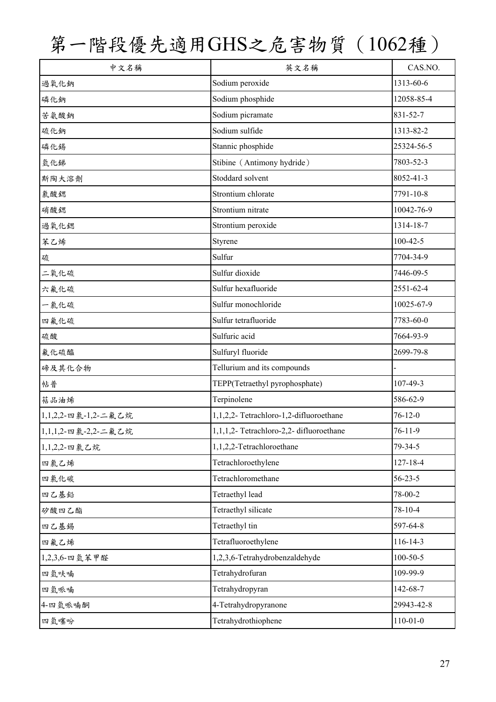| 中文名稱                | 英文名稱                                     | CAS.NO.        |
|---------------------|------------------------------------------|----------------|
| 過氧化鈉                | Sodium peroxide                          | 1313-60-6      |
| 磷化鈉                 | Sodium phosphide                         | 12058-85-4     |
| 苦氨酸鈉                | Sodium picramate                         | 831-52-7       |
| 硫化鈉                 | Sodium sulfide                           | 1313-82-2      |
| 磷化錫                 | Stannic phosphide                        | 25324-56-5     |
| 氫化銻                 | Stibine (Antimony hydride)               | 7803-52-3      |
| 斯陶大溶劑               | Stoddard solvent                         | 8052-41-3      |
| 氣酸鍶                 | Strontium chlorate                       | 7791-10-8      |
| 硝酸鍶                 | Strontium nitrate                        | 10042-76-9     |
| 過氧化鍶                | Strontium peroxide                       | 1314-18-7      |
| 苯乙烯                 | Styrene                                  | $100 - 42 - 5$ |
| 硫                   | Sulfur                                   | 7704-34-9      |
| 二氧化硫                | Sulfur dioxide                           | 7446-09-5      |
| 六氟化硫                | Sulfur hexafluoride                      | 2551-62-4      |
| 一氯化硫                | Sulfur monochloride                      | 10025-67-9     |
| 四氟化硫                | Sulfur tetrafluoride                     | 7783-60-0      |
| 硫酸                  | Sulfuric acid                            | 7664-93-9      |
| 氟化硫醯                | Sulfuryl fluoride                        | 2699-79-8      |
| 碲及其化合物              | Tellurium and its compounds              |                |
| 帖普                  | TEPP(Tetraethyl pyrophosphate)           | 107-49-3       |
| 萜品油烯                | Terpinolene                              | 586-62-9       |
| 1,1,2,2-四氯-1,2-二氟乙烷 | 1,1,2,2-Tetrachloro-1,2-difluoroethane   | $76 - 12 - 0$  |
| 1,1,1,2-四氯-2,2-二氟乙烷 | 1,1,1,2- Tetrachloro-2,2- difluoroethane | $76 - 11 - 9$  |
| 1,1,2,2-四氯乙烷        | 1,1,2,2-Tetrachloroethane                | 79-34-5        |
| 四氯乙烯                | Tetrachloroethylene                      | 127-18-4       |
| 四氯化碳                | Tetrachloromethane                       | $56 - 23 - 5$  |
| 四乙基鉛                | Tetraethyl lead                          | 78-00-2        |
| 矽酸四乙酯               | Tetraethyl silicate                      | 78-10-4        |
| 四乙基錫                | Tetraethyl tin                           | 597-64-8       |
| 四氟乙烯                | Tetrafluoroethylene                      | 116-14-3       |
| 1,2,3,6-四氫苯甲醛       | 1,2,3,6-Tetrahydrobenzaldehyde           | $100 - 50 - 5$ |
| 四氫呋喃                | Tetrahydrofuran                          | 109-99-9       |
| 四氫哌喃                | Tetrahydropyran                          | 142-68-7       |
| 4-四氫哌喃酮             | 4-Tetrahydropyranone                     | 29943-42-8     |
| 四氫噻吩                | Tetrahydrothiophene                      | $110 - 01 - 0$ |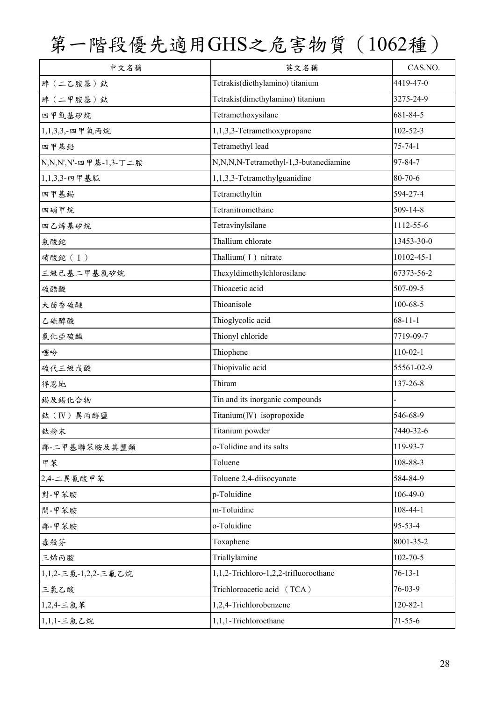| 中文名稱                  | 英文名稱                                  | CAS.NO.        |
|-----------------------|---------------------------------------|----------------|
| 肆(二乙胺基)鈦              | Tetrakis(diethylamino) titanium       | 4419-47-0      |
| 肆(二甲胺基)鈦              | Tetrakis(dimethylamino) titanium      | 3275-24-9      |
| 四甲氧基矽烷                | Tetramethoxysilane                    | 681-84-5       |
| 1,1,3,3,-四甲氧丙烷        | 1,1,3,3-Tetramethoxypropane           | $102 - 52 - 3$ |
| 四甲基鉛                  | Tetramethyl lead                      | $75 - 74 - 1$  |
| N,N,N',N'-四甲基-1,3-丁二胺 | N,N,N,N-Tetramethyl-1,3-butanediamine | 97-84-7        |
| 1,1,3,3-四甲基胍          | 1,1,3,3-Tetramethylguanidine          | 80-70-6        |
| 四甲基錫                  | Tetramethyltin                        | 594-27-4       |
| 四硝甲烷                  | Tetranitromethane                     | 509-14-8       |
| 四乙烯基矽烷                | Tetravinylsilane                      | 1112-55-6      |
| 氯酸鉈                   | Thallium chlorate                     | 13453-30-0     |
| 硝酸鉈(I)                | Thallium(I) nitrate                   | 10102-45-1     |
| 三級已基二甲基氯矽烷            | Thexyldimethylchlorosilane            | 67373-56-2     |
| 硫醋酸                   | Thioacetic acid                       | 507-09-5       |
| 大茴香硫醚                 | Thioanisole                           | 100-68-5       |
| 乙硫醇酸                  | Thioglycolic acid                     | $68 - 11 - 1$  |
| 氯化亞硫醯                 | Thionyl chloride                      | 7719-09-7      |
| 噻吩                    | Thiophene                             | $110-02-1$     |
| 硫代三級戊酸                | Thiopivalic acid                      | 55561-02-9     |
| 得恩地                   | Thiram                                | 137-26-8       |
| 錫及錫化合物                | Tin and its inorganic compounds       |                |
| 鈦 (IV) 異丙醇鹽           | Titanium(IV) isopropoxide             | 546-68-9       |
| 鈦粉末                   | Titanium powder                       | 7440-32-6      |
| 鄰-二甲基聯苯胺及其鹽類          | o-Tolidine and its salts              | 119-93-7       |
| 甲苯                    | Toluene                               | 108-88-3       |
| 2,4-二異氰酸甲苯            | Toluene 2,4-diisocyanate              | 584-84-9       |
| 對-甲苯胺                 | p-Toluidine                           | $106 - 49 - 0$ |
| 間-甲苯胺                 | m-Toluidine                           | $108 - 44 - 1$ |
| 鄰-甲苯胺                 | o-Toluidine                           | 95-53-4        |
| 毒殺芬                   | Toxaphene                             | 8001-35-2      |
| 三烯丙胺                  | Triallylamine                         | $102 - 70 - 5$ |
| 1,1,2-三氯-1,2,2-三氟乙烷   | 1,1,2-Trichloro-1,2,2-trifluoroethane | $76 - 13 - 1$  |
| 三氯乙酸                  | Trichloroacetic acid (TCA)            | 76-03-9        |
| 1,2,4-三氯苯             | 1,2,4-Trichlorobenzene                | $120 - 82 - 1$ |
| 1,1,1 三氯乙烷            | 1,1,1-Trichloroethane                 | $71 - 55 - 6$  |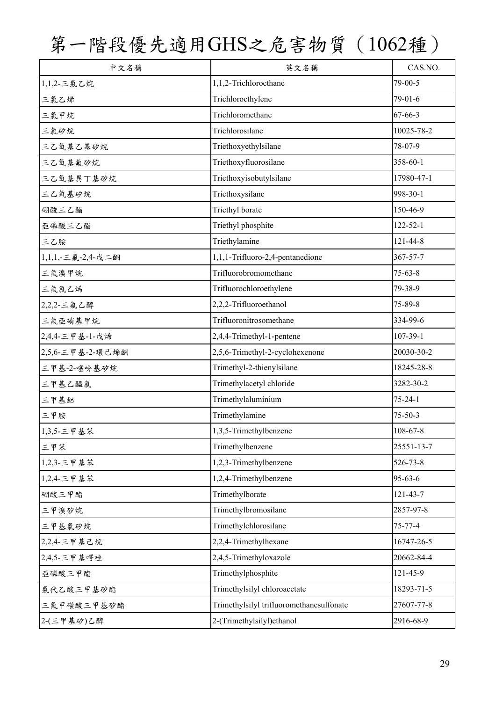| 中文名稱              | 英文名稱                                     | CAS.NO.        |
|-------------------|------------------------------------------|----------------|
| 1,1,2-三氯乙烷        | 1,1,2-Trichloroethane                    | 79-00-5        |
| 三氯乙烯              | Trichloroethylene                        | 79-01-6        |
| 三氯甲烷              | Trichloromethane                         | $67 - 66 - 3$  |
| 三氯矽烷              | Trichlorosilane                          | 10025-78-2     |
| 三乙氧基乙基矽烷          | Triethoxyethylsilane                     | 78-07-9        |
| 三乙氧基氟矽烷           | Triethoxyfluorosilane                    | 358-60-1       |
| 三乙氧基異丁基矽烷         | Triethoxyisobutylsilane                  | 17980-47-1     |
| 三乙氧基矽烷            | Triethoxysilane                          | 998-30-1       |
| 硼酸三乙酯             | Triethyl borate                          | 150-46-9       |
| 亞磷酸三乙酯            | Triethyl phosphite                       | $122 - 52 - 1$ |
| 三乙胺               | Triethylamine                            | 121-44-8       |
| 1,1,1, 三氟-2,4-戊二酮 | 1,1,1-Trifluoro-2,4-pentanedione         | 367-57-7       |
| 三氟溴甲烷             | Trifluorobromomethane                    | $75 - 63 - 8$  |
| 三氟氯乙烯             | Trifluorochloroethylene                  | 79-38-9        |
| 2,2,2-三氟乙醇        | 2,2,2-Trifluoroethanol                   | $75 - 89 - 8$  |
| 三氟亞硝基甲烷           | Trifluoronitrosomethane                  | 334-99-6       |
| 2,4,4-三甲基-1-戊烯    | 2,4,4-Trimethyl-1-pentene                | $107 - 39 - 1$ |
| 2,5,6-三甲基-2-環己烯酮  | 2,5,6-Trimethyl-2-cyclohexenone          | 20030-30-2     |
| 三甲基-2-噻吩基矽烷       | Trimethyl-2-thienylsilane                | 18245-28-8     |
| 三甲基乙醯氯            | Trimethylacetyl chloride                 | 3282-30-2      |
| 三甲基鋁              | Trimethylaluminium                       | $75 - 24 - 1$  |
| 三甲胺               | Trimethylamine                           | $75 - 50 - 3$  |
| 1,3,5-三甲基苯        | 1,3,5-Trimethylbenzene                   | 108-67-8       |
| 三甲苯               | Trimethylbenzene                         | 25551-13-7     |
| 1,2,3-三甲基苯        | 1,2,3-Trimethylbenzene                   | 526-73-8       |
| 1,2,4-三甲基苯        | 1,2,4-Trimethylbenzene                   | $95 - 63 - 6$  |
| 硼酸三甲酯             | Trimethylborate                          | 121-43-7       |
| 三甲溴矽烷             | Trimethylbromosilane                     | 2857-97-8      |
| 三甲基氯矽烷            | Trimethylchlorosilane                    | 75-77-4        |
| 2,2,4-三甲基己烷       | 2,2,4-Trimethylhexane                    | 16747-26-5     |
| 2,4,5-三甲基啰唑       | 2,4,5-Trimethyloxazole                   | 20662-84-4     |
| 亞磷酸三甲酯            | Trimethylphosphite                       | 121-45-9       |
| 氯代乙酸三甲基矽酯         | Trimethylsilyl chloroacetate             | 18293-71-5     |
| 三氟甲磺酸三甲基矽酯        | Trimethylsilyl trifluoromethanesulfonate | 27607-77-8     |
| 2-(三甲基矽)乙醇        | 2-(Trimethylsilyl)ethanol                | 2916-68-9      |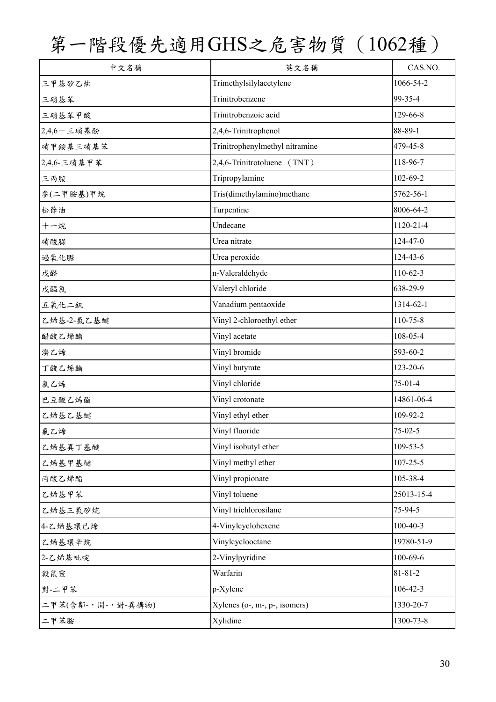| 中文名稱              | 英文名稱                            | CAS.NO.        |
|-------------------|---------------------------------|----------------|
| 三甲基矽乙炔            | Trimethylsilylacetylene         | 1066-54-2      |
| 三硝基苯              | Trinitrobenzene                 | 99-35-4        |
| 三硝基苯甲酸            | Trinitrobenzoic acid            | 129-66-8       |
| $2,4,6$ - 三硝基酚    | 2,4,6-Trinitrophenol            | 88-89-1        |
| 硝甲銨基三硝基苯          | Trinitrophenylmethyl nitramine  | 479-45-8       |
| 2,4,6-三硝基甲苯       | 2,4,6-Trinitrotoluene (TNT)     | 118-96-7       |
| 三丙胺               | Tripropylamine                  | 102-69-2       |
| 參(二甲胺基)甲烷         | Tris(dimethylamino)methane      | 5762-56-1      |
| 松節油               | Turpentine                      | 8006-64-2      |
| 十一烷               | Undecane                        | 1120-21-4      |
| 硝酸脲               | Urea nitrate                    | $124 - 47 - 0$ |
| 過氧化脲              | Urea peroxide                   | 124-43-6       |
| 戊醛                | n-Valeraldehyde                 | $110-62-3$     |
| 戊醯氯               | Valeryl chloride                | 638-29-9       |
| 五氧化二釩             | Vanadium pentaoxide             | 1314-62-1      |
| 乙烯基-2-氯乙基醚        | Vinyl 2-chloroethyl ether       | 110-75-8       |
| 醋酸乙烯酯             | Vinyl acetate                   | 108-05-4       |
| 溴乙烯               | Vinyl bromide                   | 593-60-2       |
| 丁酸乙烯酯             | Vinyl butyrate                  | 123-20-6       |
| 氯乙烯               | Vinyl chloride                  | $75-01-4$      |
| 巴豆酸乙烯酯            | Vinyl crotonate                 | 14861-06-4     |
| 乙烯基乙基醚            | Vinyl ethyl ether               | 109-92-2       |
| 氟乙烯               | Vinyl fluoride                  | $75 - 02 - 5$  |
| 乙烯基異丁基醚           | Vinyl isobutyl ether            | $109 - 53 - 5$ |
| 乙烯基甲基醚            | Vinyl methyl ether              | $107 - 25 - 5$ |
| 丙酸乙烯酯             | Vinyl propionate                | 105-38-4       |
| 乙烯基甲苯             | Vinyl toluene                   | 25013-15-4     |
| 乙烯基三氯矽烷           | Vinyl trichlorosilane           | 75-94-5        |
| 4-乙烯基環己烯          | 4-Vinylcyclohexene              | $100 - 40 - 3$ |
| 乙烯基環辛烷            | Vinylcyclooctane                | 19780-51-9     |
| 2-乙烯基吡啶           | 2-Vinylpyridine                 | $100 - 69 - 6$ |
| 殺鼠靈               | Warfarin                        | $81 - 81 - 2$  |
| 對-二甲苯             | p-Xylene                        | $106 - 42 - 3$ |
| 二甲苯(含鄰-,間-,對-異構物) | $Xylenes$ (o-, m-, p-, isomers) | 1330-20-7      |
| 二甲苯胺              | Xylidine                        | 1300-73-8      |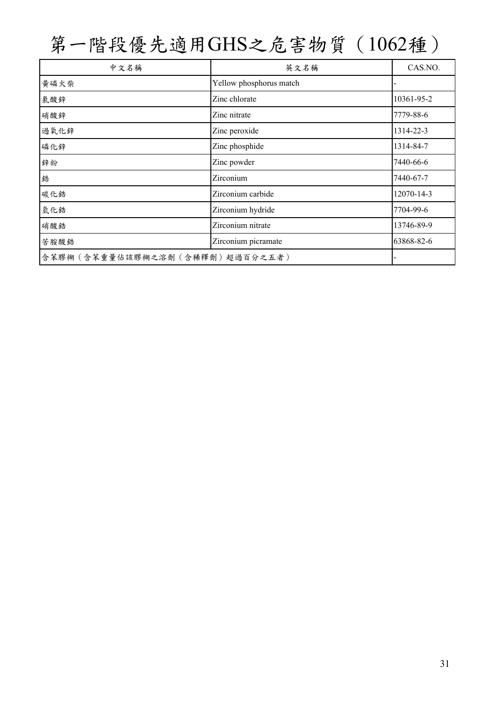| 中文名稱                           | 英文名稱                    | CAS.NO.    |
|--------------------------------|-------------------------|------------|
| 黄磷火柴                           | Yellow phosphorus match |            |
| 氯酸鋅                            | Zinc chlorate           | 10361-95-2 |
| 硝酸鋅                            | Zinc nitrate            | 7779-88-6  |
| 過氧化鋅                           | Zinc peroxide           | 1314-22-3  |
| 磷化鋅                            | Zinc phosphide          | 1314-84-7  |
| 鋅粉                             | Zinc powder             | 7440-66-6  |
| 鋯                              | Zirconium               | 7440-67-7  |
| 碳化鋯                            | Zirconium carbide       | 12070-14-3 |
| 氫化鋯                            | Zirconium hydride       | 7704-99-6  |
| 硝酸鋯                            | Zirconium nitrate       | 13746-89-9 |
| 苦胺酸鋯                           | Zirconium picramate     | 63868-82-6 |
| 含苯膠糊(含苯重量佔該膠糊之溶劑(含稀釋劑)超過百分之五者) |                         |            |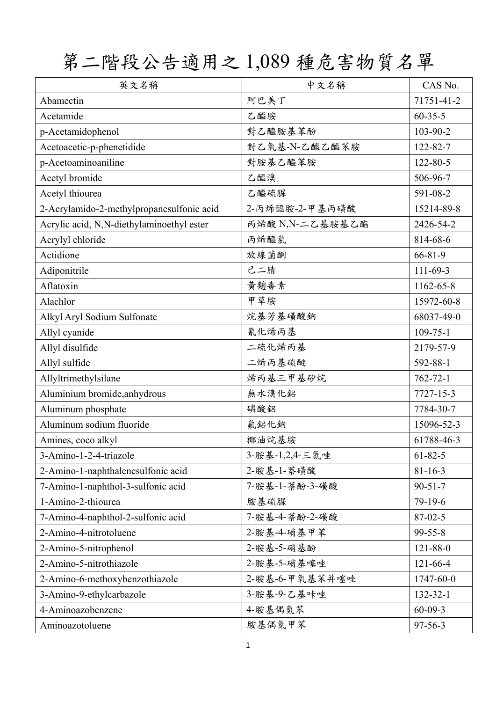第二階段公告適用之 1,089 種危害物質名單

| 英文名稱                                      | 中文名稱            | CAS No.        |
|-------------------------------------------|-----------------|----------------|
| Abamectin                                 | 阿巴美丁            | 71751-41-2     |
| Acetamide                                 | 乙醯胺             | $60 - 35 - 5$  |
| p-Acetamidophenol                         | 對乙醯胺基苯酚         | 103-90-2       |
| Acetoacetic-p-phenetidide                 | 對乙氧基-N-乙醯乙醯苯胺   | 122-82-7       |
| p-Acetoaminoaniline                       | 對胺基乙醯苯胺         | $122 - 80 - 5$ |
| Acetyl bromide                            | 乙醯溴             | 506-96-7       |
| Acetyl thiourea                           | 乙醯硫脲            | 591-08-2       |
| 2-Acrylamido-2-methylpropanesulfonic acid | 2-丙烯醯胺-2-甲基丙磺酸  | 15214-89-8     |
| Acrylic acid, N,N-diethylaminoethyl ester | 丙烯酸 N,N-二乙基胺基乙酯 | 2426-54-2      |
| Acrylyl chloride                          | 丙烯醯氯            | 814-68-6       |
| Actidione                                 | 放線菌酮            | 66-81-9        |
| Adiponitrile                              | 己二腈             | $111 - 69 - 3$ |
| Aflatoxin                                 | 黄麴毒素            | 1162-65-8      |
| Alachlor                                  | 甲草胺             | 15972-60-8     |
| Alkyl Aryl Sodium Sulfonate               | 烷基芳基磺酸鈉         | 68037-49-0     |
| Allyl cyanide                             | 氰化烯丙基           | $109 - 75 - 1$ |
| Allyl disulfide                           | 二硫化烯丙基          | 2179-57-9      |
| Allyl sulfide                             | 二烯丙基硫醚          | 592-88-1       |
| Allyltrimethylsilane                      | 烯丙基三甲基矽烷        | $762 - 72 - 1$ |
| Aluminium bromide, anhydrous              | 無水溴化鋁           | 7727-15-3      |
| Aluminum phosphate                        | 磷酸鋁             | 7784-30-7      |
| Aluminum sodium fluoride                  | 氟鋁化鈉            | 15096-52-3     |
| Amines, coco alkyl                        | 椰油烷基胺           | 61788-46-3     |
| 3-Amino-1-2-4-triazole                    | 3-胺基-1,2,4-三氮唑  | $61 - 82 - 5$  |
| 2-Amino-1-naphthalenesulfonic acid        | 2-胺基-1-萘磺酸      | $81 - 16 - 3$  |
| 7-Amino-1-naphthol-3-sulfonic acid        | 7-胺基-1-萘酚-3-磺酸  | $90 - 51 - 7$  |
| 1-Amino-2-thiourea                        | 胺基硫脲            | 79-19-6        |
| 7-Amino-4-naphthol-2-sulfonic acid        | 7-胺基-4-萘酚-2-磺酸  | $87 - 02 - 5$  |
| 2-Amino-4-nitrotoluene                    | 2-胺基-4-硝基甲苯     | 99-55-8        |
| 2-Amino-5-nitrophenol                     | 2-胺基-5-硝基酚      | 121-88-0       |
| 2-Amino-5-nitrothiazole                   | 2-胺基-5-硝基噻唑     | $121 - 66 - 4$ |
| 2-Amino-6-methoxybenzothiazole            | 2-胺基-6-甲氧基苯并噻唑  | 1747-60-0      |
| 3-Amino-9-ethylcarbazole                  | 3-胺基-9-乙基咔唑     | 132-32-1       |
| 4-Aminoazobenzene                         | 4-胺基偶氮苯         | $60 - 09 - 3$  |
| Aminoazotoluene                           | 胺基偶氮甲苯          | $97 - 56 - 3$  |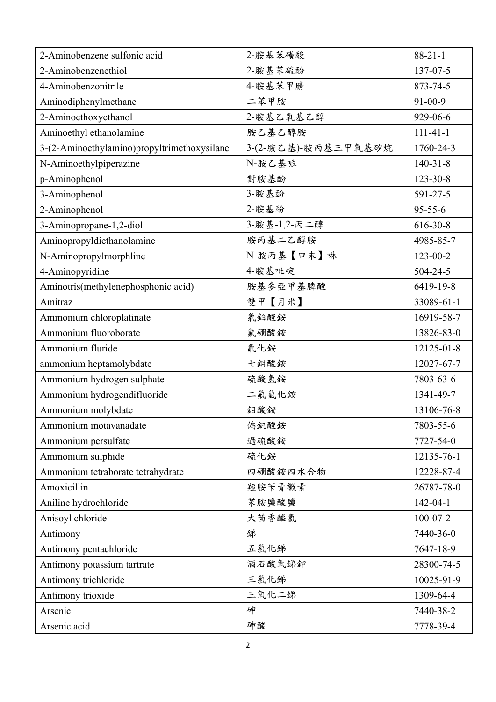| 2-Aminobenzene sulfonic acid                | 2-胺基苯磺酸             | $88-21-1$      |
|---------------------------------------------|---------------------|----------------|
| 2-Aminobenzenethiol                         | 2-胺基苯硫酚             | 137-07-5       |
| 4-Aminobenzonitrile                         | 4-胺基苯甲腈             | 873-74-5       |
| Aminodiphenylmethane                        | 二苯甲胺                | 91-00-9        |
| 2-Aminoethoxyethanol                        | 2-胺基乙氧基乙醇           | 929-06-6       |
| Aminoethyl ethanolamine                     | 胺乙基乙醇胺              | $111 - 41 - 1$ |
| 3-(2-Aminoethylamino)propyltrimethoxysilane | 3-(2-胺乙基)-胺丙基三甲氧基矽烷 | 1760-24-3      |
| N-Aminoethylpiperazine                      | N-胺乙基哌              | $140 - 31 - 8$ |
| p-Aminophenol                               | 對胺基酚                | $123 - 30 - 8$ |
| 3-Aminophenol                               | 3-胺基酚               | 591-27-5       |
| 2-Aminophenol                               | 2-胺基酚               | $95 - 55 - 6$  |
| 3-Aminopropane-1,2-diol                     | 3-胺基-1,2-丙二醇        | $616 - 30 - 8$ |
| Aminopropyldiethanolamine                   | 胺丙基二乙醇胺             | 4985-85-7      |
| N-Aminopropylmorphline                      | N-胺丙基【口末】啉          | $123 - 00 - 2$ |
| 4-Aminopyridine                             | 4-胺基吡啶              | $504 - 24 - 5$ |
| Aminotris(methylenephosphonic acid)         | 胺基参亞甲基膦酸            | 6419-19-8      |
| Amitraz                                     | 雙甲【月米】              | 33089-61-1     |
| Ammonium chloroplatinate                    | 氯鉑酸銨                | 16919-58-7     |
| Ammonium fluoroborate                       | 氟硼酸銨                | 13826-83-0     |
| Ammonium fluride                            | 氟化銨                 | 12125-01-8     |
| ammonium heptamolybdate                     | 七鉬酸銨                | 12027-67-7     |
| Ammonium hydrogen sulphate                  | 硫酸氫銨                | 7803-63-6      |
| Ammonium hydrogendifluoride                 | 二氟氫化銨               | 1341-49-7      |
| Ammonium molybdate                          | 鉬酸銨                 | 13106-76-8     |
| Ammonium motavanadate                       | 偏釩酸銨                | 7803-55-6      |
| Ammonium persulfate                         | 過硫酸銨                | 7727-54-0      |
| Ammonium sulphide                           | 硫化銨                 | 12135-76-1     |
| Ammonium tetraborate tetrahydrate           | 四硼酸銨四水合物            | 12228-87-4     |
| Amoxicillin                                 | 羥胺苄青黴素              | 26787-78-0     |
| Aniline hydrochloride                       | 苯胺鹽酸鹽               | $142 - 04 - 1$ |
| Anisoyl chloride                            | 大茴香醯氯               | $100 - 07 - 2$ |
| Antimony                                    | 銻                   | 7440-36-0      |
| Antimony pentachloride                      | 五氯化锑                | 7647-18-9      |
| Antimony potassium tartrate                 | 酒石酸氧銻鉀              | 28300-74-5     |
| Antimony trichloride                        | 三氯化锑                | 10025-91-9     |
| Antimony trioxide                           | 三氧化二锑               | 1309-64-4      |
| Arsenic                                     | 砷                   | 7440-38-2      |
| Arsenic acid                                | 砷酸                  | 7778-39-4      |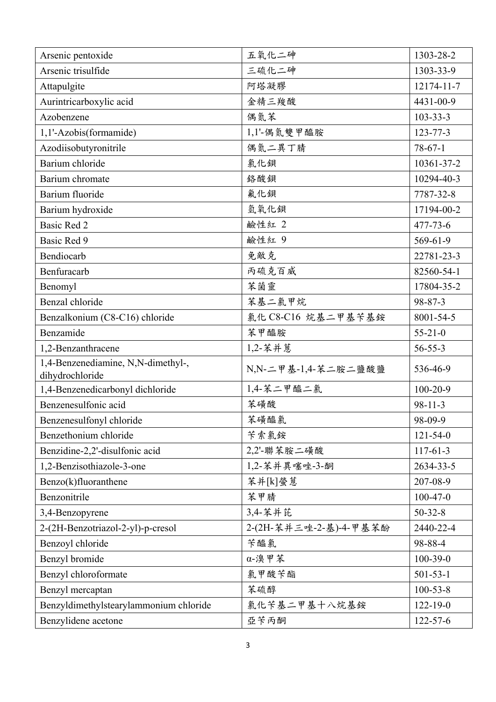| Arsenic pentoxide                                   | 五氧化二砷                  | 1303-28-2      |
|-----------------------------------------------------|------------------------|----------------|
| Arsenic trisulfide                                  | 三硫化二砷                  | 1303-33-9      |
| Attapulgite                                         | 阿塔凝膠                   | 12174-11-7     |
| Aurintricarboxylic acid                             | 金精三羧酸                  | 4431-00-9      |
| Azobenzene                                          | 偶氮苯                    | $103 - 33 - 3$ |
| 1,1'-Azobis(formamide)                              | 1,1'-偶氮雙甲醯胺            | $123 - 77 - 3$ |
| Azodiisobutyronitrile                               | 偶氮二異丁腈                 | $78-67-1$      |
| Barium chloride                                     | 氯化鋇                    | 10361-37-2     |
| Barium chromate                                     | 絡酸鋇                    | 10294-40-3     |
| Barium fluoride                                     | 氟化鋇                    | 7787-32-8      |
| Barium hydroxide                                    | 氫氧化鋇                   | 17194-00-2     |
| <b>Basic Red 2</b>                                  | 鹼性紅 2                  | $477 - 73 - 6$ |
| Basic Red 9                                         | 鹼性紅 9                  | 569-61-9       |
| Bendiocarb                                          | 免敵克                    | 22781-23-3     |
| Benfuracarb                                         | 丙硫克百威                  | 82560-54-1     |
| Benomyl                                             | 苯菌靈                    | 17804-35-2     |
| Benzal chloride                                     | 苯基二氯甲烷                 | 98-87-3        |
| Benzalkonium (C8-C16) chloride                      | 氯化 C8-C16 烷基二甲基苄基銨     | 8001-54-5      |
| Benzamide                                           | 苯甲醯胺                   | $55 - 21 - 0$  |
| 1,2-Benzanthracene                                  | 1,2-苯并蒽                | $56 - 55 - 3$  |
| 1,4-Benzenediamine, N,N-dimethyl-,                  | N,N-二甲基-1,4-苯二胺二鹽酸鹽    | 536-46-9       |
| dihydrochloride<br>1,4-Benzenedicarbonyl dichloride | 1,4-苯二甲醯二氯             | $100 - 20 - 9$ |
| Benzenesulfonic acid                                | 苯磺酸                    | $98 - 11 - 3$  |
| Benzenesulfonyl chloride                            | 苯磺醯氯                   | 98-09-9        |
| Benzethonium chloride                               | 苄索氯銨                   | $121 - 54 - 0$ |
| Benzidine-2,2'-disulfonic acid                      | 2,2'-聯苯胺二磺酸            | $117 - 61 - 3$ |
| 1,2-Benzisothiazole-3-one                           | 1,2-苯并異噻唑-3-酮          | 2634-33-5      |
| Benzo(k)fluoranthene                                | 苯并[k]螢蔥                | 207-08-9       |
| Benzonitrile                                        | 苯甲腈                    | $100 - 47 - 0$ |
| 3,4-Benzopyrene                                     | 3,4-苯并芘                | $50 - 32 - 8$  |
| 2-(2H-Benzotriazol-2-yl)-p-cresol                   | 2-(2H-苯并三唑-2-基)-4-甲基苯酚 | 2440-22-4      |
| Benzoyl chloride                                    | 苄醯氯                    | 98-88-4        |
| Benzyl bromide                                      | α-溴甲苯                  | $100-39-0$     |
| Benzyl chloroformate                                | 氯甲酸苄酯                  | $501 - 53 - 1$ |
| Benzyl mercaptan                                    | 苯硫醇                    | $100 - 53 - 8$ |
| Benzyldimethylstearylammonium chloride              | 氯化苄基二甲基十八烷基銨           | $122 - 19 - 0$ |
| Benzylidene acetone                                 | 亞苄丙酮                   | $122 - 57 - 6$ |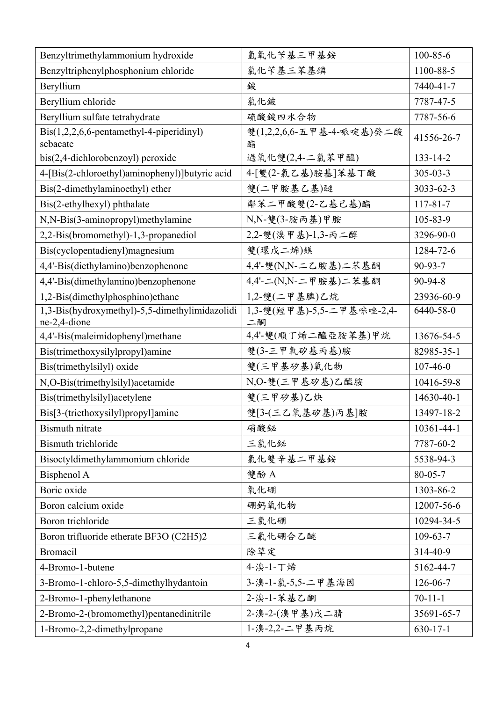| Benzyltrimethylammonium hydroxide                                    | 氫氧化苄基三甲基銨                       | $100 - 85 - 6$ |
|----------------------------------------------------------------------|---------------------------------|----------------|
| Benzyltriphenylphosphonium chloride                                  | 氯化苄基三苯基鳞                        | 1100-88-5      |
| Beryllium                                                            | 鈹                               | 7440-41-7      |
| Beryllium chloride                                                   | 氯化鈹                             | 7787-47-5      |
| Beryllium sulfate tetrahydrate                                       | 硫酸鈹四水合物                         | 7787-56-6      |
| $\text{Bis}(1,2,2,6,6\text{-pentamethyl-4-piperidinyl})$<br>sebacate | 雙(1,2,2,6,6-五甲基-4-哌啶基)癸二酸<br>酯  | 41556-26-7     |
| $bis(2,4\text{-dichlorobenzoyl})$ peroxide                           | 過氧化雙(2,4-二氯苯甲醯)                 | $133 - 14 - 2$ |
| 4-[Bis(2-chloroethyl)aminophenyl)]butyric acid                       | 4-[雙(2-氯乙基)胺基]苯基丁酸              | $305 - 03 - 3$ |
| Bis(2-dimethylaminoethyl) ether                                      | 雙(二甲胺基乙基)醚                      | 3033-62-3      |
| Bis(2-ethylhexyl) phthalate                                          | 鄰苯二甲酸雙(2-乙基己基)酯                 | $117 - 81 - 7$ |
| N,N-Bis(3-aminopropyl)methylamine                                    | N,N-雙(3-胺丙基)甲胺                  | 105-83-9       |
| 2,2-Bis(bromomethyl)-1,3-propanediol                                 | 2,2-雙(溴甲基)-1,3-丙二醇              | 3296-90-0      |
| Bis(cyclopentadienyl)magnesium                                       | 雙(環戊二烯)鎂                        | 1284-72-6      |
| 4,4'-Bis(diethylamino)benzophenone                                   | 4,4'-雙(N,N-二乙胺基)二苯基酮            | 90-93-7        |
| 4,4'-Bis(dimethylamino)benzophenone                                  | 4,4'-二(N,N-二甲胺基)二苯基酮            | 90-94-8        |
| 1,2-Bis(dimethylphosphino) ethane                                    | 1,2-雙(二甲基膦)乙烷                   | 23936-60-9     |
| 1,3-Bis(hydroxymethyl)-5,5-dimethylimidazolidi<br>ne-2,4-dione       | 1,3-雙(羥甲基)-5,5-二甲基咪唑-2,4-<br>二酮 | 6440-58-0      |
| 4,4'-Bis(maleimidophenyl)methane                                     | 4,4'-雙(順丁烯二醯亞胺苯基)甲烷             | 13676-54-5     |
| Bis(trimethoxysilylpropyl)amine                                      | 雙(3-三甲氧矽基丙基)胺                   | 82985-35-1     |
| Bis(trimethylsilyl) oxide                                            | 雙(三甲基矽基)氧化物                     | $107 - 46 - 0$ |
| N,O-Bis(trimethylsilyl)acetamide                                     | N,O-雙(三甲基矽基)乙醯胺                 | 10416-59-8     |
| Bis(trimethylsilyl)acetylene                                         | 雙(三甲矽基)乙炔                       | 14630-40-1     |
| Bis[3-(triethoxysilyl)propyl]amine                                   | 雙[3-(三乙氧基矽基)丙基]胺                | 13497-18-2     |
| <b>Bismuth</b> nitrate                                               | 硝酸铋                             | 10361-44-1     |
| <b>Bismuth</b> trichloride                                           | 三氯化铋                            | 7787-60-2      |
| Bisoctyldimethylammonium chloride                                    | 氯化雙辛基二甲基銨                       | 5538-94-3      |
| Bisphenol A                                                          | 雙酚 A                            | $80 - 05 - 7$  |
| Boric oxide                                                          | 氧化硼                             | 1303-86-2      |
| Boron calcium oxide                                                  | 硼鈣氧化物                           | 12007-56-6     |
| Boron trichloride                                                    | 三氯化硼                            | 10294-34-5     |
| Boron trifluoride etherate BF3O (C2H5)2                              | 三氟化硼合乙醚                         | $109 - 63 - 7$ |
| <b>Bromacil</b>                                                      | 除草定                             | 314-40-9       |
| 4-Bromo-1-butene                                                     | 4-溴-1-丁烯                        | 5162-44-7      |
| 3-Bromo-1-chloro-5,5-dimethylhydantoin                               | 3-溴-1-氯-5,5-二甲基海因               | 126-06-7       |
| 2-Bromo-1-phenylethanone                                             | 2-溴-1-苯基乙酮                      | $70 - 11 - 1$  |
| 2-Bromo-2-(bromomethyl)pentanedinitrile                              | 2-溴-2-(溴甲基)戊二腈                  | 35691-65-7     |
| 1-Bromo-2,2-dimethylpropane                                          | 1-溴-2,2-二甲基丙烷                   | $630 - 17 - 1$ |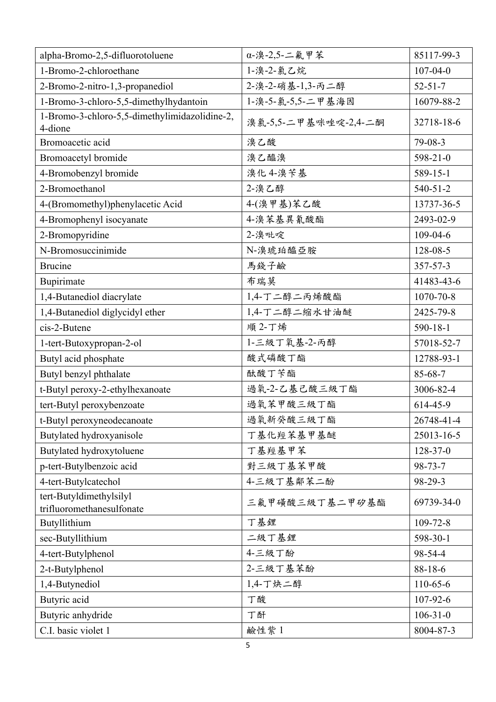| alpha-Bromo-2,5-difluorotoluene                      | α-溴-2,5-二氟甲苯         | 85117-99-3     |
|------------------------------------------------------|----------------------|----------------|
| 1-Bromo-2-chloroethane                               | 1-溴-2-氯乙烷            | $107 - 04 - 0$ |
| 2-Bromo-2-nitro-1,3-propanediol                      | 2-溴-2-硝基-1,3-丙二醇     | $52 - 51 - 7$  |
| 1-Bromo-3-chloro-5,5-dimethylhydantoin               | 1-溴-5-氯-5,5-二甲基海因    | 16079-88-2     |
| 1-Bromo-3-chloro-5,5-dimethylimidazolidine-2,        | 溴氯-5,5-二甲基咪唑啶-2,4-二酮 | 32718-18-6     |
| 4-dione                                              |                      |                |
| Bromoacetic acid                                     | 溴乙酸                  | 79-08-3        |
| Bromoacetyl bromide                                  | 溴乙醯溴                 | 598-21-0       |
| 4-Bromobenzyl bromide                                | 溴化 4-溴苄基             | 589-15-1       |
| 2-Bromoethanol                                       | 2-溴乙醇                | $540 - 51 - 2$ |
| 4-(Bromomethyl)phenylacetic Acid                     | 4-(溴甲基)苯乙酸           | 13737-36-5     |
| 4-Bromophenyl isocyanate                             | 4-溴苯基異氰酸酯            | 2493-02-9      |
| 2-Bromopyridine                                      | 2-溴吡啶                | 109-04-6       |
| N-Bromosuccinimide                                   | N-溴琥珀醯亞胺             | 128-08-5       |
| <b>Brucine</b>                                       | 馬錢子鹼                 | 357-57-3       |
| Bupirimate                                           | 布瑞莫                  | 41483-43-6     |
| 1,4-Butanediol diacrylate                            | 1,4-丁二醇二丙烯酸酯         | 1070-70-8      |
| 1,4-Butanediol diglycidyl ether                      | 1,4-丁二醇二缩水甘油醚        | 2425-79-8      |
| cis-2-Butene                                         | 順 2-丁烯               | $590 - 18 - 1$ |
| 1-tert-Butoxypropan-2-ol                             | 1-三級丁氧基-2-丙醇         | 57018-52-7     |
| Butyl acid phosphate                                 | 酸式磷酸丁酯               | 12788-93-1     |
| Butyl benzyl phthalate                               | 酞酸丁苄酯                | 85-68-7        |
| t-Butyl peroxy-2-ethylhexanoate                      | 過氧-2-乙基己酸三級丁酯        | 3006-82-4      |
| tert-Butyl peroxybenzoate                            | 過氧苯甲酸三級丁酯            | 614-45-9       |
| t-Butyl peroxyneodecanoate                           | 過氧新癸酸三級丁酯            | 26748-41-4     |
| Butylated hydroxyanisole                             | 丁基化羥苯基甲基醚            | 25013-16-5     |
| Butylated hydroxytoluene                             | 丁基羥基甲苯               | $128 - 37 - 0$ |
| p-tert-Butylbenzoic acid                             | 對三級丁基苯甲酸             | $98 - 73 - 7$  |
| 4-tert-Butylcatechol                                 | 4-三級丁基鄰苯二酚           | 98-29-3        |
| tert-Butyldimethylsilyl<br>trifluoromethanesulfonate | 三氟甲磺酸三級丁基二甲矽基酯       | 69739-34-0     |
| Butyllithium                                         | 丁基鋰                  | $109 - 72 - 8$ |
| sec-Butyllithium                                     | 二級丁基鋰                | 598-30-1       |
| 4-tert-Butylphenol                                   | 4-三級丁酚               | 98-54-4        |
| 2-t-Butylphenol                                      | 2-三級丁基苯酚             | $88 - 18 - 6$  |
| 1,4-Butynediol                                       | 1,4-丁炔二醇             | 110-65-6       |
| Butyric acid                                         | 丁酸                   | 107-92-6       |
| Butyric anhydride                                    | 丁酐                   | $106 - 31 - 0$ |
| C.I. basic violet 1                                  | 鹼性紫1                 | 8004-87-3      |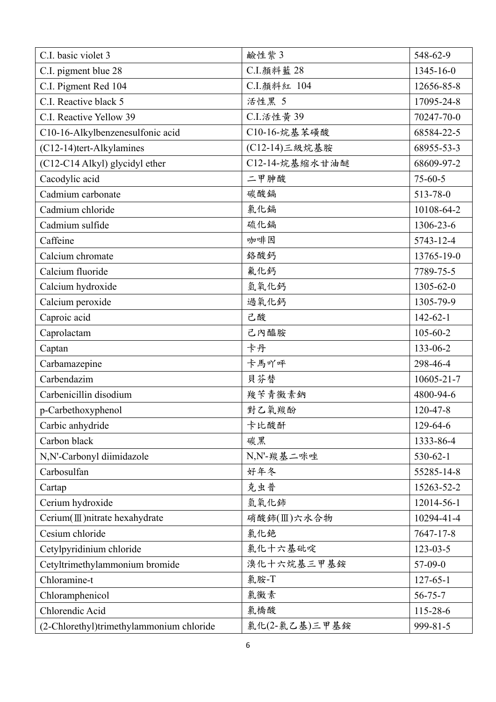| C.I. basic violet 3                      | 鹼性紫3           | 548-62-9        |
|------------------------------------------|----------------|-----------------|
| C.I. pigment blue 28                     | C.I. 顏料藍 28    | $1345 - 16 - 0$ |
| C.I. Pigment Red 104                     | C.I.顏料紅 104    | 12656-85-8      |
| C.I. Reactive black 5                    | 活性黑 5          | 17095-24-8      |
| C.I. Reactive Yellow 39                  | C.I.活性黄 39     | 70247-70-0      |
| C10-16-Alkylbenzenesulfonic acid         | C10-16-烷基苯磺酸   | 68584-22-5      |
| (C12-14)tert-Alkylamines                 | (C12-14)三級烷基胺  | 68955-53-3      |
| (C12-C14 Alkyl) glycidyl ether           | C12-14-烷基缩水甘油醚 | 68609-97-2      |
| Cacodylic acid                           | 二甲胂酸           | $75 - 60 - 5$   |
| Cadmium carbonate                        | 碳酸鎘            | 513-78-0        |
| Cadmium chloride                         | 氯化鎘            | 10108-64-2      |
| Cadmium sulfide                          | 硫化鎘            | 1306-23-6       |
| Caffeine                                 | 咖啡因            | 5743-12-4       |
| Calcium chromate                         | 絡酸鈣            | 13765-19-0      |
| Calcium fluoride                         | 氟化鈣            | 7789-75-5       |
| Calcium hydroxide                        | 氫氧化鈣           | 1305-62-0       |
| Calcium peroxide                         | 過氧化鈣           | 1305-79-9       |
| Caproic acid                             | 己酸             | $142 - 62 - 1$  |
| Caprolactam                              | 己內醯胺           | $105 - 60 - 2$  |
| Captan                                   | 卡丹             | 133-06-2        |
| Carbamazepine                            | 卡馬吖呼           | 298-46-4        |
| Carbendazim                              | 貝芬替            | 10605-21-7      |
| Carbenicillin disodium                   | 羧苄青黴素鈉         | 4800-94-6       |
| p-Carbethoxyphenol                       | 對乙氧羰酚          | 120-47-8        |
| Carbic anhydride                         | 卡比酸酐           | 129-64-6        |
| Carbon black                             | 碳黑             | 1333-86-4       |
| N,N'-Carbonyl diimidazole                | N,N'-羰基二咪唑     | $530 - 62 - 1$  |
| Carbosulfan                              | 好年冬            | 55285-14-8      |
| Cartap                                   | 克虫普            | 15263-52-2      |
| Cerium hydroxide                         | 氫氧化鈰           | 12014-56-1      |
| Cerium (III) nitrate hexahydrate         | 硝酸鈰(Ⅲ)六水合物     | 10294-41-4      |
| Cesium chloride                          | 氯化銫            | 7647-17-8       |
| Cetylpyridinium chloride                 | 氯化十六基砒啶        | $123 - 03 - 5$  |
| Cetyltrimethylammonium bromide           | 溴化十六烷基三甲基銨     | $57-09-0$       |
| Chloramine-t                             | 氯胺-T           | $127 - 65 - 1$  |
| Chloramphenicol                          | 氯黴素            | $56 - 75 - 7$   |
| Chlorendic Acid                          | 氯橋酸            | 115-28-6        |
| (2-Chlorethyl)trimethylammonium chloride | 氯化(2-氯乙基)三甲基銨  | 999-81-5        |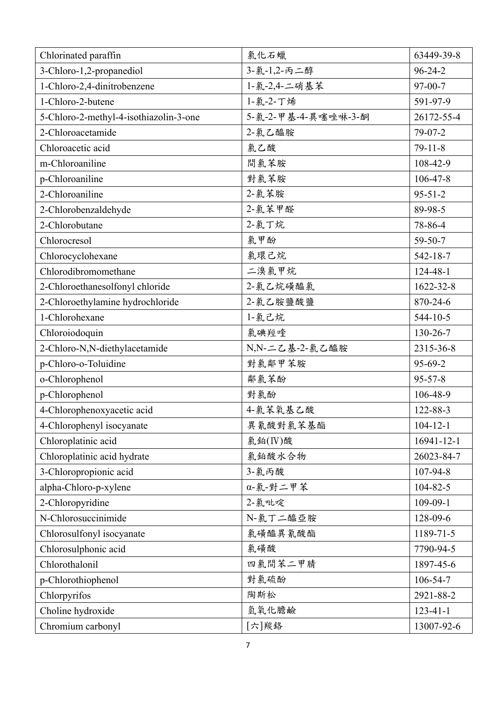| Chlorinated paraffin                   | 氯化石蠟                | 63449-39-8     |
|----------------------------------------|---------------------|----------------|
| 3-Chloro-1,2-propanediol               | 3-氯-1,2-丙二醇         | $96 - 24 - 2$  |
| 1-Chloro-2,4-dinitrobenzene            | 1-氯-2,4-二硝基苯        | $97 - 00 - 7$  |
| 1-Chloro-2-butene                      | 1-氯-2-丁烯            | 591-97-9       |
| 5-Chloro-2-methyl-4-isothiazolin-3-one | 5-氯-2-甲基-4-異噻唑啉-3-酮 | 26172-55-4     |
| 2-Chloroacetamide                      | 2-氯乙醯胺              | 79-07-2        |
| Chloroacetic acid                      | 氯乙酸                 | $79 - 11 - 8$  |
| m-Chloroaniline                        | 間氯苯胺                | 108-42-9       |
| p-Chloroaniline                        | 對氯苯胺                | $106 - 47 - 8$ |
| 2-Chloroaniline                        | 2-氯苯胺               | $95 - 51 - 2$  |
| 2-Chlorobenzaldehyde                   | 2-氯苯甲醛              | 89-98-5        |
| 2-Chlorobutane                         | 2-氯丁烷               | 78-86-4        |
| Chlorocresol                           | 氯甲酚                 | $59 - 50 - 7$  |
| Chlorocyclohexane                      | 氯環己烷                | $542 - 18 - 7$ |
| Chlorodibromomethane                   | 二溴氯甲烷               | 124-48-1       |
| 2-Chloroethanesolfonyl chloride        | 2-氯乙烷磺醯氯            | 1622-32-8      |
| 2-Chloroethylamine hydrochloride       | 2-氯乙胺鹽酸鹽            | 870-24-6       |
| 1-Chlorohexane                         | 1-氯己烷               | $544 - 10 - 5$ |
| Chloroiodoquin                         | 氯碘羥喹                | 130-26-7       |
| 2-Chloro-N,N-diethylacetamide          | N,N-二乙基-2-氯乙醯胺      | 2315-36-8      |
| p-Chloro-o-Toluidine                   | 對氯鄰甲苯胺              | 95-69-2        |
| o-Chlorophenol                         | 鄰氣苯酚                | $95 - 57 - 8$  |
| p-Chlorophenol                         | 對氯酚                 | 106-48-9       |
| 4-Chlorophenoxyacetic acid             | 4-氯苯氧基乙酸            | 122-88-3       |
| 4-Chlorophenyl isocyanate              | 異氰酸對氯苯基酯            | $104 - 12 - 1$ |
| Chloroplatinic acid                    | 氯鉑 $(IV)$ 酸         | 16941-12-1     |
| Chloroplatinic acid hydrate            | 氯鉑酸水合物              | 26023-84-7     |
| 3-Chloropropionic acid                 | 3-氯丙酸               | 107-94-8       |
| alpha-Chloro-p-xylene                  | α-氯-對二甲苯            | $104 - 82 - 5$ |
| 2-Chloropyridine                       | 2-氯吡啶               | 109-09-1       |
| N-Chlorosuccinimide                    | N-氯丁二醯亞胺            | 128-09-6       |
| Chlorosulfonyl isocyanate              | 氯磺醯異氰酸酯             | 1189-71-5      |
| Chlorosulphonic acid                   | 氯磺酸                 | 7790-94-5      |
| Chlorothalonil                         | 四氯間苯二甲腈             | 1897-45-6      |
| p-Chlorothiophenol                     | 對氯硫酚                | 106-54-7       |
| Chlorpyrifos                           | 陶斯松                 | 2921-88-2      |
| Choline hydroxide                      | 氫氧化膽鹼               | $123 - 41 - 1$ |
| Chromium carbonyl                      | [六]羰鉻               | 13007-92-6     |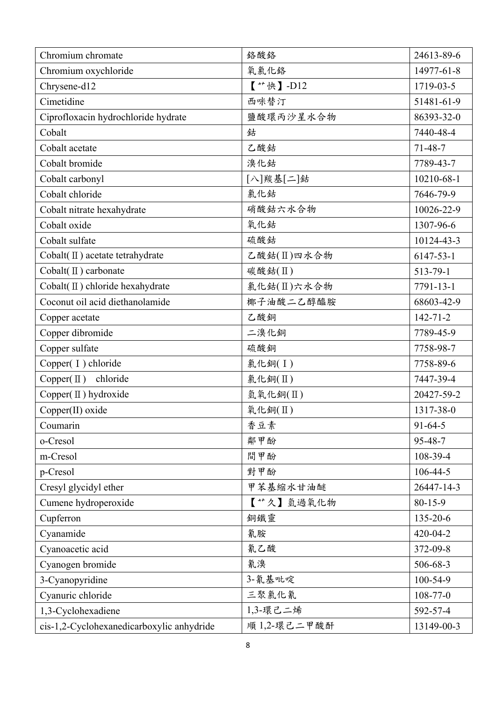| Chromium chromate                             | 絡酸絡          | 24613-89-6     |
|-----------------------------------------------|--------------|----------------|
| Chromium oxychloride                          | 氧氯化鉻         | 14977-61-8     |
| Chrysene-d12                                  | 【**快】-D12    | 1719-03-5      |
| Cimetidine                                    | 西咪替汀         | 51481-61-9     |
| Ciprofloxacin hydrochloride hydrate           | 鹽酸環丙沙星水合物    | 86393-32-0     |
| Cobalt                                        | 鉆            | 7440-48-4      |
| Cobalt acetate                                | 乙酸鈷          | $71 - 48 - 7$  |
| Cobalt bromide                                | 溴化鈷          | 7789-43-7      |
| Cobalt carbonyl                               | [八]羰基[二]鈷    | 10210-68-1     |
| Cobalt chloride                               | 氯化鈷          | 7646-79-9      |
| Cobalt nitrate hexahydrate                    | 硝酸鈷六水合物      | 10026-22-9     |
| Cobalt oxide                                  | 氧化鈷          | 1307-96-6      |
| Cobalt sulfate                                | 硫酸鈷          | 10124-43-3     |
| Cobalt $(\Pi)$ acetate tetrahydrate           | 乙酸鈷(Ⅱ)四水合物   | 6147-53-1      |
| Cobalt(II) carbonate                          | 碳酸鈷(II)      | 513-79-1       |
| Cobalt( $\mathbf{\Pi}$ ) chloride hexahydrate | 氯化鈷(Ⅱ)六水合物   | 7791-13-1      |
| Coconut oil acid diethanolamide               | 椰子油酸二乙醇醯胺    | 68603-42-9     |
| Copper acetate                                | 乙酸銅          | $142 - 71 - 2$ |
| Copper dibromide                              | 二溴化銅         | 7789-45-9      |
| Copper sulfate                                | 硫酸銅          | 7758-98-7      |
| Copper(I) chloride                            | 氯化銅(I)       | 7758-89-6      |
| Copper $(\Pi)$ chloride                       | 氯化銅(Ⅱ)       | 7447-39-4      |
| Copper(II) hydroxide                          | 氫氧化銅(II)     | 20427-59-2     |
| Copper(II) oxide                              | 氧化銅(Ⅱ)       | 1317-38-0      |
| Coumarin                                      | 香豆素          | $91 - 64 - 5$  |
| o-Cresol                                      | 鄰甲酚          | 95-48-7        |
| m-Cresol                                      | 間甲酚          | 108-39-4       |
| p-Cresol                                      | 對甲酚          | $106 - 44 - 5$ |
| Cresyl glycidyl ether                         | 甲苯基缩水甘油醚     | 26447-14-3     |
| Cumene hydroperoxide                          | 【**久】氫過氧化物   | $80 - 15 - 9$  |
| Cupferron                                     | 銅鐵靈          | 135-20-6       |
| Cyanamide                                     | 氰胺           | 420-04-2       |
| Cyanoacetic acid                              | 氰乙酸          | 372-09-8       |
| Cyanogen bromide                              | 氰溴           | 506-68-3       |
| 3-Cyanopyridine                               | 3-氰基吡啶       | 100-54-9       |
| Cyanuric chloride                             | 三聚氯化氰        | $108 - 77 - 0$ |
| 1,3-Cyclohexadiene                            | 1,3-環己二烯     | 592-57-4       |
| cis-1,2-Cyclohexanedicarboxylic anhydride     | 順 1,2-環己二甲酸酐 | 13149-00-3     |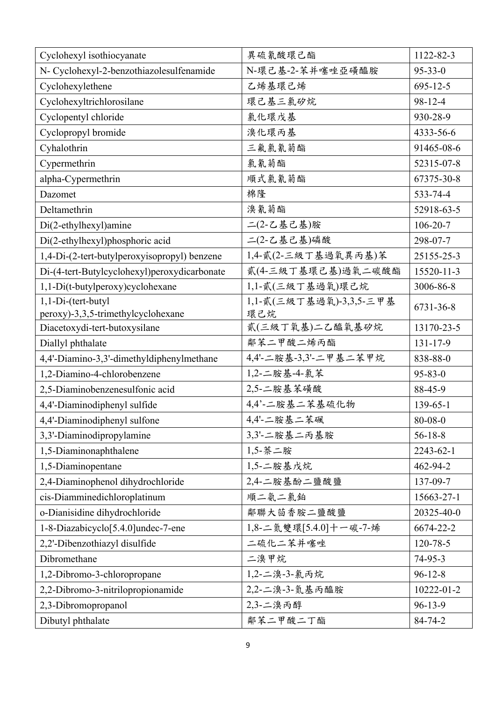| Cyclohexyl isothiocyanate                       | 異硫氰酸環己酯                 | 1122-82-3      |
|-------------------------------------------------|-------------------------|----------------|
| N- Cyclohexyl-2-benzothiazolesulfenamide        | N-環己基-2-苯并噻唑亞磺醯胺        | $95 - 33 - 0$  |
| Cyclohexylethene                                | 乙烯基環己烯                  | $695 - 12 - 5$ |
| Cyclohexyltrichlorosilane                       | 環己基三氯矽烷                 | 98-12-4        |
| Cyclopentyl chloride                            | 氯化環戊基                   | 930-28-9       |
| Cyclopropyl bromide                             | 溴化環丙基                   | 4333-56-6      |
| Cyhalothrin                                     | 三氟氯氰菊酯                  | 91465-08-6     |
| Cypermethrin                                    | 氯氰菊酯                    | 52315-07-8     |
| alpha-Cypermethrin                              | 順式氯氰菊酯                  | 67375-30-8     |
| Dazomet                                         | 棉隆                      | 533-74-4       |
| Deltamethrin                                    | 溴氰菊酯                    | 52918-63-5     |
| Di(2-ethylhexyl)amine                           | 二(2-乙基己基)胺              | $106 - 20 - 7$ |
| Di(2-ethylhexyl)phosphoric acid                 | 二(2-乙基己基)磷酸             | 298-07-7       |
| 1,4-Di-(2-tert-butylperoxyisopropyl) benzene    | 1,4-貳(2-三級丁基過氧異丙基)苯     | 25155-25-3     |
| Di-(4-tert-Butylcyclohexyl)peroxydicarbonate    | 貳(4-三級丁基環己基)過氧二碳酸酯      | 15520-11-3     |
| 1,1-Di(t-butylperoxy)cyclohexane                | 1,1-貳(三級丁基過氧)環己烷        | 3006-86-8      |
| 1,1-Di-(tert-butyl                              | 1,1-貳(三級丁基過氧)-3,3,5-三甲基 | 6731-36-8      |
| peroxy)-3,3,5-trimethylcyclohexane              | 環己烷                     |                |
| Diacetoxydi-tert-butoxysilane                   | 貳(三級丁氧基)二乙醯氧基矽烷         | 13170-23-5     |
|                                                 |                         |                |
| Diallyl phthalate                               | 鄰苯二甲酸二烯丙酯               | $131 - 17 - 9$ |
| 4,4'-Diamino-3,3'-dimethyldiphenylmethane       | 4,4'-二胺基-3,3'-二甲基二苯甲烷   | 838-88-0       |
| 1,2-Diamino-4-chlorobenzene                     | 1,2-二胺基-4-氯苯            | $95 - 83 - 0$  |
| 2,5-Diaminobenzenesulfonic acid                 | 2,5-二胺基苯磺酸              | 88-45-9        |
| 4,4'-Diaminodiphenyl sulfide                    | 4,4'-二胺基二苯基硫化物          | 139-65-1       |
| 4,4'-Diaminodiphenyl sulfone                    | 4,4'-二胺基二苯砜             | $80 - 08 - 0$  |
| 3,3'-Diaminodipropylamine                       | 3,3'-二胺基二丙基胺            | $56 - 18 - 8$  |
| 1,5-Diaminonaphthalene                          | 1,5-萘二胺                 | 2243-62-1      |
| 1,5-Diaminopentane                              | 1,5-二胺基戊烷               | 462-94-2       |
| 2,4-Diaminophenol dihydrochloride               | 2,4-二胺基酚二鹽酸鹽            | 137-09-7       |
| cis-Diamminedichloroplatinum                    | 順二氨二氯鉑                  | 15663-27-1     |
| o-Dianisidine dihydrochloride                   | 鄰聯大茴香胺二鹽酸鹽              | 20325-40-0     |
| 1-8-Diazabicyclo <sup>[5.4.0]</sup> undec-7-ene | 1,8-二氮雙環[5.4.0]十一碳-7-烯  | 6674-22-2      |
| 2,2'-Dibenzothiazyl disulfide                   | 二硫化二苯并噻唑                | 120-78-5       |
| Dibromethane                                    | 二溴甲烷                    | $74-95-3$      |
| 1,2-Dibromo-3-chloropropane                     | 1,2-二溴-3-氯丙烷            | $96 - 12 - 8$  |
| 2,2-Dibromo-3-nitrilopropionamide               | 2,2-二溴-3-氮基丙醯胺          | 10222-01-2     |
| 2,3-Dibromopropanol                             | 2,3-二溴丙醇                | $96 - 13 - 9$  |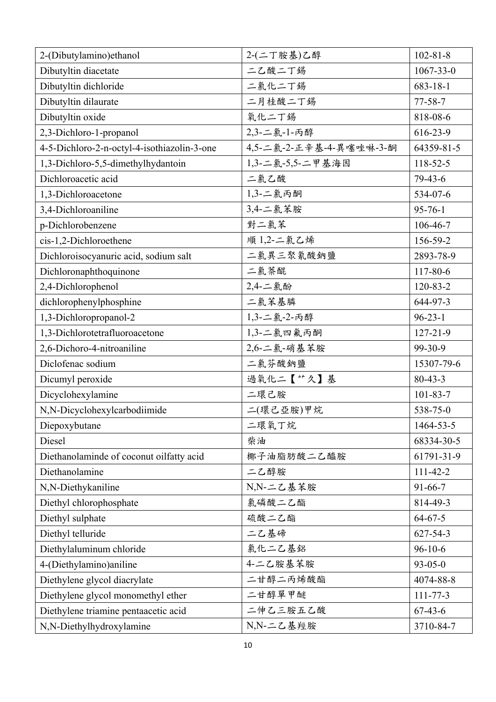| 2-(Dibutylamino)ethanol                     | 2-(二丁胺基)乙醇              | $102 - 81 - 8$  |
|---------------------------------------------|-------------------------|-----------------|
| Dibutyltin diacetate                        | 二乙酸二丁錫                  | $1067 - 33 - 0$ |
| Dibutyltin dichloride                       | 二氯化二丁錫                  | $683 - 18 - 1$  |
| Dibutyltin dilaurate                        | 二月桂酸二丁錫                 | $77 - 58 - 7$   |
| Dibutyltin oxide                            | 氧化二丁錫                   | 818-08-6        |
| 2,3-Dichloro-1-propanol                     | 2,3-二氯-1-丙醇             | 616-23-9        |
| 4-5-Dichloro-2-n-octyl-4-isothiazolin-3-one | 4,5-二氯-2-正辛基-4-異噻唑啉-3-酮 | 64359-81-5      |
| 1,3-Dichloro-5,5-dimethylhydantoin          | 1,3-二氯-5,5-二甲基海因        | 118-52-5        |
| Dichloroacetic acid                         | 二氯乙酸                    | $79-43-6$       |
| 1,3-Dichloroacetone                         | 1,3-二氯丙酮                | 534-07-6        |
| 3,4-Dichloroaniline                         | 3,4-二氯苯胺                | $95 - 76 - 1$   |
| p-Dichlorobenzene                           | 對二氯苯                    | 106-46-7        |
| cis-1,2-Dichloroethene                      | 順 1,2-二氯乙烯              | 156-59-2        |
| Dichloroisocyanuric acid, sodium salt       | 二氯異三聚氰酸鈉鹽               | 2893-78-9       |
| Dichloronaphthoquinone                      | 二氯萘醌                    | 117-80-6        |
| 2,4-Dichlorophenol                          | 2,4-二氯酚                 | 120-83-2        |
| dichlorophenylphosphine                     | 二氯苯基膦                   | 644-97-3        |
| 1,3-Dichloropropanol-2                      | 1,3-二氯-2-丙醇             | $96 - 23 - 1$   |
| 1,3-Dichlorotetrafluoroacetone              | 1,3-二氯四氟丙酮              | $127 - 21 - 9$  |
| 2,6-Dichoro-4-nitroaniline                  | 2,6-二氯-硝基苯胺             | 99-30-9         |
| Diclofenac sodium                           | 二氯芬酸鈉鹽                  | 15307-79-6      |
| Dicumyl peroxide                            | 過氧化二【艹久】基               | $80 - 43 - 3$   |
| Dicyclohexylamine                           | 二環己胺                    | $101 - 83 - 7$  |
| N,N-Dicyclohexylcarbodiimide                | 二(環己亞胺)甲烷               | 538-75-0        |
| Diepoxybutane                               | 二環氧丁烷                   | 1464-53-5       |
| Diesel                                      | 柴油                      | 68334-30-5      |
| Diethanolaminde of coconut oilfatty acid    | 椰子油脂肪酸二乙醯胺              | 61791-31-9      |
| Diethanolamine                              | 二乙醇胺                    | $111 - 42 - 2$  |
| N,N-Diethykaniline                          | N,N-二乙基苯胺               | $91 - 66 - 7$   |
| Diethyl chlorophosphate                     | 氯磷酸二乙酯                  | 814-49-3        |
| Diethyl sulphate                            | 硫酸二乙酯                   | $64 - 67 - 5$   |
| Diethyl telluride                           | 二乙基碲                    | $627 - 54 - 3$  |
| Diethylaluminum chloride                    | 氯化二乙基鋁                  | $96 - 10 - 6$   |
| 4-(Diethylamino)aniline                     | 4-二乙胺基苯胺                | $93 - 05 - 0$   |
| Diethylene glycol diacrylate                | 二甘醇二丙烯酸酯                | 4074-88-8       |
| Diethylene glycol monomethyl ether          | 二甘醇單甲醚                  | $111 - 77 - 3$  |
| Diethylene triamine pentaacetic acid        | 二伸乙三胺五乙酸                | $67 - 43 - 6$   |
| N,N-Diethylhydroxylamine                    | N,N-二乙基羥胺               | 3710-84-7       |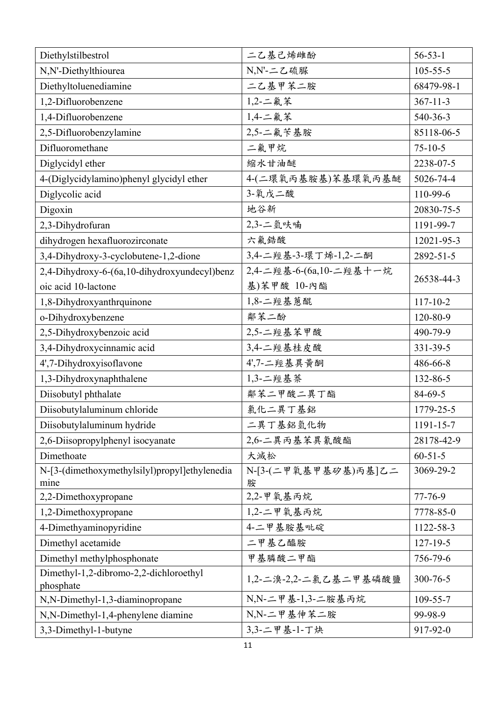| Diethylstilbestrol                                    | 二乙基己烯雌酚                   | $56 - 53 - 1$  |
|-------------------------------------------------------|---------------------------|----------------|
| N,N'-Diethylthiourea                                  | N,N'-二乙硫脲                 | $105 - 55 - 5$ |
| Diethyltoluenediamine                                 | 二乙基甲苯二胺                   | 68479-98-1     |
| 1,2-Difluorobenzene                                   | $1,2 -  = $ 氟苯            | $367 - 11 - 3$ |
| 1,4-Difluorobenzene                                   | 1,4-二氟苯                   | 540-36-3       |
| 2,5-Difluorobenzylamine                               | 2,5-二氟苄基胺                 | 85118-06-5     |
| Difluoromethane                                       | 二氟甲烷                      | $75 - 10 - 5$  |
| Diglycidyl ether                                      | 縮水甘油醚                     | 2238-07-5      |
| 4-(Diglycidylamino)phenyl glycidyl ether              | 4-(二環氧丙基胺基)苯基環氧丙基醚        | 5026-74-4      |
| Diglycolic acid                                       | 3-氧戊二酸                    | 110-99-6       |
| Digoxin                                               | 地谷新                       | 20830-75-5     |
| 2,3-Dihydrofuran                                      | 2,3-二氫呋喃                  | 1191-99-7      |
| dihydrogen hexafluorozirconate                        | 六氟鋯酸                      | 12021-95-3     |
| 3,4-Dihydroxy-3-cyclobutene-1,2-dione                 | 3,4-二羥基-3-環丁烯-1,2-二酮      | 2892-51-5      |
| 2,4-Dihydroxy-6-(6a,10-dihydroxyundecyl)benz          | 2,4-二羥基-6-(6a,10-二羥基十一烷   | 26538-44-3     |
| oic acid 10-lactone                                   | 基)苯甲酸 10-內酯               |                |
| 1,8-Dihydroxyanthrquinone                             | 1,8-二羥基蒽醌                 | $117 - 10 - 2$ |
| o-Dihydroxybenzene                                    | 鄰苯二酚                      | 120-80-9       |
| 2,5-Dihydroxybenzoic acid                             | 2,5-二羥基苯甲酸                | 490-79-9       |
| 3,4-Dihydroxycinnamic acid                            | 3,4-二羥基桂皮酸                | 331-39-5       |
| 4',7-Dihydroxyisoflavone                              | 4',7-二羥基異黃酮               | 486-66-8       |
| 1,3-Dihydroxynaphthalene                              | 1,3-二羥基萘                  | 132-86-5       |
| Diisobutyl phthalate                                  | 鄰苯二甲酸二異丁酯                 | 84-69-5        |
| Diisobutylaluminum chloride                           | 氯化二異丁基鋁                   | 1779-25-5      |
| Diisobutylaluminum hydride                            | 二異丁基鋁氫化物                  | 1191-15-7      |
| 2,6-Diisopropylphenyl isocyanate                      | 2,6-二異丙基苯異氰酸酯             | 28178-42-9     |
| Dimethoate                                            | 大滅松                       | $60 - 51 - 5$  |
| N-[3-(dimethoxymethylsilyl)propyl]ethylenedia<br>mine | N-[3-(二甲氧基甲基矽基)丙基]乙二<br>胺 | 3069-29-2      |
| 2,2-Dimethoxypropane                                  | 2,2-甲氧基丙烷                 | $77 - 76 - 9$  |
| 1,2-Dimethoxypropane                                  | 1,2-二甲氧基丙烷                | 7778-85-0      |
| 4-Dimethyaminopyridine                                | 4-二甲基胺基吡碇                 | 1122-58-3      |
| Dimethyl acetamide                                    | 二甲基乙醯胺                    | $127 - 19 - 5$ |
| Dimethyl methylphosphonate                            | 甲基膦酸二甲酯                   | 756-79-6       |
| Dimethyl-1,2-dibromo-2,2-dichloroethyl<br>phosphate   | 1,2-二溴-2,2-二氯乙基二甲基磷酸鹽     | 300-76-5       |
| N,N-Dimethyl-1,3-diaminopropane                       | N,N-二甲基-1,3-二胺基丙烷         | 109-55-7       |
| N,N-Dimethyl-1,4-phenylene diamine                    | N,N-二甲基伸苯二胺               | 99-98-9        |
| 3,3-Dimethyl-1-butyne                                 | 3,3-二甲基-1-丁炔              | 917-92-0       |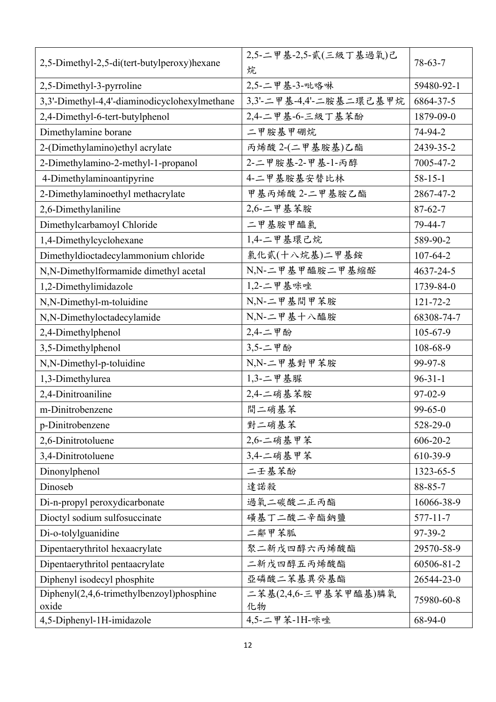| 2,5-Dimethyl-2,5-di(tert-butylperoxy)hexane        | 2,5-二甲基-2,5-貳(三級丁基過氧)己<br>烷 | $78 - 63 - 7$  |
|----------------------------------------------------|-----------------------------|----------------|
| 2,5-Dimethyl-3-pyrroline                           | 2,5-二甲基-3-吡咯啉               | 59480-92-1     |
| 3,3'-Dimethyl-4,4'-diaminodicyclohexylmethane      | 3,3'-二甲基-4,4'-二胺基二環己基甲烷     | 6864-37-5      |
| 2,4-Dimethyl-6-tert-butylphenol                    | 2,4-二甲基-6-三級丁基苯酚            | 1879-09-0      |
| Dimethylamine borane                               | 二甲胺基甲硼烷                     | 74-94-2        |
| 2-(Dimethylamino) ethyl acrylate                   | 丙烯酸 2-(二甲基胺基)乙酯             | 2439-35-2      |
| 2-Dimethylamino-2-methyl-1-propanol                | 2-二甲胺基-2-甲基-1-丙醇            | 7005-47-2      |
| 4-Dimethylaminoantipyrine                          | 4-二甲基胺基安替比林                 | $58 - 15 - 1$  |
| 2-Dimethylaminoethyl methacrylate                  | 甲基丙烯酸 2-二甲基胺乙酯              | 2867-47-2      |
| 2,6-Dimethylaniline                                | 2,6-二甲基苯胺                   | $87 - 62 - 7$  |
| Dimethylcarbamoyl Chloride                         | 二甲基胺甲醯氯                     | 79-44-7        |
| 1,4-Dimethylcyclohexane                            | 1,4-二甲基環己烷                  | 589-90-2       |
| Dimethyldioctadecylammonium chloride               | 氯化貳(十八烷基)二甲基銨               | $107 - 64 - 2$ |
| N,N-Dimethylformamide dimethyl acetal              | N,N-二甲基甲醯胺二甲基缩醛             | 4637-24-5      |
| 1,2-Dimethylimidazole                              | $1,2$ -二甲基咪唑                | 1739-84-0      |
| N,N-Dimethyl-m-toluidine                           | N,N-二甲基間甲苯胺                 | $121 - 72 - 2$ |
| N,N-Dimethyloctadecylamide                         | N,N-二甲基十八醯胺                 | 68308-74-7     |
| 2,4-Dimethylphenol                                 | 2,4-二甲酚                     | $105 - 67 - 9$ |
| 3,5-Dimethylphenol                                 | 3,5-二甲酚                     | 108-68-9       |
| N,N-Dimethyl-p-toluidine                           | N,N-二甲基對甲苯胺                 | 99-97-8        |
| 1,3-Dimethylurea                                   | $1,3-$ 二甲基脲                 | $96 - 31 - 1$  |
| 2,4-Dinitroaniline                                 | 2,4-二硝基苯胺                   | 97-02-9        |
| m-Dinitrobenzene                                   | 間二硝基苯                       | $99 - 65 - 0$  |
| p-Dinitrobenzene                                   | 對二硝基苯                       | 528-29-0       |
| 2,6-Dinitrotoluene                                 | 2,6-二硝基甲苯                   | $606 - 20 - 2$ |
| 3,4-Dinitrotoluene                                 | 3,4-二硝基甲苯                   | 610-39-9       |
| Dinonylphenol                                      | 二壬基苯酚                       | 1323-65-5      |
| Dinoseb                                            | 達諾殺                         | $88 - 85 - 7$  |
| Di-n-propyl peroxydicarbonate                      | 過氧二碳酸二正丙酯                   | 16066-38-9     |
| Dioctyl sodium sulfosuccinate                      | 磺基丁二酸二辛酯鈉鹽                  | $577 - 11 - 7$ |
| Di-o-tolylguanidine                                | 二鄰甲苯胍                       | $97-39-2$      |
| Dipentaerythritol hexaacrylate                     | 聚二新戊四醇六丙烯酸酯                 | 29570-58-9     |
| Dipentaerythritol pentaacrylate                    | 二新戊四醇五丙烯酸酯                  | 60506-81-2     |
| Diphenyl isodecyl phosphite                        | 亞磷酸二苯基異癸基酯                  | 26544-23-0     |
| Diphenyl(2,4,6-trimethylbenzoyl)phosphine<br>oxide | 二苯基(2,4,6-三甲基苯甲醯基)膦氧<br>化物  | 75980-60-8     |
| 4,5-Diphenyl-1H-imidazole                          | 4,5-二甲苯-1H-咪唑               | 68-94-0        |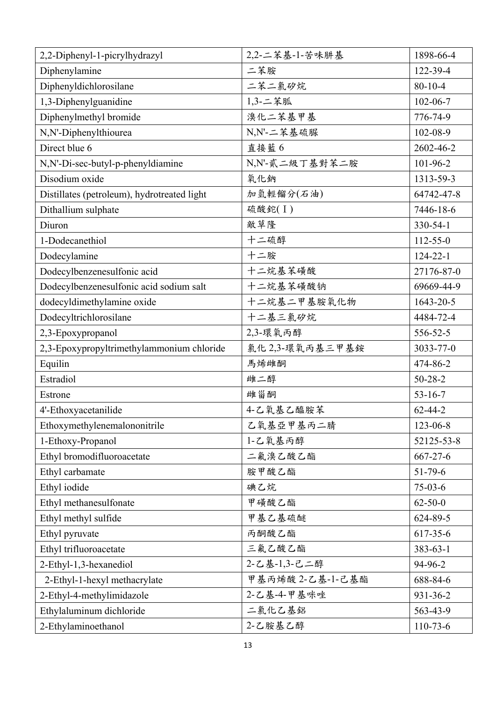| 2,2-Diphenyl-1-picrylhydrazyl               | 2,2-二苯基-1-苦味肼基   | 1898-66-4      |
|---------------------------------------------|------------------|----------------|
| Diphenylamine                               | 二苯胺              | 122-39-4       |
| Diphenyldichlorosilane                      | 二苯二氯矽烷           | $80 - 10 - 4$  |
| 1,3-Diphenylguanidine                       | 1,3-二苯胍          | $102 - 06 - 7$ |
| Diphenylmethyl bromide                      | 溴化二苯基甲基          | 776-74-9       |
| N,N'-Diphenylthiourea                       | N,N'-二苯基硫脲       | 102-08-9       |
| Direct blue 6                               | 直接藍6             | 2602-46-2      |
| N,N'-Di-sec-butyl-p-phenyldiamine           | N,N'-貳二級丁基對苯二胺   | 101-96-2       |
| Disodium oxide                              | 氧化鈉              | 1313-59-3      |
| Distillates (petroleum), hydrotreated light | 加氫輕餾分(石油)        | 64742-47-8     |
| Dithallium sulphate                         | 硫酸鉈(I)           | 7446-18-6      |
| Diuron                                      | 敵草隆              | 330-54-1       |
| 1-Dodecanethiol                             | 十二硫醇             | $112 - 55 - 0$ |
| Dodecylamine                                | 十二胺              | $124 - 22 - 1$ |
| Dodecylbenzenesulfonic acid                 | 十二烷基苯磺酸          | 27176-87-0     |
| Dodecylbenzenesulfonic acid sodium salt     | 十二烷基苯磺酸钠         | 69669-44-9     |
| dodecyldimethylamine oxide                  | 十二烷基二甲基胺氧化物      | 1643-20-5      |
| Dodecyltrichlorosilane                      | 十二基三氯矽烷          | 4484-72-4      |
| 2,3-Epoxypropanol                           | 2,3-環氧丙醇         | 556-52-5       |
| 2,3-Epoxypropyltrimethylammonium chloride   | 氯化2,3-環氧丙基三甲基銨   | 3033-77-0      |
| Equilin                                     | 馬烯雌酮             | 474-86-2       |
| Estradiol                                   | 雌二醇              | $50 - 28 - 2$  |
| Estrone                                     | 雌甾酮              | $53 - 16 - 7$  |
| 4'-Ethoxyacetanilide                        | 4-乙氧基乙醯胺苯        | $62 - 44 - 2$  |
| Ethoxymethylenemalononitrile                | 乙氧基亞甲基丙二腈        | 123-06-8       |
| 1-Ethoxy-Propanol                           | 1-乙氧基丙醇          | 52125-53-8     |
| Ethyl bromodifluoroacetate                  | 二氟溴乙酸乙酯          | $667 - 27 - 6$ |
| Ethyl carbamate                             | 胺甲酸乙酯            | $51 - 79 - 6$  |
| Ethyl iodide                                | 碘乙烷              | $75-03-6$      |
| Ethyl methanesulfonate                      | 甲磺酸乙酯            | $62 - 50 - 0$  |
| Ethyl methyl sulfide                        | 甲基乙基硫醚           | 624-89-5       |
| Ethyl pyruvate                              | 丙酮酸乙酯            | 617-35-6       |
| Ethyl trifluoroacetate                      | 三氟乙酸乙酯           | 383-63-1       |
| 2-Ethyl-1,3-hexanediol                      | 2-乙基-1,3-己二醇     | 94-96-2        |
| 2-Ethyl-1-hexyl methacrylate                | 甲基丙烯酸 2-乙基-1-己基酯 | 688-84-6       |
| 2-Ethyl-4-methylimidazole                   | 2-乙基-4-甲基咪唑      | 931-36-2       |
| Ethylaluminum dichloride                    | 二氯化乙基鋁           | 563-43-9       |
| 2-Ethylaminoethanol                         | 2-乙胺基乙醇          | $110-73-6$     |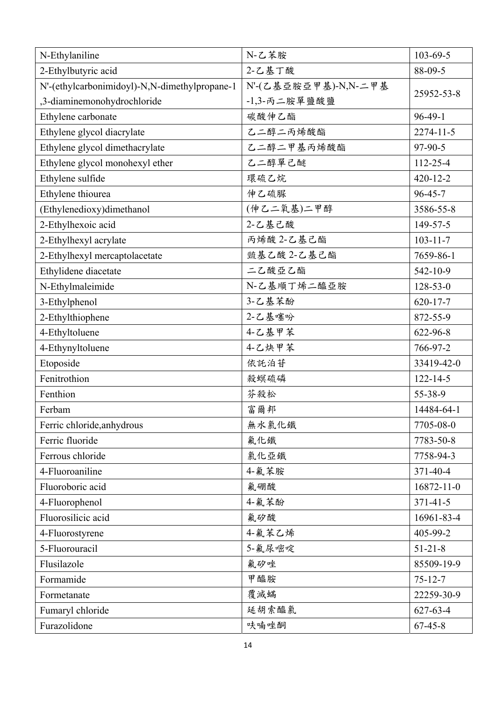| N-Ethylaniline                                | N-乙苯胺                | $103 - 69 - 5$   |
|-----------------------------------------------|----------------------|------------------|
| 2-Ethylbutyric acid                           | 2-乙基丁酸               | 88-09-5          |
| N'-(ethylcarbonimidoyl)-N,N-dimethylpropane-1 | N'-(乙基亞胺亞甲基)-N,N-二甲基 |                  |
| ,3-diaminemonohydrochloride                   | $-1,3$ -丙二胺單鹽酸鹽      | 25952-53-8       |
| Ethylene carbonate                            | 碳酸伸乙酯                | $96-49-1$        |
| Ethylene glycol diacrylate                    | 乙二醇二丙烯酸酯             | $2274 - 11 - 5$  |
| Ethylene glycol dimethacrylate                | 乙二醇二甲基丙烯酸酯           | 97-90-5          |
| Ethylene glycol monohexyl ether               | 乙二醇單己醚               | 112-25-4         |
| Ethylene sulfide                              | 環硫乙烷                 | $420 - 12 - 2$   |
| Ethylene thiourea                             | 伸乙硫脲                 | $96 - 45 - 7$    |
| (Ethylenedioxy)dimethanol                     | (伸乙二氧基)二甲醇           | 3586-55-8        |
| 2-Ethylhexoic acid                            | 2-乙基己酸               | 149-57-5         |
| 2-Ethylhexyl acrylate                         | 丙烯酸 2-乙基己酯           | $103 - 11 - 7$   |
| 2-Ethylhexyl mercaptolacetate                 | 巰基乙酸 2-乙基己酯          | 7659-86-1        |
| Ethylidene diacetate                          | 二乙酸亞乙酯               | 542-10-9         |
| N-Ethylmaleimide                              | N-乙基順丁烯二醯亞胺          | $128 - 53 - 0$   |
| 3-Ethylphenol                                 | 3-乙基苯酚               | $620 - 17 - 7$   |
| 2-Ethylthiophene                              | 2-乙基噻吩               | 872-55-9         |
| 4-Ethyltoluene                                | 4-乙基甲苯               | 622-96-8         |
| 4-Ethynyltoluene                              | 4-乙炔甲苯               | 766-97-2         |
| Etoposide                                     | 依託泊苷                 | 33419-42-0       |
| Fenitrothion                                  | 殺螟硫磷                 | $122 - 14 - 5$   |
| Fenthion                                      | 芬殺松                  | 55-38-9          |
| Ferbam                                        | 富爾邦                  | 14484-64-1       |
| Ferric chloride, anhydrous                    | 無水氯化鐵                | 7705-08-0        |
| Ferric fluoride                               | 氟化鐵                  | 7783-50-8        |
| Ferrous chloride                              | 氯化亞鐵                 | 7758-94-3        |
| 4-Fluoroaniline                               | 4-氟苯胺                | 371-40-4         |
| Fluoroboric acid                              | 氟硼酸                  | $16872 - 11 - 0$ |
| 4-Fluorophenol                                | 4-氟苯酚                | $371 - 41 - 5$   |
| Fluorosilicic acid                            | 氟矽酸                  | 16961-83-4       |
| 4-Fluorostyrene                               | 4-氟苯乙烯               | 405-99-2         |
| 5-Fluorouracil                                | 5-氟尿嘧啶               | $51 - 21 - 8$    |
| Flusilazole                                   | 氟矽唑                  | 85509-19-9       |
| Formamide                                     | 甲醯胺                  | $75 - 12 - 7$    |
| Formetanate                                   | 覆滅蟎                  | 22259-30-9       |
| Fumaryl chloride                              | 延胡索醯氯                | $627 - 63 - 4$   |
| Furazolidone                                  | 呋喃唑酮                 | $67 - 45 - 8$    |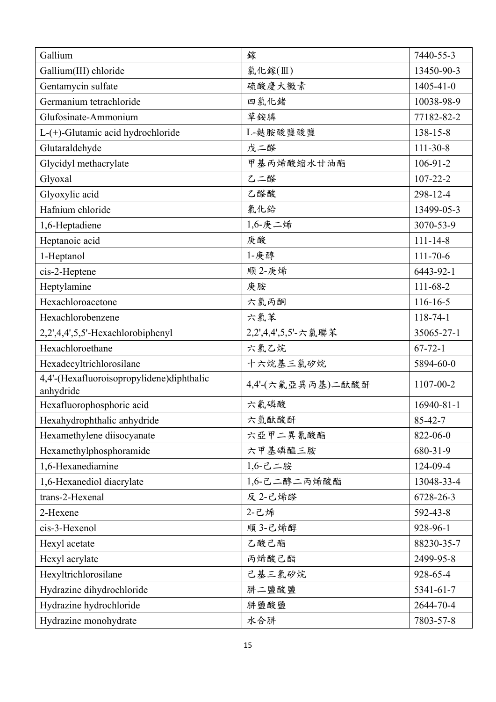| Gallium                                                | 鎵                   | 7440-55-3       |
|--------------------------------------------------------|---------------------|-----------------|
| Gallium(III) chloride                                  | 氯化鎵(Ⅲ)              | 13450-90-3      |
| Gentamycin sulfate                                     | 硫酸慶大黴素              | $1405 - 41 - 0$ |
| Germanium tetrachloride                                | 四氯化鍺                | 10038-98-9      |
| Glufosinate-Ammonium                                   | 草銨膦                 | 77182-82-2      |
| L-(+)-Glutamic acid hydrochloride                      | L-麩胺酸鹽酸鹽            | 138-15-8        |
| Glutaraldehyde                                         | 戊二醛                 | $111 - 30 - 8$  |
| Glycidyl methacrylate                                  | 甲基丙烯酸缩水甘油酯          | $106-91-2$      |
| Glyoxal                                                | 乙二醛                 | $107 - 22 - 2$  |
| Glyoxylic acid                                         | 乙醛酸                 | 298-12-4        |
| Hafnium chloride                                       | 氯化鉿                 | 13499-05-3      |
| 1,6-Heptadiene                                         | 1,6-庚二烯             | 3070-53-9       |
| Heptanoic acid                                         | 庚酸                  | $111 - 14 - 8$  |
| 1-Heptanol                                             | 1-庚醇                | $111 - 70 - 6$  |
| cis-2-Heptene                                          | 顺 2-庚烯              | 6443-92-1       |
| Heptylamine                                            | 庚胺                  | $111 - 68 - 2$  |
| Hexachloroacetone                                      | 六氯丙酮                | $116 - 16 - 5$  |
| Hexachlorobenzene                                      | 六氯苯                 | $118 - 74 - 1$  |
| 2,2',4,4',5,5'-Hexachlorobiphenyl                      | 2,2',4,4',5,5'-六氯聯苯 | 35065-27-1      |
| Hexachloroethane                                       | 六氯乙烷                | $67 - 72 - 1$   |
| Hexadecyltrichlorosilane                               | 十六烷基三氯矽烷            | 5894-60-0       |
| 4,4'-(Hexafluoroisopropylidene)diphthalic<br>anhydride | 4,4'-(六氟亞異丙基)二酞酸酐   | 1107-00-2       |
| Hexafluorophosphoric acid                              | 六氟磷酸                | 16940-81-1      |
| Hexahydrophthalic anhydride                            | 六氫酞酸酐               | 85-42-7         |
| Hexamethylene diisocyanate                             | 六亞甲二異氰酸酯            | 822-06-0        |
| Hexamethylphosphoramide                                | 六甲基磷醯三胺             | 680-31-9        |
| 1,6-Hexanediamine                                      | $1,6$ -己二胺          | 124-09-4        |
| 1,6-Hexanediol diacrylate                              | 1,6-己二醇二丙烯酸酯        | 13048-33-4      |
| trans-2-Hexenal                                        | 反 2-己烯醛             | 6728-26-3       |
| 2-Hexene                                               | 2-己烯                | 592-43-8        |
| cis-3-Hexenol                                          | 順 3-己烯醇             | 928-96-1        |
| Hexyl acetate                                          | 乙酸己酯                | 88230-35-7      |
| Hexyl acrylate                                         | 丙烯酸己酯               | 2499-95-8       |
| Hexyltrichlorosilane                                   | 己基三氯矽烷              | 928-65-4        |
| Hydrazine dihydrochloride                              | 肼二鹽酸鹽               | 5341-61-7       |
| Hydrazine hydrochloride                                | 肼鹽酸鹽                | 2644-70-4       |
| Hydrazine monohydrate                                  | 水合肼                 | 7803-57-8       |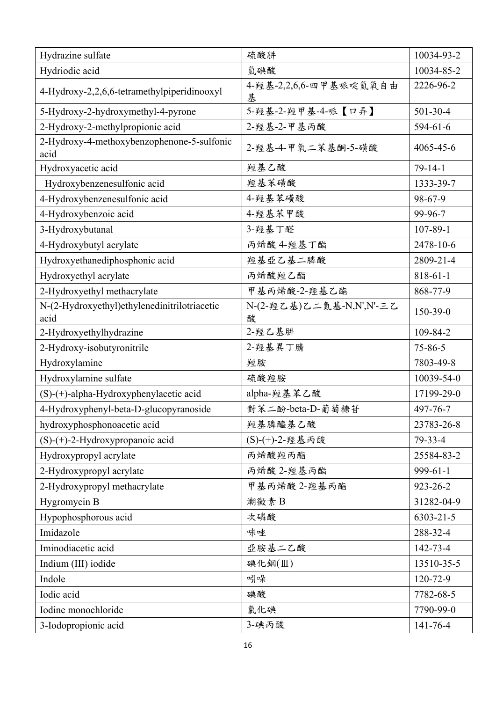| Hydrazine sulfate                                    | 硫酸肼                           | 10034-93-2      |
|------------------------------------------------------|-------------------------------|-----------------|
| Hydriodic acid                                       | 氫碘酸                           | 10034-85-2      |
| 4-Hydroxy-2,2,6,6-tetramethylpiperidinooxyl          | 4- 羥基-2,2,6,6- 四甲基哌啶氮氧自由<br>基 | 2226-96-2       |
| 5-Hydroxy-2-hydroxymethyl-4-pyrone                   | 5-羥基-2-羥甲基-4-哌【口弄】            | $501-30-4$      |
| 2-Hydroxy-2-methylpropionic acid                     | 2- 羥基-2-甲基丙酸                  | $594 - 61 - 6$  |
| 2-Hydroxy-4-methoxybenzophenone-5-sulfonic<br>acid   | 2- 羥基-4-甲氧二苯基酮-5-磺酸           | 4065-45-6       |
| Hydroxyacetic acid                                   | 羥基乙酸                          | $79 - 14 - 1$   |
| Hydroxybenzenesulfonic acid                          | 羥基苯磺酸                         | 1333-39-7       |
| 4-Hydroxybenzenesulfonic acid                        | 4-經基苯磺酸                       | 98-67-9         |
| 4-Hydroxybenzoic acid                                | 4- 經基苯甲酸                      | 99-96-7         |
| 3-Hydroxybutanal                                     | 3- 羥基丁醛                       | $107 - 89 - 1$  |
| 4-Hydroxybutyl acrylate                              | 丙烯酸 4-羥基丁酯                    | 2478-10-6       |
| Hydroxyethanediphosphonic acid                       | 羥基亞乙基二膦酸                      | 2809-21-4       |
| Hydroxyethyl acrylate                                | 丙烯酸羥乙酯                        | 818-61-1        |
| 2-Hydroxyethyl methacrylate                          | 甲基丙烯酸-2-羥基乙酯                  | 868-77-9        |
| N-(2-Hydroxyethyl)ethylenedinitrilotriacetic<br>acid | N-(2-羥乙基)乙二氮基-N,N',N'-三乙<br>酸 | 150-39-0        |
| 2-Hydroxyethylhydrazine                              | 2-羥乙基肼                        | 109-84-2        |
| 2-Hydroxy-isobutyronitrile                           | 2-羥基異丁腈                       | $75 - 86 - 5$   |
| Hydroxylamine                                        | 羥胺                            | 7803-49-8       |
| Hydroxylamine sulfate                                | 硫酸羥胺                          | 10039-54-0      |
| (S)-(+)-alpha-Hydroxyphenylacetic acid               | alpha-羥基苯乙酸                   | 17199-29-0      |
| 4-Hydroxyphenyl-beta-D-glucopyranoside               | 對苯二酚-beta-D-葡萄糖苷              | 497-76-7        |
| hydroxyphosphonoacetic acid                          | 羥基膦醯基乙酸                       | 23783-26-8      |
| $(S)-(+)$ -2-Hydroxypropanoic acid                   | (S)-(+)-2- 羥基丙酸               | 79-33-4         |
| Hydroxypropyl acrylate                               | 丙烯酸羥丙酯                        | 25584-83-2      |
| 2-Hydroxypropyl acrylate                             | 丙烯酸 2-羥基丙酯                    | $999-61-1$      |
| 2-Hydroxypropyl methacrylate                         | 甲基丙烯酸 2-羥基丙酯                  | 923-26-2        |
| Hygromycin B                                         | 潮黴素B                          | 31282-04-9      |
| Hypophosphorous acid                                 | 次磷酸                           | $6303 - 21 - 5$ |
| Imidazole                                            | 咪唑                            | 288-32-4        |
| Iminodiacetic acid                                   | 亞胺基二乙酸                        | 142-73-4        |
| Indium (III) iodide                                  | 碘化銦(Ⅲ)                        | 13510-35-5      |
| Indole                                               | 吲哚                            | 120-72-9        |
| Iodic acid                                           | 碘酸                            | 7782-68-5       |
| Iodine monochloride                                  | 氯化碘                           | 7790-99-0       |
| 3-Iodopropionic acid                                 | 3-碘丙酸                         | $141 - 76 - 4$  |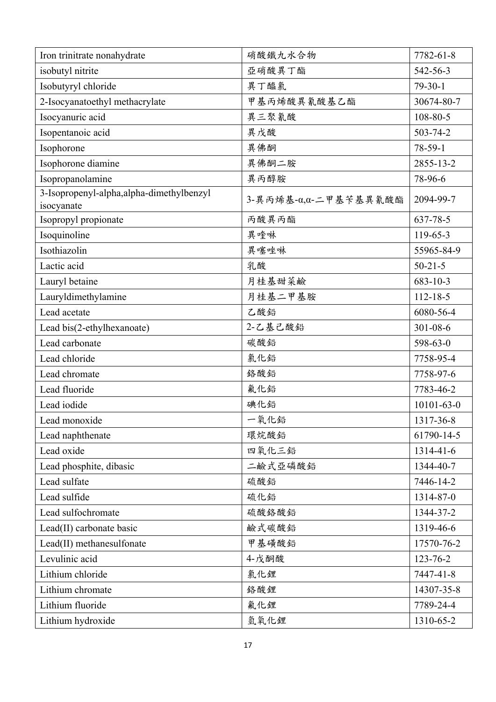| Iron trinitrate nonahydrate                             | 硝酸鐵九水合物                                   | 7782-61-8        |
|---------------------------------------------------------|-------------------------------------------|------------------|
| isobutyl nitrite                                        | 亞硝酸異丁酯                                    | 542-56-3         |
| Isobutyryl chloride                                     | 異丁醯氯                                      | $79-30-1$        |
| 2-Isocyanatoethyl methacrylate                          | 甲基丙烯酸異氰酸基乙酯                               | 30674-80-7       |
| Isocyanuric acid                                        | 異三聚氰酸                                     | 108-80-5         |
| Isopentanoic acid                                       | 異戊酸                                       | 503-74-2         |
| Isophorone                                              | 異佛酮                                       | 78-59-1          |
| Isophorone diamine                                      | 異佛酮二胺                                     | 2855-13-2        |
| Isopropanolamine                                        | 異丙醇胺                                      | 78-96-6          |
| 3-Isopropenyl-alpha, alpha-dimethylbenzyl<br>isocyanate | $3$ -異丙烯基- $\alpha$ , $\alpha$ -二甲基苄基異氰酸酯 | 2094-99-7        |
| Isopropyl propionate                                    | 丙酸異丙酯                                     | 637-78-5         |
| Isoquinoline                                            | 異喹啉                                       | 119-65-3         |
| Isothiazolin                                            | 異噻唑啉                                      | 55965-84-9       |
| Lactic acid                                             | 乳酸                                        | $50 - 21 - 5$    |
| Lauryl betaine                                          | 月桂基甜菜鹼                                    | $683 - 10 - 3$   |
| Lauryldimethylamine                                     | 月桂基二甲基胺                                   | $112 - 18 - 5$   |
| Lead acetate                                            | 乙酸鉛                                       | 6080-56-4        |
| Lead bis(2-ethylhexanoate)                              | 2-乙基己酸鉛                                   | $301 - 08 - 6$   |
| Lead carbonate                                          | 碳酸鉛                                       | 598-63-0         |
| Lead chloride                                           | 氯化鉛                                       | 7758-95-4        |
| Lead chromate                                           | 絡酸鉛                                       | 7758-97-6        |
| Lead fluoride                                           | 氟化鉛                                       | 7783-46-2        |
| Lead iodide                                             | 碘化鉛                                       | $10101 - 63 - 0$ |
| Lead monoxide                                           | 一氧化鉛                                      | 1317-36-8        |
| Lead naphthenate                                        | 環烷酸鉛                                      | 61790-14-5       |
| Lead oxide                                              | 四氧化三鉛                                     | 1314-41-6        |
| Lead phosphite, dibasic                                 | 二鹼式亞磷酸鉛                                   | 1344-40-7        |
| Lead sulfate                                            | 硫酸鉛                                       | 7446-14-2        |
| Lead sulfide                                            | 硫化鉛                                       | 1314-87-0        |
| Lead sulfochromate                                      | 硫酸络酸鉛                                     | 1344-37-2        |
| Lead(II) carbonate basic                                | 鹼式碳酸鉛                                     | 1319-46-6        |
| Lead(II) methanesulfonate                               | 甲基磺酸鉛                                     | 17570-76-2       |
| Levulinic acid                                          | 4-戊酮酸                                     | 123-76-2         |
| Lithium chloride                                        | 氯化鋰                                       | 7447-41-8        |
| Lithium chromate                                        | 絡酸鋰                                       | 14307-35-8       |
| Lithium fluoride                                        | 氟化鋰                                       | 7789-24-4        |
| Lithium hydroxide                                       | 氫氧化鋰                                      | 1310-65-2        |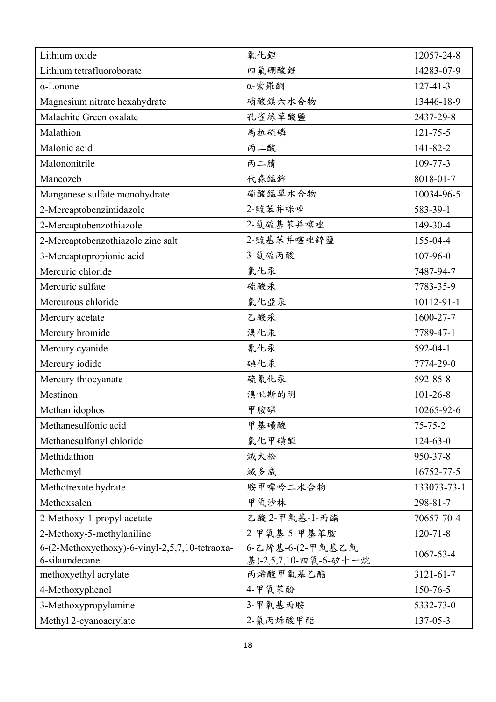| Lithium oxide                                  | 氧化鋰                   | 12057-24-8     |
|------------------------------------------------|-----------------------|----------------|
| Lithium tetrafluoroborate                      | 四氟硼酸鋰                 | 14283-07-9     |
| $\alpha$ -Lonone                               | α-紫羅酮                 | $127 - 41 - 3$ |
| Magnesium nitrate hexahydrate                  | 硝酸鎂六水合物               | 13446-18-9     |
| Malachite Green oxalate                        | 孔雀綠草酸鹽                | 2437-29-8      |
| Malathion                                      | 馬拉硫磷                  | $121 - 75 - 5$ |
| Malonic acid                                   | 丙二酸                   | 141-82-2       |
| Malononitrile                                  | 丙二腈                   | $109 - 77 - 3$ |
| Mancozeb                                       | 代森錳鋅                  | 8018-01-7      |
| Manganese sulfate monohydrate                  | 硫酸錳單水合物               | 10034-96-5     |
| 2-Mercaptobenzimidazole                        | 2-巰苯并咪唑               | 583-39-1       |
| 2-Mercaptobenzothiazole                        | 2-氫硫基苯并噻唑             | 149-30-4       |
| 2-Mercaptobenzothiazole zinc salt              | 2- 巯基苯并噻唑鋅鹽           | 155-04-4       |
| 3-Mercaptopropionic acid                       | 3-氫硫丙酸                | 107-96-0       |
| Mercuric chloride                              | 氯化汞                   | 7487-94-7      |
| Mercuric sulfate                               | 硫酸汞                   | 7783-35-9      |
| Mercurous chloride                             | 氯化亞汞                  | 10112-91-1     |
| Mercury acetate                                | 乙酸汞                   | 1600-27-7      |
| Mercury bromide                                | 溴化汞                   | 7789-47-1      |
| Mercury cyanide                                | 氰化汞                   | 592-04-1       |
| Mercury iodide                                 | 碘化汞                   | 7774-29-0      |
| Mercury thiocyanate                            | 硫氰化汞                  | 592-85-8       |
| Mestinon                                       | 溴吡斯的明                 | $101 - 26 - 8$ |
| Methamidophos                                  | 甲胺磷                   | 10265-92-6     |
| Methanesulfonic acid                           | 甲基磺酸                  | $75 - 75 - 2$  |
| Methanesulfonyl chloride                       | 氯化甲磺醯                 | $124 - 63 - 0$ |
| Methidathion                                   | 滅大松                   | 950-37-8       |
| Methomyl                                       | 滅多威                   | 16752-77-5     |
| Methotrexate hydrate                           | 胺甲嘌呤二水合物              | 133073-73-1    |
| Methoxsalen                                    | 甲氧沙林                  | 298-81-7       |
| 2-Methoxy-1-propyl acetate                     | 乙酸 2-甲氧基-1-丙酯         | 70657-70-4     |
| 2-Methoxy-5-methylaniline                      | 2-甲氧基-5-甲基苯胺          | $120 - 71 - 8$ |
| 6-(2-Methoxyethoxy)-6-vinyl-2,5,7,10-tetraoxa- | 6-乙烯基-6-(2-甲氧基乙氧      | 1067-53-4      |
| 6-silaundecane                                 | 基)-2,5,7,10-四氧-6-矽十一烷 |                |
| methoxyethyl acrylate                          | 丙烯酸甲氧基乙酯              | 3121-61-7      |
| 4-Methoxyphenol                                | 4-甲氧苯酚                | 150-76-5       |
| 3-Methoxypropylamine                           | 3-甲氧基丙胺               | 5332-73-0      |
| Methyl 2-cyanoacrylate                         | 2-氰丙烯酸甲酯              | $137 - 05 - 3$ |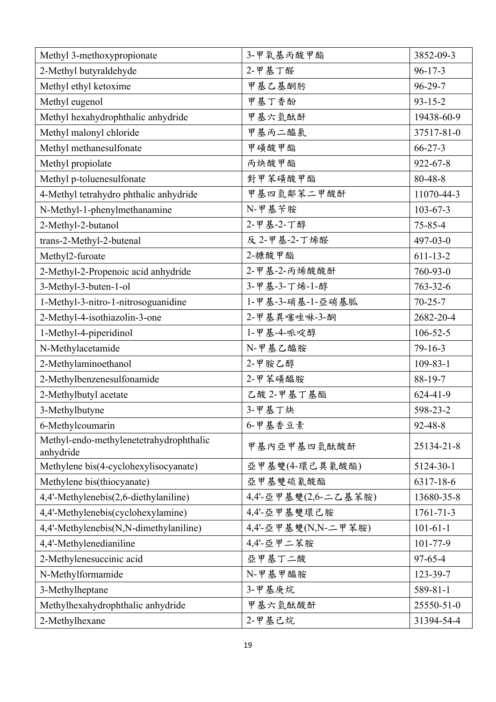| Methyl 3-methoxypropionate                           | 3-甲氧基丙酸甲酯            | 3852-09-3       |
|------------------------------------------------------|----------------------|-----------------|
| 2-Methyl butyraldehyde                               | 2-甲基丁醛               | $96 - 17 - 3$   |
| Methyl ethyl ketoxime                                | 甲基乙基酮肟               | $96 - 29 - 7$   |
| Methyl eugenol                                       | 甲基丁香酚                | $93 - 15 - 2$   |
| Methyl hexahydrophthalic anhydride                   | 甲基六氫酞酐               | 19438-60-9      |
| Methyl malonyl chloride                              | 甲基丙二醯氯               | 37517-81-0      |
| Methyl methanesulfonate                              | 甲磺酸甲酯                | $66 - 27 - 3$   |
| Methyl propiolate                                    | 丙炔酸甲酯                | $922 - 67 - 8$  |
| Methyl p-toluenesulfonate                            | 對甲苯磺酸甲酯              | 80-48-8         |
| 4-Methyl tetrahydro phthalic anhydride               | 甲基四氫鄰苯二甲酸酐           | 11070-44-3      |
| N-Methyl-1-phenylmethanamine                         | N-甲基苄胺               | $103 - 67 - 3$  |
| 2-Methyl-2-butanol                                   | 2-甲基-2-丁醇            | $75 - 85 - 4$   |
| trans-2-Methyl-2-butenal                             | 反 2-甲基-2-丁烯醛         | 497-03-0        |
| Methyl2-furoate                                      | 2-糠酸甲酯               | $611 - 13 - 2$  |
| 2-Methyl-2-Propenoic acid anhydride                  | 2-甲基-2-丙烯酸酸酐         | 760-93-0        |
| 3-Methyl-3-buten-1-ol                                | 3-甲基-3-丁烯-1-醇        | $763 - 32 - 6$  |
| 1-Methyl-3-nitro-1-nitrosoguanidine                  | 1-甲基-3-硝基-1-亞硝基胍     | $70 - 25 - 7$   |
| 2-Methyl-4-isothiazolin-3-one                        | 2-甲基異噻唑啉-3-酮         | 2682-20-4       |
| 1-Methyl-4-piperidinol                               | 1-甲基-4-哌啶醇           | $106 - 52 - 5$  |
| N-Methylacetamide                                    | N-甲基乙醯胺              | $79 - 16 - 3$   |
| 2-Methylaminoethanol                                 | 2-甲胺乙醇               | $109 - 83 - 1$  |
| 2-Methylbenzenesulfonamide                           | 2-甲苯磺醯胺              | $88-19-7$       |
| 2-Methylbutyl acetate                                | 乙酸 2-甲基丁基酯           | $624 - 41 - 9$  |
| 3-Methylbutyne                                       | 3-甲基丁炔               | 598-23-2        |
| 6-Methylcoumarin                                     | 6-甲基香豆素              | 92-48-8         |
| Methyl-endo-methylenetetrahydrophthalic<br>anhydride | 甲基内亞甲基四氫酞酸酐          | 25134-21-8      |
| Methylene bis(4-cyclohexylisocyanate)                | 亞甲基雙(4-環己異氰酸酯)       | 5124-30-1       |
| Methylene bis(thiocyanate)                           | 亞甲基雙硫氰酸酯             | 6317-18-6       |
| 4,4'-Methylenebis(2,6-diethylaniline)                | 4,4'-亞甲基雙(2,6-二乙基苯胺) | 13680-35-8      |
| 4,4'-Methylenebis(cyclohexylamine)                   | 4,4'-亞甲基雙環己胺         | $1761 - 71 - 3$ |
| 4,4'-Methylenebis(N,N-dimethylaniline)               | 4,4'-亞甲基雙(N,N-二甲苯胺)  | $101 - 61 - 1$  |
| 4,4'-Methylenedianiline                              | 4,4'-亞甲二苯胺           | $101 - 77 - 9$  |
| 2-Methylenesuccinic acid                             | 亞甲基丁二酸               | $97 - 65 - 4$   |
| N-Methylformamide                                    | N-甲基甲醯胺              | 123-39-7        |
| 3-Methylheptane                                      | 3-甲基庚烷               | 589-81-1        |
| Methylhexahydrophthalic anhydride                    | 甲基六氫酞酸酐              | 25550-51-0      |
| 2-Methylhexane                                       | 2-甲基己烷               | 31394-54-4      |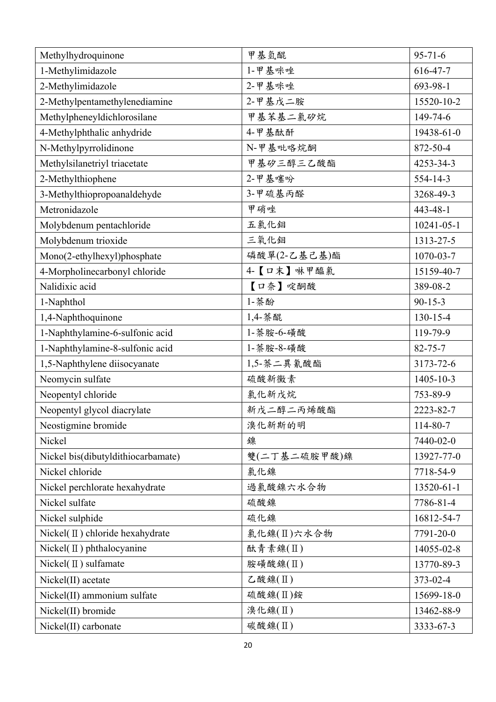| Methylhydroquinone                            | 甲基氫醌               | $95 - 71 - 6$    |
|-----------------------------------------------|--------------------|------------------|
| 1-Methylimidazole                             | 1-甲基咪唑             | 616-47-7         |
| 2-Methylimidazole                             | 2-甲基咪唑             | 693-98-1         |
| 2-Methylpentamethylenediamine                 | 2-甲基戊二胺            | 15520-10-2       |
| Methylpheneyldichlorosilane                   | 甲基苯基二氯矽烷           | 149-74-6         |
| 4-Methylphthalic anhydride                    | 4-甲基酞酐             | 19438-61-0       |
| N-Methylpyrrolidinone                         | N-甲基吡咯烷酮           | 872-50-4         |
| Methylsilanetriyl triacetate                  | 甲基矽三醇三乙酸酯          | 4253-34-3        |
| 2-Methylthiophene                             | 2-甲基噻吩             | 554-14-3         |
| 3-Methylthiopropoanaldehyde                   | 3-甲硫基丙醛            | 3268-49-3        |
| Metronidazole                                 | 甲硝唑                | 443-48-1         |
| Molybdenum pentachloride                      | 五氯化鉬               | $10241 - 05 - 1$ |
| Molybdenum trioxide                           | 三氧化鉬               | 1313-27-5        |
| Mono(2-ethylhexyl)phosphate                   | 磷酸單(2-乙基己基)酯       | 1070-03-7        |
| 4-Morpholinecarbonyl chloride                 | 4-【口末】啉甲醯氯         | 15159-40-7       |
| Nalidixic acid                                | 【口奈】啶酮酸            | 389-08-2         |
| 1-Naphthol                                    | 1-萘酚               | $90 - 15 - 3$    |
| 1,4-Naphthoquinone                            | 1,4-萘醌             | $130 - 15 - 4$   |
| 1-Naphthylamine-6-sulfonic acid               | 1- 萘胺-6-磺酸         | 119-79-9         |
| 1-Naphthylamine-8-sulfonic acid               | 1-萘胺-8-磺酸          | $82 - 75 - 7$    |
| 1,5-Naphthylene diisocyanate                  | 1,5-萘二異氰酸酯         | 3173-72-6        |
| Neomycin sulfate                              | 硫酸新黴素              | 1405-10-3        |
| Neopentyl chloride                            | 氯化新戊烷              | 753-89-9         |
| Neopentyl glycol diacrylate                   | 新戊二醇二丙烯酸酯          | 2223-82-7        |
| Neostigmine bromide                           | 溴化新斯的明             | 114-80-7         |
| Nickel                                        | 鎳                  | 7440-02-0        |
| Nickel bis(dibutyldithiocarbamate)            | 雙(二丁基二硫胺甲酸)鎳       | 13927-77-0       |
| Nickel chloride                               | 氯化鎳                | 7718-54-9        |
| Nickel perchlorate hexahydrate                | 過氯酸鎳六水合物           | 13520-61-1       |
| Nickel sulfate                                | 硫酸鎳                | 7786-81-4        |
| Nickel sulphide                               | 硫化鎳                | 16812-54-7       |
| Nickel( $\mathbf{\Pi}$ ) chloride hexahydrate | 氯化鎳(Ⅱ)六水合物         | 7791-20-0        |
| Nickel( $\mathbf{I}$ ) phthalocyanine         | 酞青素鎳(II)           | 14055-02-8       |
| Nickel( $\Pi$ ) sulfamate                     | 胺磺酸鎳(II)           | 13770-89-3       |
| Nickel(II) acetate                            | $\zeta$ 酸鎳 $(\Pi)$ | 373-02-4         |
| Nickel(II) ammonium sulfate                   | 硫酸鎳(Ⅱ)銨            | 15699-18-0       |
| Nickel(II) bromide                            | 溴化鎳(Ⅱ)             | 13462-88-9       |
| Nickel(II) carbonate                          | 碳酸鎳(II)            | 3333-67-3        |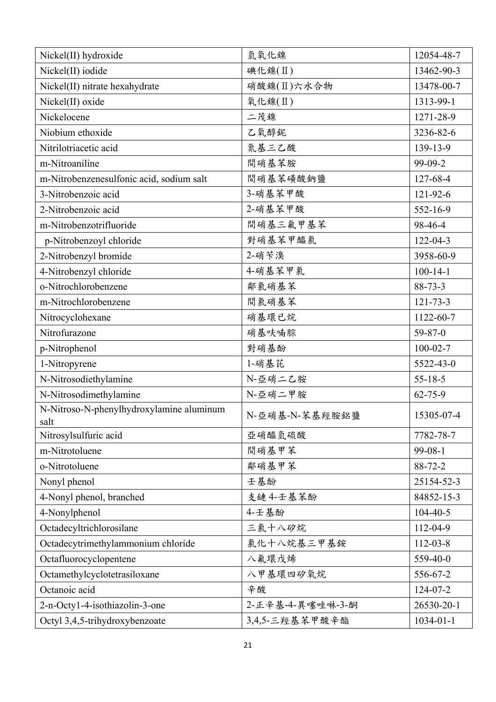| Nickel(II) hydroxide                             | 氫氧化鎳             | 12054-48-7      |
|--------------------------------------------------|------------------|-----------------|
| Nickel(II) iodide                                | 碘化镍(II)          | 13462-90-3      |
| Nickel(II) nitrate hexahydrate                   | 硝酸鎳(Ⅱ)六水合物       | 13478-00-7      |
| Nickel(II) oxide                                 | 氧化镍(II)          | 1313-99-1       |
| Nickelocene                                      | 二茂鎳              | 1271-28-9       |
| Niobium ethoxide                                 | 乙氧醇鈮             | 3236-82-6       |
| Nitrilotriacetic acid                            | 氮基三乙酸            | 139-13-9        |
| m-Nitroaniline                                   | 間硝基苯胺            | 99-09-2         |
| m-Nitrobenzenesulfonic acid, sodium salt         | 間硝基苯磺酸鈉鹽         | 127-68-4        |
| 3-Nitrobenzoic acid                              | 3-硝基苯甲酸          | 121-92-6        |
| 2-Nitrobenzoic acid                              | 2-硝基苯甲酸          | 552-16-9        |
| m-Nitrobenzotrifluoride                          | 間硝基三氟甲基苯         | 98-46-4         |
| p-Nitrobenzoyl chloride                          | 對硝基苯甲醯氯          | $122 - 04 - 3$  |
| 2-Nitrobenzyl bromide                            | 2-硝苄溴            | 3958-60-9       |
| 4-Nitrobenzyl chloride                           | 4-硝基苯甲氯          | $100 - 14 - 1$  |
| o-Nitrochlorobenzene                             | 鄰氯硝基苯            | $88 - 73 - 3$   |
| m-Nitrochlorobenzene                             | 間氯硝基苯            | $121 - 73 - 3$  |
| Nitrocyclohexane                                 | 硝基環已烷            | 1122-60-7       |
| Nitrofurazone                                    | 硝基呋喃腙            | $59 - 87 - 0$   |
| p-Nitrophenol                                    | 對硝基酚             | $100 - 02 - 7$  |
| 1-Nitropyrene                                    | 1-硝基芘            | 5522-43-0       |
| N-Nitrosodiethylamine                            | N-亞硝二乙胺          | $55 - 18 - 5$   |
| N-Nitrosodimethylamine                           | N-亞硝二甲胺          | $62 - 75 - 9$   |
| N-Nitroso-N-phenylhydroxylamine aluminum<br>salt | N-亞硝基-N-苯基羥胺鋁鹽   | 15305-07-4      |
| Nitrosylsulfuric acid                            | 亞硝醯氫硫酸           | 7782-78-7       |
| m-Nitrotoluene                                   | 間硝基甲苯            | 99-08-1         |
| o-Nitrotoluene                                   | 鄰硝基甲苯            | $88 - 72 - 2$   |
| Nonyl phenol                                     | 壬基酚              | 25154-52-3      |
| 4-Nonyl phenol, branched                         | 支鏈 4-壬基苯酚        | 84852-15-3      |
| 4-Nonylphenol                                    | 4-壬基酚            | $104 - 40 - 5$  |
| Octadecyltrichlorosilane                         | 三氯十八矽烷           | 112-04-9        |
| Octadecytrimethylammonium chloride               | 氯化十八烷基三甲基銨       | $112 - 03 - 8$  |
| Octafluorocyclopentene                           | 八氟環戊烯            | 559-40-0        |
| Octamethylcyclotetrasiloxane                     | 八甲基環四矽氧烷         | 556-67-2        |
| Octanoic acid                                    | 辛酸               | 124-07-2        |
| 2-n-Octy1-4-isothiazolin-3-one                   | 2-正辛基-4-異噻唑啉-3-酮 | 26530-20-1      |
| Octyl 3,4,5-trihydroxybenzoate                   | 3,4,5-三羥基苯甲酸辛酯   | $1034 - 01 - 1$ |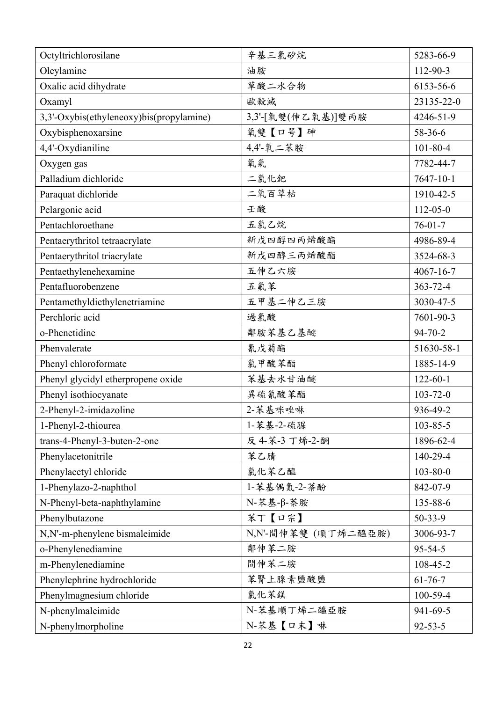| Octyltrichlorosilane                     | 辛基三氯矽烷              | 5283-66-9       |
|------------------------------------------|---------------------|-----------------|
| Oleylamine                               | 油胺                  | 112-90-3        |
| Oxalic acid dihydrate                    | 草酸二水合物              | 6153-56-6       |
| Oxamyl                                   | 歐殺滅                 | 23135-22-0      |
| 3,3'-Oxybis(ethyleneoxy)bis(propylamine) | 3,3'-[氧雙(伸乙氧基)]雙丙胺  | 4246-51-9       |
| Oxybisphenoxarsine                       | 氧雙【口咢】砷             | 58-36-6         |
| 4,4'-Oxydianiline                        | 4,4'-氧二苯胺           | $101 - 80 - 4$  |
| Oxygen gas                               | 氧氣                  | 7782-44-7       |
| Palladium dichloride                     | 二氯化鈀                | 7647-10-1       |
| Paraquat dichloride                      | 二氧百草枯               | 1910-42-5       |
| Pelargonic acid                          | 壬酸                  | $112 - 05 - 0$  |
| Pentachloroethane                        | 五氯乙烷                | $76 - 01 - 7$   |
| Pentaerythritol tetraacrylate            | 新戊四醇四丙烯酸酯           | 4986-89-4       |
| Pentaerythritol triacrylate              | 新戊四醇三丙烯酸酯           | 3524-68-3       |
| Pentaethylenehexamine                    | 五伸乙六胺               | $4067 - 16 - 7$ |
| Pentafluorobenzene                       | 五氟苯                 | 363-72-4        |
| Pentamethyldiethylenetriamine            | 五甲基二伸乙三胺            | 3030-47-5       |
| Perchloric acid                          | 過氯酸                 | 7601-90-3       |
| o-Phenetidine                            | 鄰胺苯基乙基醚             | $94 - 70 - 2$   |
| Phenvalerate                             | 氰戊菊酯                | 51630-58-1      |
| Phenyl chloroformate                     | 氯甲酸苯酯               | 1885-14-9       |
| Phenyl glycidyl etherpropene oxide       | 苯基去水甘油醚             | $122 - 60 - 1$  |
| Phenyl isothiocyanate                    | 異硫氰酸苯酯              | $103 - 72 - 0$  |
| 2-Phenyl-2-imidazoline                   | 2-苯基咪唑啉             | 936-49-2        |
| 1-Phenyl-2-thiourea                      | 1-苯基-2-硫脲           | $103 - 85 - 5$  |
| trans-4-Phenyl-3-buten-2-one             | 反 4-苯-3 丁烯-2-酮      | 1896-62-4       |
| Phenylacetonitrile                       | 苯乙腈                 | 140-29-4        |
| Phenylacetyl chloride                    | 氯化苯乙醯               | $103 - 80 - 0$  |
| 1-Phenylazo-2-naphthol                   | 1-苯基偶氮-2-萘酚         | 842-07-9        |
| N-Phenyl-beta-naphthylamine              | N-苯基-β-萘胺           | 135-88-6        |
| Phenylbutazone                           | 苯丁【口宗】              | $50 - 33 - 9$   |
| N,N'-m-phenylene bismaleimide            | N,N'-間伸苯雙 (順丁烯二醯亞胺) | 3006-93-7       |
| o-Phenylenediamine                       | 鄰伸苯二胺               | $95 - 54 - 5$   |
| m-Phenylenediamine                       | 間伸苯二胺               | 108-45-2        |
| Phenylephrine hydrochloride              | 苯腎上腺素鹽酸鹽            | $61 - 76 - 7$   |
| Phenylmagnesium chloride                 | 氯化苯鎂                | 100-59-4        |
| N-phenylmaleimide                        | N-苯基順丁烯二醯亞胺         | 941-69-5        |
| N-phenylmorpholine                       | N-苯基【口末】啉           | $92 - 53 - 5$   |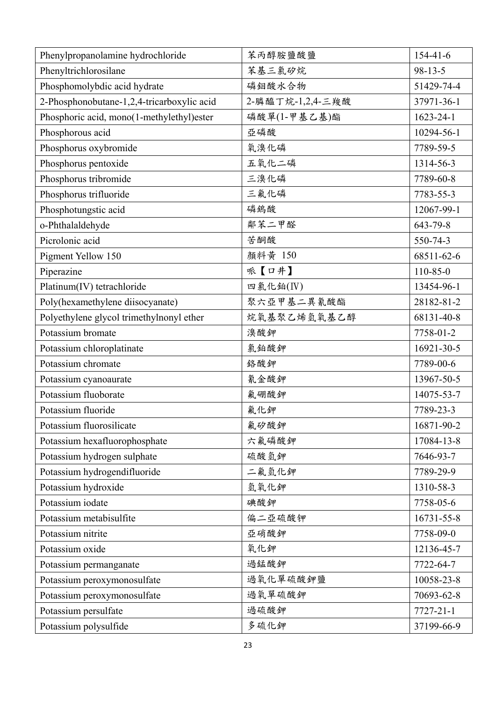| Phenylpropanolamine hydrochloride          | 苯丙醇胺鹽酸鹽          | $154 - 41 - 6$  |
|--------------------------------------------|------------------|-----------------|
| Phenyltrichlorosilane                      | 苯基三氯矽烷           | $98 - 13 - 5$   |
| Phosphomolybdic acid hydrate               | 磷鉬酸水合物           | 51429-74-4      |
| 2-Phosphonobutane-1,2,4-tricarboxylic acid | 2-膦醯丁烷-1,2,4-三羧酸 | 37971-36-1      |
| Phosphoric acid, mono(1-methylethyl)ester  | 磷酸單(1-甲基乙基)酯     | $1623 - 24 - 1$ |
| Phosphorous acid                           | 亞磷酸              | 10294-56-1      |
| Phosphorus oxybromide                      | 氧溴化磷             | 7789-59-5       |
| Phosphorus pentoxide                       | 五氧化二磷            | 1314-56-3       |
| Phosphorus tribromide                      | 三溴化磷             | 7789-60-8       |
| Phosphorus trifluoride                     | 三氟化磷             | 7783-55-3       |
| Phosphotungstic acid                       | 磷鎢酸              | 12067-99-1      |
| o-Phthalaldehyde                           | 鄰苯二甲醛            | 643-79-8        |
| Picrolonic acid                            | 苦酮酸              | 550-74-3        |
| Pigment Yellow 150                         | 顏料黃 150          | 68511-62-6      |
| Piperazine                                 | 哌【口井】            | 110-85-0        |
| Platinum(IV) tetrachloride                 | 四氯化鉑(IV)         | 13454-96-1      |
| Poly(hexamethylene diisocyanate)           | 聚六亞甲基二異氰酸酯       | 28182-81-2      |
| Polyethylene glycol trimethylnonyl ether   | 烷氧基聚乙烯氫氧基乙醇      | 68131-40-8      |
| Potassium bromate                          | 溴酸鉀              | 7758-01-2       |
| Potassium chloroplatinate                  | 氯鉑酸鉀             | 16921-30-5      |
| Potassium chromate                         | 絡酸鉀              | 7789-00-6       |
| Potassium cyanoaurate                      | 氰金酸鉀             | 13967-50-5      |
| Potassium fluoborate                       | 氟硼酸鉀             | 14075-53-7      |
| Potassium fluoride                         | 氟化鉀              | 7789-23-3       |
| Potassium fluorosilicate                   | 氟矽酸鉀             | 16871-90-2      |
| Potassium hexafluorophosphate              | 六氟磷酸鉀            | 17084-13-8      |
| Potassium hydrogen sulphate                | 硫酸氫鉀             | 7646-93-7       |
| Potassium hydrogendifluoride               | 二氟氫化鉀            | 7789-29-9       |
| Potassium hydroxide                        | 氫氧化鉀             | 1310-58-3       |
| Potassium iodate                           | 碘酸鉀              | 7758-05-6       |
| Potassium metabisulfite                    | 偏二亞硫酸钾           | 16731-55-8      |
| Potassium nitrite                          | 亞硝酸鉀             | 7758-09-0       |
| Potassium oxide                            | 氧化鉀              | 12136-45-7      |
| Potassium permanganate                     | 過錳酸鉀             | 7722-64-7       |
| Potassium peroxymonosulfate                | 過氧化單硫酸鉀鹽         | 10058-23-8      |
| Potassium peroxymonosulfate                | 過氧單硫酸鉀           | 70693-62-8      |
| Potassium persulfate                       | 過硫酸鉀             | $7727 - 21 - 1$ |
| Potassium polysulfide                      | 多硫化鉀             | 37199-66-9      |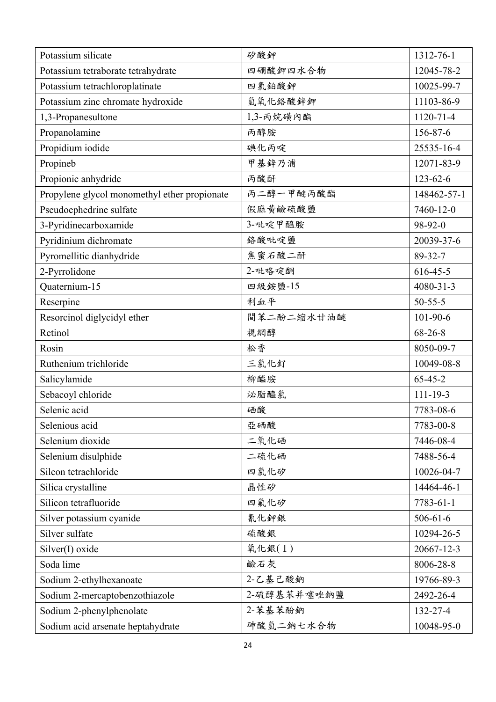| Potassium silicate                           | 矽酸鉀         | 1312-76-1       |
|----------------------------------------------|-------------|-----------------|
| Potassium tetraborate tetrahydrate           | 四硼酸鉀四水合物    | 12045-78-2      |
| Potassium tetrachloroplatinate               | 四氯鉑酸鉀       | 10025-99-7      |
| Potassium zinc chromate hydroxide            | 氫氧化鉻酸鋅鉀     | 11103-86-9      |
| 1,3-Propanesultone                           | 1,3-丙烷磺內酯   | 1120-71-4       |
| Propanolamine                                | 丙醇胺         | 156-87-6        |
| Propidium iodide                             | 碘化丙啶        | 25535-16-4      |
| Propineb                                     | 甲基鋅乃浦       | 12071-83-9      |
| Propionic anhydride                          | 丙酸酐         | $123 - 62 - 6$  |
| Propylene glycol monomethyl ether propionate | 丙二醇一甲醚丙酸酯   | 148462-57-1     |
| Pseudoephedrine sulfate                      | 假麻黃鹼硫酸鹽     | 7460-12-0       |
| 3-Pyridinecarboxamide                        | 3-吡啶甲醯胺     | 98-92-0         |
| Pyridinium dichromate                        | 络酸吡啶鹽       | 20039-37-6      |
| Pyromellitic dianhydride                     | 焦蜜石酸二酐      | 89-32-7         |
| 2-Pyrrolidone                                | 2-吡咯啶酮      | $616 - 45 - 5$  |
| Quaternium-15                                | 四級銨鹽-15     | 4080-31-3       |
| Reserpine                                    | 利血平         | $50 - 55 - 5$   |
| Resorcinol diglycidyl ether                  | 間苯二酚二缩水甘油醚  | $101 - 90 - 6$  |
| Retinol                                      | 視網醇         | $68 - 26 - 8$   |
| Rosin                                        | 松香          | 8050-09-7       |
| Ruthenium trichloride                        | 三氯化釕        | 10049-08-8      |
| Salicylamide                                 | 柳醯胺         | $65 - 45 - 2$   |
| Sebacoyl chloride                            | 泌脂醯氯        | $111 - 19 - 3$  |
| Selenic acid                                 | 硒酸          | 7783-08-6       |
| Selenious acid                               | 亞硒酸         | 7783-00-8       |
| Selenium dioxide                             | 二氧化硒        | 7446-08-4       |
| Selenium disulphide                          | 二硫化硒        | 7488-56-4       |
| Silcon tetrachloride                         | 四氯化矽        | 10026-04-7      |
| Silica crystalline                           | 晶性矽         | 14464-46-1      |
| Silicon tetrafluoride                        | 四氟化矽        | $7783 - 61 - 1$ |
| Silver potassium cyanide                     | 氰化鉀銀        | $506 - 61 - 6$  |
| Silver sulfate                               | 硫酸銀         | 10294-26-5      |
| Silver(I) oxide                              | 氧化銀(I)      | 20667-12-3      |
| Soda lime                                    | 鹼石灰         | 8006-28-8       |
| Sodium 2-ethylhexanoate                      | 2-乙基己酸鈉     | 19766-89-3      |
| Sodium 2-mercaptobenzothiazole               | 2-硫醇基苯并噻唑鈉鹽 | 2492-26-4       |
| Sodium 2-phenylphenolate                     | 2-苯基苯酚鈉     | 132-27-4        |
| Sodium acid arsenate heptahydrate            | 砷酸氫二鈉七水合物   | 10048-95-0      |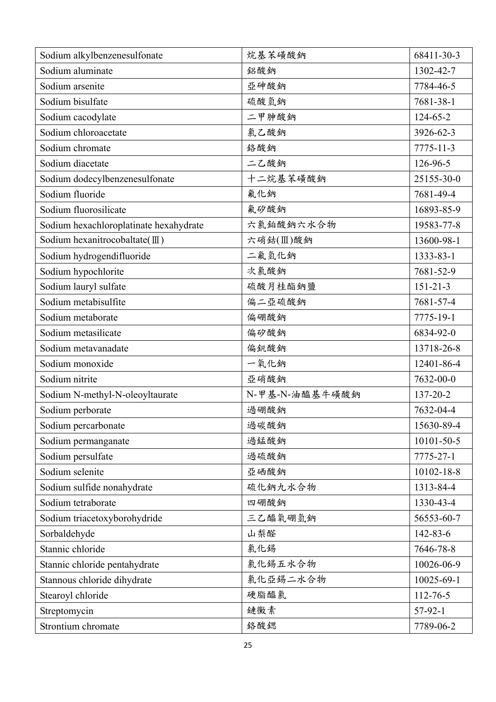| Sodium alkylbenzenesulfonate           | 烷基苯磺酸鈉         | 68411-30-3     |
|----------------------------------------|----------------|----------------|
| Sodium aluminate                       | 鋁酸鈉            | 1302-42-7      |
| Sodium arsenite                        | 亞砷酸鈉           | 7784-46-5      |
| Sodium bisulfate                       | 硫酸氫鈉           | 7681-38-1      |
| Sodium cacodylate                      | 二甲胂酸鈉          | 124-65-2       |
| Sodium chloroacetate                   | 氯乙酸鈉           | 3926-62-3      |
| Sodium chromate                        | 络酸鈉            | 7775-11-3      |
| Sodium diacetate                       | 二乙酸鈉           | 126-96-5       |
| Sodium dodecylbenzenesulfonate         | 十二烷基苯磺酸鈉       | 25155-30-0     |
| Sodium fluoride                        | 氟化鈉            | 7681-49-4      |
| Sodium fluorosilicate                  | 氟矽酸鈉           | 16893-85-9     |
| Sodium hexachloroplatinate hexahydrate | 六氯鉑酸鈉六水合物      | 19583-77-8     |
| Sodium hexanitrocobaltate(III)         | 六硝鈷(Ⅲ)酸鈉       | 13600-98-1     |
| Sodium hydrogendifluoride              | 二氟氫化鈉          | 1333-83-1      |
| Sodium hypochlorite                    | 次氯酸鈉           | 7681-52-9      |
| Sodium lauryl sulfate                  | 硫酸月桂酯鈉鹽        | $151 - 21 - 3$ |
| Sodium metabisulfite                   | 偏二亞硫酸鈉         | 7681-57-4      |
| Sodium metaborate                      | 偏硼酸鈉           | 7775-19-1      |
| Sodium metasilicate                    | 偏矽酸鈉           | 6834-92-0      |
| Sodium metavanadate                    | 偏釩酸鈉           | 13718-26-8     |
| Sodium monoxide                        | 一氧化鈉           | 12401-86-4     |
| Sodium nitrite                         | 亞硝酸鈉           | 7632-00-0      |
| Sodium N-methyl-N-oleoyltaurate        | N-甲基-N-油醯基牛磺酸鈉 | 137-20-2       |
| Sodium perborate                       | 過硼酸鈉           | 7632-04-4      |
| Sodium percarbonate                    | 過碳酸鈉           | 15630-89-4     |
| Sodium permanganate                    | 過錳酸鈉           | 10101-50-5     |
| Sodium persulfate                      | 過硫酸鈉           | 7775-27-1      |
| Sodium selenite                        | 亞硒酸鈉           | 10102-18-8     |
| Sodium sulfide nonahydrate             | 硫化鈉九水合物        | 1313-84-4      |
| Sodium tetraborate                     | 四硼酸鈉           | 1330-43-4      |
| Sodium triacetoxyborohydride           | 三乙醯氧硼氫鈉        | 56553-60-7     |
| Sorbaldehyde                           | 山梨醛            | 142-83-6       |
| Stannic chloride                       | 氯化錫            | 7646-78-8      |
| Stannic chloride pentahydrate          | 氯化錫五水合物        | 10026-06-9     |
| Stannous chloride dihydrate            | 氯化亞錫二水合物       | 10025-69-1     |
| Stearoyl chloride                      | 硬脂醯氯           | $112 - 76 - 5$ |
| Streptomycin                           | 鏈黴素            | $57-92-1$      |
| Strontium chromate                     | 絡酸鍶            | 7789-06-2      |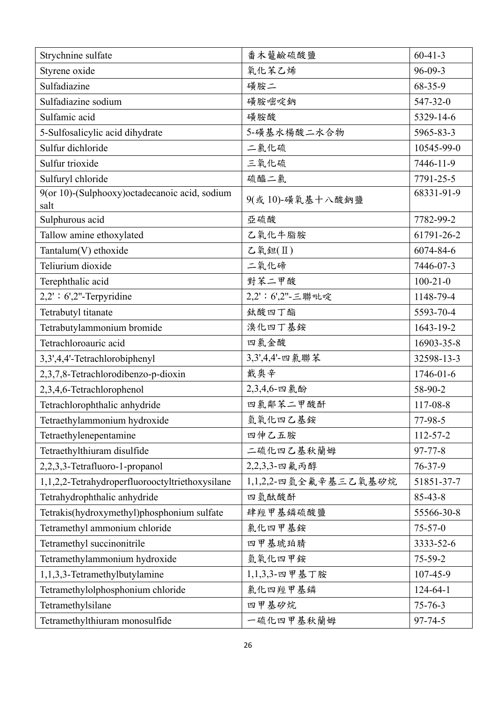| Strychnine sulfate                                     | 番木虌鹼硫酸鹽              | $60 - 41 - 3$  |
|--------------------------------------------------------|----------------------|----------------|
| Styrene oxide                                          | 氧化苯乙烯                | $96 - 09 - 3$  |
| Sulfadiazine                                           | 磺胺二                  | 68-35-9        |
| Sulfadiazine sodium                                    | 磺胺嘧啶鈉                | 547-32-0       |
| Sulfamic acid                                          | 磺胺酸                  | 5329-14-6      |
| 5-Sulfosalicylic acid dihydrate                        | 5-磺基水楊酸二水合物          | 5965-83-3      |
| Sulfur dichloride                                      | 二氯化硫                 | 10545-99-0     |
| Sulfur trioxide                                        | 三氧化硫                 | 7446-11-9      |
| Sulfuryl chloride                                      | 硫醯二氯                 | 7791-25-5      |
| 9(or 10)-(Sulphooxy) octadecanoic acid, sodium<br>salt | 9(或10)-磺氧基十八酸鈉鹽      | 68331-91-9     |
| Sulphurous acid                                        | 亞硫酸                  | 7782-99-2      |
| Tallow amine ethoxylated                               | 乙氧化牛脂胺               | 61791-26-2     |
| Tantalum(V) ethoxide                                   | $L$ 氧鉭 $(\Pi)$       | 6074-84-6      |
| Teliurium dioxide                                      | 二氧化碲                 | 7446-07-3      |
| Terephthalic acid                                      | 對苯二甲酸                | $100 - 21 - 0$ |
| $2,2$ : 6',2"-Terpyridine                              | 2,2': 6',2"-三聯吡啶     | 1148-79-4      |
| Tetrabutyl titanate                                    | 鈦酸四丁酯                | 5593-70-4      |
| Tetrabutylammonium bromide                             | 溴化四丁基銨               | 1643-19-2      |
| Tetrachloroauric acid                                  | 四氯金酸                 | 16903-35-8     |
| 3,3',4,4'-Tetrachlorobiphenyl                          | 3,3',4,4'-四氯聯苯       | 32598-13-3     |
| 2,3,7,8-Tetrachlorodibenzo-p-dioxin                    | 戴奥辛                  | 1746-01-6      |
| 2,3,4,6-Tetrachlorophenol                              | 2,3,4,6-四氯酚          | 58-90-2        |
| Tetrachlorophthalic anhydride                          | 四氯鄰苯二甲酸酐             | 117-08-8       |
| Tetraethylammonium hydroxide                           | 氫氧化四乙基銨              | 77-98-5        |
| Tetraethylenepentamine                                 | 四伸乙五胺                | 112-57-2       |
| Tetraethylthiuram disulfide                            | 二硫化四乙基秋蘭姆            | $97 - 77 - 8$  |
| 2,2,3,3-Tetrafluoro-1-propanol                         | 2,2,3,3-四氟丙醇         | $76 - 37 - 9$  |
| 1,1,2,2-Tetrahydroperfluorooctyltriethoxysilane        | 1,1,2,2-四氫全氟辛基三乙氧基矽烷 | 51851-37-7     |
| Tetrahydrophthalic anhydride                           | 四氫酞酸酐                | $85 - 43 - 8$  |
| Tetrakis(hydroxymethyl)phosphonium sulfate             | 肆羥甲基鏻硫酸鹽             | 55566-30-8     |
| Tetramethyl ammonium chloride                          | 氯化四甲基銨               | $75 - 57 - 0$  |
| Tetramethyl succinonitrile                             | 四甲基琥珀腈               | 3333-52-6      |
| Tetramethylammonium hydroxide                          | 氫氧化四甲銨               | $75 - 59 - 2$  |
| 1,1,3,3-Tetramethylbutylamine                          | 1,1,3,3-四甲基丁胺        | 107-45-9       |
| Tetramethylolphosphonium chloride                      | 氯化四羥甲基鳞              | $124 - 64 - 1$ |
| Tetramethylsilane                                      | 四甲基矽烷                | $75 - 76 - 3$  |
| Tetramethylthiuram monosulfide                         | 一硫化四甲基秋蘭姆            | 97-74-5        |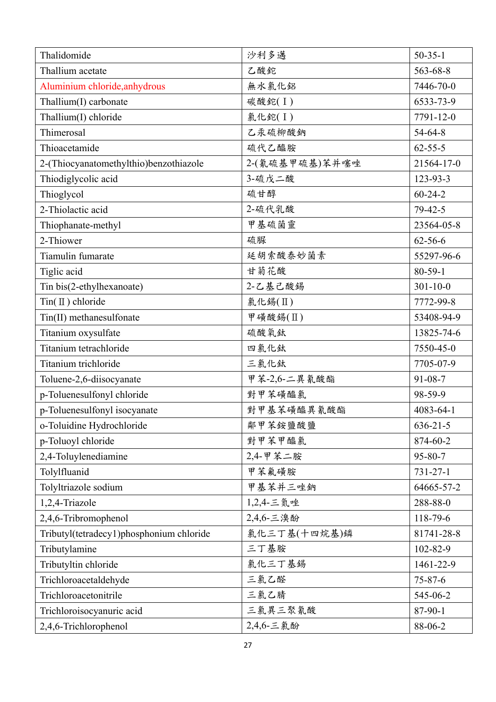| Thalidomide                              | 沙利多邁           | $50 - 35 - 1$  |
|------------------------------------------|----------------|----------------|
| Thallium acetate                         | 乙酸鉈            | 563-68-8       |
| Aluminium chloride, anhydrous            | 無水氣化鋁          | 7446-70-0      |
| Thallium(I) carbonate                    | 碳酸鉈(I)         | 6533-73-9      |
| Thallium(I) chloride                     | 氯化鉈(I)         | 7791-12-0      |
| Thimerosal                               | 乙汞硫柳酸鈉         | $54 - 64 - 8$  |
| Thioacetamide                            | 硫代乙醯胺          | $62 - 55 - 5$  |
| 2-(Thiocyanatomethylthio)benzothiazole   | 2-(氰硫基甲硫基)苯并噻唑 | 21564-17-0     |
| Thiodiglycolic acid                      | 3-硫戊二酸         | 123-93-3       |
| Thioglycol                               | 硫甘醇            | $60 - 24 - 2$  |
| 2-Thiolactic acid                        | 2-硫代乳酸         | $79 - 42 - 5$  |
| Thiophanate-methyl                       | 甲基硫菌靈          | 23564-05-8     |
| 2-Thiower                                | 硫脲             | $62 - 56 - 6$  |
| Tiamulin fumarate                        | 延胡索酸泰妙菌素       | 55297-96-6     |
| Tiglic acid                              | 甘菊花酸           | $80 - 59 - 1$  |
| Tin bis(2-ethylhexanoate)                | 2-乙基己酸錫        | $301 - 10 - 0$ |
| $Tin(\mathbb{I})$ chloride               | 氯化錫(Ⅱ)         | 7772-99-8      |
| Tin(II) methanesulfonate                 | 甲磺酸錫(II)       | 53408-94-9     |
| Titanium oxysulfate                      | 硫酸氧鈦           | 13825-74-6     |
| Titanium tetrachloride                   | 四氯化鈦           | 7550-45-0      |
| Titanium trichloride                     | 三氯化鈦           | 7705-07-9      |
| Toluene-2,6-diisocyanate                 | 甲苯-2,6-二異氰酸酯   | $91 - 08 - 7$  |
| p-Toluenesulfonyl chloride               | 對甲苯磺醯氯         | 98-59-9        |
| p-Toluenesulfonyl isocyanate             | 對甲基苯磺醯異氰酸酯     | 4083-64-1      |
| o-Toluidine Hydrochloride                | 鄰甲苯銨鹽酸鹽        | $636 - 21 - 5$ |
| p-Toluoyl chloride                       | 對甲苯甲醯氯         | 874-60-2       |
| 2,4-Toluylenediamine                     | 2,4-甲苯二胺       | $95 - 80 - 7$  |
| Tolylfluanid                             | 甲苯氟磺胺          | $731 - 27 - 1$ |
| Tolyltriazole sodium                     | 甲基苯并三唑鈉        | 64665-57-2     |
| 1,2,4-Triazole                           | 1,2,4-三氮唑      | 288-88-0       |
| 2,4,6-Tribromophenol                     | 2,4,6-三溴酚      | 118-79-6       |
| Tributyl(tetradecy1)phosphonium chloride | 氯化三丁基(十四烷基)鏻   | 81741-28-8     |
| Tributylamine                            | 三丁基胺           | 102-82-9       |
| Tributyltin chloride                     | 氯化三丁基錫         | 1461-22-9      |
| Trichloroacetaldehyde                    | 三氯乙醛           | $75 - 87 - 6$  |
| Trichloroacetonitrile                    | 三氯乙腈           | 545-06-2       |
| Trichloroisocyanuric acid                | 三氯異三聚氰酸        | 87-90-1        |
| 2,4,6-Trichlorophenol                    | 2,4,6-三氯酚      | 88-06-2        |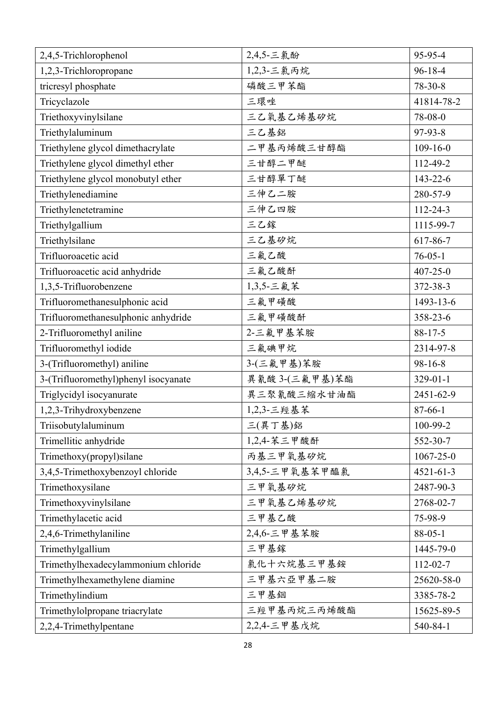| 2,4,5-Trichlorophenol                | 2,4,5-三氯酚      | 95-95-4         |
|--------------------------------------|----------------|-----------------|
| 1,2,3-Trichloropropane               | 1,2,3-三氯丙烷     | $96 - 18 - 4$   |
| tricresyl phosphate                  | 磷酸三甲苯酯         | $78-30-8$       |
| Tricyclazole                         | 三環唑            | 41814-78-2      |
| Triethoxyvinylsilane                 | 三乙氧基乙烯基矽烷      | 78-08-0         |
| Triethylaluminum                     | 三乙基鋁           | 97-93-8         |
| Triethylene glycol dimethacrylate    | 二甲基丙烯酸三甘醇酯     | $109 - 16 - 0$  |
| Triethylene glycol dimethyl ether    | 三甘醇二甲醚         | 112-49-2        |
| Triethylene glycol monobutyl ether   | 三甘醇單丁醚         | $143 - 22 - 6$  |
| Triethylenediamine                   | 三伸乙二胺          | 280-57-9        |
| Triethylenetetramine                 | 三伸乙四胺          | $112 - 24 - 3$  |
| Triethylgallium                      | 三乙鎵            | 1115-99-7       |
| Triethylsilane                       | 三乙基矽烷          | 617-86-7        |
| Trifluoroacetic acid                 | 三氟乙酸           | $76 - 05 - 1$   |
| Trifluoroacetic acid anhydride       | 三氟乙酸酐          | $407 - 25 - 0$  |
| 1,3,5-Trifluorobenzene               | 1,3,5-三氟苯      | 372-38-3        |
| Trifluoromethanesulphonic acid       | 三氟甲磺酸          | 1493-13-6       |
| Trifluoromethanesulphonic anhydride  | 三氟甲磺酸酐         | 358-23-6        |
| 2-Trifluoromethyl aniline            | 2-三氟甲基苯胺       | $88 - 17 - 5$   |
| Trifluoromethyl iodide               | 三氟碘甲烷          | 2314-97-8       |
| 3-(Trifluoromethyl) aniline          | 3-(三氟甲基)苯胺     | $98-16-8$       |
| 3-(Trifluoromethyl)phenyl isocyanate | 異氰酸 3-(三氟甲基)苯酯 | $329 - 01 - 1$  |
| Triglycidyl isocyanurate             | 異三聚氰酸三縮水甘油酯    | 2451-62-9       |
| 1,2,3-Trihydroxybenzene              | 1,2,3-三羥基苯     | $87 - 66 - 1$   |
| Triisobutylaluminum                  | 三(異丁基)鋁        | 100-99-2        |
| Trimellitic anhydride                | 1,2,4-苯三甲酸酐    | 552-30-7        |
| Trimethoxy(propyl)silane             | 丙基三甲氧基矽烷       | $1067 - 25 - 0$ |
| 3,4,5-Trimethoxybenzoyl chloride     | 3,4,5-三甲氧基苯甲醯氯 | $4521 - 61 - 3$ |
| Trimethoxysilane                     | 三甲氧基矽烷         | 2487-90-3       |
| Trimethoxyvinylsilane                | 三甲氧基乙烯基矽烷      | 2768-02-7       |
| Trimethylacetic acid                 | 三甲基乙酸          | 75-98-9         |
| 2,4,6-Trimethylaniline               | 2,4,6-三甲基苯胺    | $88 - 05 - 1$   |
| Trimethylgallium                     | 三甲基鎵           | 1445-79-0       |
| Trimethylhexadecylammonium chloride  | 氯化十六烷基三甲基銨     | $112 - 02 - 7$  |
| Trimethylhexamethylene diamine       | 三甲基六亞甲基二胺      | 25620-58-0      |
| Trimethylindium                      | 三甲基銦           | 3385-78-2       |
| Trimethylolpropane triacrylate       | 三羥甲基丙烷三丙烯酸酯    | 15625-89-5      |
| 2,2,4-Trimethylpentane               | 2,2,4-三甲基戊烷    | 540-84-1        |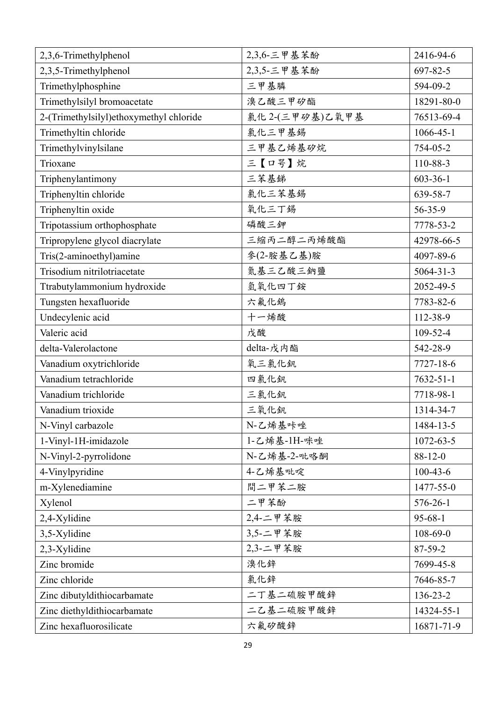| 2,3,6-Trimethylphenol                   | 2,3,6-三甲基苯酚    | 2416-94-6       |
|-----------------------------------------|----------------|-----------------|
| 2,3,5-Trimethylphenol                   | 2,3,5-三甲基苯酚    | 697-82-5        |
| Trimethylphosphine                      | 三甲基膦           | 594-09-2        |
| Trimethylsilyl bromoacetate             | 溴乙酸三甲矽酯        | 18291-80-0      |
| 2-(Trimethylsilyl)ethoxymethyl chloride | 氯化2-(三甲矽基)乙氧甲基 | 76513-69-4      |
| Trimethyltin chloride                   | 氯化三甲基錫         | $1066 - 45 - 1$ |
| Trimethylvinylsilane                    | 三甲基乙烯基矽烷       | 754-05-2        |
| Trioxane                                | 三【口咢】烷         | 110-88-3        |
| Triphenylantimony                       | 三苯基锑           | $603 - 36 - 1$  |
| Triphenyltin chloride                   | 氯化三苯基錫         | 639-58-7        |
| Triphenyltin oxide                      | 氧化三丁錫          | $56 - 35 - 9$   |
| Tripotassium orthophosphate             | 磷酸三鉀           | 7778-53-2       |
| Tripropylene glycol diacrylate          | 三縮丙二醇二丙烯酸酯     | 42978-66-5      |
| Tris(2-aminoethyl)amine                 | 參(2-胺基乙基)胺     | 4097-89-6       |
| Trisodium nitrilotriacetate             | 氮基三乙酸三鈉鹽       | $5064 - 31 - 3$ |
| Ttrabutylammonium hydroxide             | 氫氧化四丁銨         | 2052-49-5       |
| Tungsten hexafluoride                   | 六氟化鎢           | 7783-82-6       |
| Undecylenic acid                        | 十一烯酸           | 112-38-9        |
| Valeric acid                            | 戊酸             | 109-52-4        |
| delta-Valerolactone                     | delta-戊内酯      | 542-28-9        |
| Vanadium oxytrichloride                 | 氧三氯化釩          | 7727-18-6       |
| Vanadium tetrachloride                  | 四氯化釩           | $7632 - 51 - 1$ |
| Vanadium trichloride                    | 三氯化釩           | 7718-98-1       |
| Vanadium trioxide                       | 三氧化釩           | 1314-34-7       |
| N-Vinyl carbazole                       | N-乙烯基咔唑        | 1484-13-5       |
| 1-Vinyl-1H-imidazole                    | 1-乙烯基-1H-咪唑    | 1072-63-5       |
| N-Vinyl-2-pyrrolidone                   | N-乙烯基-2-吡咯酮    | $88 - 12 - 0$   |
| 4-Vinylpyridine                         | 4-乙烯基吡啶        | $100 - 43 - 6$  |
| m-Xylenediamine                         | 間二甲苯二胺         | 1477-55-0       |
| Xylenol                                 | 二甲苯酚           | 576-26-1        |
| 2,4-Xylidine                            | 2,4-二甲苯胺       | $95 - 68 - 1$   |
| 3,5-Xylidine                            | 3,5-二甲苯胺       | 108-69-0        |
| 2,3-Xylidine                            | 2,3-二甲苯胺       | $87 - 59 - 2$   |
| Zinc bromide                            | 溴化鋅            | 7699-45-8       |
| Zinc chloride                           | 氯化鋅            | 7646-85-7       |
| Zinc dibutyldithiocarbamate             | 二丁基二硫胺甲酸鋅      | 136-23-2        |
| Zinc diethyldithiocarbamate             | 二乙基二硫胺甲酸鋅      | 14324-55-1      |
| Zinc hexafluorosilicate                 | 六氟矽酸鋅          | 16871-71-9      |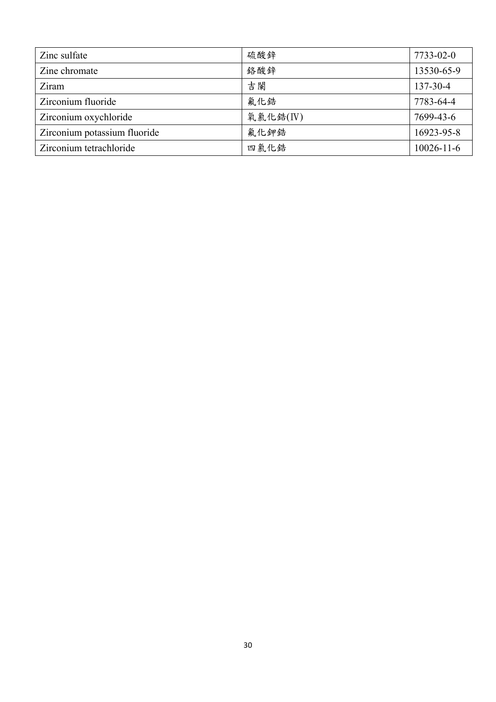| Zinc sulfate                 | 硫酸鋅      | 7733-02-0        |
|------------------------------|----------|------------------|
| Zine chromate                | 鉻酸鋅      | 13530-65-9       |
| Ziram                        | 吉闌       | 137-30-4         |
| Zirconium fluoride           | 氟化鋯      | 7783-64-4        |
| Zirconium oxychloride        | 氧氯化鋯(IV) | 7699-43-6        |
| Zirconium potassium fluoride | 氟化鉀鋯     | 16923-95-8       |
| Zirconium tetrachloride      | 四氯化鋯     | $10026 - 11 - 6$ |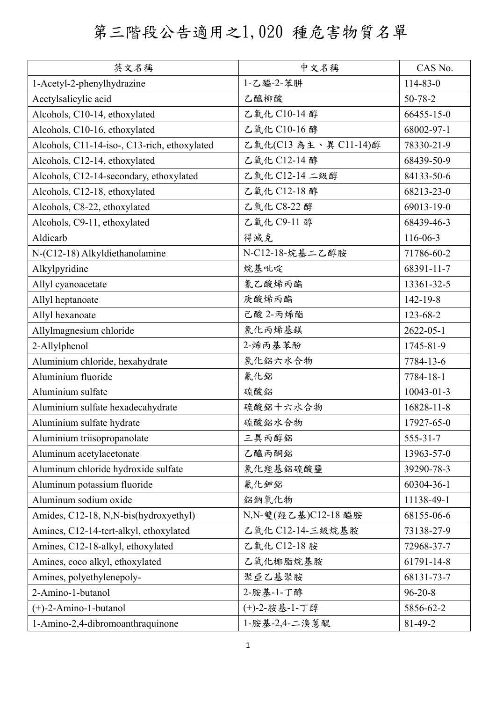## 第三階段公告適用之1,020 種危害物質名單

| 英文名稱                                         | 中文名稱                 | CAS No.          |
|----------------------------------------------|----------------------|------------------|
| 1-Acetyl-2-phenylhydrazine                   | 1-乙醯-2-苯肼            | 114-83-0         |
| Acetylsalicylic acid                         | 乙醯柳酸                 | 50-78-2          |
| Alcohols, C10-14, ethoxylated                | 乙氧化 C10-14 醇         | 66455-15-0       |
| Alcohols, C10-16, ethoxylated                | 乙氧化 C10-16醇          | 68002-97-1       |
| Alcohols, C11-14-iso-, C13-rich, ethoxylated | 乙氧化(C13為主、異 C11-14)醇 | 78330-21-9       |
| Alcohols, C12-14, ethoxylated                | 乙氧化 C12-14 醇         | 68439-50-9       |
| Alcohols, C12-14-secondary, ethoxylated      | 乙氧化 C12-14 二級醇       | 84133-50-6       |
| Alcohols, C12-18, ethoxylated                | 乙氧化 C12-18 醇         | 68213-23-0       |
| Alcohols, C8-22, ethoxylated                 | 乙氧化 C8-22 醇          | 69013-19-0       |
| Alcohols, C9-11, ethoxylated                 | 乙氧化 C9-11 醇          | 68439-46-3       |
| Aldicarb                                     | 得滅克                  | $116 - 06 - 3$   |
| N-(C12-18) Alkyldiethanolamine               | N-C12-18-烷基二乙醇胺      | 71786-60-2       |
| Alkylpyridine                                | 烷基吡啶                 | 68391-11-7       |
| Allyl cyanoacetate                           | 氰乙酸烯丙酯               | 13361-32-5       |
| Allyl heptanoate                             | 庚酸烯丙酯                | 142-19-8         |
| Allyl hexanoate                              | 己酸 2-丙烯酯             | 123-68-2         |
| Allylmagnesium chloride                      | 氯化丙烯基鎂               | $2622 - 05 - 1$  |
| 2-Allylphenol                                | 2-烯丙基苯酚              | 1745-81-9        |
| Aluminium chloride, hexahydrate              | 氯化鋁六水合物              | 7784-13-6        |
| Aluminium fluoride                           | 氟化鋁                  | 7784-18-1        |
| Aluminium sulfate                            | 硫酸鋁                  | $10043 - 01 - 3$ |
| Aluminium sulfate hexadecahydrate            | 硫酸鋁十六水合物             | 16828-11-8       |
| Aluminium sulfate hydrate                    | 硫酸鋁水合物               | 17927-65-0       |
| Aluminium triisopropanolate                  | 三異丙醇鋁                | $555-31-7$       |
| Aluminum acetylacetonate                     | 乙醯丙酮鋁                | 13963-57-0       |
| Aluminum chloride hydroxide sulfate          | 氯化羥基鋁硫酸鹽             | 39290-78-3       |
| Aluminum potassium fluoride                  | 氟化鉀鋁                 | 60304-36-1       |
| Aluminum sodium oxide                        | 鋁鈉氧化物                | 11138-49-1       |
| Amides, C12-18, N, N-bis(hydroxyethyl)       | N,N-雙(羥乙基)C12-18 醯胺  | 68155-06-6       |
| Amines, C12-14-tert-alkyl, ethoxylated       | 乙氧化 C12-14-三級烷基胺     | 73138-27-9       |
| Amines, C12-18-alkyl, ethoxylated            | 乙氧化 C12-18 胺         | 72968-37-7       |
| Amines, coco alkyl, ethoxylated              | 乙氧化椰脂烷基胺             | 61791-14-8       |
| Amines, polyethylenepoly-                    | 聚亞乙基聚胺               | 68131-73-7       |
| 2-Amino-1-butanol                            | 2-胺基-1-丁醇            | $96 - 20 - 8$    |
| $(+)$ -2-Amino-1-butanol                     | (+)-2-胺基-1-丁醇        | 5856-62-2        |
| 1-Amino-2,4-dibromoanthraquinone             | 1-胺基-2,4-二溴蒽醌        | 81-49-2          |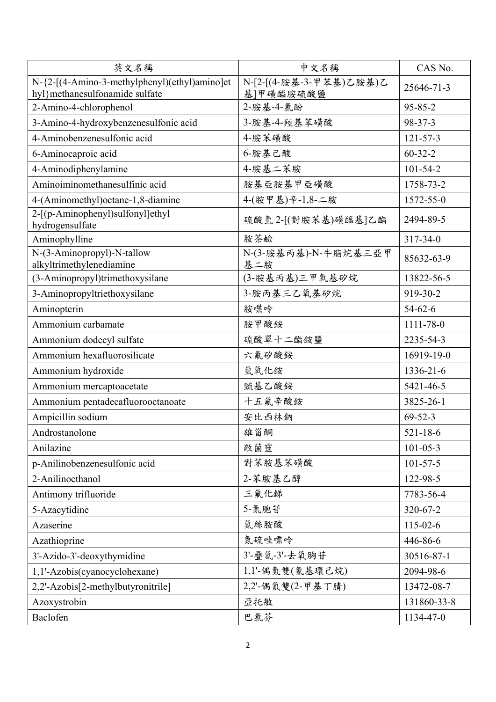| 英文名稱                                                                             | 中文名稱                                 | CAS No.        |
|----------------------------------------------------------------------------------|--------------------------------------|----------------|
| N-{2-[(4-Amino-3-methylphenyl)(ethyl)amino]et<br>hyl} methanesulfonamide sulfate | N-[2-[(4-胺基-3-甲苯基)乙胺基)乙<br>基]甲磺醯胺硫酸鹽 | 25646-71-3     |
| 2-Amino-4-chlorophenol                                                           | 2-胺基-4-氯酚                            | $95 - 85 - 2$  |
| 3-Amino-4-hydroxybenzenesulfonic acid                                            | 3-胺基-4-羥基苯磺酸                         | 98-37-3        |
| 4-Aminobenzenesulfonic acid                                                      | 4-胺苯磺酸                               | $121 - 57 - 3$ |
| 6-Aminocaproic acid                                                              | 6-胺基己酸                               | $60 - 32 - 2$  |
| 4-Aminodiphenylamine                                                             | 4-胺基二苯胺                              | $101 - 54 - 2$ |
| Aminoiminomethanesulfinic acid                                                   | 胺基亞胺基甲亞磺酸                            | 1758-73-2      |
| 4-(Aminomethyl) octane-1,8-diamine                                               | 4-(胺甲基)辛-1,8-二胺                      | 1572-55-0      |
| 2-[(p-Aminophenyl)sulfonyl]ethyl<br>hydrogensulfate                              | 硫酸氫 2-[(對胺苯基)磺醯基]乙酯                  | 2494-89-5      |
| Aminophylline                                                                    | 胺茶鹼                                  | $317 - 34 - 0$ |
| N-(3-Aminopropyl)-N-tallow<br>alkyltrimethylenediamine                           | N-(3-胺基丙基)-N-牛脂烷基三亞甲<br>基二胺          | 85632-63-9     |
| (3-Aminopropyl)trimethoxysilane                                                  | (3-胺基丙基)三甲氧基矽烷                       | 13822-56-5     |
| 3-Aminopropyltriethoxysilane                                                     | 3-胺丙基三乙氧基矽烷                          | 919-30-2       |
| Aminopterin                                                                      | 胺喋呤                                  | $54-62-6$      |
| Ammonium carbamate                                                               | 胺甲酸銨                                 | 1111-78-0      |
| Ammonium dodecyl sulfate                                                         | 硫酸單十二酯銨鹽                             | 2235-54-3      |
| Ammonium hexafluorosilicate                                                      | 六氟矽酸銨                                | 16919-19-0     |
| Ammonium hydroxide                                                               | 氫氧化銨                                 | 1336-21-6      |
| Ammonium mercaptoacetate                                                         | 巰基乙酸銨                                | 5421-46-5      |
| Ammonium pentadecafluorooctanoate                                                | 十五氟辛酸銨                               | 3825-26-1      |
| Ampicillin sodium                                                                | 安比西林鈉                                | $69 - 52 - 3$  |
| Androstanolone                                                                   | 雄甾酮                                  | $521 - 18 - 6$ |
| Anilazine                                                                        | 敵菌靈                                  | $101 - 05 - 3$ |
| p-Anilinobenzenesulfonic acid                                                    | 對苯胺基苯磺酸                              | $101 - 57 - 5$ |
| 2-Anilinoethanol                                                                 | 2-苯胺基乙醇                              | 122-98-5       |
| Antimony trifluoride                                                             | 三氟化锑                                 | 7783-56-4      |
| 5-Azacytidine                                                                    | 5-氮胞苷                                | 320-67-2       |
| Azaserine                                                                        | 氮絲胺酸                                 | $115 - 02 - 6$ |
| Azathioprine                                                                     | 氮硫唑嘌呤                                | 446-86-6       |
| 3'-Azido-3'-deoxythymidine                                                       | 3'-疊氮-3'-去氧胸苷                        | 30516-87-1     |
| 1,1'-Azobis(cyanocyclohexane)                                                    | 1,1'-偶氮雙(氰基環己烷)                      | 2094-98-6      |
| 2,2'-Azobis[2-methylbutyronitrile]                                               | 2,2'-偶氮雙(2-甲基丁腈)                     | 13472-08-7     |
| Azoxystrobin                                                                     | 亞托敏                                  | 131860-33-8    |
| Baclofen                                                                         | 巴氯芬                                  | 1134-47-0      |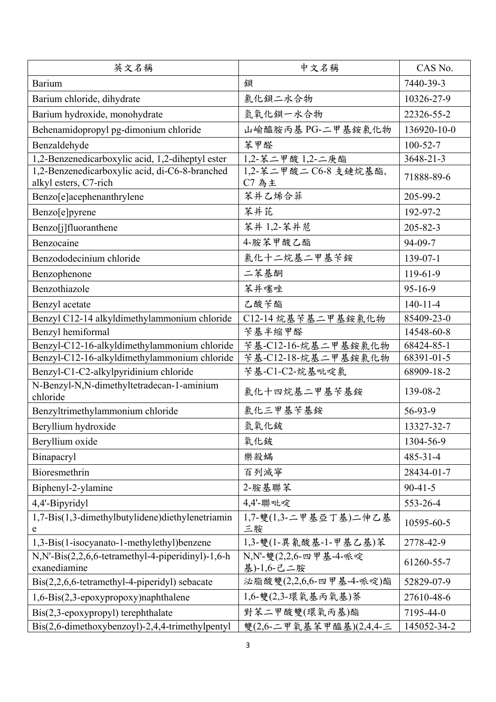| 英文名稱                                                                    | 中文名稱                                 | CAS No.         |
|-------------------------------------------------------------------------|--------------------------------------|-----------------|
| <b>Barium</b>                                                           | 鋇                                    | 7440-39-3       |
| Barium chloride, dihydrate                                              | 氯化鋇二水合物                              | 10326-27-9      |
| Barium hydroxide, monohydrate                                           | 氫氧化鋇一水合物                             | 22326-55-2      |
| Behenamidopropyl pg-dimonium chloride                                   | 山喻醯胺丙基 PG-二甲基銨氯化物                    | 136920-10-0     |
| Benzaldehyde                                                            | 苯甲醛                                  | $100 - 52 - 7$  |
| 1,2-Benzenedicarboxylic acid, 1,2-diheptyl ester                        | 1,2-苯二甲酸 1,2-二庚酯                     | $3648 - 21 - 3$ |
| 1,2-Benzenedicarboxylic acid, di-C6-8-branched<br>alkyl esters, C7-rich | 1,2-苯二甲酸二C6-8 支鏈烷基酯,<br><b>C7 為主</b> | 71888-89-6      |
| Benzo[e]acephenanthrylene                                               | 苯并乙烯合菲                               | 205-99-2        |
| Benzo[e]pyrene                                                          | 苯并芘                                  | 192-97-2        |
| Benzo[j]fluoranthene                                                    | 苯并 1,2-苯并苊                           | 205-82-3        |
| Benzocaine                                                              | 4-胺苯甲酸乙酯                             | 94-09-7         |
| Benzododecinium chloride                                                | 氯化十二烷基二甲基苄銨                          | 139-07-1        |
| Benzophenone                                                            | 二苯基酮                                 | $119-61-9$      |
| Benzothiazole                                                           | 苯并噻唑                                 | $95 - 16 - 9$   |
| Benzyl acetate                                                          | 乙酸苄酯                                 | $140 - 11 - 4$  |
| Benzyl C12-14 alkyldimethylammonium chloride                            | C12-14烷基苄基二甲基銨氯化物                    | 85409-23-0      |
| Benzyl hemiformal                                                       | 苄基半缩甲醛                               | 14548-60-8      |
| Benzyl-C12-16-alkyldimethylammonium chloride                            | 苄基-C12-16-烷基二甲基銨氯化物                  | 68424-85-1      |
| Benzyl-C12-16-alkyldimethylammonium chloride                            | 苄基-C12-18-烷基二甲基銨氯化物                  | 68391-01-5      |
| Benzyl-C1-C2-alkylpyridinium chloride                                   | 苄基-C1-C2-烷基吡啶氯                       | 68909-18-2      |
| N-Benzyl-N,N-dimethyltetradecan-1-aminium<br>chloride                   | 氯化十四烷基二甲基苄基銨                         | 139-08-2        |
| Benzyltrimethylammonium chloride                                        | 氯化三甲基苄基銨                             | 56-93-9         |
| Beryllium hydroxide                                                     | 氫氧化鈹                                 | 13327-32-7      |
| Beryllium oxide                                                         | 氧化鈹                                  | 1304-56-9       |
| Binapacryl                                                              | 樂殺蟎                                  | $485 - 31 - 4$  |
| Bioresmethrin                                                           | 百列滅寧                                 | 28434-01-7      |
| Biphenyl-2-ylamine                                                      | 2-胺基聯苯                               | $90 - 41 - 5$   |
| 4,4'-Bipyridyl                                                          | 4.4'-聯吡啶                             | 553-26-4        |
| 1,7-Bis(1,3-dimethylbutylidene)diethylenetriamin<br>e                   | 1,7-雙(1,3-二甲基亞丁基)二伸乙基<br>三胺          | 10595-60-5      |
| 1,3-Bis(1-isocyanato-1-methylethyl)benzene                              | 1,3-雙(1-異氰酸基-1-甲基乙基)苯                | 2778-42-9       |
| $N, N'-Bis(2,2,6,6-tetramethyl-4-piperidinyl)-1,6-h$<br>exanediamine    | N,N'-雙(2,2,6-四甲基-4-哌啶<br>基)-1,6-己二胺  | 61260-55-7      |
| Bis(2,2,6,6-tetramethyl-4-piperidyl) sebacate                           | 泌脂酸雙(2,2,6,6-四甲基-4-哌啶)酯              | 52829-07-9      |
| $1,6$ -Bis $(2,3$ -epoxypropoxy)naphthalene                             | 1,6-雙(2,3-環氧基丙氧基)萘                   | 27610-48-6      |
| $\text{Bis}(2,3\text{-epoxypropyl})$ terephthalate                      | 對苯二甲酸雙(環氧丙基)酯                        | 7195-44-0       |
| Bis(2,6-dimethoxybenzoyl)-2,4,4-trimethylpentyl                         | 雙(2,6-二甲氧基苯甲醯基)(2,4,4-三              | 145052-34-2     |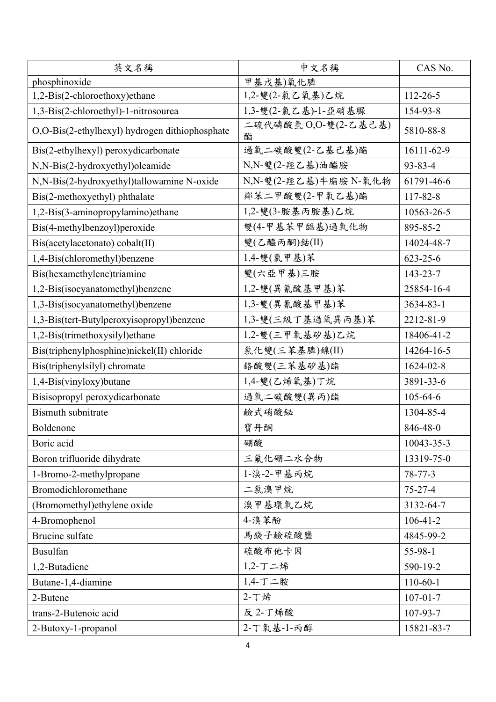| 英文名稱                                           | 中文名稱                      | CAS No.        |
|------------------------------------------------|---------------------------|----------------|
| phosphinoxide                                  | 甲基戊基)氧化膦                  |                |
| 1,2-Bis(2-chloroethoxy)ethane                  | 1,2-雙(2-氯乙氧基)乙烷           | $112 - 26 - 5$ |
| 1,3-Bis(2-chloroethyl)-1-nitrosourea           | 1,3-雙(2-氯乙基)-1-亞硝基脲       | 154-93-8       |
| O,O-Bis(2-ethylhexyl) hydrogen dithiophosphate | 二硫代磷酸氫 O,O-雙(2-乙基己基)<br>酯 | 5810-88-8      |
| Bis(2-ethylhexyl) peroxydicarbonate            | 過氧二碳酸雙(2-乙基己基)酯           | 16111-62-9     |
| N,N-Bis(2-hydroxyethyl)oleamide                | N,N-雙(2-羥乙基)油醯胺           | 93-83-4        |
| N,N-Bis(2-hydroxyethyl)tallowamine N-oxide     | N,N-雙(2-羥乙基)牛脂胺 N-氧化物     | 61791-46-6     |
| Bis(2-methoxyethyl) phthalate                  | 鄰苯二甲酸雙(2-甲氧乙基)酯           | 117-82-8       |
| 1,2-Bis(3-aminopropylamino)ethane              | 1,2-雙(3-胺基丙胺基)乙烷          | 10563-26-5     |
| Bis(4-methylbenzoyl)peroxide                   | 雙(4-甲基苯甲醯基)過氧化物           | 895-85-2       |
| Bis(acetylacetonato) cobalt(II)                | 雙(乙醯丙酮)鈷(II)              | 14024-48-7     |
| 1,4-Bis(chloromethyl)benzene                   | 1,4-雙(氯甲基)苯               | $623 - 25 - 6$ |
| Bis(hexamethylene)triamine                     | 雙(六亞甲基)三胺                 | 143-23-7       |
| 1,2-Bis(isocyanatomethyl)benzene               | 1,2-雙(異氰酸基甲基)苯            | 25854-16-4     |
| 1,3-Bis(isocyanatomethyl)benzene               | 1,3-雙(異氰酸基甲基)苯            | 3634-83-1      |
| 1,3-Bis(tert-Butylperoxyisopropyl)benzene      | 1,3-雙(三級丁基過氧異丙基)苯         | 2212-81-9      |
| 1,2-Bis(trimethoxysilyl) ethane                | 1,2-雙(三甲氧基矽基)乙烷           | 18406-41-2     |
| Bis(triphenylphosphine)nickel(II) chloride     | 氯化雙(三苯基膦)鎳(II)            | 14264-16-5     |
| Bis(triphenylsilyl) chromate                   | 络酸雙(三苯基矽基)酯               | 1624-02-8      |
| 1,4-Bis(vinyloxy)butane                        | 1,4-雙(乙烯氧基)丁烷             | 3891-33-6      |
| Bisisopropyl peroxydicarbonate                 | 過氧二碳酸雙(異丙)酯               | $105 - 64 - 6$ |
| <b>Bismuth subnitrate</b>                      | 鹼式硝酸鉍                     | 1304-85-4      |
| Boldenone                                      | 寶丹酮                       | 846-48-0       |
| Boric acid                                     | 硼酸                        | 10043-35-3     |
| Boron trifluoride dihydrate                    | 三氟化硼二水合物                  | 13319-75-0     |
| 1-Bromo-2-methylpropane                        | 1-溴-2-甲基丙烷                | $78 - 77 - 3$  |
| Bromodichloromethane                           | 二氯溴甲烷                     | $75 - 27 - 4$  |
| (Bromomethyl) ethylene oxide                   | 溴甲基環氧乙烷                   | 3132-64-7      |
| 4-Bromophenol                                  | 4-溴苯酚                     | $106 - 41 - 2$ |
| Brucine sulfate                                | 馬錢子鹼硫酸鹽                   | 4845-99-2      |
| <b>Busulfan</b>                                | 硫酸布他卡因                    | 55-98-1        |
| 1,2-Butadiene                                  | 1,2-丁二烯                   | 590-19-2       |
| Butane-1,4-diamine                             | 1,4-丁二胺                   | $110-60-1$     |
| 2-Butene                                       | 2-丁烯                      | $107 - 01 - 7$ |
| trans-2-Butenoic acid                          | 反 2-丁烯酸                   | 107-93-7       |
| 2-Butoxy-1-propanol                            | 2-丁氧基-1-丙醇                | 15821-83-7     |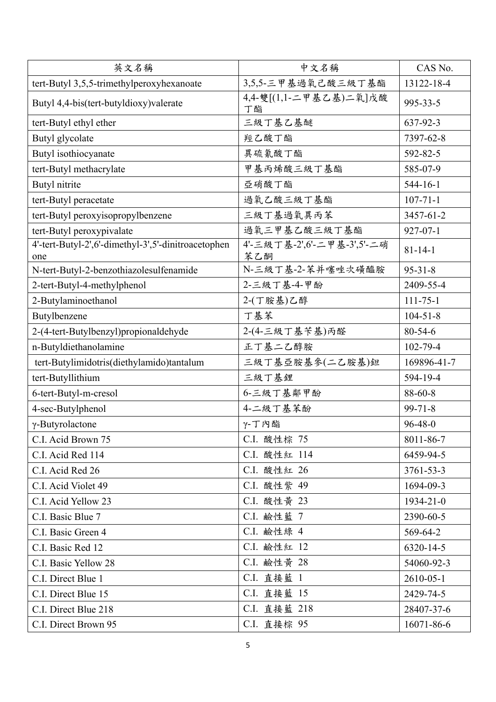| 英文名稱                                                       | 中文名稱                              | CAS No.         |
|------------------------------------------------------------|-----------------------------------|-----------------|
| tert-Butyl 3,5,5-trimethylperoxyhexanoate                  | 3,5,5-三甲基過氧己酸三級丁基酯                | 13122-18-4      |
| Butyl 4,4-bis(tert-butyldioxy)valerate                     | 4,4-雙[(1,1-二甲基乙基)二氧]戊酸<br>丁酯      | 995-33-5        |
| tert-Butyl ethyl ether                                     | 三級丁基乙基醚                           | 637-92-3        |
| Butyl glycolate                                            | 羥乙酸丁酯                             | 7397-62-8       |
| Butyl isothiocyanate                                       | 異硫氰酸丁酯                            | 592-82-5        |
| tert-Butyl methacrylate                                    | 甲基丙烯酸三級丁基酯                        | 585-07-9        |
| Butyl nitrite                                              | 亞硝酸丁酯                             | $544 - 16 - 1$  |
| tert-Butyl peracetate                                      | 過氧乙酸三級丁基酯                         | $107 - 71 - 1$  |
| tert-Butyl peroxyisopropylbenzene                          | 三級丁基過氧異丙苯                         | 3457-61-2       |
| tert-Butyl peroxypivalate                                  | 過氧三甲基乙酸三級丁基酯                      | $927 - 07 - 1$  |
| 4'-tert-Butyl-2',6'-dimethyl-3',5'-dinitroacetophen<br>one | 4'-三級丁基-2',6'-二甲基-3',5'-二硝<br>苯乙酮 | $81 - 14 - 1$   |
| N-tert-Butyl-2-benzothiazolesulfenamide                    | N-三級丁基-2-苯并噻唑次磺醯胺                 | $95 - 31 - 8$   |
| 2-tert-Butyl-4-methylphenol                                | 2-三級丁基-4-甲酚                       | 2409-55-4       |
| 2-Butylaminoethanol                                        | 2-(丁胺基)乙醇                         | $111 - 75 - 1$  |
| Butylbenzene                                               | 丁基苯                               | $104 - 51 - 8$  |
| 2-(4-tert-Butylbenzyl)propionaldehyde                      | 2-(4-三級丁基苄基)丙醛                    | $80 - 54 - 6$   |
| n-Butyldiethanolamine                                      | 正丁基二乙醇胺                           | $102 - 79 - 4$  |
| tert-Butylimidotris(diethylamido)tantalum                  | 三級丁基亞胺基參(二乙胺基)鉭                   | 169896-41-7     |
| tert-Butyllithium                                          | 三級丁基鋰                             | 594-19-4        |
| 6-tert-Butyl-m-cresol                                      | 6-三級丁基鄰甲酚                         | 88-60-8         |
| 4-sec-Butylphenol                                          | 4-二級丁基苯酚                          | $99 - 71 - 8$   |
| γ-Butyrolactone                                            | γ-丁內酯                             | $96 - 48 - 0$   |
| C.I. Acid Brown 75                                         | C.I. 酸性棕 75                       | 8011-86-7       |
| C.I. Acid Red 114                                          | C.I. 酸性紅 114                      | 6459-94-5       |
| C.I. Acid Red 26                                           | C.I. 酸性紅 26                       | $3761 - 53 - 3$ |
| C.I. Acid Violet 49                                        | C.I. 酸性紫 49                       | 1694-09-3       |
| C.I. Acid Yellow 23                                        | C.I. 酸性黄 23                       | 1934-21-0       |
| C.I. Basic Blue 7                                          | C.I. 鹼性藍 7                        | 2390-60-5       |
| C.I. Basic Green 4                                         | C.I. 鹼性綠 4                        | 569-64-2        |
| C.I. Basic Red 12                                          | C.I. 鹼性紅 12                       | 6320-14-5       |
| C.I. Basic Yellow 28                                       | C.I. 鹼性黃 28                       | 54060-92-3      |
| C.I. Direct Blue 1                                         | C.I. 直接藍 1                        | $2610 - 05 - 1$ |
| C.I. Direct Blue 15                                        | C.I. 直接藍 15                       | 2429-74-5       |
| C.I. Direct Blue 218                                       | C.I. 直接藍 218                      | 28407-37-6      |
| C.I. Direct Brown 95                                       | C.I. 直接棕 95                       | 16071-86-6      |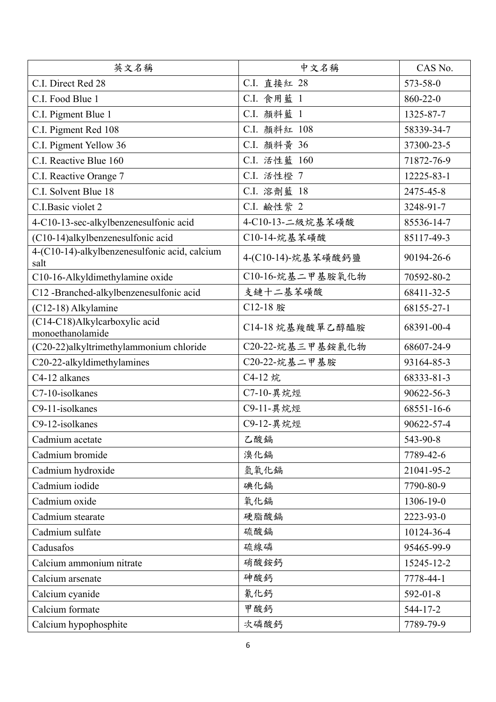| 英文名稱                                                  | 中文名稱               | CAS No.        |
|-------------------------------------------------------|--------------------|----------------|
| C.I. Direct Red 28                                    | C.I. 直接紅 28        | 573-58-0       |
| C.I. Food Blue 1                                      | C.I. 食用藍 1         | 860-22-0       |
| C.I. Pigment Blue 1                                   | C.I. 顏料藍 1         | 1325-87-7      |
| C.I. Pigment Red 108                                  | C.I. 顏料紅 108       | 58339-34-7     |
| C.I. Pigment Yellow 36                                | C.I. 顏料黃 36        | 37300-23-5     |
| C.I. Reactive Blue 160                                | C.I. 活性藍 160       | 71872-76-9     |
| C.I. Reactive Orange 7                                | C.I. 活性橙 7         | 12225-83-1     |
| C.I. Solvent Blue 18                                  | C.I. 溶劑藍 18        | 2475-45-8      |
| C.I.Basic violet 2                                    | C.I. 鹼性紫 2         | 3248-91-7      |
| 4-C10-13-sec-alkylbenzenesulfonic acid                | 4-C10-13-二級烷基苯磺酸   | 85536-14-7     |
| (C10-14)alkylbenzenesulfonic acid                     | C10-14-烷基苯磺酸       | 85117-49-3     |
| 4-(C10-14)-alkylbenzenesulfonic acid, calcium<br>salt | 4-(C10-14)-烷基苯磺酸鈣鹽 | 90194-26-6     |
| C10-16-Alkyldimethylamine oxide                       | C10-16-烷基二甲基胺氧化物   | 70592-80-2     |
| C12 -Branched-alkylbenzenesulfonic acid               | 支鏈十二基苯磺酸           | 68411-32-5     |
| (C12-18) Alkylamine                                   | C12-18 胺           | 68155-27-1     |
| (C14-C18)Alkylcarboxylic acid<br>monoethanolamide     | C14-18烷基羧酸單乙醇醯胺    | 68391-00-4     |
| (C20-22)alkyltrimethylammonium chloride               | C20-22-烷基三甲基銨氯化物   | 68607-24-9     |
| C20-22-alkyldimethylamines                            | C20-22-烷基二甲基胺      | 93164-85-3     |
| C4-12 alkanes                                         | C4-12 烷            | 68333-81-3     |
| C7-10-isolkanes                                       | C7-10-異烷烴          | 90622-56-3     |
| C9-11-isolkanes                                       | C9-11-異烷烴          | 68551-16-6     |
| C9-12-isolkanes                                       | C9-12-異烷烴          | 90622-57-4     |
| Cadmium acetate                                       | 乙酸鎘                | 543-90-8       |
| Cadmium bromide                                       | 溴化鎘                | 7789-42-6      |
| Cadmium hydroxide                                     | 氫氧化鎘               | 21041-95-2     |
| Cadmium iodide                                        | 碘化鎘                | 7790-80-9      |
| Cadmium oxide                                         | 氧化鎘                | 1306-19-0      |
| Cadmium stearate                                      | 硬脂酸鎘               | 2223-93-0      |
| Cadmium sulfate                                       | 硫酸鎘                | 10124-36-4     |
| Cadusafos                                             | 硫線磷                | 95465-99-9     |
| Calcium ammonium nitrate                              | 硝酸銨鈣               | 15245-12-2     |
| Calcium arsenate                                      | 砷酸鈣                | 7778-44-1      |
| Calcium cyanide                                       | 氰化鈣                | $592 - 01 - 8$ |
| Calcium formate                                       | 甲酸鈣                | 544-17-2       |
| Calcium hypophosphite                                 | 次磷酸鈣               | 7789-79-9      |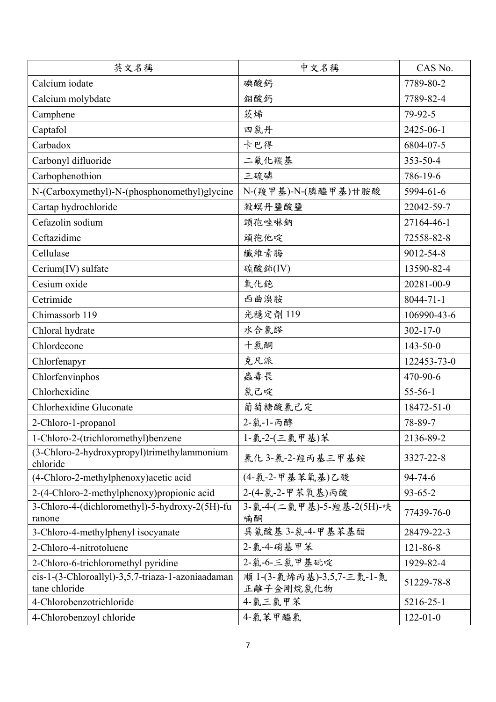| 英文名稱                                                               | 中文名稱                                   | CAS No.         |
|--------------------------------------------------------------------|----------------------------------------|-----------------|
| Calcium iodate                                                     | 碘酸鈣                                    | 7789-80-2       |
| Calcium molybdate                                                  | 鉬酸鈣                                    | 7789-82-4       |
| Camphene                                                           | 莰烯                                     | 79-92-5         |
| Captafol                                                           | 四氯丹                                    | 2425-06-1       |
| Carbadox                                                           | 卡巴得                                    | 6804-07-5       |
| Carbonyl difluoride                                                | 二氟化羰基                                  | 353-50-4        |
| Carbophenothion                                                    | 三硫磷                                    | 786-19-6        |
| N-(Carboxymethyl)-N-(phosphonomethyl)glycine                       | N-(羧甲基)-N-(膦醯甲基)甘胺酸                    | 5994-61-6       |
| Cartap hydrochloride                                               | 殺螟丹鹽酸鹽                                 | 22042-59-7      |
| Cefazolin sodium                                                   | 頭孢唑啉鈉                                  | 27164-46-1      |
| Ceftazidime                                                        | 頭孢他啶                                   | 72558-82-8      |
| Cellulase                                                          | 纖維素脢                                   | 9012-54-8       |
| Cerium(IV) sulfate                                                 | 硫酸鈰(IV)                                | 13590-82-4      |
| Cesium oxide                                                       | 氧化銫                                    | 20281-00-9      |
| Cetrimide                                                          | 西曲溴胺                                   | $8044 - 71 - 1$ |
| Chimassorb 119                                                     | 光穩定劑 119                               | 106990-43-6     |
| Chloral hydrate                                                    | 水合氯醛                                   | $302 - 17 - 0$  |
| Chlordecone                                                        | 十氯酮                                    | $143 - 50 - 0$  |
| Chlorfenapyr                                                       | 克凡派                                    | 122453-73-0     |
| Chlorfenvinphos                                                    | 蟲毒畏                                    | 470-90-6        |
| Chlorhexidine                                                      | 氯己啶                                    | $55-56-1$       |
| Chlorhexidine Gluconate                                            | 葡萄糖酸氯己定                                | 18472-51-0      |
| 2-Chloro-1-propanol                                                | 2-氯-1-丙醇                               | 78-89-7         |
| 1-Chloro-2-(trichloromethyl)benzene                                | 1-氯-2-(三氯甲基)苯                          | 2136-89-2       |
| (3-Chloro-2-hydroxypropyl)trimethylammonium<br>chloride            | 氯化 3-氯-2-羥丙基三甲基銨                       | 3327-22-8       |
| (4-Chloro-2-methylphenoxy) acetic acid                             | (4-氯-2-甲基苯氧基)乙酸                        | $94 - 74 - 6$   |
| 2-(4-Chloro-2-methylphenoxy) propionic acid                        | 2-(4-氯-2-甲苯氧基)丙酸                       | $93 - 65 - 2$   |
| 3-Chloro-4-(dichloromethyl)-5-hydroxy-2(5H)-fu<br>ranone           | 3-氯-4-(二氯甲基)-5-羥基-2(5H)-呋<br>喃酮        | 77439-76-0      |
| 3-Chloro-4-methylphenyl isocyanate                                 | 異氰酸基 3-氯-4-甲基苯基酯                       | 28479-22-3      |
| 2-Chloro-4-nitrotoluene                                            | 2-氯-4-硝基甲苯                             | 121-86-8        |
| 2-Chloro-6-trichloromethyl pyridine                                | 2-氯-6-三氯甲基砒啶                           | 1929-82-4       |
| cis-1-(3-Chloroallyl)-3,5,7-triaza-1-azoniaadaman<br>tane chloride | 順 1-(3-氯烯丙基)-3,5,7-三氮-1-氮<br>正離子金剛烷氯化物 | 51229-78-8      |
| 4-Chlorobenzotrichloride                                           | 4-氯三氯甲苯                                | 5216-25-1       |
| 4-Chlorobenzoyl chloride                                           | 4-氯苯甲醯氯                                | $122 - 01 - 0$  |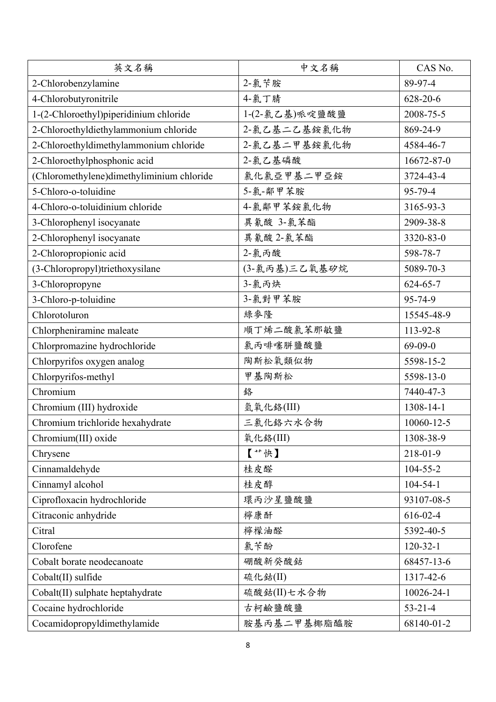| 英文名稱                                      | 中文名稱           | CAS No.        |
|-------------------------------------------|----------------|----------------|
| 2-Chlorobenzylamine                       | 2-氯苄胺          | 89-97-4        |
| 4-Chlorobutyronitrile                     | 4-氯丁腈          | 628-20-6       |
| 1-(2-Chloroethyl)piperidinium chloride    | 1-(2-氯乙基)哌啶鹽酸鹽 | 2008-75-5      |
| 2-Chloroethyldiethylammonium chloride     | 2-氯乙基二乙基銨氯化物   | 869-24-9       |
| 2-Chloroethyldimethylammonium chloride    | 2-氯乙基二甲基銨氯化物   | 4584-46-7      |
| 2-Chloroethylphosphonic acid              | 2-氯乙基磷酸        | 16672-87-0     |
| (Chloromethylene)dimethyliminium chloride | 氯化氯亞甲基二甲亞銨     | 3724-43-4      |
| 5-Chloro-o-toluidine                      | 5-氯-鄰甲苯胺       | 95-79-4        |
| 4-Chloro-o-toluidinium chloride           | 4-氯鄰甲苯銨氯化物     | 3165-93-3      |
| 3-Chlorophenyl isocyanate                 | 異氰酸 3-氯苯酯      | 2909-38-8      |
| 2-Chlorophenyl isocyanate                 | 異氰酸 2-氯苯酯      | 3320-83-0      |
| 2-Chloropropionic acid                    | 2-氯丙酸          | 598-78-7       |
| (3-Chloropropyl)triethoxysilane           | (3-氯丙基)三乙氧基矽烷  | 5089-70-3      |
| 3-Chloropropyne                           | 3-氯丙炔          | $624 - 65 - 7$ |
| 3-Chloro-p-toluidine                      | 3-氯對甲苯胺        | 95-74-9        |
| Chlorotoluron                             | 綠麥隆            | 15545-48-9     |
| Chlorpheniramine maleate                  | 順丁烯二酸氯苯那敏鹽     | 113-92-8       |
| Chlorpromazine hydrochloride              | 氯丙啡噻胼鹽酸鹽       | $69-09-0$      |
| Chlorpyrifos oxygen analog                | 陶斯松氧類似物        | 5598-15-2      |
| Chlorpyrifos-methyl                       | 甲基陶斯松          | 5598-13-0      |
| Chromium                                  | 鉻              | 7440-47-3      |
| Chromium (III) hydroxide                  | 氫氧化鉻(III)      | 1308-14-1      |
| Chromium trichloride hexahydrate          | 三氯化鉻六水合物       | 10060-12-5     |
| Chromium(III) oxide                       | 氧化络(III)       | 1308-38-9      |
| Chrysene                                  | 【**快】          | 218-01-9       |
| Cinnamaldehyde                            | 桂皮醛            | $104 - 55 - 2$ |
| Cinnamyl alcohol                          | 桂皮醇            | $104 - 54 - 1$ |
| Ciprofloxacin hydrochloride               | 環丙沙星鹽酸鹽        | 93107-08-5     |
| Citraconic anhydride                      | 檸康酐            | $616 - 02 - 4$ |
| Citral                                    | 檸檬油醛           | 5392-40-5      |
| Clorofene                                 | 氯苄酚            | $120-32-1$     |
| Cobalt borate neodecanoate                | 硼酸新癸酸鈷         | 68457-13-6     |
| Cobalt(II) sulfide                        | 硫化鈷(II)        | 1317-42-6      |
| Cobalt(II) sulphate heptahydrate          | 硫酸鈷(II)七水合物    | 10026-24-1     |
| Cocaine hydrochloride                     | 古柯鹼鹽酸鹽         | $53 - 21 - 4$  |
| Cocamidopropyldimethylamide               | 胺基丙基二甲基椰脂醯胺    | 68140-01-2     |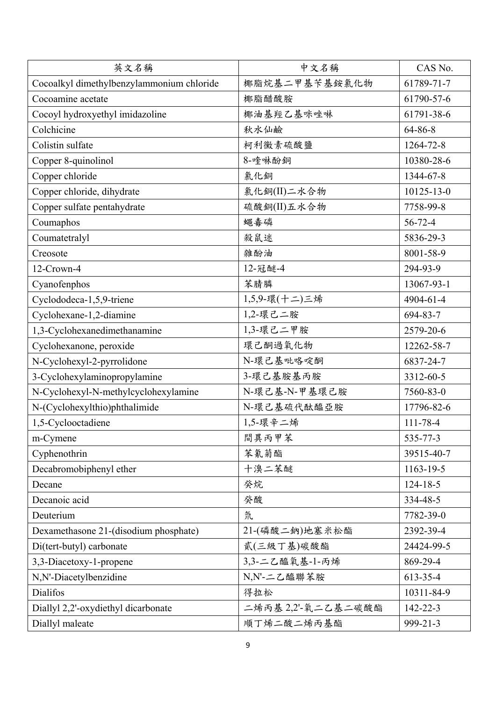| 英文名稱                                      | 中文名稱               | CAS No.          |
|-------------------------------------------|--------------------|------------------|
| Cocoalkyl dimethylbenzylammonium chloride | 椰脂烷基二甲基苄基銨氯化物      | 61789-71-7       |
| Cocoamine acetate                         | 椰脂醋酸胺              | 61790-57-6       |
| Cocoyl hydroxyethyl imidazoline           | 椰油基羥乙基咪唑啉          | 61791-38-6       |
| Colchicine                                | 秋水仙鹼               | 64-86-8          |
| Colistin sulfate                          | 柯利黴素硫酸鹽            | 1264-72-8        |
| Copper 8-quinolinol                       | 8-喹啉酚銅             | 10380-28-6       |
| Copper chloride                           | 氯化銅                | 1344-67-8        |
| Copper chloride, dihydrate                | 氯化銅(II)二水合物        | $10125 - 13 - 0$ |
| Copper sulfate pentahydrate               | 硫酸銅(II)五水合物        | 7758-99-8        |
| Coumaphos                                 | 蠅毒磷                | $56 - 72 - 4$    |
| Coumatetralyl                             | 殺鼠迷                | 5836-29-3        |
| Creosote                                  | 雜酚油                | 8001-58-9        |
| 12-Crown-4                                | 12-冠醚-4            | 294-93-9         |
| Cyanofenphos                              | 苯腈膦                | 13067-93-1       |
| Cyclododeca-1,5,9-triene                  | 1,5,9-環(十二)三烯      | 4904-61-4        |
| Cyclohexane-1,2-diamine                   | 1,2-環己二胺           | 694-83-7         |
| 1,3-Cyclohexanedimethanamine              | 1,3-環己二甲胺          | 2579-20-6        |
| Cyclohexanone, peroxide                   | 環己酮過氧化物            | 12262-58-7       |
| N-Cyclohexyl-2-pyrrolidone                | N-環己基吡咯啶酮          | 6837-24-7        |
| 3-Cyclohexylaminopropylamine              | 3-環己基胺基丙胺          | 3312-60-5        |
| N-Cyclohexyl-N-methylcyclohexylamine      | N-環己基-N-甲基環己胺      | 7560-83-0        |
| N-(Cyclohexylthio)phthalimide             | N-環己基硫代酞醯亞胺        | 17796-82-6       |
| 1,5-Cyclooctadiene                        | 1,5-環辛二烯           | 111-78-4         |
| m-Cymene                                  | 間異丙甲苯              | 535-77-3         |
| Cyphenothrin                              | 苯氰菊酯               | 39515-40-7       |
| Decabromobiphenyl ether                   | 十溴二苯醚              | 1163-19-5        |
| Decane                                    | 癸烷                 | $124 - 18 - 5$   |
| Decanoic acid                             | 癸酸                 | 334-48-5         |
| Deuterium                                 | 氘                  | 7782-39-0        |
| Dexamethasone 21-(disodium phosphate)     | 21-(磷酸二鈉)地塞米松酯     | 2392-39-4        |
| Di(tert-butyl) carbonate                  | 貳(三級丁基)碳酸酯         | 24424-99-5       |
| 3,3-Diacetoxy-1-propene                   | 3,3-二乙醯氧基-1-丙烯     | 869-29-4         |
| N,N'-Diacetylbenzidine                    | N,N'-二乙醯聯苯胺        | 613-35-4         |
| <b>Dialifos</b>                           | 得拉松                | 10311-84-9       |
| Diallyl 2,2'-oxydiethyl dicarbonate       | 二烯丙基 2,2'-氧二乙基二碳酸酯 | 142-22-3         |
| Diallyl maleate                           | 順丁烯二酸二烯丙基酯         | 999-21-3         |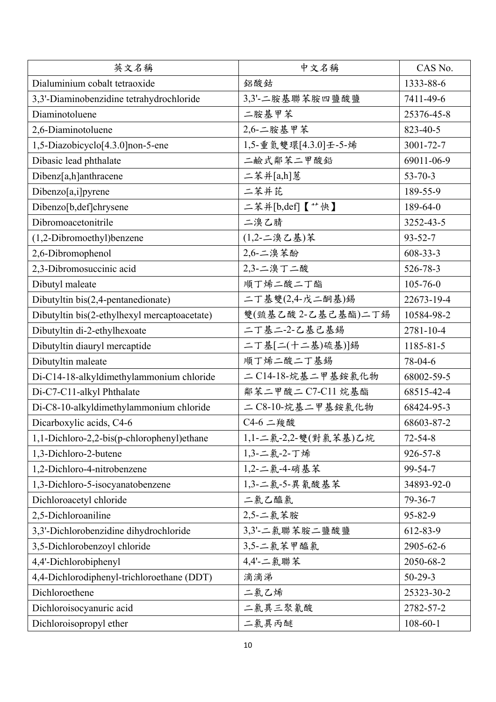| 英文名稱                                         | 中文名稱                 | CAS No.        |
|----------------------------------------------|----------------------|----------------|
| Dialuminium cobalt tetraoxide                | 鋁酸鈷                  | 1333-88-6      |
| 3,3'-Diaminobenzidine tetrahydrochloride     | 3,3'-二胺基聯苯胺四鹽酸鹽      | 7411-49-6      |
| Diaminotoluene                               | 二胺基甲苯                | 25376-45-8     |
| 2,6-Diaminotoluene                           | 2,6-二胺基甲苯            | 823-40-5       |
| 1,5-Diazobicyclo[4.3.0]non-5-ene             | 1,5-重氮雙環[4.3.0]壬-5-烯 | 3001-72-7      |
| Dibasic lead phthalate                       | 二鹼式鄰苯二甲酸鉛            | 69011-06-9     |
| Dibenz[a,h]anthracene                        | 二苯并[a,h]蒽            | $53 - 70 - 3$  |
| Dibenzo[a,i]pyrene                           | 二苯并芘                 | 189-55-9       |
| Dibenzo[b,def]chrysene                       | 二苯并[b,def]【艹快】       | 189-64-0       |
| Dibromoacetonitrile                          | 二溴乙腈                 | 3252-43-5      |
| (1,2-Dibromoethyl)benzene                    | (1,2-二溴乙基)苯          | $93 - 52 - 7$  |
| 2,6-Dibromophenol                            | 2,6-二溴苯酚             | 608-33-3       |
| 2,3-Dibromosuccinic acid                     | 2,3-二溴丁二酸            | 526-78-3       |
| Dibutyl maleate                              | 順丁烯二酸二丁酯             | $105 - 76 - 0$ |
| Dibutyltin $bis(2,4$ -pentanedionate)        | 二丁基雙(2,4-戊二酮基)錫      | 22673-19-4     |
| Dibutyltin bis(2-ethylhexyl mercaptoacetate) | 雙(巰基乙酸2-乙基己基酯)二丁錫    | 10584-98-2     |
| Dibutyltin di-2-ethylhexoate                 | 二丁基二-2-乙基己基錫         | 2781-10-4      |
| Dibutyltin diauryl mercaptide                | 二丁基[二(十二基)硫基)]錫      | 1185-81-5      |
| Dibutyltin maleate                           | 順丁烯二酸二丁基錫            | 78-04-6        |
| Di-C14-18-alkyldimethylammonium chloride     | 二C14-18-烷基二甲基銨氯化物    | 68002-59-5     |
| Di-C7-C11-alkyl Phthalate                    | 鄰苯二甲酸二 C7-C11 烷基酯    | 68515-42-4     |
| Di-C8-10-alkyldimethylammonium chloride      | 二 C8-10-烷基二甲基銨氯化物    | 68424-95-3     |
| Dicarboxylic acids, C4-6                     | C4-6 二羧酸             | 68603-87-2     |
| 1,1-Dichloro-2,2-bis(p-chlorophenyl)ethane   | 1,1-二氯-2,2-雙(對氯苯基)乙烷 | $72 - 54 - 8$  |
| 1,3-Dichloro-2-butene                        | 1,3-二氯-2-丁烯          | 926-57-8       |
| 1,2-Dichloro-4-nitrobenzene                  | 1,2-二氯-4-硝基苯         | 99-54-7        |
| 1,3-Dichloro-5-isocyanatobenzene             | 1,3-二氯-5-異氰酸基苯       | 34893-92-0     |
| Dichloroacetyl chloride                      | 二氯乙醯氯                | 79-36-7        |
| 2,5-Dichloroaniline                          | 2,5-二氯苯胺             | 95-82-9        |
| 3,3'-Dichlorobenzidine dihydrochloride       | 3,3'-二氯聯苯胺二鹽酸鹽       | 612-83-9       |
| 3,5-Dichlorobenzoyl chloride                 | 3,5-二氯苯甲醯氯           | 2905-62-6      |
| 4,4'-Dichlorobiphenyl                        | 4,4'-二氯聯苯            | 2050-68-2      |
| 4,4-Dichlorodiphenyl-trichloroethane (DDT)   | 滴滴涕                  | $50-29-3$      |
| Dichloroethene                               | 二氯乙烯                 | 25323-30-2     |
| Dichloroisocyanuric acid                     | 二氯異三聚氰酸              | 2782-57-2      |
| Dichloroisopropyl ether                      | 二氯異丙醚                | $108 - 60 - 1$ |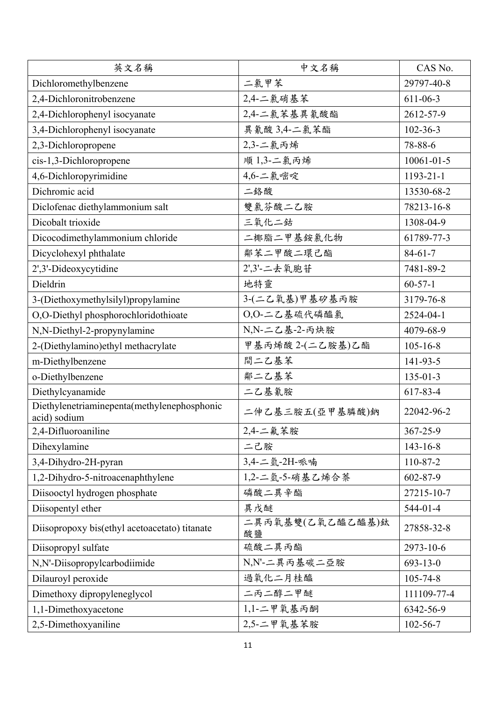| 英文名稱                                                        | 中文名稱                   | CAS No.          |
|-------------------------------------------------------------|------------------------|------------------|
| Dichloromethylbenzene                                       | 二氯甲苯                   | 29797-40-8       |
| 2,4-Dichloronitrobenzene                                    | 2,4-二氯硝基苯              | $611 - 06 - 3$   |
| 2,4-Dichlorophenyl isocyanate                               | 2,4-二氯苯基異氰酸酯           | 2612-57-9        |
| 3,4-Dichlorophenyl isocyanate                               | 異氰酸 3,4-二氯苯酯           | $102 - 36 - 3$   |
| 2,3-Dichloropropene                                         | 2,3-二氯丙烯               | 78-88-6          |
| cis-1,3-Dichloropropene                                     | 順1,3-二氯丙烯              | $10061 - 01 - 5$ |
| 4,6-Dichloropyrimidine                                      | 4,6-二氯嘧啶               | $1193 - 21 - 1$  |
| Dichromic acid                                              | 二络酸                    | 13530-68-2       |
| Diclofenac diethylammonium salt                             | 雙氯芬酸二乙胺                | 78213-16-8       |
| Dicobalt trioxide                                           | 三氧化二鈷                  | 1308-04-9        |
| Dicocodimethylammonium chloride                             | 二椰脂二甲基銨氯化物             | 61789-77-3       |
| Dicyclohexyl phthalate                                      | 鄰苯二甲酸二環己酯              | $84 - 61 - 7$    |
| 2',3'-Dideoxycytidine                                       | 2',3'-二去氧胞苷            | 7481-89-2        |
| Dieldrin                                                    | 地特靈                    | $60 - 57 - 1$    |
| 3-(Diethoxymethylsilyl)propylamine                          | 3-(二乙氧基)甲基矽基丙胺         | 3179-76-8        |
| O,O-Diethyl phosphorochloridothioate                        | O,O-二乙基硫代磷醯氯           | 2524-04-1        |
| N,N-Diethyl-2-propynylamine                                 | N,N-二乙基-2-丙炔胺          | 4079-68-9        |
| 2-(Diethylamino)ethyl methacrylate                          | 甲基丙烯酸2-(二乙胺基)乙酯        | $105 - 16 - 8$   |
| m-Diethylbenzene                                            | 間二乙基苯                  | 141-93-5         |
| o-Diethylbenzene                                            | 鄰二乙基苯                  | $135 - 01 - 3$   |
| Diethylcyanamide                                            | 二乙基氰胺                  | 617-83-4         |
| Diethylenetriaminepenta(methylenephosphonic<br>acid) sodium | 二伸乙基三胺五(亞甲基膦酸)鈉        | 22042-96-2       |
| 2,4-Difluoroaniline                                         | 2,4-二氟苯胺               | 367-25-9         |
| Dihexylamine                                                | 二己胺                    | $143 - 16 - 8$   |
| 3,4-Dihydro-2H-pyran                                        | 3,4-二氫-2H-哌喃           | 110-87-2         |
| 1,2-Dihydro-5-nitroacenaphthylene                           | 1,2-二氫-5-硝基乙烯合萘        | 602-87-9         |
| Diisooctyl hydrogen phosphate                               | 磷酸二異辛酯                 | 27215-10-7       |
| Diisopentyl ether                                           | 異戊醚                    | $544-01-4$       |
| Diisopropoxy bis(ethyl acetoacetato) titanate               | 二異丙氧基雙(乙氧乙醯乙醯基)鈦<br>酸鹽 | 27858-32-8       |
| Diisopropyl sulfate                                         | 硫酸二異丙酯                 | 2973-10-6        |
| N,N'-Diisopropylcarbodiimide                                | N,N'-二異丙基碳二亞胺          | $693 - 13 - 0$   |
| Dilauroyl peroxide                                          | 過氧化二月桂醯                | 105-74-8         |
| Dimethoxy dipropyleneglycol                                 | 二丙二醇二甲醚                | 111109-77-4      |
| 1,1-Dimethoxyacetone                                        | 1,1-二甲氧基丙酮             | 6342-56-9        |
| 2,5-Dimethoxyaniline                                        | 2,5-二甲氧基苯胺             | $102 - 56 - 7$   |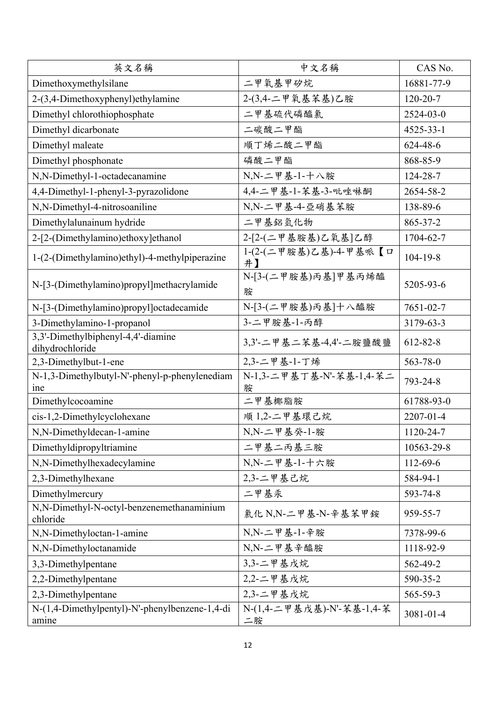| 英文名稱                                                    | 中文名稱                            | CAS No.         |
|---------------------------------------------------------|---------------------------------|-----------------|
| Dimethoxymethylsilane                                   | 二甲氧基甲矽烷                         | 16881-77-9      |
| 2-(3,4-Dimethoxyphenyl)ethylamine                       | 2-(3,4-二甲氧基苯基)乙胺                | $120 - 20 - 7$  |
| Dimethyl chlorothiophosphate                            | 二甲基硫代磷醯氯                        | 2524-03-0       |
| Dimethyl dicarbonate                                    | 二碳酸二甲酯                          | $4525 - 33 - 1$ |
| Dimethyl maleate                                        | 順丁烯二酸二甲酯                        | 624-48-6        |
| Dimethyl phosphonate                                    | 磷酸二甲酯                           | 868-85-9        |
| N,N-Dimethyl-1-octadecanamine                           | N,N-二甲基-1-十八胺                   | 124-28-7        |
| 4,4-Dimethyl-1-phenyl-3-pyrazolidone                    | 4,4-二甲基-1-苯基-3-吡唑啉酮             | 2654-58-2       |
| N,N-Dimethyl-4-nitrosoaniline                           | N,N-二甲基-4-亞硝基苯胺                 | 138-89-6        |
| Dimethylalunainum hydride                               | 二甲基鋁氫化物                         | 865-37-2        |
| 2-[2-(Dimethylamino)ethoxy]ethanol                      | 2-[2-(二甲基胺基)乙氧基]乙醇              | 1704-62-7       |
| 1-(2-(Dimethylamino)ethyl)-4-methylpiperazine           | 1-(2-(二甲胺基)乙基)-4-甲基哌【口<br>井】    | $104 - 19 - 8$  |
| N-[3-(Dimethylamino)propyl]methacrylamide               | N-[3-(二甲胺基)丙基]甲基丙烯醯<br>胺        | 5205-93-6       |
| N-[3-(Dimethylamino)propyl]octadecamide                 | N-[3-(二甲胺基)丙基]十八醯胺              | 7651-02-7       |
| 3-Dimethylamino-1-propanol                              | 3-二甲胺基-1-丙醇                     | 3179-63-3       |
| 3,3'-Dimethylbiphenyl-4,4'-diamine<br>dihydrochloride   | 3,3'-二甲基二苯基-4,4'-二胺鹽酸鹽          | 612-82-8        |
| 2,3-Dimethylbut-1-ene                                   | 2,3-二甲基-1-丁烯                    | 563-78-0        |
| N-1,3-Dimethylbutyl-N'-phenyl-p-phenylenediam<br>ine    | N-1,3-二甲基丁基-N'-苯基-1,4-苯二<br>胺   | 793-24-8        |
| Dimethylcocoamine                                       | 二甲基椰脂胺                          | 61788-93-0      |
| cis-1,2-Dimethylcyclohexane                             | 順 1,2-二甲基環己烷                    | 2207-01-4       |
| N,N-Dimethyldecan-1-amine                               | N,N-二甲基癸-1-胺                    | 1120-24-7       |
| Dimethyldipropyltriamine                                | 二甲基二丙基三胺                        | 10563-29-8      |
| N,N-Dimethylhexadecylamine                              | N,N-二甲基-1-十六胺                   | 112-69-6        |
| 2,3-Dimethylhexane                                      | 2,3-二甲基己烷                       | 584-94-1        |
| Dimethylmercury                                         | 二甲基汞                            | 593-74-8        |
| N,N-Dimethyl-N-octyl-benzenemethanaminium<br>chloride   | 氯化 N,N-二甲基-N-辛基苯甲銨              | 959-55-7        |
| N,N-Dimethyloctan-1-amine                               | N,N-二甲基-1-辛胺                    | 7378-99-6       |
| N,N-Dimethyloctanamide                                  | N,N-二甲基辛醯胺                      | 1118-92-9       |
| 3,3-Dimethylpentane                                     | 3,3-二甲基戊烷                       | 562-49-2        |
| 2,2-Dimethylpentane                                     | 2,2-二甲基戊烷                       | 590-35-2        |
| 2,3-Dimethylpentane                                     | 2,3-二甲基戊烷                       | 565-59-3        |
| N-(1,4-Dimethylpentyl)-N'-phenylbenzene-1,4-di<br>amine | N-(1,4-二甲基戊基)-N'-苯基-1,4-苯<br>二胺 | 3081-01-4       |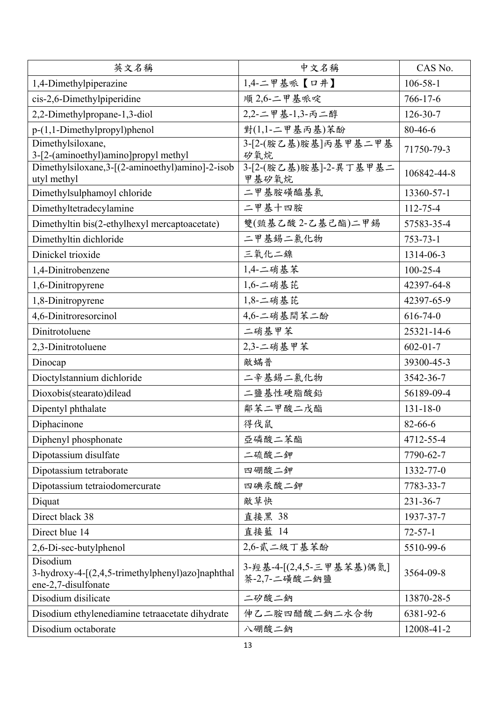| 英文名稱                                                                                | 中文名稱                                      | CAS No.        |
|-------------------------------------------------------------------------------------|-------------------------------------------|----------------|
| 1,4-Dimethylpiperazine                                                              | 1,4-二甲基哌【口井】                              | $106 - 58 - 1$ |
| cis-2,6-Dimethylpiperidine                                                          | 順 2,6-二甲基哌啶                               | $766 - 17 - 6$ |
| 2,2-Dimethylpropane-1,3-diol                                                        | 2,2-二甲基-1,3-丙二醇                           | $126 - 30 - 7$ |
| p-(1,1-Dimethylpropyl)phenol                                                        | 對(1,1-二甲基丙基)苯酚                            | 80-46-6        |
| Dimethylsiloxane,<br>3-[2-(aminoethyl)amino]propyl methyl                           | 3-[2-(胺乙基)胺基]丙基甲基二甲基<br>矽氧烷               | 71750-79-3     |
| Dimethylsiloxane, 3-[(2-aminoethyl)amino]-2-isob<br>utyl methyl                     | 3-[2-(胺乙基)胺基]-2-異丁基甲基二<br>甲基矽氧烷           | 106842-44-8    |
| Dimethylsulphamoyl chloride                                                         | 二甲基胺磺醯基氯                                  | 13360-57-1     |
| Dimethyltetradecylamine                                                             | 二甲基十四胺                                    | 112-75-4       |
| Dimethyltin bis(2-ethylhexyl mercaptoacetate)                                       | 雙(巰基乙酸2-乙基己酯)二甲錫                          | 57583-35-4     |
| Dimethyltin dichloride                                                              | 二甲基錫二氯化物                                  | $753 - 73 - 1$ |
| Dinickel trioxide                                                                   | 三氧化二镍                                     | 1314-06-3      |
| 1,4-Dinitrobenzene                                                                  | 1,4-二硝基苯                                  | $100 - 25 - 4$ |
| 1,6-Dinitropyrene                                                                   | 1,6-二硝基芘                                  | 42397-64-8     |
| 1,8-Dinitropyrene                                                                   | $1,8$ -二硝基芘                               | 42397-65-9     |
| 4,6-Dinitroresorcinol                                                               | 4,6-二硝基間苯二酚                               | $616 - 74 - 0$ |
| Dinitrotoluene                                                                      | 二硝基甲苯                                     | 25321-14-6     |
| 2,3-Dinitrotoluene                                                                  | 2,3-二硝基甲苯                                 | $602 - 01 - 7$ |
| Dinocap                                                                             | 敵蟎普                                       | 39300-45-3     |
| Dioctylstannium dichloride                                                          | 二辛基錫二氯化物                                  | 3542-36-7      |
| Dioxobis(stearato)dilead                                                            | 二鹽基性硬脂酸鉛                                  | 56189-09-4     |
| Dipentyl phthalate                                                                  | 鄰苯二甲酸二戊酯                                  | $131 - 18 - 0$ |
| Diphacinone                                                                         | 得伐鼠                                       | 82-66-6        |
| Diphenyl phosphonate                                                                | 亞磷酸二苯酯                                    | 4712-55-4      |
| Dipotassium disulfate                                                               | 二硫酸二鉀                                     | 7790-62-7      |
| Dipotassium tetraborate                                                             | 四硼酸二鉀                                     | 1332-77-0      |
| Dipotassium tetraiodomercurate                                                      | 四碘汞酸二鉀                                    | 7783-33-7      |
| Diquat                                                                              | 敵草快                                       | $231 - 36 - 7$ |
| Direct black 38                                                                     | 直接黑 38                                    | 1937-37-7      |
| Direct blue 14                                                                      | 直接藍 14                                    | $72 - 57 - 1$  |
| 2,6-Di-sec-butylphenol                                                              | 2,6-貳二級丁基苯酚                               | 5510-99-6      |
| Disodium<br>3-hydroxy-4-[(2,4,5-trimethylphenyl)azo]naphthal<br>ene-2,7-disulfonate | 3- 羥基-4-[(2,4,5-三甲基苯基)偶氮]<br>萘-2,7-二磺酸二鈉鹽 | 3564-09-8      |
| Disodium disilicate                                                                 | 二矽酸二鈉                                     | 13870-28-5     |
| Disodium ethylenediamine tetraacetate dihydrate                                     | 伸乙二胺四醋酸二鈉二水合物                             | 6381-92-6      |
| Disodium octaborate                                                                 | 八硼酸二鈉                                     | 12008-41-2     |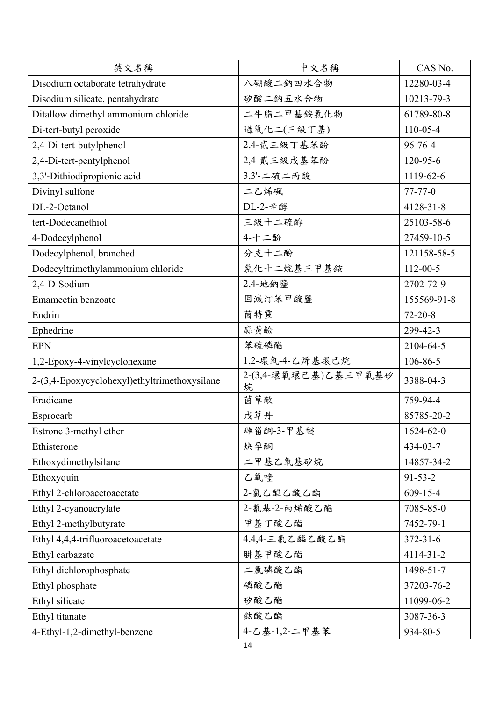| 英文名稱                                         | 中文名稱                      | CAS No.         |
|----------------------------------------------|---------------------------|-----------------|
| Disodium octaborate tetrahydrate             | 八硼酸二鈉四水合物                 | 12280-03-4      |
| Disodium silicate, pentahydrate              | 矽酸二鈉五水合物                  | 10213-79-3      |
| Ditallow dimethyl ammonium chloride          | 二牛脂二甲基銨氯化物                | 61789-80-8      |
| Di-tert-butyl peroxide                       | 過氧化二(三級丁基)                | $110 - 05 - 4$  |
| 2,4-Di-tert-butylphenol                      | 2,4-貳三級丁基苯酚               | 96-76-4         |
| 2,4-Di-tert-pentylphenol                     | 2,4-貳三級戊基苯酚               | 120-95-6        |
| 3,3'-Dithiodipropionic acid                  | 3,3'-二硫二丙酸                | 1119-62-6       |
| Divinyl sulfone                              | 二乙烯砜                      | $77 - 77 - 0$   |
| DL-2-Octanol                                 | DL-2-辛醇                   | $4128 - 31 - 8$ |
| tert-Dodecanethiol                           | 三級十二硫醇                    | 25103-58-6      |
| 4-Dodecylphenol                              | 4-十二酚                     | 27459-10-5      |
| Dodecylphenol, branched                      | 分支十二酚                     | 121158-58-5     |
| Dodecyltrimethylammonium chloride            | 氯化十二烷基三甲基銨                | $112 - 00 - 5$  |
| 2,4-D-Sodium                                 | 2,4-地鈉鹽                   | 2702-72-9       |
| Emamectin benzoate                           | 因滅汀苯甲酸鹽                   | 155569-91-8     |
| Endrin                                       | 茵特靈                       | $72 - 20 - 8$   |
| Ephedrine                                    | 麻黃鹼                       | 299-42-3        |
| <b>EPN</b>                                   | 苯硫磷酯                      | 2104-64-5       |
| 1,2-Epoxy-4-vinylcyclohexane                 | 1,2-環氧-4-乙烯基環己烷           | 106-86-5        |
| 2-(3,4-Epoxycyclohexyl)ethyltrimethoxysilane | 2-(3,4-環氧環己基)乙基三甲氧基矽<br>烷 | 3388-04-3       |
| Eradicane                                    | 茵草敵                       | 759-94-4        |
| Esprocarb                                    | 戊草丹                       | 85785-20-2      |
| Estrone 3-methyl ether                       | 雌甾酮-3-甲基醚                 | $1624 - 62 - 0$ |
| Ethisterone                                  | 炔孕酮                       | 434-03-7        |
| Ethoxydimethylsilane                         | 二甲基乙氧基矽烷                  | 14857-34-2      |
| Ethoxyquin                                   | 乙氧喹                       | $91 - 53 - 2$   |
| Ethyl 2-chloroacetoacetate                   | 2-氯乙醯乙酸乙酯                 | $609 - 15 - 4$  |
| Ethyl 2-cyanoacrylate                        | 2-氰基-2-丙烯酸乙酯              | 7085-85-0       |
| Ethyl 2-methylbutyrate                       | 甲基丁酸乙酯                    | 7452-79-1       |
| Ethyl 4,4,4-trifluoroacetoacetate            | 4,4,4-三氟乙醯乙酸乙酯            | $372 - 31 - 6$  |
| Ethyl carbazate                              | 肼基甲酸乙酯                    | 4114-31-2       |
| Ethyl dichlorophosphate                      | 二氯磷酸乙酯                    | 1498-51-7       |
| Ethyl phosphate                              | 磷酸乙酯                      | 37203-76-2      |
| Ethyl silicate                               | 矽酸乙酯                      | 11099-06-2      |
| Ethyl titanate                               | 鈦酸乙酯                      | 3087-36-3       |
| 4-Ethyl-1,2-dimethyl-benzene                 | 4-乙基-1,2-二甲基苯             | 934-80-5        |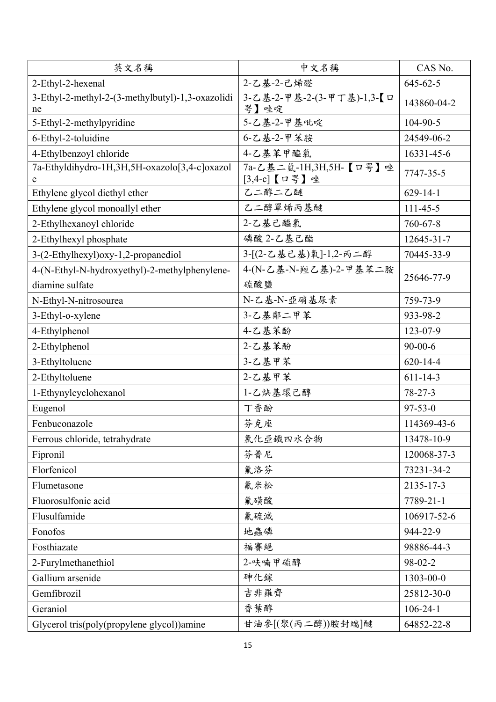| 英文名稱                                                   | 中文名稱                                    | CAS No.        |
|--------------------------------------------------------|-----------------------------------------|----------------|
| 2-Ethyl-2-hexenal                                      | 2-乙基-2-己烯醛                              | $645 - 62 - 5$ |
| 3-Ethyl-2-methyl-2-(3-methylbutyl)-1,3-oxazolidi<br>ne | 3-乙基-2-甲基-2-(3-甲丁基)-1,3-【ロ<br>咢】唑啶      | 143860-04-2    |
| 5-Ethyl-2-methylpyridine                               | 5-乙基-2-甲基吡啶                             | 104-90-5       |
| 6-Ethyl-2-toluidine                                    | 6-乙基-2-甲苯胺                              | 24549-06-2     |
| 4-Ethylbenzoyl chloride                                | 4-乙基苯甲醯氯                                | 16331-45-6     |
| 7a-Ethyldihydro-1H,3H,5H-oxazolo[3,4-c]oxazol<br>e     | 7a-乙基二氫-1H,3H,5H-【口咢】唑<br>[3,4-c] 【口咢】唑 | 7747-35-5      |
| Ethylene glycol diethyl ether                          | 乙二醇二乙醚                                  | $629 - 14 - 1$ |
| Ethylene glycol monoallyl ether                        | 乙二醇單烯丙基醚                                | $111 - 45 - 5$ |
| 2-Ethylhexanoyl chloride                               | 2-乙基己醯氯                                 | 760-67-8       |
| 2-Ethylhexyl phosphate                                 | 磷酸 2-乙基己酯                               | 12645-31-7     |
| 3-(2-Ethylhexyl)oxy-1,2-propanediol                    | 3-[(2-乙基己基)氧]-1,2-丙二醇                   | 70445-33-9     |
| 4-(N-Ethyl-N-hydroxyethyl)-2-methylphenylene-          | 4-(N-乙基-N-羥乙基)-2-甲基苯二胺                  | 25646-77-9     |
| diamine sulfate                                        | 硫酸鹽                                     |                |
| N-Ethyl-N-nitrosourea                                  | N-乙基-N-亞硝基尿素                            | 759-73-9       |
| 3-Ethyl-o-xylene                                       | 3-乙基鄰二甲苯                                | 933-98-2       |
| 4-Ethylphenol                                          | 4-乙基苯酚                                  | 123-07-9       |
| 2-Ethylphenol                                          | 2-乙基苯酚                                  | $90 - 00 - 6$  |
| 3-Ethyltoluene                                         | 3-乙基甲苯                                  | $620 - 14 - 4$ |
| 2-Ethyltoluene                                         | 2-乙基甲苯                                  | $611 - 14 - 3$ |
| 1-Ethynylcyclohexanol                                  | 1-乙炔基環己醇                                | $78 - 27 - 3$  |
| Eugenol                                                | 丁香酚                                     | $97 - 53 - 0$  |
| Fenbuconazole                                          | 芬克座                                     | 114369-43-6    |
| Ferrous chloride, tetrahydrate                         | 氯化亞鐵四水合物                                | 13478-10-9     |
| Fipronil                                               | 芬普尼                                     | 120068-37-3    |
| Florfenicol                                            | 氟洛芬                                     | 73231-34-2     |
| Flumetasone                                            | 氟米松                                     | 2135-17-3      |
| Fluorosulfonic acid                                    | 氟磺酸                                     | 7789-21-1      |
| Flusulfamide                                           | 氟硫滅                                     | 106917-52-6    |
| Fonofos                                                | 地蟲磷                                     | 944-22-9       |
| Fosthiazate                                            | 福賽絕                                     | 98886-44-3     |
| 2-Furylmethanethiol                                    | 2-呋喃甲硫醇                                 | 98-02-2        |
| Gallium arsenide                                       | 砷化鎵                                     | 1303-00-0      |
| Gemfibrozil                                            | 吉非羅齊                                    | 25812-30-0     |
| Geraniol                                               | 香葉醇                                     | $106 - 24 - 1$ |
| Glycerol tris(poly(propylene glycol))amine             | 甘油参[(聚(丙二醇))胺封端]醚                       | 64852-22-8     |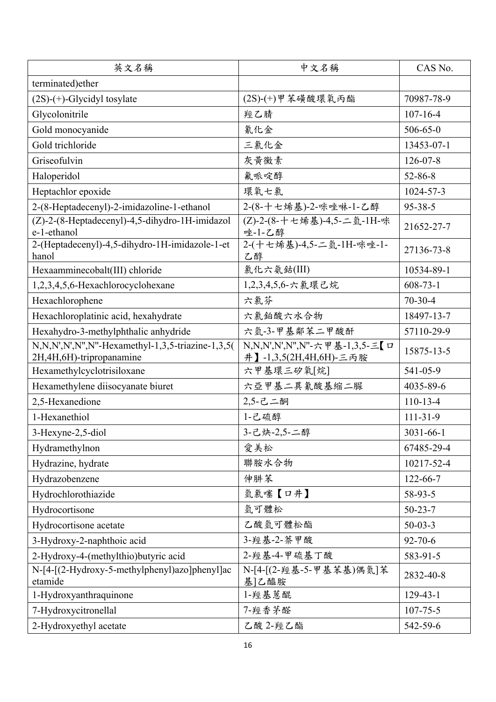| 英文名稱                                                                           | 中文名稱                                                    | CAS No.         |
|--------------------------------------------------------------------------------|---------------------------------------------------------|-----------------|
| terminated)ether                                                               |                                                         |                 |
| $(2S)-(+)$ -Glycidyl tosylate                                                  | (2S)-(+)甲苯磺酸環氧丙酯                                        | 70987-78-9      |
| Glycolonitrile                                                                 | 羥乙腈                                                     | $107 - 16 - 4$  |
| Gold monocyanide                                                               | 氰化金                                                     | $506 - 65 - 0$  |
| Gold trichloride                                                               | 三氯化金                                                    | 13453-07-1      |
| Griseofulvin                                                                   | 灰黃黴素                                                    | $126 - 07 - 8$  |
| Haloperidol                                                                    | 氟哌啶醇                                                    | $52 - 86 - 8$   |
| Heptachlor epoxide                                                             | 環氧七氯                                                    | 1024-57-3       |
| 2-(8-Heptadecenyl)-2-imidazoline-1-ethanol                                     | 2-(8-十七烯基)-2-咪唑啉-1-乙醇                                   | $95 - 38 - 5$   |
| (Z)-2-(8-Heptadecenyl)-4,5-dihydro-1H-imidazol<br>e-1-ethanol                  | (Z)-2-(8-十七烯基)-4,5-二氫-1H-咪<br>唑-1-乙醇                    | 21652-27-7      |
| 2-(Heptadecenyl)-4,5-dihydro-1H-imidazole-1-et<br>hanol                        | 2-(十七烯基)-4,5-二氫-1H-咪唑-1-<br>乙醇                          | 27136-73-8      |
| Hexaamminecobalt(III) chloride                                                 | 氯化六氨鈷(III)                                              | 10534-89-1      |
| 1,2,3,4,5,6-Hexachlorocyclohexane                                              | 1,2,3,4,5,6-六氯環己烷                                       | $608 - 73 - 1$  |
| Hexachlorophene                                                                | 六氯芬                                                     | $70-30-4$       |
| Hexachloroplatinic acid, hexahydrate                                           | 六氯鉑酸六水合物                                                | 18497-13-7      |
| Hexahydro-3-methylphthalic anhydride                                           | 六氫-3-甲基鄰苯二甲酸酐                                           | 57110-29-9      |
| N,N,N',N',N'',N''-Hexamethyl-1,3,5-triazine-1,3,5(<br>2H,4H,6H)-tripropanamine | N,N,N',N',N",N"-六甲基-1,3,5-三【ロ<br>井】-1,3,5(2H,4H,6H)-三丙胺 | 15875-13-5      |
| Hexamethylcyclotrisiloxane                                                     | 六甲基環三矽氧[烷]                                              | 541-05-9        |
| Hexamethylene diisocyanate biuret                                              | 六亞甲基二異氰酸基縮二脲                                            | 4035-89-6       |
| 2,5-Hexanedione                                                                | 2,5-己二酮                                                 | $110 - 13 - 4$  |
| 1-Hexanethiol                                                                  | 1-己硫醇                                                   | $111 - 31 - 9$  |
| 3-Hexyne-2,5-diol                                                              | 3-己炔-2,5-二醇                                             | $3031 - 66 - 1$ |
| Hydramethylnon                                                                 | 愛美松                                                     | 67485-29-4      |
| Hydrazine, hydrate                                                             | 聯胺水合物                                                   | 10217-52-4      |
| Hydrazobenzene                                                                 | 伸肼苯                                                     | $122 - 66 - 7$  |
| Hydrochlorothiazide                                                            | 氫氯噻【口井】                                                 | 58-93-5         |
| Hydrocortisone                                                                 | 氫可體松                                                    | $50 - 23 - 7$   |
| Hydrocortisone acetate                                                         | 乙酸氫可體松酯                                                 | $50-03-3$       |
| 3-Hydroxy-2-naphthoic acid                                                     | 3- 羥基-2- 萘甲酸                                            | $92 - 70 - 6$   |
| 2-Hydroxy-4-(methylthio)butyric acid                                           | 2- 經基-4-甲硫基丁酸                                           | 583-91-5        |
| N-[4-[(2-Hydroxy-5-methylphenyl)azo]phenyl]ac<br>etamide                       | N-[4-[(2-羥基-5-甲基苯基)偶氮]苯<br>基 乙醯胺                        | 2832-40-8       |
| 1-Hydroxyanthraquinone                                                         | 1-羥基蒽醌                                                  | $129 - 43 - 1$  |
| 7-Hydroxycitronellal                                                           | 7-羥香茅醛                                                  | $107 - 75 - 5$  |
| 2-Hydroxyethyl acetate                                                         | 乙酸 2-羥乙酯                                                | 542-59-6        |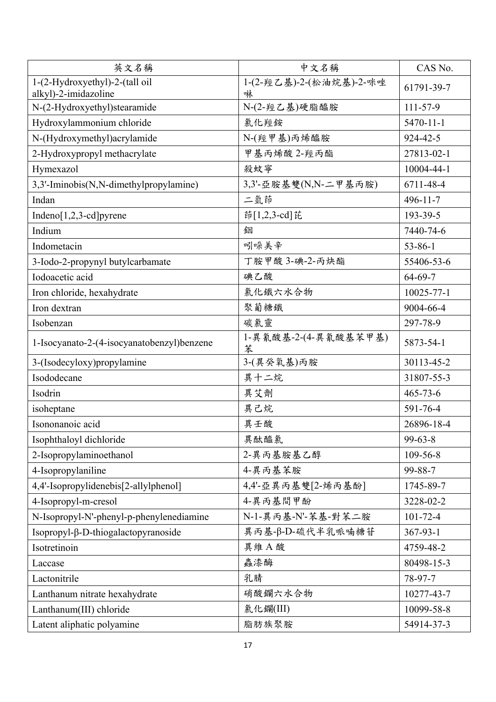| 英文名稱                                       | 中文名稱                      | CAS No.          |
|--------------------------------------------|---------------------------|------------------|
| 1-(2-Hydroxyethyl)-2-(tall oil             | 1-(2-羥乙基)-2-(松油烷基)-2-咪唑   | 61791-39-7       |
| alkyl)-2-imidazoline                       | 啉                         |                  |
| N-(2-Hydroxyethyl)stearamide               | N-(2-羥乙基)硬脂醯胺             | $111 - 57 - 9$   |
| Hydroxylammonium chloride                  | 氯化羥銨                      | $5470 - 11 - 1$  |
| N-(Hydroxymethyl)acrylamide                | N-(羥甲基)丙烯醯胺               | $924 - 42 - 5$   |
| 2-Hydroxypropyl methacrylate               | 甲基丙烯酸 2-羥丙酯               | 27813-02-1       |
| Hymexazol                                  | 殺蚊寧                       | 10004-44-1       |
| 3,3'-Iminobis(N,N-dimethylpropylamine)     | 3,3'-亞胺基雙(N,N-二甲基丙胺)      | 6711-48-4        |
| Indan                                      | 二氫茚                       | $496 - 11 - 7$   |
| Indeno $[1,2,3$ -cd] pyrene                | 茚[1,2,3-cd]芘              | 193-39-5         |
| Indium                                     | 銦                         | 7440-74-6        |
| Indometacin                                | 吲哚美辛                      | $53 - 86 - 1$    |
| 3-Iodo-2-propynyl butylcarbamate           | 丁胺甲酸 3-碘-2-丙炔酯            | 55406-53-6       |
| Iodoacetic acid                            | 碘乙酸                       | $64 - 69 - 7$    |
| Iron chloride, hexahydrate                 | 氯化鐵六水合物                   | $10025 - 77 - 1$ |
| Iron dextran                               | 聚葡糖鐵                      | 9004-66-4        |
| Isobenzan                                  | 碳氯靈                       | 297-78-9         |
| 1-Isocyanato-2-(4-isocyanatobenzyl)benzene | 1-異氰酸基-2-(4-異氰酸基苯甲基)<br>苯 | 5873-54-1        |
| 3-(Isodecyloxy)propylamine                 | 3-(異癸氧基)丙胺                | 30113-45-2       |
| Isododecane                                | 異十二烷                      | 31807-55-3       |
| Isodrin                                    | 異艾劑                       | $465 - 73 - 6$   |
| isoheptane                                 | 異己烷                       | 591-76-4         |
| Isononanoic acid                           | 異壬酸                       | 26896-18-4       |
| Isophthaloyl dichloride                    | 異酞醯氯                      | $99 - 63 - 8$    |
| 2-Isopropylaminoethanol                    | 2-異丙基胺基乙醇                 | 109-56-8         |
| 4-Isopropylaniline                         | 4-異丙基苯胺                   | 99-88-7          |
| 4,4'-Isopropylidenebis[2-allylphenol]      | 4,4'-亞異丙基雙[2-烯丙基酚]        | 1745-89-7        |
| 4-Isopropyl-m-cresol                       | 4-異丙基間甲酚                  | 3228-02-2        |
| N-Isopropyl-N'-phenyl-p-phenylenediamine   | N-1-異丙基-N'-苯基-對苯二胺        | $101 - 72 - 4$   |
| Isopropyl-β-D-thiogalactopyranoside        | 異丙基-β-D-硫代半乳哌喃糖苷          | $367 - 93 - 1$   |
| Isotretinoin                               | 異維A酸                      | 4759-48-2        |
| Laccase                                    | 蟲漆酶                       | 80498-15-3       |
| Lactonitrile                               | 乳腈                        | 78-97-7          |
| Lanthanum nitrate hexahydrate              | 硝酸鑭六水合物                   | 10277-43-7       |
| Lanthanum(III) chloride                    | 氯化鑭(III)                  | 10099-58-8       |
| Latent aliphatic polyamine                 | 脂肪族聚胺                     | 54914-37-3       |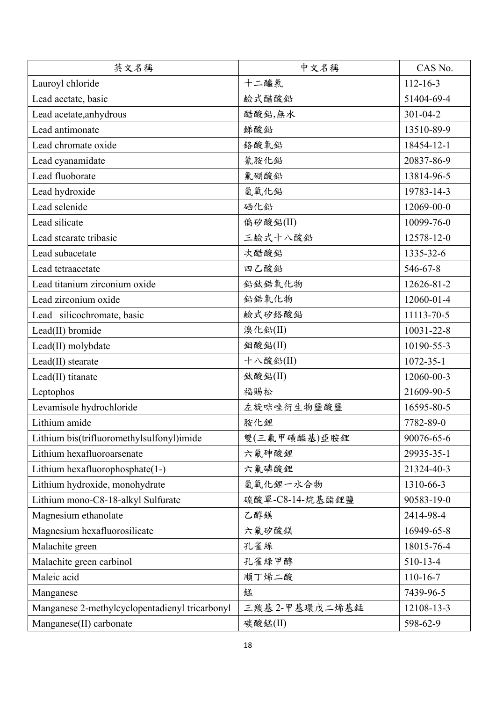| 英文名稱                                           | 中文名稱            | CAS No.         |
|------------------------------------------------|-----------------|-----------------|
| Lauroyl chloride                               | 十二醯氯            | $112 - 16 - 3$  |
| Lead acetate, basic                            | 鹼式醋酸鉛           | 51404-69-4      |
| Lead acetate, anhydrous                        | 醋酸鉛,無水          | $301 - 04 - 2$  |
| Lead antimonate                                | 銻酸鉛             | 13510-89-9      |
| Lead chromate oxide                            | 絡酸氧鉛            | 18454-12-1      |
| Lead cyanamidate                               | 氰胺化鉛            | 20837-86-9      |
| Lead fluoborate                                | 氟硼酸鉛            | 13814-96-5      |
| Lead hydroxide                                 | 氫氧化鉛            | 19783-14-3      |
| Lead selenide                                  | 硒化鉛             | 12069-00-0      |
| Lead silicate                                  | 偏矽酸鉛(II)        | 10099-76-0      |
| Lead stearate tribasic                         | 三鹼式十八酸鉛         | 12578-12-0      |
| Lead subacetate                                | 次醋酸鉛            | 1335-32-6       |
| Lead tetraacetate                              | 四乙酸鉛            | 546-67-8        |
| Lead titanium zirconium oxide                  | 鉛鈦鋯氧化物          | 12626-81-2      |
| Lead zirconium oxide                           | 鉛鋯氧化物           | 12060-01-4      |
| Lead silicochromate, basic                     | 鹼式矽絡酸鉛          | 11113-70-5      |
| Lead(II) bromide                               | 溴化鉛(II)         | 10031-22-8      |
| Lead(II) molybdate                             | 鉬酸鉛(II)         | 10190-55-3      |
| Lead(II) stearate                              | 十八酸鉛(II)        | $1072 - 35 - 1$ |
| Lead(II) titanate                              | 鈦酸鉛(II)         | 12060-00-3      |
| Leptophos                                      | 福賜松             | 21609-90-5      |
| Levamisole hydrochloride                       | 左旋咪唑衍生物鹽酸鹽      | 16595-80-5      |
| Lithium amide                                  | 胺化鋰             | 7782-89-0       |
| Lithium bis(trifluoromethylsulfonyl)imide      | 雙(三氟甲磺醯基)亞胺鋰    | 90076-65-6      |
| Lithium hexafluoroarsenate                     | 六氟砷酸鋰           | 29935-35-1      |
| Lithium hexafluorophosphate(1-)                | 六氟磷酸鋰           | 21324-40-3      |
| Lithium hydroxide, monohydrate                 | 氫氧化鋰一水合物        | 1310-66-3       |
| Lithium mono-C8-18-alkyl Sulfurate             | 硫酸單-C8-14-烷基酯鋰鹽 | 90583-19-0      |
| Magnesium ethanolate                           | 乙醇鎂             | 2414-98-4       |
| Magnesium hexafluorosilicate                   | 六氟矽酸鎂           | 16949-65-8      |
| Malachite green                                | 孔雀綠             | 18015-76-4      |
| Malachite green carbinol                       | 孔雀綠甲醇           | 510-13-4        |
| Maleic acid                                    | 順丁烯二酸           | $110 - 16 - 7$  |
| Manganese                                      | 錳               | 7439-96-5       |
| Manganese 2-methylcyclopentadienyl tricarbonyl | 三羰基 2-甲基環戊二烯基錳  | 12108-13-3      |
| Manganese(II) carbonate                        | 碳酸錳(II)         | 598-62-9        |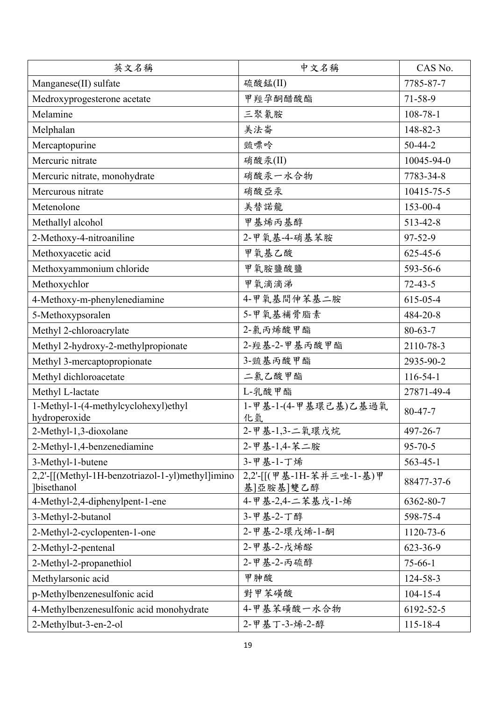| 英文名稱                                                                   | 中文名稱                                  | CAS No.        |
|------------------------------------------------------------------------|---------------------------------------|----------------|
| Manganese(II) sulfate                                                  | 硫酸錳(II)                               | 7785-87-7      |
| Medroxyprogesterone acetate                                            | 甲羥孕酮醋酸酯                               | $71 - 58 - 9$  |
| Melamine                                                               | 三聚氰胺                                  | $108 - 78 - 1$ |
| Melphalan                                                              | 美法崙                                   | 148-82-3       |
| Mercaptopurine                                                         | 巰嘌呤                                   | $50 - 44 - 2$  |
| Mercuric nitrate                                                       | 硝酸汞(II)                               | 10045-94-0     |
| Mercuric nitrate, monohydrate                                          | 硝酸汞一水合物                               | 7783-34-8      |
| Mercurous nitrate                                                      | 硝酸亞汞                                  | 10415-75-5     |
| Metenolone                                                             | 美替諾龍                                  | 153-00-4       |
| Methallyl alcohol                                                      | 甲基烯丙基醇                                | 513-42-8       |
| 2-Methoxy-4-nitroaniline                                               | 2-甲氧基-4-硝基苯胺                          | 97-52-9        |
| Methoxyacetic acid                                                     | 甲氧基乙酸                                 | $625 - 45 - 6$ |
| Methoxyammonium chloride                                               | 甲氧胺鹽酸鹽                                | 593-56-6       |
| Methoxychlor                                                           | 甲氧滴滴涕                                 | $72 - 43 - 5$  |
| 4-Methoxy-m-phenylenediamine                                           | 4-甲氧基間伸苯基二胺                           | 615-05-4       |
| 5-Methoxypsoralen                                                      | 5-甲氧基補骨脂素                             | 484-20-8       |
| Methyl 2-chloroacrylate                                                | 2-氯丙烯酸甲酯                              | $80 - 63 - 7$  |
| Methyl 2-hydroxy-2-methylpropionate                                    | 2- 經基-2-甲基丙酸甲酯                        | 2110-78-3      |
| Methyl 3-mercaptopropionate                                            | 3-巰基丙酸甲酯                              | 2935-90-2      |
| Methyl dichloroacetate                                                 | 二氯乙酸甲酯                                | $116 - 54 - 1$ |
| Methyl L-lactate                                                       | L-乳酸甲酯                                | 27871-49-4     |
| 1-Methyl-1-(4-methylcyclohexyl)ethyl<br>hydroperoxide                  | 1-甲基-1-(4-甲基環己基)乙基過氧<br>化氫            | 80-47-7        |
| 2-Methyl-1,3-dioxolane                                                 | 2-甲基-1,3-二氧環戊烷                        | 497-26-7       |
| 2-Methyl-1,4-benzenediamine                                            | 2-甲基-1,4-苯二胺                          | $95 - 70 - 5$  |
| 3-Methyl-1-butene                                                      | 3-甲基-1-丁烯                             | $563 - 45 - 1$ |
| 2,2'-[[(Methyl-1H-benzotriazol-1-yl)methyl]imino<br><b>lbisethanol</b> | 2,2'-[[(甲基-1H-苯并三唑-1-基)甲<br>基]亞胺基]雙乙醇 | 88477-37-6     |
| 4-Methyl-2,4-diphenylpent-1-ene                                        | 4-甲基-2,4-二苯基戊-1-烯                     | 6362-80-7      |
| 3-Methyl-2-butanol                                                     | 3-甲基-2-丁醇                             | 598-75-4       |
| 2-Methyl-2-cyclopenten-1-one                                           | 2-甲基-2-環戊烯-1-酮                        | 1120-73-6      |
| 2-Methyl-2-pentenal                                                    | 2-甲基-2-戊烯醛                            | 623-36-9       |
| 2-Methyl-2-propanethiol                                                | 2-甲基-2-丙硫醇                            | $75 - 66 - 1$  |
| Methylarsonic acid                                                     | 甲胂酸                                   | 124-58-3       |
| p-Methylbenzenesulfonic acid                                           | 對甲苯磺酸                                 | $104 - 15 - 4$ |
| 4-Methylbenzenesulfonic acid monohydrate                               | 4-甲基苯磺酸一水合物                           | 6192-52-5      |
| 2-Methylbut-3-en-2-ol                                                  | 2-甲基丁-3-烯-2-醇                         | $115 - 18 - 4$ |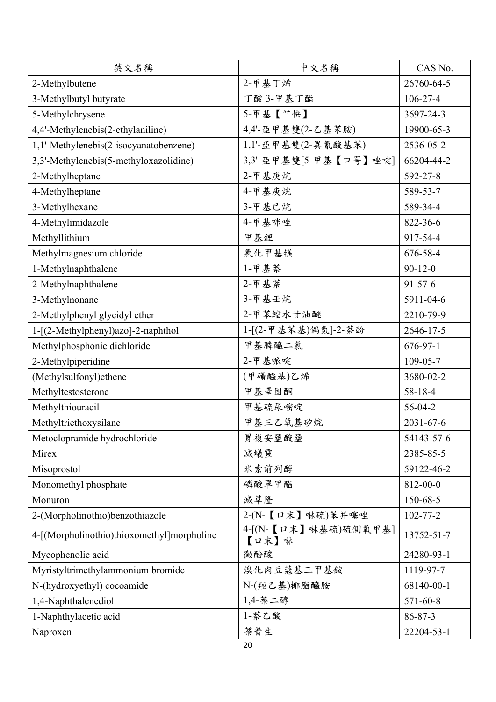| 英文名稱                                       | 中文名稱                          | CAS No.         |
|--------------------------------------------|-------------------------------|-----------------|
| 2-Methylbutene                             | 2-甲基丁烯                        | 26760-64-5      |
| 3-Methylbutyl butyrate                     | 丁酸 3-甲基丁酯                     | $106 - 27 - 4$  |
| 5-Methylchrysene                           | 5-甲基【**快】                     | 3697-24-3       |
| 4,4'-Methylenebis(2-ethylaniline)          | 4,4'-亞甲基雙(2-乙基苯胺)             | 19900-65-3      |
| 1,1'-Methylenebis(2-isocyanatobenzene)     | 1,1'-亞甲基雙(2-異氰酸基苯)            | 2536-05-2       |
| 3,3'-Methylenebis(5-methyloxazolidine)     | 3,3'-亞甲基雙[5-甲基【口咢】唑啶]         | 66204-44-2      |
| 2-Methylheptane                            | 2-甲基庚烷                        | 592-27-8        |
| 4-Methylheptane                            | 4-甲基庚烷                        | 589-53-7        |
| 3-Methylhexane                             | 3-甲基己烷                        | 589-34-4        |
| 4-Methylimidazole                          | 4-甲基咪唑                        | 822-36-6        |
| Methyllithium                              | 甲基鋰                           | 917-54-4        |
| Methylmagnesium chloride                   | 氯化甲基镁                         | 676-58-4        |
| 1-Methylnaphthalene                        | 1-甲基萘                         | $90 - 12 - 0$   |
| 2-Methylnaphthalene                        | 2-甲基萘                         | $91 - 57 - 6$   |
| 3-Methylnonane                             | 3-甲基壬烷                        | 5911-04-6       |
| 2-Methylphenyl glycidyl ether              | 2-甲苯缩水甘油醚                     | 2210-79-9       |
| 1-[(2-Methylphenyl)azo]-2-naphthol         | 1-[(2-甲基苯基)偶氮]-2-萘酚           | 2646-17-5       |
| Methylphosphonic dichloride                | 甲基膦醯二氯                        | $676 - 97 - 1$  |
| 2-Methylpiperidine                         | 2-甲基哌啶                        | $109 - 05 - 7$  |
| (Methylsulfonyl)ethene                     | (甲磺醯基)乙烯                      | 3680-02-2       |
| Methyltestosterone                         | 甲基睪固酮                         | 58-18-4         |
| Methylthiouracil                           | 甲基硫尿嘧啶                        | 56-04-2         |
| Methyltriethoxysilane                      | 甲基三乙氧基矽烷                      | $2031 - 67 - 6$ |
| Metoclopramide hydrochloride               | 胃複安鹽酸鹽                        | 54143-57-6      |
| Mirex                                      | 滅蟻靈                           | 2385-85-5       |
| Misoprostol                                | 米索前列醇                         | 59122-46-2      |
| Monomethyl phosphate                       | 磷酸單甲酯                         | 812-00-0        |
| Monuron                                    | 滅草隆                           | 150-68-5        |
| 2-(Morpholinothio)benzothiazole            | 2-(N-【口末】啉硫)苯并噻唑              | $102 - 77 - 2$  |
| 4-[(Morpholinothio)thioxomethyl]morpholine | 4-[(N-【口末】啉基硫)硫側氧甲基]<br>【口末】啉 | 13752-51-7      |
| Mycophenolic acid                          | 黴酚酸                           | 24280-93-1      |
| Myristyltrimethylammonium bromide          | 溴化肉豆蔻基三甲基銨                    | 1119-97-7       |
| N-(hydroxyethyl) cocoamide                 | N-(羥乙基)椰脂醯胺                   | 68140-00-1      |
| 1,4-Naphthalenediol                        | 1,4- 萘二醇                      | $571 - 60 - 8$  |
| 1-Naphthylacetic acid                      | 1- 茶乙酸                        | 86-87-3         |
| Naproxen                                   | 萘普生                           | 22204-53-1      |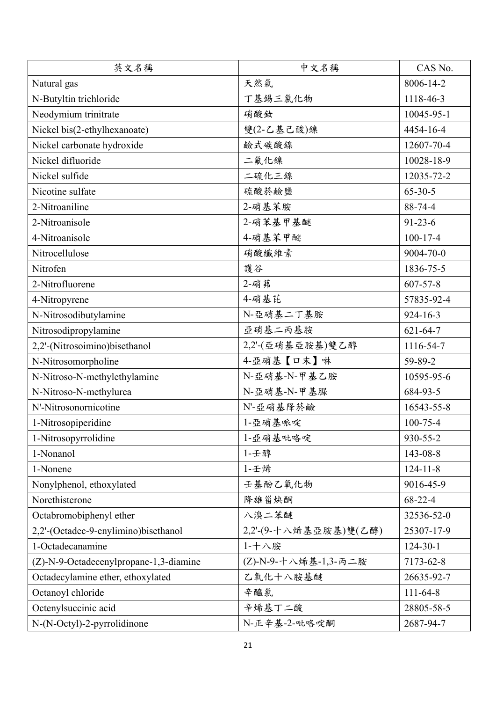| 英文名稱                                   | 中文名稱                  | CAS No.        |
|----------------------------------------|-----------------------|----------------|
| Natural gas                            | 天然氣                   | 8006-14-2      |
| N-Butyltin trichloride                 | 丁基錫三氯化物               | 1118-46-3      |
| Neodymium trinitrate                   | 硝酸釹                   | 10045-95-1     |
| Nickel bis(2-ethylhexanoate)           | 雙(2-乙基己酸)鎳            | 4454-16-4      |
| Nickel carbonate hydroxide             | 鹼式碳酸鎳                 | 12607-70-4     |
| Nickel difluoride                      | 二氟化镍                  | 10028-18-9     |
| Nickel sulfide                         | 二硫化三鎳                 | 12035-72-2     |
| Nicotine sulfate                       | 硫酸菸鹼鹽                 | $65 - 30 - 5$  |
| 2-Nitroaniline                         | 2-硝基苯胺                | 88-74-4        |
| 2-Nitroanisole                         | 2-硝苯基甲基醚              | $91 - 23 - 6$  |
| 4-Nitroanisole                         | 4-硝基苯甲醚               | $100 - 17 - 4$ |
| Nitrocellulose                         | 硝酸纖維素                 | 9004-70-0      |
| Nitrofen                               | 護谷                    | 1836-75-5      |
| 2-Nitrofluorene                        | 2-硝茀                  | $607 - 57 - 8$ |
| 4-Nitropyrene                          | 4-硝基芘                 | 57835-92-4     |
| N-Nitrosodibutylamine                  | N-亞硝基二丁基胺             | $924 - 16 - 3$ |
| Nitrosodipropylamine                   | 亞硝基二丙基胺               | $621 - 64 - 7$ |
| 2,2'-(Nitrosoimino) bisethanol         | 2,2'-(亞硝基亞胺基)雙乙醇      | 1116-54-7      |
| N-Nitrosomorpholine                    | 4-亞硝基【口末】啉            | 59-89-2        |
| N-Nitroso-N-methylethylamine           | N-亞硝基-N-甲基乙胺          | 10595-95-6     |
| N-Nitroso-N-methylurea                 | N-亞硝基-N-甲基脲           | 684-93-5       |
| N'-Nitrosonornicotine                  | N'-亞硝基降菸鹼             | 16543-55-8     |
| 1-Nitrosopiperidine                    | 1-亞硝基哌啶               | $100 - 75 - 4$ |
| 1-Nitrosopyrrolidine                   | 1-亞硝基吡咯啶              | 930-55-2       |
| 1-Nonanol                              | 1-壬醇                  | 143-08-8       |
| 1-Nonene                               | 1-壬烯                  | $124 - 11 - 8$ |
| Nonylphenol, ethoxylated               | 壬基酚乙氧化物               | 9016-45-9      |
| Norethisterone                         | 降雄甾炔酮                 | $68 - 22 - 4$  |
| Octabromobiphenyl ether                | 八溴二苯醚                 | 32536-52-0     |
| 2,2'-(Octadec-9-enylimino)bisethanol   | 2,2'-(9-十八烯基亞胺基)雙(乙醇) | 25307-17-9     |
| 1-Octadecanamine                       | 1-十八胺                 | $124 - 30 - 1$ |
| (Z)-N-9-Octadecenylpropane-1,3-diamine | (Z)-N-9-十八烯基-1,3-丙二胺  | 7173-62-8      |
| Octadecylamine ether, ethoxylated      | 乙氧化十八胺基醚              | 26635-92-7     |
| Octanoyl chloride                      | 辛醯氯                   | $111 - 64 - 8$ |
| Octenylsuccinic acid                   | 辛烯基丁二酸                | 28805-58-5     |
| N-(N-Octyl)-2-pyrrolidinone            | N-正辛基-2-吡咯啶酮          | 2687-94-7      |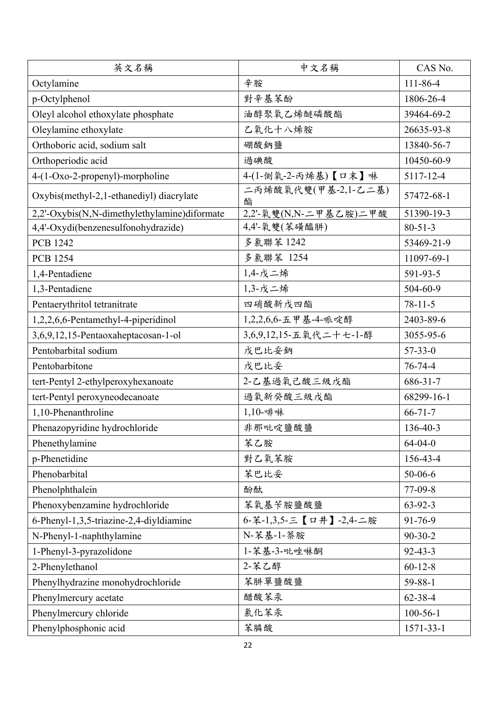| 英文名稱                                         | 中文名稱                     | CAS No.        |
|----------------------------------------------|--------------------------|----------------|
| Octylamine                                   | 辛胺                       | 111-86-4       |
| p-Octylphenol                                | 對辛基苯酚                    | 1806-26-4      |
| Oleyl alcohol ethoxylate phosphate           | 油醇聚氧乙烯醚磷酸酯               | 39464-69-2     |
| Oleylamine ethoxylate                        | 乙氧化十八烯胺                  | 26635-93-8     |
| Orthoboric acid, sodium salt                 | 硼酸鈉鹽                     | 13840-56-7     |
| Orthoperiodic acid                           | 過碘酸                      | 10450-60-9     |
| 4-(1-Oxo-2-propenyl)-morpholine              | 4-(1-側氧-2-丙烯基)【口末】啉      | 5117-12-4      |
| Oxybis(methyl-2,1-ethanediyl) diacrylate     | 二丙烯酸氧代雙(甲基-2,1-乙二基)<br>酯 | 57472-68-1     |
| 2,2'-Oxybis(N,N-dimethylethylamine)diformate | 2,2'-氧雙(N,N-二甲基乙胺)二甲酸    | 51390-19-3     |
| 4,4'-Oxydi(benzenesulfonohydrazide)          | 4,4'-氧雙(苯磺醯肼)            | $80 - 51 - 3$  |
| <b>PCB 1242</b>                              | 多氯聯苯 1242                | 53469-21-9     |
| <b>PCB 1254</b>                              | 多氯聯苯 1254                | 11097-69-1     |
| 1,4-Pentadiene                               | 1,4-戊二烯                  | 591-93-5       |
| 1,3-Pentadiene                               | 1,3-戊二烯                  | 504-60-9       |
| Pentaerythritol tetranitrate                 | 四硝酸新戊四酯                  | $78 - 11 - 5$  |
| 1,2,2,6,6-Pentamethyl-4-piperidinol          | 1,2,2,6,6-五甲基-4-哌啶醇      | 2403-89-6      |
| 3,6,9,12,15-Pentaoxaheptacosan-1-ol          | 3,6,9,12,15-五氧代二十七-1-醇   | 3055-95-6      |
| Pentobarbital sodium                         | 戊巴比妥鈉                    | $57 - 33 - 0$  |
| Pentobarbitone                               | 戊巴比妥                     | 76-74-4        |
| tert-Pentyl 2-ethylperoxyhexanoate           | 2-乙基過氧己酸三級戊酯             | 686-31-7       |
| tert-Pentyl peroxyneodecanoate               | 過氧新癸酸三級戊酯                | 68299-16-1     |
| 1,10-Phenanthroline                          | 1,10-啡啉                  | $66 - 71 - 7$  |
| Phenazopyridine hydrochloride                | 非那吡啶鹽酸鹽                  | 136-40-3       |
| Phenethylamine                               | 苯乙胺                      | $64 - 04 - 0$  |
| p-Phenetidine                                | 對乙氧苯胺                    | 156-43-4       |
| Phenobarbital                                | 苯巴比妥                     | $50 - 06 - 6$  |
| Phenolphthalein                              | 酚酞                       | 77-09-8        |
| Phenoxybenzamine hydrochloride               | 苯氧基苄胺鹽酸鹽                 | $63 - 92 - 3$  |
| 6-Phenyl-1,3,5-triazine-2,4-diyldiamine      | 6-苯-1,3,5-三【口井】-2,4-二胺   | 91-76-9        |
| N-Phenyl-1-naphthylamine                     | N-苯基-1-萘胺                | $90 - 30 - 2$  |
| 1-Phenyl-3-pyrazolidone                      | 1-苯基-3-吡唑啉酮              | $92 - 43 - 3$  |
| 2-Phenylethanol                              | 2-苯乙醇                    | $60 - 12 - 8$  |
| Phenylhydrazine monohydrochloride            | 苯肼單鹽酸鹽                   | 59-88-1        |
| Phenylmercury acetate                        | 醋酸苯汞                     | $62 - 38 - 4$  |
| Phenylmercury chloride                       | 氯化苯汞                     | $100 - 56 - 1$ |
| Phenylphosphonic acid                        | 苯膦酸                      | 1571-33-1      |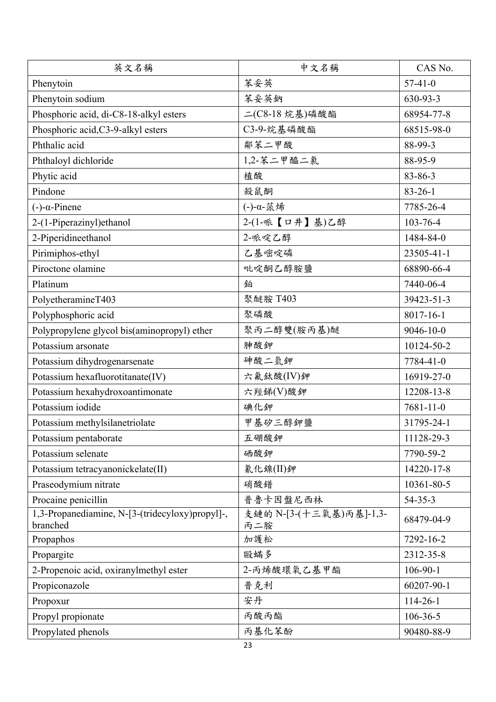| 英文名稱                                                        | 中文名稱                           | CAS No.         |
|-------------------------------------------------------------|--------------------------------|-----------------|
| Phenytoin                                                   | 苯妥英                            | $57-41-0$       |
| Phenytoin sodium                                            | 苯妥英鈉                           | 630-93-3        |
| Phosphoric acid, di-C8-18-alkyl esters                      | 二(C8-18烷基)磷酸酯                  | 68954-77-8      |
| Phosphoric acid, C3-9-alkyl esters                          | C3-9-烷基磷酸酯                     | 68515-98-0      |
| Phthalic acid                                               | 鄰苯二甲酸                          | 88-99-3         |
| Phthaloyl dichloride                                        | 1,2-苯二甲醯二氯                     | 88-95-9         |
| Phytic acid                                                 | 植酸                             | 83-86-3         |
| Pindone                                                     | 殺鼠酮                            | $83 - 26 - 1$   |
| $(-)-\alpha$ -Pinene                                        | (-)-α-蒎烯                       | 7785-26-4       |
| 2-(1-Piperazinyl) ethanol                                   | 2-(1-哌【口井】基)乙醇                 | $103 - 76 - 4$  |
| 2-Piperidineethanol                                         | 2-哌啶乙醇                         | 1484-84-0       |
| Pirimiphos-ethyl                                            | 乙基嘧啶磷                          | 23505-41-1      |
| Piroctone olamine                                           | 吡啶酮乙醇胺鹽                        | 68890-66-4      |
| Platinum                                                    | 鉑                              | 7440-06-4       |
| PolyetheramineT403                                          | 聚醚胺 T403                       | 39423-51-3      |
| Polyphosphoric acid                                         | 聚磷酸                            | 8017-16-1       |
| Polypropylene glycol bis(aminopropyl) ether                 | 聚丙二醇雙(胺丙基)醚                    | $9046 - 10 - 0$ |
| Potassium arsonate                                          | 胂酸鉀                            | 10124-50-2      |
| Potassium dihydrogenarsenate                                | 砷酸二氫鉀                          | 7784-41-0       |
| Potassium hexafluorotitanate(IV)                            | 六氟鈦酸(IV)鉀                      | 16919-27-0      |
| Potassium hexahydroxoantimonate                             | 六羥錦(V)酸鉀                       | 12208-13-8      |
| Potassium iodide                                            | 碘化鉀                            | $7681 - 11 - 0$ |
| Potassium methylsilanetriolate                              | 甲基矽三醇鉀鹽                        | 31795-24-1      |
| Potassium pentaborate                                       | 五硼酸鉀                           | 11128-29-3      |
| Potassium selenate                                          | 硒酸鉀                            | 7790-59-2       |
| Potassium tetracyanonickelate(II)                           | 氰化鎳(II)鉀                       | 14220-17-8      |
| Praseodymium nitrate                                        | 硝酸镨                            | 10361-80-5      |
| Procaine penicillin                                         | 普魯卡因盤尼西林                       | $54 - 35 - 3$   |
| 1,3-Propanediamine, N-[3-(tridecyloxy)propyl]-,<br>branched | 支鏈的 N-[3-(十三氧基)丙基]-1,3-<br>丙二胺 | 68479-04-9      |
| Propaphos                                                   | 加護松                            | 7292-16-2       |
| Propargite                                                  | 毆蟎多                            | 2312-35-8       |
| 2-Propenoic acid, oxiranylmethyl ester                      | 2-丙烯酸環氧乙基甲酯                    | $106-90-1$      |
| Propiconazole                                               | 普克利                            | 60207-90-1      |
| Propoxur                                                    | 安丹                             | $114 - 26 - 1$  |
| Propyl propionate                                           | 丙酸丙酯                           | $106 - 36 - 5$  |
| Propylated phenols                                          | 丙基化苯酚                          | 90480-88-9      |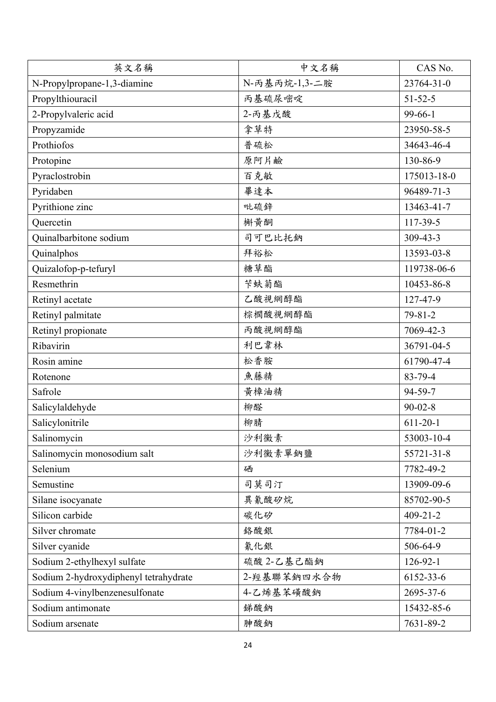| 英文名稱                                  | 中文名稱          | CAS No.        |
|---------------------------------------|---------------|----------------|
| N-Propylpropane-1,3-diamine           | N-丙基丙烷-1,3-二胺 | 23764-31-0     |
| Propylthiouracil                      | 丙基硫尿嘧啶        | $51 - 52 - 5$  |
| 2-Propylvaleric acid                  | 2-丙基戊酸        | $99-66-1$      |
| Propyzamide                           | 拿草特           | 23950-58-5     |
| Prothiofos                            | 普硫松           | 34643-46-4     |
| Protopine                             | 原阿片鹼          | 130-86-9       |
| Pyraclostrobin                        | 百克敏           | 175013-18-0    |
| Pyridaben                             | 畢達本           | 96489-71-3     |
| Pyrithione zinc                       | 吡硫鋅           | 13463-41-7     |
| Quercetin                             | 槲黄酮           | 117-39-5       |
| Quinalbarbitone sodium                | 司可巴比托鈉        | $309 - 43 - 3$ |
| Quinalphos                            | 拜裕松           | 13593-03-8     |
| Quizalofop-p-tefuryl                  | 糖草酯           | 119738-06-6    |
| Resmethrin                            | 苄蚨菊酯          | 10453-86-8     |
| Retinyl acetate                       | 乙酸視網醇酯        | 127-47-9       |
| Retinyl palmitate                     | 棕櫚酸視網醇酯       | $79 - 81 - 2$  |
| Retinyl propionate                    | 丙酸視網醇酯        | 7069-42-3      |
| Ribavirin                             | 利巴韋林          | 36791-04-5     |
| Rosin amine                           | 松香胺           | 61790-47-4     |
| Rotenone                              | 魚藤精           | 83-79-4        |
| Safrole                               | 黄樟油精          | 94-59-7        |
| Salicylaldehyde                       | 柳醛            | $90 - 02 - 8$  |
| Salicylonitrile                       | 柳腈            | $611 - 20 - 1$ |
| Salinomycin                           | 沙利黴素          | 53003-10-4     |
| Salinomycin monosodium salt           | 沙利黴素單鈉鹽       | 55721-31-8     |
| Selenium                              | 硒             | 7782-49-2      |
| Semustine                             | 司莫司汀          | 13909-09-6     |
| Silane isocyanate                     | 異氰酸矽烷         | 85702-90-5     |
| Silicon carbide                       | 碳化矽           | $409 - 21 - 2$ |
| Silver chromate                       | 絡酸銀           | 7784-01-2      |
| Silver cyanide                        | 氰化銀           | 506-64-9       |
| Sodium 2-ethylhexyl sulfate           | 硫酸 2-乙基己酯鈉    | $126-92-1$     |
| Sodium 2-hydroxydiphenyl tetrahydrate | 2- 經基聯苯鈉四水合物  | 6152-33-6      |
| Sodium 4-vinylbenzenesulfonate        | 4-乙烯基苯磺酸鈉     | 2695-37-6      |
| Sodium antimonate                     | 銻酸鈉           | 15432-85-6     |
| Sodium arsenate                       | 胂酸鈉           | 7631-89-2      |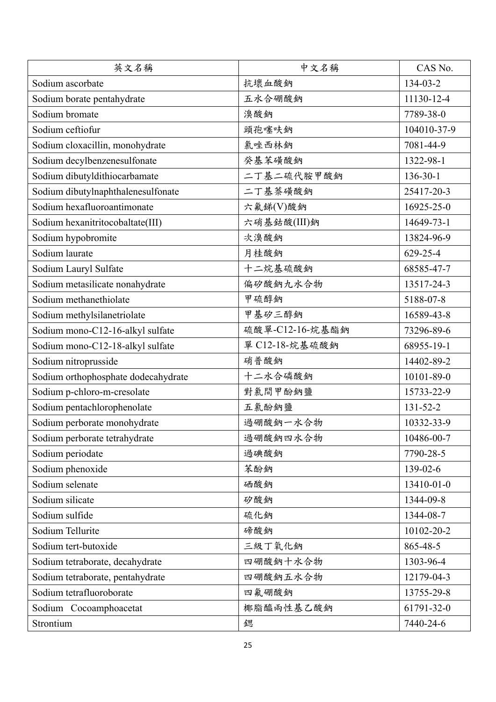| 英文名稱                                | 中文名稱            | CAS No.        |
|-------------------------------------|-----------------|----------------|
| Sodium ascorbate                    | 抗壞血酸鈉           | 134-03-2       |
| Sodium borate pentahydrate          | 五水合硼酸鈉          | 11130-12-4     |
| Sodium bromate                      | 溴酸鈉             | 7789-38-0      |
| Sodium ceftiofur                    | 頭孢噻呋鈉           | 104010-37-9    |
| Sodium cloxacillin, monohydrate     | 氯唑西林鈉           | 7081-44-9      |
| Sodium decylbenzenesulfonate        | 癸基苯磺酸鈉          | 1322-98-1      |
| Sodium dibutyldithiocarbamate       | 二丁基二硫代胺甲酸鈉      | $136 - 30 - 1$ |
| Sodium dibutylnaphthalenesulfonate  | 二丁基萘磺酸鈉         | 25417-20-3     |
| Sodium hexafluoroantimonate         | 六氟锑(V)酸鈉        | 16925-25-0     |
| Sodium hexanitritocobaltate(III)    | 六硝基鈷酸(III)鈉     | 14649-73-1     |
| Sodium hypobromite                  | 次溴酸鈉            | 13824-96-9     |
| Sodium laurate                      | 月桂酸鈉            | 629-25-4       |
| Sodium Lauryl Sulfate               | 十二烷基硫酸鈉         | 68585-47-7     |
| Sodium metasilicate nonahydrate     | 偏矽酸鈉九水合物        | 13517-24-3     |
| Sodium methanethiolate              | 甲硫醇鈉            | 5188-07-8      |
| Sodium methylsilanetriolate         | 甲基矽三醇鈉          | 16589-43-8     |
| Sodium mono-C12-16-alkyl sulfate    | 硫酸單-C12-16-烷基酯鈉 | 73296-89-6     |
| Sodium mono-C12-18-alkyl sulfate    | 單 C12-18-烷基硫酸鈉  | 68955-19-1     |
| Sodium nitroprusside                | 硝普酸鈉            | 14402-89-2     |
| Sodium orthophosphate dodecahydrate | 十二水合磷酸鈉         | 10101-89-0     |
| Sodium p-chloro-m-cresolate         | 對氯間甲酚鈉鹽         | 15733-22-9     |
| Sodium pentachlorophenolate         | 五氯酚鈉鹽           | 131-52-2       |
| Sodium perborate monohydrate        | 過硼酸鈉一水合物        | 10332-33-9     |
| Sodium perborate tetrahydrate       | 過硼酸鈉四水合物        | 10486-00-7     |
| Sodium periodate                    | 過碘酸鈉            | 7790-28-5      |
| Sodium phenoxide                    | 苯酚鈉             | 139-02-6       |
| Sodium selenate                     | 硒酸鈉             | 13410-01-0     |
| Sodium silicate                     | 矽酸鈉             | 1344-09-8      |
| Sodium sulfide                      | 硫化鈉             | 1344-08-7      |
| Sodium Tellurite                    | 碲酸鈉             | 10102-20-2     |
| Sodium tert-butoxide                | 三級丁氧化鈉          | 865-48-5       |
| Sodium tetraborate, decahydrate     | 四硼酸鈉十水合物        | 1303-96-4      |
| Sodium tetraborate, pentahydrate    | 四硼酸鈉五水合物        | 12179-04-3     |
| Sodium tetrafluoroborate            | 四氟硼酸鈉           | 13755-29-8     |
| Sodium Cocoamphoacetat              | 椰脂醯兩性基乙酸鈉       | 61791-32-0     |
| Strontium                           | 鍶               | 7440-24-6      |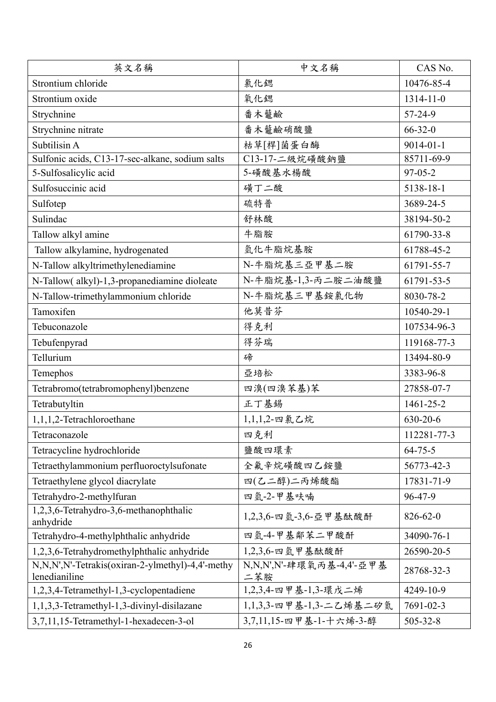| 英文名稱                                                              | 中文名稱                                | CAS No.         |
|-------------------------------------------------------------------|-------------------------------------|-----------------|
| Strontium chloride                                                | 氯化鍶                                 | 10476-85-4      |
| Strontium oxide                                                   | 氧化鍶                                 | 1314-11-0       |
| Strychnine                                                        | 番木虌鹼                                | 57-24-9         |
| Strychnine nitrate                                                | 番木虌鹼硝酸鹽                             | $66 - 32 - 0$   |
| Subtilisin A                                                      | 枯草[桿]菌蛋白酶                           | $9014 - 01 - 1$ |
| Sulfonic acids, C13-17-sec-alkane, sodium salts                   | $\overline{C13-17}$ -二級烷磺酸鈉鹽        | 85711-69-9      |
| 5-Sulfosalicylic acid                                             | 5-磺酸基水楊酸                            | $97 - 05 - 2$   |
| Sulfosuccinic acid                                                | 磺丁二酸                                | 5138-18-1       |
| Sulfotep                                                          | 硫特普                                 | 3689-24-5       |
| Sulindac                                                          | 舒林酸                                 | 38194-50-2      |
| Tallow alkyl amine                                                | 牛脂胺                                 | 61790-33-8      |
| Tallow alkylamine, hydrogenated                                   | 氫化牛脂烷基胺                             | 61788-45-2      |
| N-Tallow alkyltrimethylenediamine                                 | N-牛脂烷基三亞甲基二胺                        | 61791-55-7      |
| N-Tallow(alkyl)-1,3-propanediamine dioleate                       | N-牛脂烷基-1,3-丙二胺二油酸鹽                  | 61791-53-5      |
| N-Tallow-trimethylammonium chloride                               | N-牛脂烷基三甲基銨氯化物                       | 8030-78-2       |
| Tamoxifen                                                         | 他莫昔芬                                | 10540-29-1      |
| Tebuconazole                                                      | 得克利                                 | 107534-96-3     |
| Tebufenpyrad                                                      | 得芬瑞                                 | 119168-77-3     |
| Tellurium                                                         | 碲                                   | 13494-80-9      |
| Temephos                                                          | 亞培松                                 | 3383-96-8       |
| Tetrabromo(tetrabromophenyl)benzene                               | 四溴(四溴苯基)苯                           | 27858-07-7      |
| Tetrabutyltin                                                     | 正丁基錫                                | 1461-25-2       |
| 1,1,1,2-Tetrachloroethane                                         | 1,1,1,2-四氯乙烷                        | 630-20-6        |
| Tetraconazole                                                     | 四克利                                 | 112281-77-3     |
| Tetracycline hydrochloride                                        | 鹽酸四環素                               | $64 - 75 - 5$   |
| Tetraethylammonium perfluoroctylsufonate                          | 全氟辛烷磺酸四乙銨鹽                          | 56773-42-3      |
| Tetraethylene glycol diacrylate                                   | 四(乙二醇)二丙烯酸酯                         | 17831-71-9      |
| Tetrahydro-2-methylfuran                                          | 四氫-2-甲基呋喃                           | 96-47-9         |
| 1,2,3,6-Tetrahydro-3,6-methanophthalic<br>anhydride               | 1,2,3,6-四氫-3,6-亞甲基酞酸酐               | $826 - 62 - 0$  |
| Tetrahydro-4-methylphthalic anhydride                             | 四氫-4-甲基鄰苯二甲酸酐                       | 34090-76-1      |
| 1,2,3,6-Tetrahydromethylphthalic anhydride                        | $1,2,3,6$ -四氫甲基酞酸酐                  | 26590-20-5      |
| N,N,N',N'-Tetrakis(oxiran-2-ylmethyl)-4,4'-methy<br>lenedianiline | N, N, N', N'-肆環氧丙基-4, 4'-亞甲基<br>二苯胺 | 28768-32-3      |
| 1,2,3,4-Tetramethyl-1,3-cyclopentadiene                           | 1,2,3,4-四甲基-1,3-環戊二烯                | 4249-10-9       |
| 1,1,3,3-Tetramethyl-1,3-divinyl-disilazane                        | 1,1,3,3-四甲基-1,3-二乙烯基二矽氮             | 7691-02-3       |
| 3,7,11,15-Tetramethyl-1-hexadecen-3-ol                            | 3,7,11,15-四甲基-1-十六烯-3-醇             | 505-32-8        |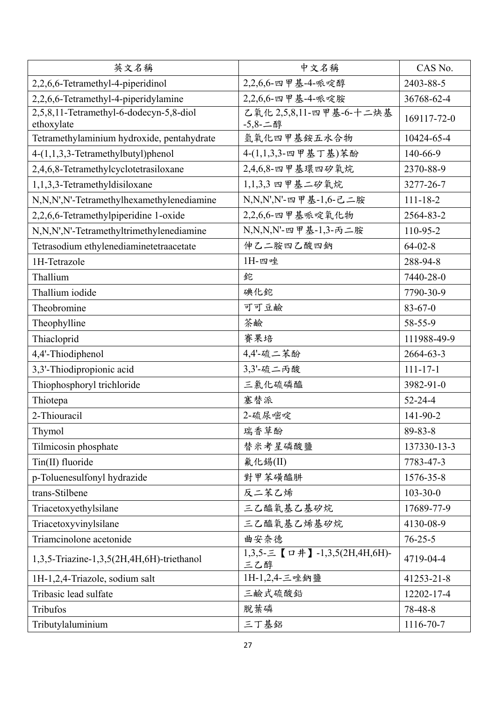| 英文名稱                                                  | 中文名稱                                | CAS No.        |
|-------------------------------------------------------|-------------------------------------|----------------|
| 2,2,6,6-Tetramethyl-4-piperidinol                     | 2,2,6,6-四甲基-4-哌啶醇                   | 2403-88-5      |
| 2,2,6,6-Tetramethyl-4-piperidylamine                  | 2,2,6,6-四甲基-4-哌啶胺                   | 36768-62-4     |
| 2,5,8,11-Tetramethyl-6-dodecyn-5,8-diol<br>ethoxylate | 乙氧化 2,5,8,11-四甲基-6-十二炔基<br>-5,8-二醇  | 169117-72-0    |
| Tetramethylaminium hydroxide, pentahydrate            | 氫氧化四甲基銨五水合物                         | 10424-65-4     |
| 4-(1,1,3,3-Tetramethylbutyl)phenol                    | 4-(1,1,3,3-四甲基丁基)苯酚                 | 140-66-9       |
| 2,4,6,8-Tetramethylcyclotetrasiloxane                 | 2,4,6,8-四甲基環四矽氧烷                    | 2370-88-9      |
| 1,1,3,3-Tetramethyldisiloxane                         | 1,1,3,3 四甲基二矽氧烷                     | 3277-26-7      |
| N,N,N',N'-Tetramethylhexamethylenediamine             | N, N, N', N'- 四甲基-1, 6-己二胺          | $111 - 18 - 2$ |
| 2,2,6,6-Tetramethylpiperidine 1-oxide                 | 2,2,6,6-四甲基哌啶氧化物                    | 2564-83-2      |
| N,N,N',N'-Tetramethyltrimethylenediamine              | N, N, N, N'- 四甲基-1, 3- 丙二胺          | 110-95-2       |
| Tetrasodium ethylenediaminetetraacetate               | 伸乙二胺四乙酸四鈉                           | $64 - 02 - 8$  |
| 1H-Tetrazole                                          | 1H-四唑                               | 288-94-8       |
| Thallium                                              | 鉈                                   | 7440-28-0      |
| Thallium iodide                                       | 碘化鉈                                 | 7790-30-9      |
| Theobromine                                           | 可可豆鹼                                | $83 - 67 - 0$  |
| Theophylline                                          | 茶鹼                                  | 58-55-9        |
| Thiacloprid                                           | 賽果培                                 | 111988-49-9    |
| 4,4'-Thiodiphenol                                     | 4,4'-硫二苯酚                           | 2664-63-3      |
| 3,3'-Thiodipropionic acid                             | 3,3'-硫二丙酸                           | $111 - 17 - 1$ |
| Thiophosphoryl trichloride                            | 三氯化硫磷醯                              | 3982-91-0      |
| Thiotepa                                              | 塞替派                                 | $52 - 24 - 4$  |
| 2-Thiouracil                                          | 2-硫尿嘧啶                              | 141-90-2       |
| Thymol                                                | 瑞香草酚                                | 89-83-8        |
| Tilmicosin phosphate                                  | 替米考星磷酸鹽                             | 137330-13-3    |
| Tin(II) fluoride                                      | 氟化錫(II)                             | 7783-47-3      |
| p-Toluenesulfonyl hydrazide                           | 對甲苯磺醯肼                              | 1576-35-8      |
| trans-Stilbene                                        | 反二苯乙烯                               | $103 - 30 - 0$ |
| Triacetoxyethylsilane                                 | 三乙醯氧基乙基矽烷                           | 17689-77-9     |
| Triacetoxyvinylsilane                                 | 三乙醯氧基乙烯基矽烷                          | 4130-08-9      |
| Triamcinolone acetonide                               | 曲安奈德                                | $76 - 25 - 5$  |
| 1,3,5-Triazine-1,3,5(2H,4H,6H)-triethanol             | 1,3,5-三【口井】-1,3,5(2H,4H,6H)-<br>三乙醇 | 4719-04-4      |
| 1H-1,2,4-Triazole, sodium salt                        | 1H-1,2,4-三唑鈉鹽                       | 41253-21-8     |
| Tribasic lead sulfate                                 | 三鹼式硫酸鉛                              | 12202-17-4     |
| Tribufos                                              | 脫葉磷                                 | 78-48-8        |
| Tributylaluminium                                     | 三丁基鋁                                | 1116-70-7      |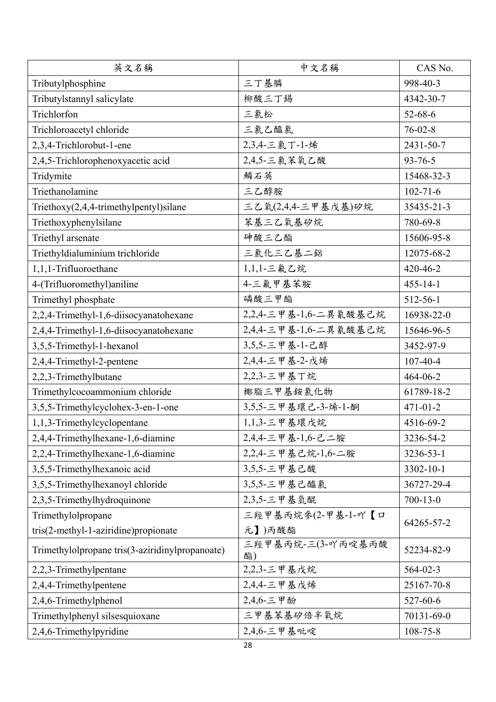| 英文名稱                                            | 中文名稱                    | CAS No.         |
|-------------------------------------------------|-------------------------|-----------------|
| Tributylphosphine                               | 三丁基膦                    | 998-40-3        |
| Tributylstannyl salicylate                      | 柳酸三丁錫                   | 4342-30-7       |
| Trichlorfon                                     | 三氯松                     | $52 - 68 - 6$   |
| Trichloroacetyl chloride                        | 三氯乙醯氯                   | $76 - 02 - 8$   |
| 2,3,4-Trichlorobut-1-ene                        | 2,3,4-三氯丁-1-烯           | 2431-50-7       |
| 2,4,5-Trichlorophenoxyacetic acid               | 2,4,5-三氯苯氧乙酸            | $93 - 76 - 5$   |
| Tridymite                                       | 鱗石英                     | 15468-32-3      |
| Triethanolamine                                 | 三乙醇胺                    | $102 - 71 - 6$  |
| Triethoxy $(2,4,4$ -trimethylpentyl)silane      | 三乙氧(2,4,4-三甲基戊基)矽烷      | 35435-21-3      |
| Triethoxyphenylsilane                           | 苯基三乙氧基矽烷                | 780-69-8        |
| Triethyl arsenate                               | 砷酸三乙酯                   | 15606-95-8      |
| Triethyldialuminium trichloride                 | 三氯化三乙基二鋁                | 12075-68-2      |
| 1,1,1-Trifluoroethane                           | 1,1,1-三氟乙烷              | 420-46-2        |
| 4-(Trifluoromethyl)aniline                      | 4-三氟甲基苯胺                | $455 - 14 - 1$  |
| Trimethyl phosphate                             | 磷酸三甲酯                   | 512-56-1        |
| 2,2,4-Trimethyl-1,6-diisocyanatohexane          | 2,2,4-三甲基-1,6-二異氰酸基己烷   | 16938-22-0      |
| 2,4,4-Trimethyl-1,6-diisocyanatohexane          | 2,4,4-三甲基-1,6-二異氰酸基己烷   | 15646-96-5      |
| 3,5,5-Trimethyl-1-hexanol                       | 3,5,5-三甲基-1-己醇          | 3452-97-9       |
| 2,4,4-Trimethyl-2-pentene                       | 2,4,4-三甲基-2-戊烯          | $107 - 40 - 4$  |
| 2,2,3-Trimethylbutane                           | 2,2,3-三甲基丁烷             | 464-06-2        |
| Trimethylcocoammonium chloride                  | 椰脂三甲基銨氯化物               | 61789-18-2      |
| 3,5,5-Trimethylcyclohex-3-en-1-one              | 3,5,5-三甲基環己-3-烯-1-酮     | $471 - 01 - 2$  |
| 1,1,3-Trimethylcyclopentane                     | 1,1,3-三甲基環戊烷            | 4516-69-2       |
| 2,4,4-Trimethylhexane-1,6-diamine               | 2,4,4-三甲基-1,6-己二胺       | 3236-54-2       |
| 2,2,4-Trimethylhexane-1,6-diamine               | 2,2,4-三甲基己烷-1,6-二胺      | 3236-53-1       |
| 3,5,5-Trimethylhexanoic acid                    | 3,5,5-三甲基己酸             | $3302 - 10 - 1$ |
| 3,5,5-Trimethylhexanoyl chloride                | 3,5,5-三甲基己醯氯            | 36727-29-4      |
| 2,3,5-Trimethylhydroquinone                     | 2,3,5-三甲基氫醌             | $700 - 13 - 0$  |
| Trimethylolpropane                              | 三羥甲基丙烷參(2-甲基-1-吖【口      | 64265-57-2      |
| tris(2-methyl-1-aziridine)propionate            | 元】)丙酸酯                  |                 |
| Trimethylolpropane tris(3-aziridinylpropanoate) | 三羥甲基丙烷-三(3-吖丙啶基丙酸<br>酯) | 52234-82-9      |
| 2,2,3-Trimethylpentane                          | 2,2,3-三甲基戊烷             | $564 - 02 - 3$  |
| 2,4,4-Trimethylpentene                          | 2,4,4-三甲基戊烯             | 25167-70-8      |
| 2,4,6-Trimethylphenol                           | 2,4,6-三甲酚               | 527-60-6        |
| Trimethylphenyl silsesquioxane                  | 三甲基苯基矽倍半氧烷              | 70131-69-0      |
| 2,4,6-Trimethylpyridine                         | 2,4,6-三甲基吡啶             | $108 - 75 - 8$  |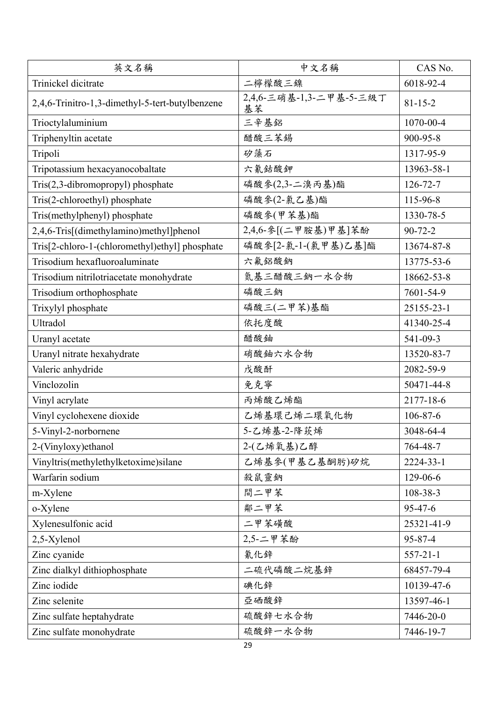| 英文名稱                                            | 中文名稱                          | CAS No.        |
|-------------------------------------------------|-------------------------------|----------------|
| Trinickel dicitrate                             | 二檸檬酸三鎳                        | 6018-92-4      |
| 2,4,6-Trinitro-1,3-dimethyl-5-tert-butylbenzene | 2,4,6-三硝基-1,3-二甲基-5-三級丁<br>基苯 | $81 - 15 - 2$  |
| Trioctylaluminium                               | 三辛基鋁                          | 1070-00-4      |
| Triphenyltin acetate                            | 醋酸三苯錫                         | 900-95-8       |
| Tripoli                                         | 矽藻石                           | 1317-95-9      |
| Tripotassium hexacyanocobaltate                 | 六氰鈷酸鉀                         | 13963-58-1     |
| Tris(2,3-dibromopropyl) phosphate               | 磷酸参(2,3-二溴丙基)酯                | $126 - 72 - 7$ |
| Tris(2-chloroethyl) phosphate                   | 磷酸參(2-氯乙基)酯                   | 115-96-8       |
| Tris(methylphenyl) phosphate                    | 磷酸參(甲苯基)酯                     | 1330-78-5      |
| 2,4,6-Tris[(dimethylamino)methyl]phenol         | 2,4,6-參[(二甲胺基)甲基]苯酚           | $90 - 72 - 2$  |
| Tris[2-chloro-1-(chloromethyl)ethyl] phosphate  | 磷酸參[2-氯-1-(氯甲基)乙基]酯           | 13674-87-8     |
| Trisodium hexafluoroaluminate                   | 六氟鋁酸鈉                         | 13775-53-6     |
| Trisodium nitrilotriacetate monohydrate         | 氮基三醋酸三鈉一水合物                   | 18662-53-8     |
| Trisodium orthophosphate                        | 磷酸三鈉                          | 7601-54-9      |
| Trixylyl phosphate                              | 磷酸三(二甲苯)基酯                    | 25155-23-1     |
| <b>Ultradol</b>                                 | 依托度酸                          | 41340-25-4     |
| Uranyl acetate                                  | 醋酸鈾                           | 541-09-3       |
| Uranyl nitrate hexahydrate                      | 硝酸鈾六水合物                       | 13520-83-7     |
| Valeric anhydride                               | 戊酸酐                           | 2082-59-9      |
| Vinclozolin                                     | 免克寧                           | 50471-44-8     |
| Vinyl acrylate                                  | 丙烯酸乙烯酯                        | 2177-18-6      |
| Vinyl cyclohexene dioxide                       | 乙烯基環己烯二環氧化物                   | $106 - 87 - 6$ |
| 5-Vinyl-2-norbornene                            | 5-乙烯基-2-降莰烯                   | 3048-64-4      |
| 2-(Vinyloxy) ethanol                            | 2-(乙烯氧基)乙醇                    | 764-48-7       |
| Vinyltris(methylethylketoxime)silane            | 乙烯基參(甲基乙基酮肟)矽烷                | 2224-33-1      |
| Warfarin sodium                                 | 殺鼠靈鈉                          | 129-06-6       |
| m-Xylene                                        | 間二甲苯                          | 108-38-3       |
| o-Xylene                                        | 鄰二甲苯                          | $95 - 47 - 6$  |
| Xylenesulfonic acid                             | 二甲苯磺酸                         | 25321-41-9     |
| 2,5-Xylenol                                     | 2,5-二甲苯酚                      | 95-87-4        |
| Zinc cyanide                                    | 氰化鋅                           | $557 - 21 - 1$ |
| Zinc dialkyl dithiophosphate                    | 二硫代磷酸二烷基鋅                     | 68457-79-4     |
| Zinc iodide                                     | 碘化鋅                           | 10139-47-6     |
| Zinc selenite                                   | 亞硒酸鋅                          | 13597-46-1     |
| Zinc sulfate heptahydrate                       | 硫酸鋅七水合物                       | 7446-20-0      |
| Zinc sulfate monohydrate                        | 硫酸鋅一水合物                       | 7446-19-7      |